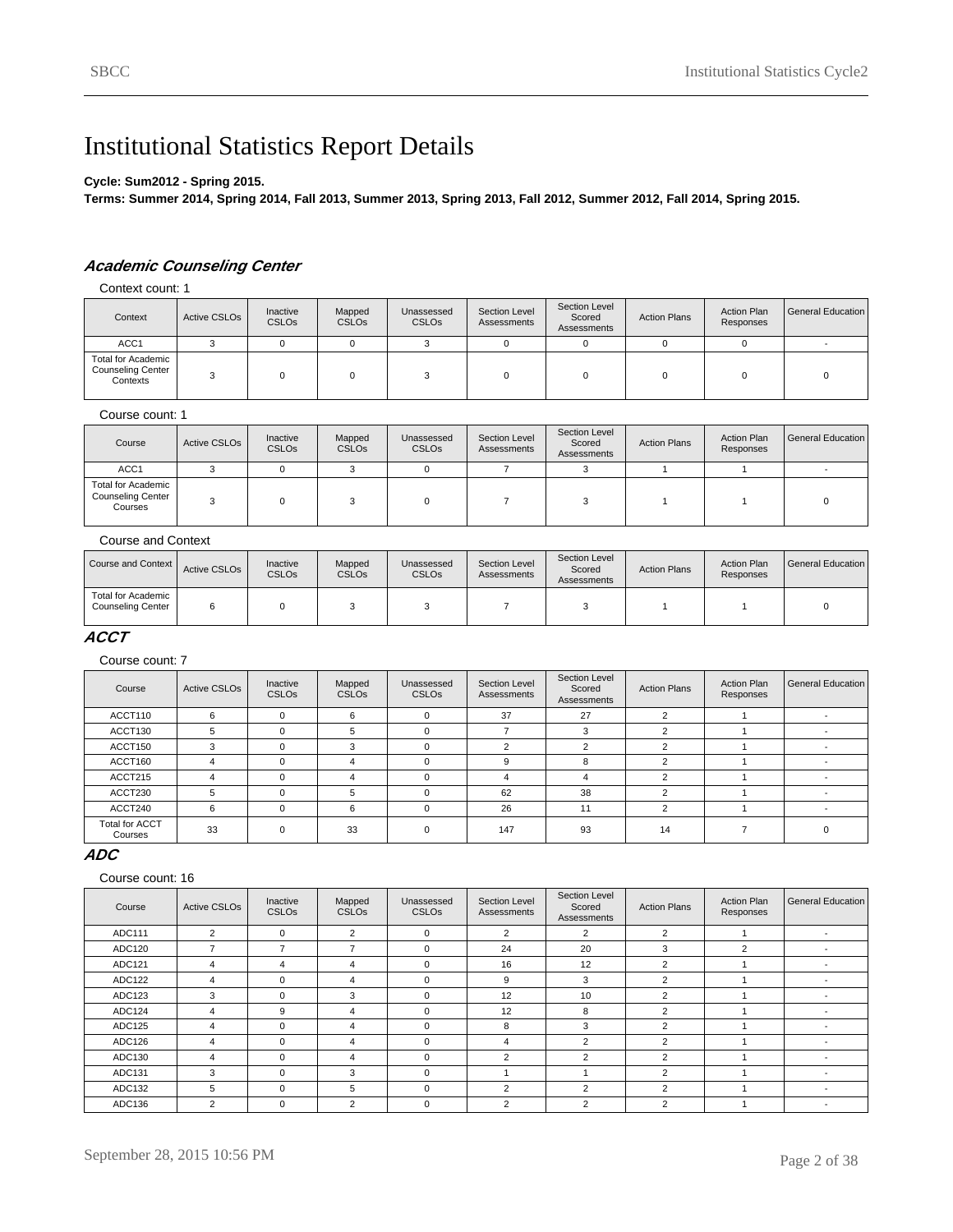# Institutional Statistics Report Details

#### **Cycle: Sum2012 - Spring 2015.**

**Terms: Summer 2014, Spring 2014, Fall 2013, Summer 2013, Spring 2013, Fall 2012, Summer 2012, Fall 2014, Spring 2015.**

# **Academic Counseling Center**

Context count: 1

| Context                                                           | Active CSLO <sub>s</sub> | Inactive<br><b>CSLOs</b> | Mapped<br><b>CSLOs</b> | Unassessed<br><b>CSLO<sub>s</sub></b> | Section Level<br>Assessments | Section Level<br>Scored<br>Assessments | <b>Action Plans</b> | <b>Action Plan</b><br>Responses | General Education |
|-------------------------------------------------------------------|--------------------------|--------------------------|------------------------|---------------------------------------|------------------------------|----------------------------------------|---------------------|---------------------------------|-------------------|
| ACC <sub>1</sub>                                                  |                          |                          |                        |                                       | 0                            |                                        |                     |                                 |                   |
| <b>Total for Academic</b><br><b>Counseling Center</b><br>Contexts |                          |                          |                        |                                       |                              |                                        |                     |                                 |                   |

#### Course count: 1

| Course                                                           | Active CSLO <sub>s</sub> | Inactive<br><b>CSLOs</b> | Mapped<br><b>CSLOs</b> | Unassessed<br><b>CSLOs</b> | Section Level<br>Assessments | Section Level<br>Scored<br>Assessments | <b>Action Plans</b> | <b>Action Plan</b><br>Responses | General Education |
|------------------------------------------------------------------|--------------------------|--------------------------|------------------------|----------------------------|------------------------------|----------------------------------------|---------------------|---------------------------------|-------------------|
| ACC <sub>1</sub>                                                 |                          |                          |                        |                            |                              |                                        |                     |                                 |                   |
| <b>Total for Academic</b><br><b>Counseling Center</b><br>Courses |                          |                          |                        |                            |                              |                                        |                     |                                 |                   |

#### Course and Context

| Course and Context                             | Active CSLO <sub>s</sub> | Inactive<br><b>CSLOs</b> | Mapped<br><b>CSLOs</b> | Unassessed<br><b>CSLO<sub>s</sub></b> | Section Level<br>Assessments | Section Level<br>Scored<br>Assessments | <b>Action Plans</b> | <b>Action Plan</b><br>Responses | General Education I |
|------------------------------------------------|--------------------------|--------------------------|------------------------|---------------------------------------|------------------------------|----------------------------------------|---------------------|---------------------------------|---------------------|
| Total for Academic<br><b>Counseling Center</b> |                          |                          |                        |                                       |                              |                                        |                     |                                 |                     |

#### **ACCT**

Course count: 7

| Course                           | <b>Active CSLOs</b> | Inactive<br>CSLO <sub>s</sub> | Mapped<br><b>CSLOs</b> | Unassessed<br><b>CSLOs</b> | Section Level<br>Assessments | Section Level<br>Scored<br>Assessments | <b>Action Plans</b> | <b>Action Plan</b><br>Responses | <b>General Education</b> |
|----------------------------------|---------------------|-------------------------------|------------------------|----------------------------|------------------------------|----------------------------------------|---------------------|---------------------------------|--------------------------|
| ACCT110                          | 6                   |                               | 6                      |                            | 37                           | 27                                     | ົ                   |                                 |                          |
| ACCT130                          | 5                   |                               | 5                      | $\Omega$                   |                              | 3                                      | ◠                   |                                 |                          |
| ACCT150                          |                     |                               | 3                      |                            | ◠                            | $\sim$                                 |                     |                                 |                          |
| ACCT160                          | 4                   |                               | 4                      | $\Omega$                   | 9                            | 8                                      | $\sqrt{2}$          |                                 |                          |
| ACCT215                          | 4                   |                               | 4                      | $\Omega$                   |                              | 4                                      | າ                   |                                 |                          |
| ACCT230                          |                     |                               | 5                      |                            | 62                           | 38                                     |                     |                                 |                          |
| ACCT240                          | 6                   |                               | 6                      | $\Omega$                   | 26                           | 11                                     | $\sqrt{2}$          |                                 |                          |
| <b>Total for ACCT</b><br>Courses | 33                  |                               | 33                     | $\Omega$                   | 147                          | 93                                     | 14                  |                                 |                          |

### **ADC**

| Course | <b>Active CSLOs</b>      | Inactive<br><b>CSLOs</b> | Mapped<br><b>CSLOs</b>   | Unassessed<br><b>CSLOs</b> | <b>Section Level</b><br>Assessments | Section Level<br>Scored<br>Assessments | <b>Action Plans</b> | <b>Action Plan</b><br>Responses | General Education        |
|--------|--------------------------|--------------------------|--------------------------|----------------------------|-------------------------------------|----------------------------------------|---------------------|---------------------------------|--------------------------|
| ADC111 | $\overline{2}$           | $\Omega$                 | $\overline{2}$           | 0                          | $\overline{2}$                      | $\overline{2}$                         | 2                   |                                 |                          |
| ADC120 | $\overline{\phantom{a}}$ | $\overline{\phantom{a}}$ | $\overline{\phantom{a}}$ | 0                          | 24                                  | 20                                     | 3                   | 2                               | $\overline{\phantom{a}}$ |
| ADC121 | 4                        | 4                        | 4                        | 0                          | 16                                  | 12                                     | 2                   |                                 |                          |
| ADC122 | 4                        | $\Omega$                 | 4                        | $\Omega$                   | 9                                   | 3                                      | $\overline{2}$      |                                 |                          |
| ADC123 | 3                        | $\Omega$                 | 3                        | 0                          | 12                                  | 10                                     | $\overline{2}$      |                                 |                          |
| ADC124 | $\overline{4}$           | 9                        | 4                        | 0                          | 12                                  | 8                                      | 2                   |                                 |                          |
| ADC125 | 4                        | $\Omega$                 | 4                        | $\Omega$                   | 8                                   | 3                                      | 2                   |                                 |                          |
| ADC126 | 4                        | $\Omega$                 | 4                        | $\Omega$                   | 4                                   | $\overline{2}$                         | 2                   |                                 |                          |
| ADC130 | 4                        | $\Omega$                 | 4                        | 0                          | $\overline{2}$                      | $\overline{2}$                         | $\overline{2}$      |                                 |                          |
| ADC131 | 3                        | $\Omega$                 | 3                        | $\mathbf 0$                |                                     |                                        | 2                   |                                 |                          |
| ADC132 | 5                        | $\Omega$                 | 5                        | $\mathbf 0$                | 2                                   | 2                                      | $\overline{2}$      |                                 |                          |
| ADC136 | $\overline{2}$           | $\Omega$                 | $\overline{2}$           | $\mathbf 0$                | $\overline{2}$                      | 2                                      | 2                   |                                 |                          |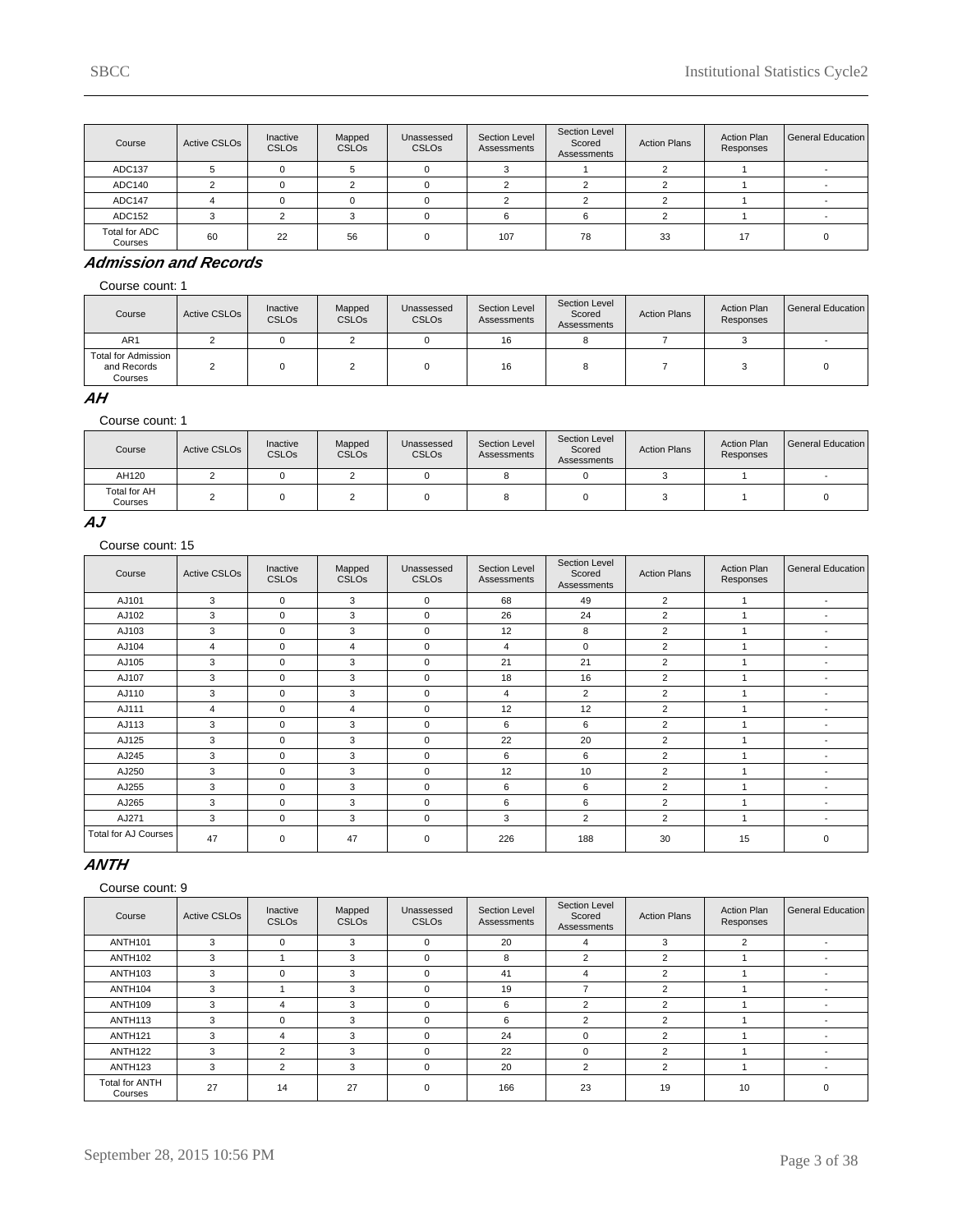| Course                   | Active CSLO <sub>s</sub> | Inactive<br><b>CSLOs</b> | Mapped<br><b>CSLOs</b> | Unassessed<br><b>CSLOs</b> | Section Level<br>Assessments | Section Level<br>Scored<br>Assessments | <b>Action Plans</b> | <b>Action Plan</b><br>Responses | General Education |
|--------------------------|--------------------------|--------------------------|------------------------|----------------------------|------------------------------|----------------------------------------|---------------------|---------------------------------|-------------------|
| ADC137                   |                          |                          |                        |                            |                              |                                        |                     |                                 |                   |
| ADC140                   |                          |                          |                        |                            |                              |                                        |                     |                                 |                   |
| ADC147                   |                          |                          |                        | n                          |                              |                                        |                     |                                 |                   |
| ADC152                   | ີ                        |                          |                        |                            | 6                            |                                        |                     |                                 |                   |
| Total for ADC<br>Courses | 60                       | 22                       | 56                     | $\Omega$                   | 107                          | 78                                     | 33                  | 17                              |                   |

### **Admission and Records**

Course count: 1

| Course                                        | Active CSLO <sub>s</sub> | Inactive<br><b>CSLOs</b> | Mapped<br><b>CSLOs</b> | Unassessed<br><b>CSLO<sub>s</sub></b> | Section Level<br>Assessments | Section Level<br>Scored<br>Assessments | <b>Action Plans</b> | <b>Action Plan</b><br>Responses | General Education |
|-----------------------------------------------|--------------------------|--------------------------|------------------------|---------------------------------------|------------------------------|----------------------------------------|---------------------|---------------------------------|-------------------|
| AR <sub>1</sub>                               |                          |                          |                        |                                       | 16                           |                                        |                     |                                 |                   |
| Total for Admission<br>and Records<br>Courses |                          |                          |                        |                                       | 16                           |                                        |                     |                                 |                   |

### **AH**

Course count: 1

| Course                         | Active CSLO <sub>s</sub> | Inactive<br><b>CSLOs</b> | Mapped<br><b>CSLOs</b> | Unassessed<br><b>CSLOs</b> | Section Level<br>Assessments | Section Level<br>Scored<br>Assessments | <b>Action Plans</b> | <b>Action Plan</b><br>Responses | l General Education |
|--------------------------------|--------------------------|--------------------------|------------------------|----------------------------|------------------------------|----------------------------------------|---------------------|---------------------------------|---------------------|
| AH120                          |                          |                          |                        |                            |                              |                                        |                     |                                 |                     |
| <b>Total for AH</b><br>Courses |                          |                          |                        |                            |                              |                                        |                     |                                 |                     |

#### **AJ**

Course count: 15

| Course               | <b>Active CSLOs</b> | Inactive<br><b>CSLOs</b> | Mapped<br><b>CSLOs</b> | Unassessed<br><b>CSLOs</b> | Section Level<br>Assessments | Section Level<br>Scored<br>Assessments | <b>Action Plans</b> | <b>Action Plan</b><br>Responses | <b>General Education</b> |
|----------------------|---------------------|--------------------------|------------------------|----------------------------|------------------------------|----------------------------------------|---------------------|---------------------------------|--------------------------|
| AJ101                | 3                   | $\mathbf 0$              | 3                      | $\mathbf 0$                | 68                           | 49                                     | $\overline{2}$      |                                 | $\overline{\phantom{a}}$ |
| AJ102                | 3                   | $\mathbf 0$              | 3                      | $\mathbf 0$                | 26                           | 24                                     | 2                   |                                 | $\overline{\phantom{a}}$ |
| AJ103                | 3                   | $\mathbf 0$              | 3                      | $\mathbf 0$                | 12                           | 8                                      | 2                   |                                 | $\overline{\phantom{a}}$ |
| AJ104                | 4                   | $\mathbf 0$              | $\overline{4}$         | $\mathbf 0$                | 4                            | $\mathbf 0$                            | $\overline{2}$      |                                 | $\overline{\phantom{a}}$ |
| AJ105                | 3                   | $\mathbf 0$              | 3                      | $\mathbf 0$                | 21                           | 21                                     | $\overline{2}$      |                                 | $\overline{\phantom{a}}$ |
| AJ107                | 3                   | $\mathbf 0$              | 3                      | $\mathbf 0$                | 18                           | 16                                     | $\overline{2}$      |                                 | $\overline{\phantom{a}}$ |
| AJ110                | 3                   | $\mathbf 0$              | 3                      | $\mathbf 0$                | 4                            | $\overline{2}$                         | $\overline{2}$      |                                 | ٠                        |
| AJ111                | 4                   | $\Omega$                 | $\overline{4}$         | $\mathbf 0$                | 12                           | 12                                     | $\overline{2}$      |                                 | ٠                        |
| AJ113                | 3                   | $\mathbf 0$              | 3                      | $\mathbf 0$                | 6                            | 6                                      | $\overline{2}$      |                                 | $\overline{\phantom{a}}$ |
| AJ125                | 3                   | $\mathbf 0$              | 3                      | $\mathbf 0$                | 22                           | 20                                     | $\overline{2}$      |                                 | ٠                        |
| AJ245                | 3                   | $\Omega$                 | 3                      | $\mathbf 0$                | 6                            | 6                                      | $\overline{2}$      |                                 | $\overline{\phantom{a}}$ |
| AJ250                | 3                   | $\mathbf 0$              | 3                      | $\mathbf 0$                | 12                           | 10                                     | $\overline{2}$      |                                 | $\overline{\phantom{a}}$ |
| AJ255                | 3                   | $\mathbf 0$              | 3                      | $\mathbf 0$                | 6                            | 6                                      | $\overline{2}$      |                                 | $\overline{\phantom{a}}$ |
| AJ265                | 3                   | $\Omega$                 | 3                      | $\mathbf 0$                | 6                            | 6                                      | $\overline{2}$      |                                 | $\overline{\phantom{a}}$ |
| AJ271                | 3                   | $\Omega$                 | 3                      | $\mathbf 0$                | 3                            | $\overline{2}$                         | 2                   |                                 | $\overline{\phantom{a}}$ |
| Total for AJ Courses | 47                  | 0                        | 47                     | $\mathbf 0$                | 226                          | 188                                    | 30                  | 15                              | $\mathbf 0$              |

### **ANTH**

| Course                           | <b>Active CSLOs</b> | Inactive<br><b>CSLOs</b> | Mapped<br><b>CSLOs</b> | Unassessed<br><b>CSLOs</b> | Section Level<br>Assessments | Section Level<br>Scored<br>Assessments | <b>Action Plans</b> | <b>Action Plan</b><br>Responses | General Education I      |
|----------------------------------|---------------------|--------------------------|------------------------|----------------------------|------------------------------|----------------------------------------|---------------------|---------------------------------|--------------------------|
| <b>ANTH101</b>                   | 3                   | $\Omega$                 | 3                      | $\Omega$                   | 20                           | 4                                      | 3                   | 2                               | $\overline{\phantom{a}}$ |
| ANTH <sub>102</sub>              | 3                   |                          | 3                      | $\Omega$                   | 8                            | $\overline{2}$                         | $\overline{2}$      |                                 |                          |
| ANTH <sub>103</sub>              | 3                   | $\Omega$                 | 3                      | $\Omega$                   | 41                           | 4                                      | $\mathfrak{p}$      |                                 |                          |
| ANTH104                          | 3                   |                          | 3                      | $\Omega$                   | 19                           | -                                      | 2                   |                                 |                          |
| ANTH109                          | 3                   | 4                        | 3                      | $\Omega$                   | 6                            | $\overline{2}$                         | $\mathcal{P}$       |                                 |                          |
| ANTH <sub>113</sub>              | 3                   | $\Omega$                 | 3                      | 0                          | 6                            | $\overline{2}$                         | $\overline{2}$      |                                 |                          |
| ANTH <sub>121</sub>              | 3                   | 4                        | 3                      | $\Omega$                   | 24                           | $\Omega$                               | $\sim$              |                                 |                          |
| ANTH <sub>122</sub>              | 3                   | $\overline{2}$           | 3                      | $\Omega$                   | 22                           | $\Omega$                               | $\overline{2}$      |                                 |                          |
| ANTH <sub>123</sub>              | 3                   | $\overline{2}$           | 3                      | $\mathbf 0$                | 20                           | 2                                      | 2                   |                                 |                          |
| <b>Total for ANTH</b><br>Courses | 27                  | 14                       | 27                     | $\Omega$                   | 166                          | 23                                     | 19                  | 10                              | $\Omega$                 |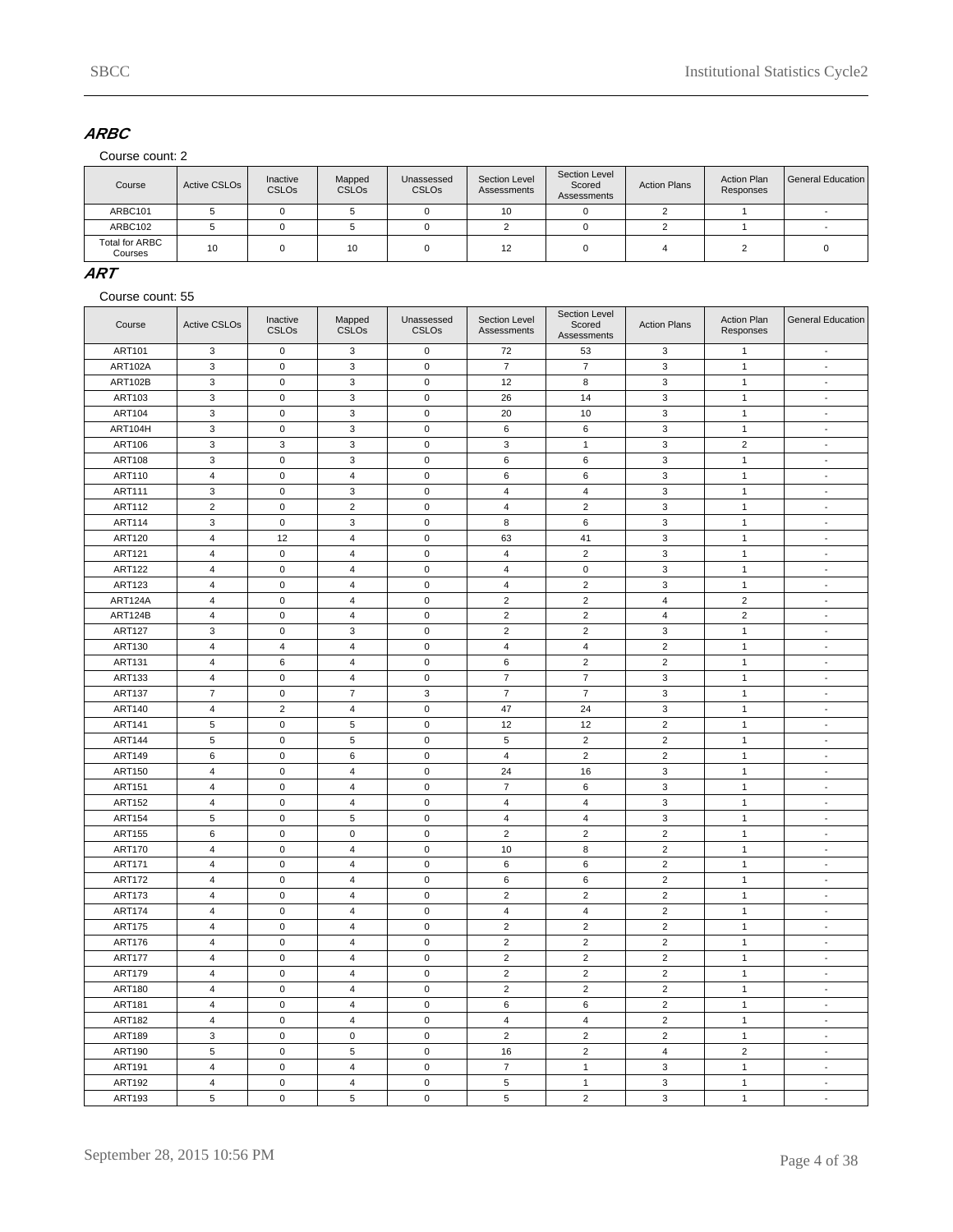# **ARBC**

Course count: 2

| Course                    | Active CSLO <sub>s</sub> | Inactive<br><b>CSLOs</b> | Mapped<br><b>CSLOs</b> | Unassessed<br><b>CSLOs</b> | Section Level<br>Assessments | Section Level<br>Scored<br>Assessments | <b>Action Plans</b> | <b>Action Plan</b><br>Responses | <b>General Education</b> |
|---------------------------|--------------------------|--------------------------|------------------------|----------------------------|------------------------------|----------------------------------------|---------------------|---------------------------------|--------------------------|
| ARBC101                   |                          |                          |                        |                            | 10                           |                                        |                     |                                 |                          |
| ARBC102                   |                          |                          |                        |                            |                              |                                        |                     |                                 |                          |
| Total for ARBC<br>Courses | 10                       |                          | 10                     |                            | 12                           |                                        |                     |                                 |                          |

### **ART**

| Course        | <b>Active CSLOs</b>     | Inactive<br><b>CSLOs</b>   | Mapped<br><b>CSLOs</b>                    | Unassessed<br><b>CSLOs</b> | Section Level<br>Assessments | Section Level<br>Scored<br>Assessments | <b>Action Plans</b>              | <b>Action Plan</b><br>Responses | <b>General Education</b> |
|---------------|-------------------------|----------------------------|-------------------------------------------|----------------------------|------------------------------|----------------------------------------|----------------------------------|---------------------------------|--------------------------|
| ART101        | 3                       | $\mathbf 0$                | 3                                         | $\mathbf 0$                | 72                           | 53                                     | 3                                | $\mathbf{1}$                    | $\overline{\phantom{a}}$ |
| ART102A       | 3                       | $\mathsf 0$                | 3                                         | $\mathbf 0$                | $\overline{7}$               | $\overline{7}$                         | 3                                | $\mathbf{1}$                    | $\overline{\phantom{a}}$ |
| ART102B       | 3                       | $\mathbf 0$                | $\mathbf 3$                               | $\pmb{0}$                  | 12                           | 8                                      | $\mathbf 3$                      | $\mathbf{1}$                    | $\sim$                   |
| ART103        | 3                       | $\mathbf 0$                | 3                                         | $\mathbf 0$                | 26                           | 14                                     | 3                                | $\mathbf{1}$                    | $\blacksquare$           |
| <b>ART104</b> | 3                       | $\mathbf 0$                | 3                                         | $\mathbf 0$                | 20                           | 10                                     | 3                                | $\mathbf{1}$                    | $\overline{\phantom{a}}$ |
| ART104H       | 3                       | $\mathbf 0$                | 3                                         | $\mathbf 0$                | 6                            | 6                                      | 3                                | $\mathbf{1}$                    | $\blacksquare$           |
| <b>ART106</b> | 3                       | 3                          | 3                                         | $\mathbf 0$                | 3                            | $\mathbf{1}$                           | 3                                | $\overline{2}$                  | $\overline{\phantom{a}}$ |
| <b>ART108</b> | 3                       | $\mathsf 0$                | $\ensuremath{\mathsf{3}}$                 | $\mathbf 0$                | $\,6\,$                      | 6                                      | $\ensuremath{\mathsf{3}}$        | $\mathbf 1$                     | $\mathbf{r}$             |
| ART110        | 4                       | $\mathsf{O}\xspace$        | $\overline{\mathbf{4}}$                   | $\pmb{0}$                  | $\,6\,$                      | 6                                      | $\mathbf 3$                      | $\mathbf{1}$                    | $\overline{\phantom{a}}$ |
| <b>ART111</b> | 3                       | $\mathbf 0$                | 3                                         | $\mathbf 0$                | $\overline{4}$               | $\overline{4}$                         | 3                                | $\mathbf{1}$                    | $\blacksquare$           |
| ART112        | $\overline{2}$          | $\pmb{0}$                  | 2                                         | $\mathbf 0$                | $\overline{4}$               | $\overline{2}$                         | $\mathsf 3$                      | $\mathbf{1}$                    | $\overline{\phantom{a}}$ |
| ART114        | 3                       | $\mathbf 0$                | 3                                         | $\mathbf 0$                | 8                            | 6                                      | 3                                | $\mathbf{1}$                    | $\blacksquare$           |
| <b>ART120</b> | $\overline{4}$          | 12                         | $\overline{4}$                            | $\mathbf 0$                | 63                           | 41                                     | $\mathsf 3$                      | $\mathbf{1}$                    | $\blacksquare$           |
| <b>ART121</b> | $\overline{4}$          | $\mathsf 0$                | $\sqrt{4}$                                | $\pmb{0}$                  | $\overline{4}$               | $\overline{c}$                         | 3                                | $\mathbf{1}$                    | $\blacksquare$           |
| <b>ART122</b> | $\overline{4}$          | $\mathbf 0$                | $\sqrt{4}$                                | $\mathbf 0$                | $\overline{4}$               | $\mathbf 0$                            | $\mathbf 3$                      | $\mathbf{1}$                    | $\sim$                   |
| <b>ART123</b> | $\overline{4}$          | $\mathbf 0$                | $\overline{4}$                            | $\mathbf 0$                | $\overline{4}$               | $\overline{2}$                         | 3                                | $\mathbf{1}$                    | $\overline{\phantom{a}}$ |
| ART124A       | $\overline{4}$          | $\mathbf 0$                | $\overline{4}$                            | $\mathbf 0$                | $\overline{c}$               | $\overline{2}$                         | $\overline{4}$                   | $\overline{c}$                  | $\overline{\phantom{a}}$ |
| ART124B       | 4                       | $\mathbf 0$                | $\overline{4}$                            | $\mathbf 0$                | $\overline{2}$               | $\overline{2}$                         | 4                                | $\overline{2}$                  | $\overline{\phantom{a}}$ |
| <b>ART127</b> | 3                       | $\pmb{0}$                  | $\mathbf{3}$                              | $\mathbf 0$                | $\overline{2}$               | $\overline{c}$                         | $\mathsf 3$                      | $\mathbf{1}$                    | $\Box$                   |
| ART130        | 4                       | $\overline{4}$             | $\sqrt{4}$                                | $\pmb{0}$                  | $\overline{4}$               | $\overline{\mathbf{4}}$                | $\overline{c}$                   | $\mathbf{1}$                    | $\overline{a}$           |
| ART131        | 4                       | 6                          | $\sqrt{4}$                                | $\pmb{0}$                  | $\,6\,$                      | $\overline{2}$                         | $\overline{c}$                   | $\mathbf{1}$                    | $\sim$                   |
| ART133        | $\overline{4}$          | $\mathsf 0$                | $\overline{4}$                            | $\mathbf 0$                | $\overline{7}$               | $\overline{7}$                         | 3                                | $\mathbf{1}$                    | $\blacksquare$           |
| <b>ART137</b> | $\overline{7}$          | $\mathbf 0$                | $\overline{7}$                            | 3                          | $\overline{7}$               | $\overline{7}$                         | 3                                | $\mathbf{1}$                    | $\blacksquare$           |
| ART140        | $\overline{4}$          | $\overline{2}$             | $\overline{4}$                            | $\mathbf 0$                | 47                           | 24                                     | 3                                | $\mathbf{1}$                    | $\blacksquare$           |
| <b>ART141</b> | $\sqrt{5}$              | $\mathsf 0$                | $\sqrt{5}$                                | $\mathbf 0$                | 12                           | 12                                     | $\overline{2}$                   | $\mathbf{1}$                    | $\overline{\phantom{a}}$ |
| <b>ART144</b> | 5                       | $\mathsf 0$                | $\,$ 5 $\,$                               | $\pmb{0}$                  | 5                            | $\overline{2}$                         | $\overline{2}$                   | $\mathbf{1}$                    | $\mathbf{r}$             |
| <b>ART149</b> | 6                       | $\mathbf 0$                | 6                                         | $\mathbf 0$                | $\overline{4}$               | $\overline{2}$                         | $\overline{2}$                   | $\mathbf{1}$                    | $\overline{\phantom{a}}$ |
| <b>ART150</b> | $\overline{4}$          | $\mathbf 0$                | $\overline{\mathbf{4}}$                   | $\mathbf 0$                | 24                           | 16                                     | 3                                | $\mathbf{1}$                    | $\overline{\phantom{a}}$ |
| <b>ART151</b> | 4                       | $\mathbf 0$                | $\overline{4}$                            | $\mathbf 0$                | $\overline{7}$               | 6                                      | 3                                | $\mathbf{1}$                    | $\blacksquare$           |
| <b>ART152</b> | 4                       | $\mathbf 0$                | $\overline{4}$                            | $\mathbf 0$                | 4                            | $\overline{4}$                         | 3                                | $\mathbf{1}$                    | $\overline{\phantom{a}}$ |
| <b>ART154</b> | 5                       | $\mathsf 0$                | $\sqrt{5}$                                | $\mathbf 0$                | $\overline{\mathbf{4}}$      | $\overline{4}$                         | 3                                | $\mathbf{1}$                    | $\mathbf{r}$             |
| <b>ART155</b> | 6                       | $\mathsf 0$                | $\pmb{0}$                                 | $\pmb{0}$                  | $\sqrt{2}$                   | $\overline{c}$                         | $\overline{c}$                   | $\mathbf{1}$                    | $\overline{a}$           |
| <b>ART170</b> | $\overline{4}$          | $\mathbf 0$                | $\overline{4}$                            | $\mathbf 0$                | 10                           | 8                                      | $\overline{2}$                   | $\mathbf{1}$                    | $\mathcal{L}$            |
| <b>ART171</b> | $\overline{4}$          | $\mathsf 0$                | $\overline{4}$                            | $\mathbf 0$                | 6                            | 6                                      | $\overline{2}$                   | $\mathbf{1}$                    | $\blacksquare$           |
| <b>ART172</b> | $\sqrt{4}$              | $\mathbf 0$                | $\overline{4}$                            | $\mathbf 0$                | 6                            | 6                                      | $\overline{2}$                   | $\mathbf{1}$                    | $\Box$                   |
| <b>ART173</b> | $\overline{\mathbf{4}}$ | $\mathbf 0$                | $\overline{4}$                            | $\mathbf 0$                | $\overline{2}$               | $\overline{2}$                         | 2                                | $\mathbf{1}$                    | $\blacksquare$           |
| <b>ART174</b> | 4                       | $\mathsf 0$                | $\overline{\mathbf{4}}$                   | $\mathbf 0$                | $\overline{4}$               | $\overline{4}$                         | $\overline{2}$                   | $\mathbf{1}$                    | $\overline{\phantom{a}}$ |
| <b>ART175</b> | $\overline{4}$          | $\mathbf 0$                | $\overline{4}$                            | $\mathbf 0$                | $\overline{2}$               | $\overline{2}$                         | $\overline{2}$                   | $\mathbf{1}$                    | $\sim$                   |
| <b>ART176</b> | $\overline{4}$          | $\mathbf 0$                | $\sqrt{4}$                                | $\mathbf 0$                | $\overline{2}$               | $\overline{c}$                         | $\overline{2}$                   | $\mathbf{1}$                    | $\blacksquare$           |
| <b>ART177</b> | $\overline{4}$          | $\mathbf 0$                | $\overline{4}$                            | $\mathbf 0$                | $\overline{2}$               | $\overline{2}$                         | $\overline{2}$                   | $\mathbf{1}$                    | $\overline{\phantom{a}}$ |
| <b>ART179</b> | 4                       | $\mathbf 0$                | $\overline{4}$                            | $\mathbf 0$                | $\overline{c}$               | $\overline{c}$                         | $\overline{2}$                   | $\mathbf{1}$                    | $\blacksquare$           |
|               |                         |                            |                                           |                            | $\overline{c}$               | $\overline{c}$                         |                                  | $\mathbf{1}$                    |                          |
| <b>ART180</b> | 4<br>4                  | $\mathbf 0$<br>$\mathbf 0$ | $\overline{4}$<br>$\overline{\mathbf{4}}$ | $\mathbf 0$<br>$\mathbf 0$ | $\,6\,$                      | 6                                      | $\overline{2}$<br>$\sqrt{2}$     | $\mathbf 1$                     | $\blacksquare$<br>$\sim$ |
| <b>ART181</b> |                         |                            |                                           |                            |                              | $\overline{4}$                         | $\overline{2}$                   |                                 | $\overline{\phantom{a}}$ |
| <b>ART182</b> | $\sqrt{4}$              | $\mathsf 0$                | $\overline{4}$                            | $\pmb{0}$                  | $\overline{4}$               |                                        |                                  | $\mathbf{1}$                    |                          |
| <b>ART189</b> | 3<br>$\overline{5}$     | $\mathbf 0$                | $\pmb{0}$<br>$\overline{5}$               | $\mathbf 0$                | $\overline{2}$               | $\overline{2}$<br>$\overline{2}$       | $\overline{2}$<br>$\overline{4}$ | $\mathbf{1}$<br>$\overline{2}$  | $\overline{\phantom{a}}$ |
| ART190        |                         | $\mathsf 0$                |                                           | $\mathbf 0$                | 16                           |                                        |                                  |                                 | $\blacksquare$           |
| ART191        | $\overline{\mathbf{4}}$ | $\mathbf 0$                | $\overline{4}$                            | $\mathbf 0$                | $\overline{7}$               | $\mathbf{1}$                           | 3                                | $\mathbf{1}$                    | $\overline{\phantom{a}}$ |
| <b>ART192</b> | 4                       | $\mathsf 0$                | $\overline{4}$                            | $\mathbf 0$                | 5                            | $\mathbf{1}$                           | 3                                | $\mathbf{1}$                    | $\blacksquare$           |
| ART193        | 5                       | $\pmb{0}$                  | $\overline{5}$                            | $\mathbf 0$                | 5                            | $\overline{2}$                         | $\mathbf{3}$                     | $\mathbf{1}$                    | $\blacksquare$           |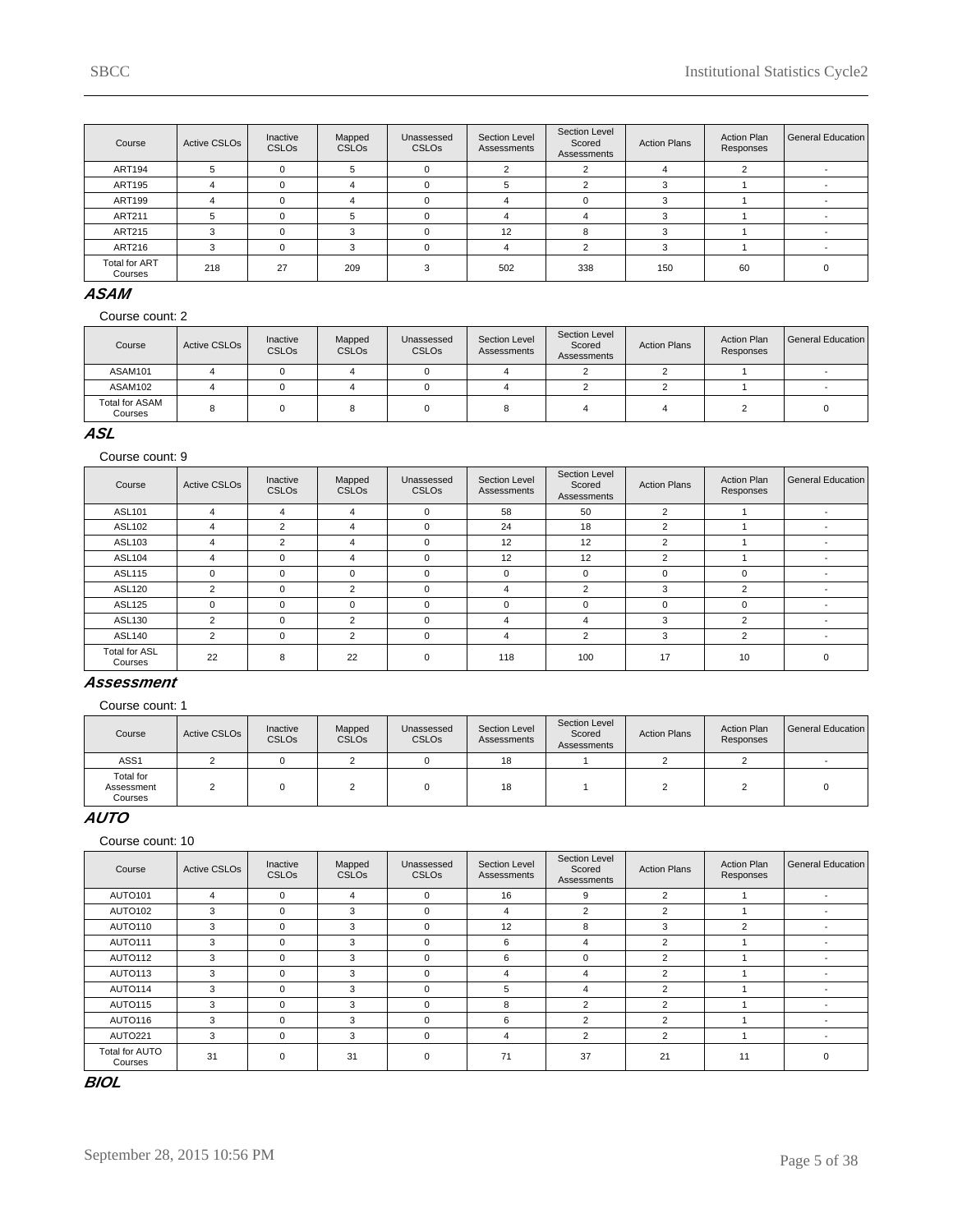| Course                   | <b>Active CSLOs</b> | Inactive<br><b>CSLOs</b> | Mapped<br><b>CSLOs</b> | Unassessed<br><b>CSLOs</b> | Section Level<br>Assessments | Section Level<br>Scored<br>Assessments | <b>Action Plans</b> | <b>Action Plan</b><br>Responses | General Education |
|--------------------------|---------------------|--------------------------|------------------------|----------------------------|------------------------------|----------------------------------------|---------------------|---------------------------------|-------------------|
| <b>ART194</b>            | b.                  |                          |                        | $\Omega$                   |                              | $\sim$                                 |                     |                                 |                   |
| ART195                   |                     |                          |                        | $\Omega$                   | G.                           |                                        |                     |                                 |                   |
| <b>ART199</b>            |                     |                          |                        | C                          |                              |                                        |                     |                                 |                   |
| ART211                   | 5                   |                          |                        | C                          |                              |                                        |                     |                                 |                   |
| <b>ART215</b>            | 3                   |                          |                        | $\Omega$                   | 12                           | 8                                      |                     |                                 |                   |
| ART216                   | 3                   |                          |                        | $\Omega$                   | Δ                            |                                        |                     |                                 |                   |
| Total for ART<br>Courses | 218                 | 27                       | 209                    |                            | 502                          | 338                                    | 150                 | 60                              |                   |

### **ASAM**

Course count: 2

| Course                           | Active CSLO <sub>s</sub> | Inactive<br><b>CSLOs</b> | Mapped<br><b>CSLOs</b> | Unassessed<br><b>CSLOs</b> | Section Level<br>Assessments | Section Level<br>Scored<br>Assessments | <b>Action Plans</b> | <b>Action Plan</b><br>Responses | General Education |
|----------------------------------|--------------------------|--------------------------|------------------------|----------------------------|------------------------------|----------------------------------------|---------------------|---------------------------------|-------------------|
| ASAM101                          |                          |                          |                        |                            |                              |                                        |                     |                                 |                   |
| ASAM102                          |                          |                          |                        |                            |                              |                                        |                     |                                 |                   |
| <b>Total for ASAM</b><br>Courses |                          |                          |                        |                            |                              |                                        |                     |                                 |                   |

### **ASL**

Course count: 9

| Course                          | <b>Active CSLOs</b> | Inactive<br><b>CSLOs</b> | Mapped<br><b>CSLOs</b> | Unassessed<br><b>CSLOs</b> | Section Level<br>Assessments | <b>Section Level</b><br>Scored<br>Assessments | <b>Action Plans</b> | <b>Action Plan</b><br>Responses | General Education |
|---------------------------------|---------------------|--------------------------|------------------------|----------------------------|------------------------------|-----------------------------------------------|---------------------|---------------------------------|-------------------|
| <b>ASL101</b>                   | 4                   | 4                        | $\overline{4}$         | $\Omega$                   | 58                           | 50                                            | 2                   |                                 |                   |
| ASL102                          | 4                   | 2                        | 4                      | 0                          | 24                           | 18                                            | 2                   |                                 |                   |
| ASL103                          | 4                   | $\overline{2}$           | 4                      | 0                          | 12                           | 12                                            | 2                   |                                 |                   |
| <b>ASL104</b>                   | 4                   | $\Omega$                 | 4                      | $\mathbf 0$                | 12                           | 12                                            | 2                   |                                 |                   |
| <b>ASL115</b>                   | $\Omega$            | $\Omega$                 | 0                      | 0                          | $\mathbf 0$                  | 0                                             | $\Omega$            | 0                               |                   |
| <b>ASL120</b>                   | 2                   | $\Omega$                 | $\overline{2}$         | 0                          | 4                            | $\overline{2}$                                | 3                   | 2                               |                   |
| <b>ASL125</b>                   | $\Omega$            | $\Omega$                 | $\Omega$               | $\Omega$                   | $\Omega$                     | $\Omega$                                      | O                   | $\Omega$                        |                   |
| ASL130                          | $\overline{2}$      | $\Omega$                 | $\mathfrak{p}$         | $\Omega$                   | 4                            | 4                                             | 3                   | 2                               |                   |
| <b>ASL140</b>                   | 2                   | $\Omega$                 | $\overline{2}$         | 0                          | 4                            | $\overline{2}$                                | 3                   | $\overline{2}$                  |                   |
| <b>Total for ASL</b><br>Courses | 22                  | 8                        | 22                     | $\mathbf 0$                | 118                          | 100                                           | 17                  | 10                              | $\Omega$          |

### **Assessment**

Course count: 1

| Course                             | Active CSLO <sub>s</sub> | Inactive<br><b>CSLOs</b> | Mapped<br><b>CSLOs</b> | Unassessed<br><b>CSLOs</b> | Section Level<br>Assessments | Section Level<br>Scored<br>Assessments | <b>Action Plans</b> | <b>Action Plan</b><br>Responses | General Education |
|------------------------------------|--------------------------|--------------------------|------------------------|----------------------------|------------------------------|----------------------------------------|---------------------|---------------------------------|-------------------|
| ASS <sub>1</sub>                   |                          |                          |                        |                            | 18                           |                                        |                     |                                 |                   |
| Total for<br>Assessment<br>Courses |                          |                          |                        |                            | 18                           |                                        |                     |                                 |                   |

# **AUTO**

Course count: 10

| Course                    | <b>Active CSLOs</b> | Inactive<br><b>CSLOs</b> | Mapped<br><b>CSLOs</b> | Unassessed<br><b>CSLOs</b> | Section Level<br>Assessments | Section Level<br>Scored<br>Assessments | <b>Action Plans</b> | <b>Action Plan</b><br>Responses | General Education        |
|---------------------------|---------------------|--------------------------|------------------------|----------------------------|------------------------------|----------------------------------------|---------------------|---------------------------------|--------------------------|
| AUTO101                   | 4                   | $\Omega$                 | 4                      | $\Omega$                   | 16                           | 9                                      | $\overline{2}$      |                                 | $\overline{\phantom{a}}$ |
| AUTO102                   | 3                   | $\Omega$                 | 3                      | $\Omega$                   | 4                            | 2                                      | $\overline{2}$      |                                 |                          |
| AUTO110                   | 3                   | $\mathbf 0$              | 3                      | $\mathbf 0$                | 12                           | 8                                      | 3                   | 2                               |                          |
| AUTO111                   | 3                   | $\Omega$                 | 3                      | $\Omega$                   | 6                            | 4                                      | $\overline{2}$      |                                 | $\overline{\phantom{a}}$ |
| <b>AUTO112</b>            | 3                   | 0                        | 3                      | $\mathbf 0$                | 6                            | $\Omega$                               | 2                   |                                 |                          |
| AUTO113                   | 3                   | $\mathbf 0$              | 3                      | $\mathbf 0$                | 4                            | 4                                      | 2                   |                                 |                          |
| AUTO114                   | 3                   | $\Omega$                 | 3                      | $\Omega$                   | 5                            | 4                                      | $\overline{2}$      |                                 |                          |
| AUTO115                   | 3                   | $\Omega$                 | 3                      | $\Omega$                   | 8                            | $\overline{2}$                         | $\overline{2}$      |                                 |                          |
| AUTO116                   | 3                   | $\Omega$                 | 3                      | $\Omega$                   | 6                            | $\overline{2}$                         | $\overline{2}$      |                                 |                          |
| AUTO221                   | 3                   | $\Omega$                 | 3                      | $\mathbf 0$                | 4                            | 2                                      | 2                   |                                 |                          |
| Total for AUTO<br>Courses | 31                  | $\Omega$                 | 31                     | $\mathbf 0$                | 71                           | 37                                     | 21                  | 11                              | $\Omega$                 |

**BIOL**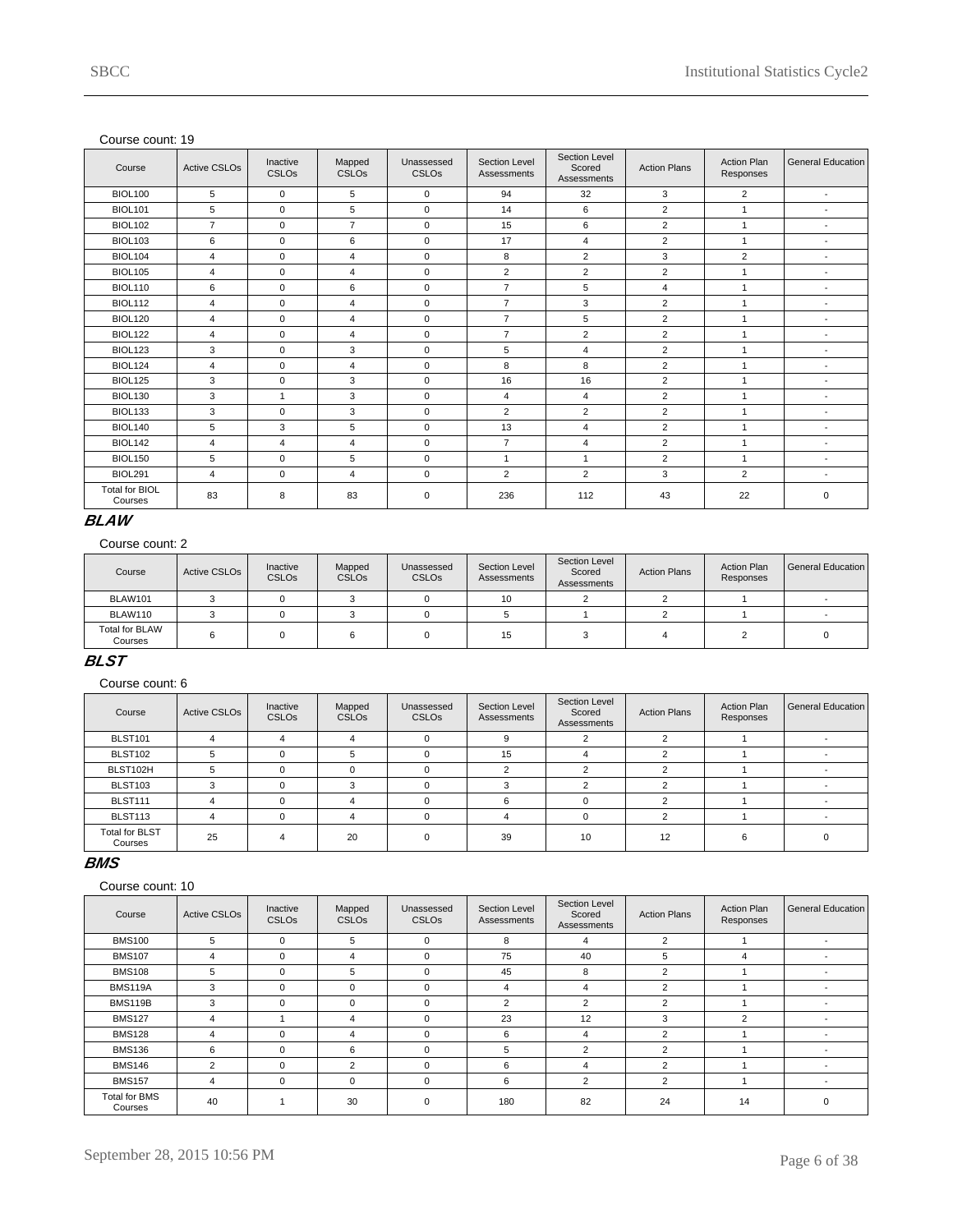| Course                           | <b>Active CSLOs</b> | Inactive<br><b>CSLOs</b> | Mapped<br><b>CSLO<sub>s</sub></b> | Unassessed<br><b>CSLOs</b> | Section Level<br>Assessments | Section Level<br>Scored<br>Assessments | <b>Action Plans</b> | <b>Action Plan</b><br>Responses | <b>General Education</b> |
|----------------------------------|---------------------|--------------------------|-----------------------------------|----------------------------|------------------------------|----------------------------------------|---------------------|---------------------------------|--------------------------|
| <b>BIOL100</b>                   | 5                   | $\mathbf 0$              | 5                                 | $\mathbf 0$                | 94                           | 32                                     | 3                   | 2                               | $\overline{\phantom{a}}$ |
| <b>BIOL101</b>                   | 5                   | $\mathbf 0$              | 5                                 | $\mathbf 0$                | 14                           | 6                                      | 2                   |                                 | $\blacksquare$           |
| <b>BIOL102</b>                   | $\overline{7}$      | $\mathbf 0$              | $\overline{7}$                    | $\mathbf 0$                | 15                           | 6                                      | $\overline{2}$      | $\overline{1}$                  | $\blacksquare$           |
| <b>BIOL103</b>                   | 6                   | $\mathbf 0$              | 6                                 | $\mathbf 0$                | 17                           | $\overline{4}$                         | 2                   | $\overline{1}$                  | $\blacksquare$           |
| <b>BIOL104</b>                   | 4                   | $\mathbf 0$              | 4                                 | $\mathbf 0$                | 8                            | 2                                      | 3                   | $\overline{2}$                  | $\overline{\phantom{a}}$ |
| <b>BIOL105</b>                   | 4                   | $\mathbf 0$              | $\overline{4}$                    | $\mathbf 0$                | $\overline{2}$               | $\overline{2}$                         | 2                   | $\mathbf{1}$                    | ٠                        |
| <b>BIOL110</b>                   | 6                   | $\mathbf 0$              | 6                                 | $\mathbf 0$                | $\overline{7}$               | 5                                      | $\overline{4}$      | $\overline{1}$                  | $\overline{\phantom{a}}$ |
| <b>BIOL112</b>                   | $\overline{4}$      | $\Omega$                 | $\overline{\mathbf{4}}$           | $\mathbf 0$                | $\overline{7}$               | 3                                      | 2                   |                                 | $\blacksquare$           |
| <b>BIOL120</b>                   | 4                   | $\mathbf 0$              | $\overline{\mathbf{4}}$           | $\mathbf 0$                | $\overline{7}$               | 5                                      | 2                   |                                 | $\blacksquare$           |
| <b>BIOL122</b>                   | 4                   | $\Omega$                 | $\overline{\mathbf{4}}$           | $\Omega$                   | $\overline{7}$               | $\overline{2}$                         | 2                   | $\overline{1}$                  | $\blacksquare$           |
| <b>BIOL123</b>                   | 3                   | $\mathbf 0$              | 3                                 | $\mathbf 0$                | 5                            | $\overline{4}$                         | 2                   | $\overline{1}$                  | $\overline{\phantom{a}}$ |
| BIOL124                          | 4                   | $\mathbf 0$              | $\overline{\mathbf{4}}$           | $\mathbf 0$                | 8                            | 8                                      | 2                   | $\overline{1}$                  | $\overline{\phantom{a}}$ |
| <b>BIOL125</b>                   | 3                   | $\Omega$                 | 3                                 | $\mathbf 0$                | 16                           | 16                                     | 2                   | $\mathbf{1}$                    | $\overline{\phantom{a}}$ |
| <b>BIOL130</b>                   | 3                   | $\mathbf{1}$             | 3                                 | $\mathbf 0$                | $\overline{4}$               | $\overline{4}$                         | $\overline{2}$      |                                 | $\blacksquare$           |
| <b>BIOL133</b>                   | 3                   | $\Omega$                 | 3                                 | $\mathbf 0$                | $\overline{2}$               | $\overline{2}$                         | 2                   |                                 | $\blacksquare$           |
| <b>BIOL140</b>                   | 5                   | 3                        | 5                                 | $\mathbf 0$                | 13                           | $\overline{4}$                         | 2                   |                                 | $\overline{\phantom{a}}$ |
| <b>BIOL142</b>                   | $\overline{4}$      | $\overline{4}$           | 4                                 | $\mathbf 0$                | $\overline{7}$               | $\overline{4}$                         | 2                   | $\overline{1}$                  | $\blacksquare$           |
| <b>BIOL150</b>                   | 5                   | $\mathbf 0$              | 5                                 | $\mathbf 0$                | $\mathbf{1}$                 | $\overline{1}$                         | 2                   | $\overline{1}$                  | $\blacksquare$           |
| <b>BIOL291</b>                   | 4                   | $\mathbf 0$              | $\overline{\mathbf{4}}$           | $\mathbf 0$                | $\overline{2}$               | 2                                      | 3                   | 2                               | ٠                        |
| <b>Total for BIOL</b><br>Courses | 83                  | 8                        | 83                                | $\mathbf 0$                | 236                          | 112                                    | 43                  | 22                              | $\mathbf 0$              |

# **BLAW**

Course count: 2

| Course                           | <b>Active CSLOs</b> | Inactive<br><b>CSLOs</b> | Mapped<br><b>CSLOs</b> | Unassessed<br>CSLO <sub>s</sub> | Section Level<br>Assessments | Section Level<br>Scored<br>Assessments | <b>Action Plans</b> | <b>Action Plan</b><br>Responses | General Education |
|----------------------------------|---------------------|--------------------------|------------------------|---------------------------------|------------------------------|----------------------------------------|---------------------|---------------------------------|-------------------|
| BLAW101                          |                     |                          |                        |                                 | 10                           |                                        |                     |                                 |                   |
| BLAW110                          |                     |                          |                        |                                 |                              |                                        |                     |                                 |                   |
| <b>Total for BLAW</b><br>Courses |                     |                          |                        |                                 | 15                           |                                        |                     |                                 |                   |

# **BLST**

Course count: 6

| Course                           | Active CSLOs | Inactive<br>CSLO <sub>s</sub> | Mapped<br><b>CSLOs</b> | Unassessed<br><b>CSLOs</b> | Section Level<br>Assessments | Section Level<br>Scored<br>Assessments | <b>Action Plans</b> | <b>Action Plan</b><br>Responses | General Education |
|----------------------------------|--------------|-------------------------------|------------------------|----------------------------|------------------------------|----------------------------------------|---------------------|---------------------------------|-------------------|
| <b>BLST101</b>                   |              |                               |                        |                            |                              |                                        |                     |                                 |                   |
| <b>BLST102</b>                   |              |                               | 5                      |                            | 15                           |                                        |                     |                                 |                   |
| BLST102H                         |              |                               |                        |                            |                              |                                        |                     |                                 |                   |
| <b>BLST103</b>                   |              |                               | ີ                      |                            |                              |                                        |                     |                                 |                   |
| <b>BLST111</b>                   |              |                               |                        |                            | ค                            |                                        |                     |                                 |                   |
| <b>BLST113</b>                   |              |                               |                        |                            |                              | $\Omega$                               |                     |                                 |                   |
| <b>Total for BLST</b><br>Courses | 25           |                               | 20                     |                            | 39                           | 10                                     | 12                  |                                 |                   |

### **BMS**

| Course                          | <b>Active CSLOs</b> | Inactive<br><b>CSLOs</b> | Mapped<br><b>CSLOs</b> | Unassessed<br><b>CSLOs</b> | Section Level<br>Assessments | Section Level<br>Scored<br>Assessments | <b>Action Plans</b> | <b>Action Plan</b><br>Responses | <b>General Education</b> |
|---------------------------------|---------------------|--------------------------|------------------------|----------------------------|------------------------------|----------------------------------------|---------------------|---------------------------------|--------------------------|
| <b>BMS100</b>                   | 5                   | $\Omega$                 | 5                      | $\Omega$                   | 8                            | 4                                      | 2                   |                                 | $\overline{\phantom{a}}$ |
| <b>BMS107</b>                   | $\overline{4}$      | $\Omega$                 | 4                      | $\mathbf 0$                | 75                           | 40                                     | 5                   |                                 |                          |
| <b>BMS108</b>                   | 5                   | $\Omega$                 | 5                      | $\Omega$                   | 45                           | 8                                      | 2                   |                                 |                          |
| <b>BMS119A</b>                  | 3                   | $\Omega$                 | 0                      | 0                          | 4                            | 4                                      | 2                   |                                 |                          |
| <b>BMS119B</b>                  | 3                   | $\Omega$                 | $\Omega$               | 0                          | $\overline{2}$               | $\overline{2}$                         | $\mathcal{P}$       |                                 |                          |
| <b>BMS127</b>                   | 4                   |                          | 4                      | $\Omega$                   | 23                           | 12                                     | 3                   | $\overline{2}$                  |                          |
| <b>BMS128</b>                   | 4                   | $\Omega$                 | 4                      | $\mathbf 0$                | 6                            | 4                                      | $\overline{2}$      |                                 | $\overline{\phantom{a}}$ |
| <b>BMS136</b>                   | 6                   | $\Omega$                 | 6                      | $\Omega$                   | 5                            | 2                                      | $\overline{2}$      |                                 |                          |
| <b>BMS146</b>                   | $\overline{2}$      | $\Omega$                 | $\overline{2}$         | $\Omega$                   | 6                            | 4                                      | $\overline{2}$      |                                 |                          |
| <b>BMS157</b>                   | 4                   | $\Omega$                 | $\mathbf 0$            | $\mathbf 0$                | 6                            | 2                                      | 2                   |                                 | $\overline{\phantom{a}}$ |
| <b>Total for BMS</b><br>Courses | 40                  |                          | 30                     | 0                          | 180                          | 82                                     | 24                  | 14                              | $\Omega$                 |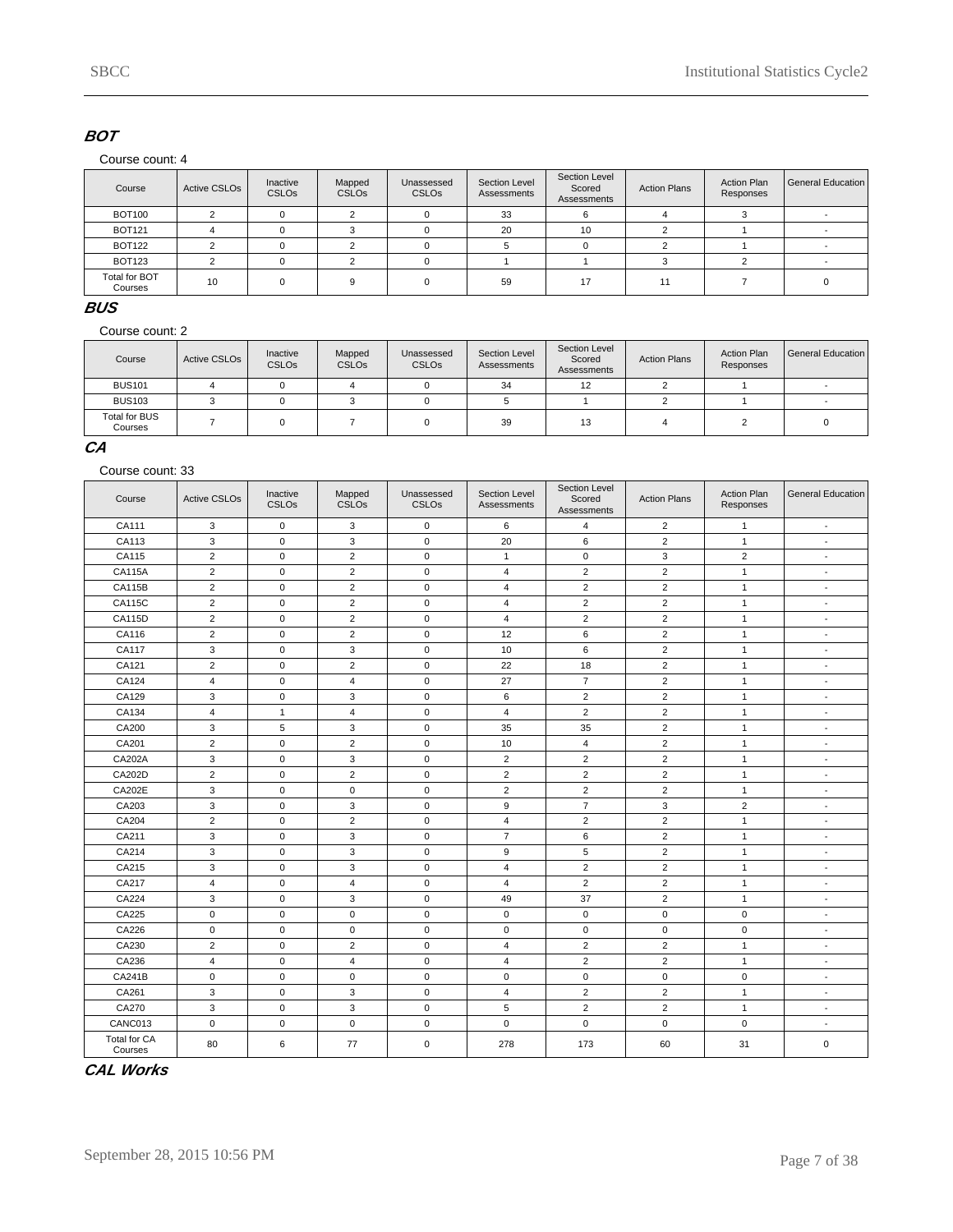### **BOT**

#### Course count: 4

| Course                   | Active CSLO <sub>s</sub> | Inactive<br><b>CSLOs</b> | Mapped<br><b>CSLO<sub>s</sub></b> | Unassessed<br><b>CSLOs</b> | Section Level<br>Assessments | Section Level<br>Scored<br>Assessments | <b>Action Plans</b> | <b>Action Plan</b><br>Responses | General Education |
|--------------------------|--------------------------|--------------------------|-----------------------------------|----------------------------|------------------------------|----------------------------------------|---------------------|---------------------------------|-------------------|
| <b>BOT100</b>            |                          |                          |                                   |                            | 33                           |                                        |                     |                                 |                   |
| <b>BOT121</b>            |                          |                          |                                   |                            | 20                           | 10                                     |                     |                                 |                   |
| <b>BOT122</b>            |                          |                          |                                   |                            |                              |                                        |                     |                                 |                   |
| <b>BOT123</b>            |                          |                          |                                   |                            |                              |                                        |                     |                                 |                   |
| Total for BOT<br>Courses | 10                       |                          |                                   |                            | 59                           | 17                                     | 11                  |                                 |                   |

**BUS**

Course count: 2

| Course                   | Active CSLO <sub>s</sub> | Inactive<br><b>CSLOs</b> | Mapped<br><b>CSLOs</b> | Unassessed<br><b>CSLOs</b> | Section Level<br>Assessments | Section Level<br>Scored<br>Assessments | <b>Action Plans</b> | <b>Action Plan</b><br>Responses | General Education |
|--------------------------|--------------------------|--------------------------|------------------------|----------------------------|------------------------------|----------------------------------------|---------------------|---------------------------------|-------------------|
| <b>BUS101</b>            |                          |                          |                        |                            | 34                           | 12                                     |                     |                                 |                   |
| <b>BUS103</b>            |                          |                          |                        |                            |                              |                                        |                     |                                 |                   |
| Total for BUS<br>Courses |                          |                          |                        |                            | 39                           | 13                                     |                     |                                 |                   |

# **CA**

#### Course count: 33

| Course                  | <b>Active CSLOs</b> | Inactive<br><b>CSLOs</b> | Mapped<br>CSLOs | Unassessed<br>CSLOs | Section Level<br>Assessments | Section Level<br>Scored<br><b>Assessments</b> | <b>Action Plans</b> | <b>Action Plan</b><br>Responses | <b>General Education</b> |
|-------------------------|---------------------|--------------------------|-----------------|---------------------|------------------------------|-----------------------------------------------|---------------------|---------------------------------|--------------------------|
| CA111                   | 3                   | 0                        | 3               | $\mathbf 0$         | 6                            | $\overline{4}$                                | $\overline{c}$      | 1                               | $\blacksquare$           |
| CA113                   | 3                   | $\mathbf{0}$             | 3               | $\pmb{0}$           | 20                           | 6                                             | $\overline{2}$      | $\mathbf{1}$                    | $\overline{\phantom{a}}$ |
| CA115                   | $\overline{2}$      | 0                        | $\overline{c}$  | $\pmb{0}$           | $\mathbf{1}$                 | $\mathbf 0$                                   | 3                   | $\overline{2}$                  | $\blacksquare$           |
| <b>CA115A</b>           | $\overline{2}$      | 0                        | $\overline{2}$  | $\pmb{0}$           | 4                            | $\overline{2}$                                | $\overline{2}$      | $\mathbf{1}$                    | $\overline{\phantom{a}}$ |
| <b>CA115B</b>           | $\overline{2}$      | 0                        | $\overline{2}$  | $\pmb{0}$           | 4                            | $\overline{2}$                                | $\overline{2}$      | $\mathbf{1}$                    | $\blacksquare$           |
| CA115C                  | $\overline{2}$      | $\pmb{0}$                | $\overline{2}$  | $\pmb{0}$           | 4                            | $\overline{2}$                                | $\overline{2}$      | $\mathbf{1}$                    | $\overline{\phantom{a}}$ |
| <b>CA115D</b>           | $\overline{2}$      | 0                        | $\overline{2}$  | $\pmb{0}$           | 4                            | $\overline{2}$                                | $\overline{2}$      | $\mathbf{1}$                    | $\blacksquare$           |
| CA116                   | $\overline{2}$      | 0                        | $\overline{2}$  | $\pmb{0}$           | 12                           | 6                                             | $\overline{2}$      | $\mathbf{1}$                    | $\blacksquare$           |
| CA117                   | 3                   | 0                        | 3               | $\mathbf 0$         | 10                           | $\,6\,$                                       | $\overline{2}$      | $\mathbf{1}$                    | $\overline{\phantom{a}}$ |
| CA121                   | $\overline{2}$      | $\pmb{0}$                | $\overline{2}$  | $\pmb{0}$           | 22                           | 18                                            | $\overline{2}$      | $\mathbf{1}$                    | $\blacksquare$           |
| CA124                   | $\overline{4}$      | $\mathbf{0}$             | $\overline{4}$  | $\pmb{0}$           | 27                           | $\overline{7}$                                | $\overline{2}$      | $\mathbf{1}$                    | $\blacksquare$           |
| CA129                   | 3                   | 0                        | 3               | $\mathbf 0$         | 6                            | $\overline{2}$                                | $\overline{2}$      | $\mathbf{1}$                    | $\sim$                   |
| CA134                   | $\overline{4}$      | $\mathbf{1}$             | $\overline{4}$  | $\mathbf 0$         | $\overline{4}$               | $\overline{2}$                                | $\overline{2}$      | $\mathbf{1}$                    | $\blacksquare$           |
| CA200                   | 3                   | 5                        | 3               | $\pmb{0}$           | 35                           | 35                                            | $\overline{2}$      | $\mathbf{1}$                    | $\overline{a}$           |
| CA201                   | 2                   | $\mathbf 0$              | 2               | $\mathbf 0$         | 10                           | $\overline{4}$                                | $\overline{2}$      | $\mathbf{1}$                    | $\blacksquare$           |
| CA202A                  | 3                   | 0                        | 3               | $\pmb{0}$           | $\overline{2}$               | $\overline{2}$                                | $\overline{2}$      | $\mathbf{1}$                    | $\sim$                   |
| CA202D                  | 2                   | 0                        | 2               | $\mathbf 0$         | 2                            | 2                                             | 2                   | $\mathbf{1}$                    | $\overline{\phantom{a}}$ |
| CA202E                  | 3                   | $\mathbf 0$              | $\mathsf 0$     | $\pmb{0}$           | $\overline{2}$               | $\overline{2}$                                | $\overline{2}$      | $\mathbf{1}$                    | $\blacksquare$           |
| CA203                   | 3                   | 0                        | 3               | $\pmb{0}$           | 9                            | $\overline{7}$                                | 3                   | $\overline{2}$                  | $\sim$                   |
| CA204                   | $\overline{2}$      | $\mathbf 0$              | 2               | $\mathsf 0$         | $\overline{4}$               | 2                                             | 2                   | $\mathbf{1}$                    | $\overline{\phantom{a}}$ |
| CA211                   | 3                   | 0                        | 3               | $\pmb{0}$           | $\overline{7}$               | $\,6\,$                                       | $\overline{2}$      | $\mathbf{1}$                    | $\overline{a}$           |
| CA214                   | 3                   | 0                        | 3               | $\mathbf 0$         | 9                            | 5                                             | $\overline{2}$      | $\mathbf{1}$                    | $\overline{a}$           |
| CA215                   | 3                   | $\mathbf 0$              | 3               | $\mathsf 0$         | $\overline{4}$               | $\overline{2}$                                | $\overline{2}$      | $\mathbf{1}$                    | $\overline{\phantom{a}}$ |
| CA217                   | $\overline{4}$      | $\mathbf{0}$             | $\overline{4}$  | $\mathbf 0$         | $\overline{4}$               | 2                                             | $\overline{2}$      | $\mathbf{1}$                    | $\overline{\phantom{a}}$ |
| CA224                   | 3                   | 0                        | 3               | $\pmb{0}$           | 49                           | 37                                            | $\overline{2}$      | $\mathbf{1}$                    | $\overline{a}$           |
| CA225                   | $\mathbf 0$         | $\mathbf{0}$             | $\mathbf 0$     | $\pmb{0}$           | $\mathbf 0$                  | $\mathbf 0$                                   | $\mathbf 0$         | $\mathbf 0$                     | $\overline{\phantom{a}}$ |
| CA226                   | $\mathbf 0$         | 0                        | $\mathbf 0$     | $\mathbf 0$         | $\mathbf 0$                  | $\mathbf 0$                                   | $\mathbf 0$         | $\mathbf 0$                     | $\overline{\phantom{a}}$ |
| CA230                   | 2                   | $\mathbf 0$              | 2               | $\mathbf 0$         | $\overline{4}$               | 2                                             | $\overline{2}$      | $\mathbf{1}$                    | $\overline{\phantom{a}}$ |
| CA236                   | $\overline{4}$      | 0                        | $\overline{4}$  | $\pmb{0}$           | $\overline{4}$               | $\overline{2}$                                | $\overline{2}$      | $\mathbf{1}$                    | $\blacksquare$           |
| <b>CA241B</b>           | $\mathbf 0$         | 0                        | $\mathbf 0$     | $\pmb{0}$           | $\mathbf 0$                  | $\mathbf 0$                                   | $\mathsf 0$         | $\mathbf 0$                     | $\overline{\phantom{a}}$ |
| CA261                   | 3                   | $\mathbf 0$              | 3               | $\pmb{0}$           | $\overline{4}$               | $\overline{2}$                                | $\overline{2}$      | $\mathbf{1}$                    | $\blacksquare$           |
| CA270                   | 3                   | 0                        | 3               | $\pmb{0}$           | 5                            | $\overline{2}$                                | $\overline{2}$      | $\mathbf{1}$                    | $\blacksquare$           |
| CANC013                 | $\mathbf 0$         | 0                        | $\mathbf 0$     | $\pmb{0}$           | $\mathbf 0$                  | $\mathbf 0$                                   | $\mathbf 0$         | $\mathbf 0$                     | $\blacksquare$           |
| Total for CA<br>Courses | 80                  | 6                        | 77              | $\pmb{0}$           | 278                          | 173                                           | 60                  | 31                              | $\pmb{0}$                |

**CAL Works**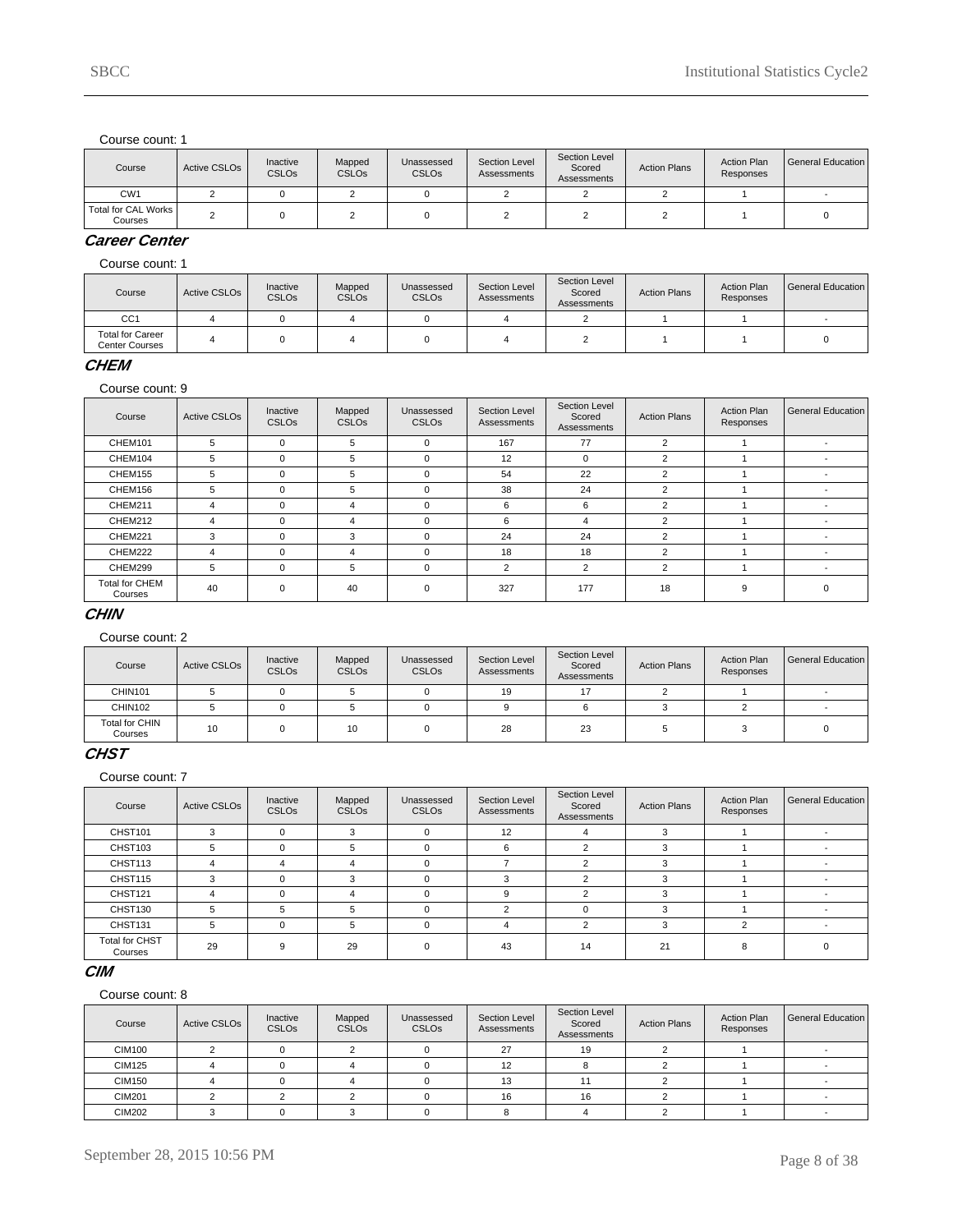| Course                         | Active CSLO <sub>s</sub> | Inactive<br><b>CSLOs</b> | Mapped<br><b>CSLOs</b> | Unassessed<br><b>CSLOs</b> | Section Level<br>Assessments | Section Level<br>Scored<br>Assessments | <b>Action Plans</b> | <b>Action Plan</b><br>Responses | <b>General Education</b> |
|--------------------------------|--------------------------|--------------------------|------------------------|----------------------------|------------------------------|----------------------------------------|---------------------|---------------------------------|--------------------------|
| CW <sub>1</sub>                |                          |                          |                        |                            |                              |                                        |                     |                                 |                          |
| Total for CAL Works<br>Courses |                          |                          |                        |                            |                              |                                        |                     |                                 |                          |

# **Career Center**

Course count: 1

| Course                                    | Active CSLO <sub>s</sub> | Inactive<br><b>CSLOs</b> | Mapped<br><b>CSLOs</b> | Unassessed<br><b>CSLOs</b> | Section Level<br>Assessments | Section Level<br>Scored<br>Assessments | <b>Action Plans</b> | <b>Action Plan</b><br>Responses | l General Education |
|-------------------------------------------|--------------------------|--------------------------|------------------------|----------------------------|------------------------------|----------------------------------------|---------------------|---------------------------------|---------------------|
| CC <sub>1</sub>                           |                          |                          |                        |                            |                              |                                        |                     |                                 |                     |
| <b>Total for Career</b><br>Center Courses |                          |                          |                        |                            |                              |                                        |                     |                                 |                     |

### **CHEM**

Course count: 9

| Course                           | <b>Active CSLOs</b> | Inactive<br><b>CSLOs</b> | Mapped<br><b>CSLOs</b> | Unassessed<br><b>CSLOs</b> | Section Level<br>Assessments | Section Level<br>Scored<br>Assessments | <b>Action Plans</b> | <b>Action Plan</b><br>Responses | General Education |
|----------------------------------|---------------------|--------------------------|------------------------|----------------------------|------------------------------|----------------------------------------|---------------------|---------------------------------|-------------------|
| CHEM101                          | 5                   | $\Omega$                 | 5                      | 0                          | 167                          | 77                                     | 2                   |                                 |                   |
| CHEM104                          | 5                   | $\Omega$                 | 5                      | 0                          | 12                           | 0                                      | $\overline{2}$      |                                 |                   |
| CHEM155                          | 5                   | $\Omega$                 | 5                      | 0                          | 54                           | 22                                     | $\overline{2}$      |                                 |                   |
| CHEM156                          | 5                   | $\Omega$                 | 5                      | 0                          | 38                           | 24                                     | 2                   |                                 |                   |
| CHEM211                          | 4                   | $\Omega$                 | 4                      | 0                          | 6                            | 6                                      | $\overline{2}$      |                                 |                   |
| CHEM212                          | 4                   | $\Omega$                 | 4                      | $\Omega$                   | 6                            | 4                                      | 2                   |                                 |                   |
| CHEM221                          | 3                   | $\Omega$                 | 3                      | $\Omega$                   | 24                           | 24                                     | 2                   |                                 |                   |
| CHEM222                          | 4                   | $\Omega$                 | 4                      | 0                          | 18                           | 18                                     | $\mathfrak{p}$      |                                 |                   |
| CHEM299                          | 5                   | $\Omega$                 | 5                      | 0                          | $\overline{2}$               | $\overline{2}$                         | $\overline{2}$      |                                 |                   |
| <b>Total for CHEM</b><br>Courses | 40                  | $\Omega$                 | 40                     | $\mathbf 0$                | 327                          | 177                                    | 18                  | 9                               | $\Omega$          |

#### **CHIN**

Course count: 2

| Course                           | <b>Active CSLOs</b> | Inactive<br><b>CSLOs</b> | Mapped<br><b>CSLOs</b> | Unassessed<br><b>CSLO<sub>s</sub></b> | Section Level<br>Assessments | Section Level<br>Scored<br>Assessments | <b>Action Plans</b> | <b>Action Plan</b><br>Responses | l General Education |
|----------------------------------|---------------------|--------------------------|------------------------|---------------------------------------|------------------------------|----------------------------------------|---------------------|---------------------------------|---------------------|
| CHIN101                          |                     |                          |                        |                                       | 19                           | 17                                     |                     |                                 |                     |
| CHIN102                          |                     |                          |                        |                                       |                              |                                        |                     |                                 |                     |
| <b>Total for CHIN</b><br>Courses | 10                  |                          | 10                     |                                       | 28                           | 23                                     |                     |                                 |                     |

# **CHST**

Course count: 7

| Course                           | <b>Active CSLOs</b> | Inactive<br><b>CSLOs</b> | Mapped<br><b>CSLOs</b> | Unassessed<br><b>CSLOs</b> | Section Level<br>Assessments | Section Level<br>Scored<br>Assessments | <b>Action Plans</b> | <b>Action Plan</b><br>Responses | General Education |
|----------------------------------|---------------------|--------------------------|------------------------|----------------------------|------------------------------|----------------------------------------|---------------------|---------------------------------|-------------------|
| CHST101                          | $\sim$              | $\Omega$                 | 3                      | $\Omega$                   | 12                           | 4                                      |                     |                                 |                   |
| CHST103                          |                     | $\Omega$                 | 5                      |                            | 6                            | $\mathcal{P}$                          |                     |                                 |                   |
| CHST113                          |                     |                          |                        |                            |                              | $\sim$                                 |                     |                                 |                   |
| CHST115                          | ٩                   | $\Omega$                 | 3                      |                            | p                            | $\sim$                                 |                     |                                 |                   |
| CHST121                          |                     | $\Omega$                 |                        |                            | 9                            | $\sim$                                 |                     |                                 |                   |
| CHST130                          |                     | 5                        | 5                      |                            |                              | $\Omega$                               |                     |                                 |                   |
| CHST131                          | 5                   | $\Omega$                 | 5                      |                            |                              | $\mathcal{L}$                          |                     | ົ                               |                   |
| <b>Total for CHST</b><br>Courses | 29                  | g                        | 29                     |                            | 43                           | 14                                     | 21                  |                                 |                   |

### **CIM**

| Course        | Active CSLO <sub>s</sub> | Inactive<br><b>CSLOs</b> | Mapped<br><b>CSLOs</b> | Unassessed<br><b>CSLOs</b> | <b>Section Level</b><br>Assessments | Section Level<br>Scored<br>Assessments | <b>Action Plans</b> | <b>Action Plan</b><br>Responses | <b>General Education</b> |
|---------------|--------------------------|--------------------------|------------------------|----------------------------|-------------------------------------|----------------------------------------|---------------------|---------------------------------|--------------------------|
| <b>CIM100</b> |                          |                          |                        |                            | 27                                  | 19                                     |                     |                                 |                          |
| <b>CIM125</b> |                          |                          |                        |                            | 12                                  |                                        |                     |                                 |                          |
| <b>CIM150</b> |                          |                          |                        |                            | 13                                  |                                        |                     |                                 |                          |
| <b>CIM201</b> |                          |                          |                        |                            | 16                                  | 16                                     |                     |                                 |                          |
| <b>CIM202</b> |                          |                          |                        |                            |                                     |                                        |                     |                                 |                          |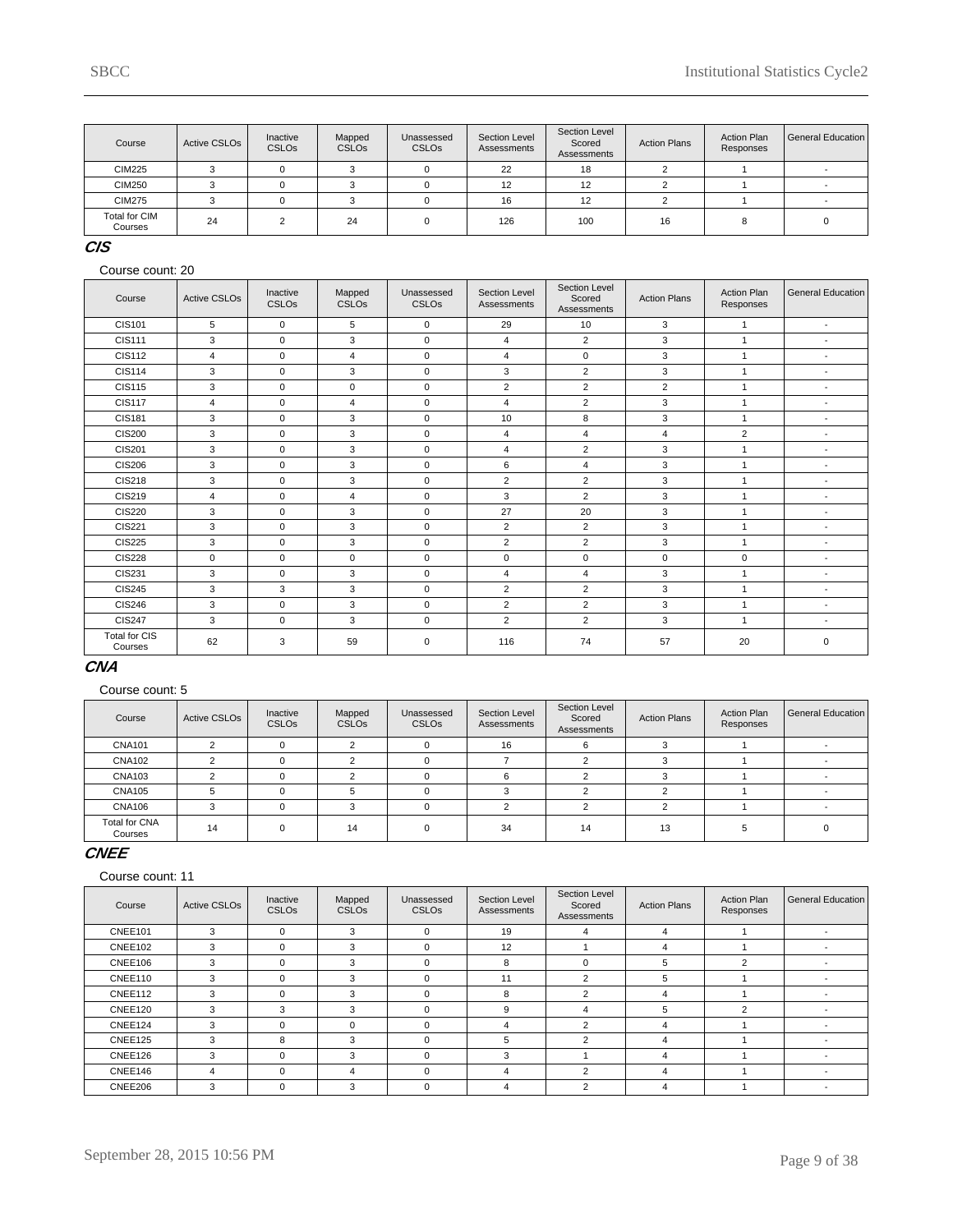| Course                          | <b>Active CSLOs</b> | Inactive<br><b>CSLOs</b> | Mapped<br><b>CSLOs</b> | Unassessed<br><b>CSLO<sub>s</sub></b> | Section Level<br>Assessments | Section Level<br>Scored<br>Assessments | <b>Action Plans</b> | <b>Action Plan</b><br>Responses | General Education |
|---------------------------------|---------------------|--------------------------|------------------------|---------------------------------------|------------------------------|----------------------------------------|---------------------|---------------------------------|-------------------|
| <b>CIM225</b>                   |                     |                          |                        |                                       | 22                           | 18                                     |                     |                                 |                   |
| <b>CIM250</b>                   |                     |                          |                        |                                       | 12                           | 12                                     |                     |                                 |                   |
| <b>CIM275</b>                   |                     |                          |                        |                                       | 16                           | 12                                     |                     |                                 |                   |
| <b>Total for CIM</b><br>Courses | 24                  |                          | 24                     |                                       | 126                          | 100                                    | 16                  |                                 |                   |

# **CIS**

#### Course count: 20

| Course                          | <b>Active CSLOs</b> | Inactive<br><b>CSLOs</b> | Mapped<br><b>CSLOs</b> | Unassessed<br><b>CSLOs</b> | Section Level<br>Assessments | <b>Section Level</b><br>Scored<br>Assessments | <b>Action Plans</b> | <b>Action Plan</b><br>Responses | <b>General Education</b> |
|---------------------------------|---------------------|--------------------------|------------------------|----------------------------|------------------------------|-----------------------------------------------|---------------------|---------------------------------|--------------------------|
| CIS101                          | 5                   | $\mathbf 0$              | 5                      | $\mathbf 0$                | 29                           | 10                                            | 3                   | $\mathbf{1}$                    | $\blacksquare$           |
| <b>CIS111</b>                   | 3                   | $\mathbf 0$              | 3                      | $\mathbf 0$                | 4                            | $\overline{2}$                                | 3                   | $\mathbf{1}$                    | $\overline{\phantom{a}}$ |
| <b>CIS112</b>                   | $\overline{4}$      | $\mathbf 0$              | 4                      | $\mathbf 0$                | $\overline{4}$               | $\mathbf 0$                                   | 3                   | $\mathbf{1}$                    | $\overline{\phantom{a}}$ |
| <b>CIS114</b>                   | 3                   | $\mathbf 0$              | 3                      | $\mathbf 0$                | 3                            | $\overline{2}$                                | 3                   | $\mathbf{1}$                    | $\blacksquare$           |
| <b>CIS115</b>                   | 3                   | $\mathbf 0$              | 0                      | $\mathbf 0$                | $\overline{2}$               | 2                                             | 2                   | 1                               | $\blacksquare$           |
| <b>CIS117</b>                   | $\overline{4}$      | $\mathbf 0$              | 4                      | $\mathbf 0$                | 4                            | 2                                             | 3                   | 1                               | $\overline{\phantom{a}}$ |
| <b>CIS181</b>                   | 3                   | $\mathbf 0$              | 3                      | $\mathbf 0$                | 10                           | 8                                             | 3                   | $\mathbf{1}$                    | $\overline{\phantom{a}}$ |
| <b>CIS200</b>                   | 3                   | $\mathbf 0$              | 3                      | $\mathbf 0$                | 4                            | $\overline{4}$                                | $\overline{4}$      | 2                               | $\blacksquare$           |
| <b>CIS201</b>                   | 3                   | $\mathbf 0$              | 3                      | $\mathbf 0$                | $\overline{4}$               | $\overline{2}$                                | 3                   | $\mathbf{1}$                    | $\overline{\phantom{a}}$ |
| <b>CIS206</b>                   | 3                   | $\mathbf 0$              | 3                      | $\mathbf 0$                | 6                            | $\overline{4}$                                | 3                   | 1                               | $\blacksquare$           |
| <b>CIS218</b>                   | 3                   | $\mathbf 0$              | 3                      | $\mathsf 0$                | $\overline{2}$               | $\overline{2}$                                | 3                   | 1                               | $\overline{\phantom{a}}$ |
| <b>CIS219</b>                   | 4                   | $\mathbf 0$              | 4                      | $\mathbf 0$                | 3                            | $\overline{2}$                                | 3                   | $\overline{1}$                  | ٠                        |
| <b>CIS220</b>                   | 3                   | $\mathbf 0$              | 3                      | $\mathbf 0$                | 27                           | 20                                            | 3                   | $\mathbf{1}$                    | ٠                        |
| <b>CIS221</b>                   | 3                   | $\mathbf 0$              | 3                      | $\mathbf 0$                | $\overline{2}$               | $\overline{2}$                                | 3                   | 1                               | $\blacksquare$           |
| <b>CIS225</b>                   | 3                   | $\mathbf 0$              | 3                      | $\mathbf 0$                | $\overline{2}$               | $\overline{2}$                                | 3                   | $\mathbf{1}$                    | $\blacksquare$           |
| <b>CIS228</b>                   | $\mathbf 0$         | $\mathbf 0$              | 0                      | $\mathbf 0$                | 0                            | $\mathbf 0$                                   | $\mathbf 0$         | $\mathbf 0$                     | $\blacksquare$           |
| <b>CIS231</b>                   | 3                   | $\mathbf 0$              | 3                      | $\mathbf 0$                | 4                            | $\overline{4}$                                | 3                   | 1                               | $\blacksquare$           |
| <b>CIS245</b>                   | 3                   | 3                        | 3                      | $\mathbf 0$                | $\overline{2}$               | 2                                             | 3                   | 1                               | $\blacksquare$           |
| <b>CIS246</b>                   | 3                   | $\Omega$                 | 3                      | $\Omega$                   | $\overline{2}$               | 2                                             | 3                   | $\overline{1}$                  | $\blacksquare$           |
| <b>CIS247</b>                   | 3                   | $\mathbf 0$              | 3                      | $\mathbf 0$                | $\overline{2}$               | $\overline{2}$                                | 3                   | $\mathbf{1}$                    | $\blacksquare$           |
| <b>Total for CIS</b><br>Courses | 62                  | 3                        | 59                     | $\mathsf 0$                | 116                          | 74                                            | 57                  | 20                              | 0                        |

### **CNA**

#### Course count: 5

| Course                   | <b>Active CSLOs</b> | Inactive<br><b>CSLOs</b> | Mapped<br><b>CSLOs</b> | Unassessed<br><b>CSLOs</b> | Section Level<br>Assessments | Section Level<br>Scored<br>Assessments | <b>Action Plans</b> | <b>Action Plan</b><br>Responses | General Education I |
|--------------------------|---------------------|--------------------------|------------------------|----------------------------|------------------------------|----------------------------------------|---------------------|---------------------------------|---------------------|
| <b>CNA101</b>            |                     |                          |                        |                            | 16                           | 6                                      |                     |                                 |                     |
| <b>CNA102</b>            |                     |                          |                        |                            |                              |                                        |                     |                                 |                     |
| <b>CNA103</b>            |                     |                          |                        |                            |                              |                                        |                     |                                 |                     |
| <b>CNA105</b>            |                     |                          |                        |                            |                              |                                        |                     |                                 |                     |
| <b>CNA106</b>            | 3                   |                          | $\sim$                 |                            |                              | $\sim$                                 |                     |                                 |                     |
| Total for CNA<br>Courses | 14                  |                          | 14                     | $\Omega$                   | 34                           | 14                                     | 13                  |                                 |                     |

### **CNEE**

| Course  | <b>Active CSLOs</b> | Inactive<br><b>CSLOs</b> | Mapped<br><b>CSLOs</b> | Unassessed<br><b>CSLOs</b> | Section Level<br>Assessments | Section Level<br>Scored<br>Assessments | <b>Action Plans</b> | <b>Action Plan</b><br>Responses | General Education |
|---------|---------------------|--------------------------|------------------------|----------------------------|------------------------------|----------------------------------------|---------------------|---------------------------------|-------------------|
| CNEE101 | 3                   | $\Omega$                 | 3                      | $\Omega$                   | 19                           | 4                                      | 4                   |                                 |                   |
| CNEE102 | 3                   | $\Omega$                 | 3                      | 0                          | 12                           |                                        | 4                   |                                 |                   |
| CNEE106 | 3                   | $\Omega$                 | 3                      | $\mathbf 0$                | 8                            | 0                                      | 5                   | $\overline{2}$                  |                   |
| CNEE110 | 3                   | $\Omega$                 | 3                      | $\mathbf 0$                | 11                           | 2                                      | 5                   |                                 |                   |
| CNEE112 | 3                   | $\Omega$                 | 3                      | $\Omega$                   | 8                            | $\overline{2}$                         | 4                   |                                 |                   |
| CNEE120 | 3                   | 3                        | 3                      | $\Omega$                   | 9                            | 4                                      | 5                   | $\overline{2}$                  |                   |
| CNEE124 | 3                   | $\Omega$                 | $\Omega$               | $\Omega$                   | 4                            | $\overline{2}$                         | 4                   |                                 |                   |
| CNEE125 | 3                   | R                        | 3                      | $\Omega$                   | 5                            | 2                                      | 4                   |                                 |                   |
| CNEE126 | 3                   | $\Omega$                 | 3                      | $\mathbf 0$                | 3                            |                                        | 4                   |                                 |                   |
| CNEE146 | 4                   | $\Omega$                 | 4                      | 0                          | 4                            | 2                                      | 4                   |                                 |                   |
| CNEE206 | 3                   |                          | 3                      | $\Omega$                   |                              | $\overline{2}$                         |                     |                                 |                   |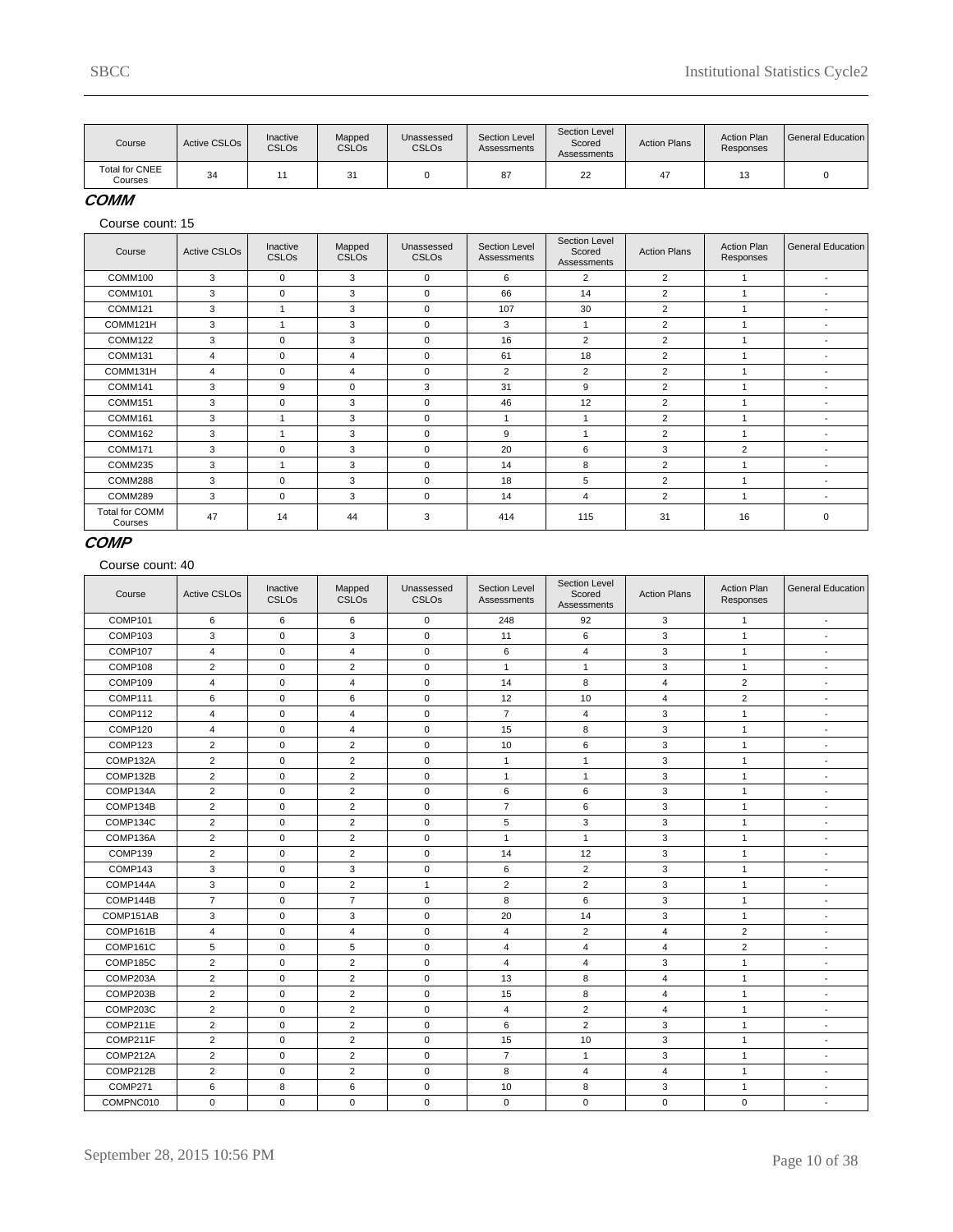| Course                           | Active CSLO <sub>s</sub> | Inactive<br><b>CSLOs</b> | Mapped<br><b>CSLOs</b> | Unassessed<br><b>CSLO<sub>s</sub></b> | Section Level<br>Assessments | Section Level<br>Scored<br>Assessments | <b>Action Plans</b> | <b>Action Plan</b><br>Responses | l General Education |
|----------------------------------|--------------------------|--------------------------|------------------------|---------------------------------------|------------------------------|----------------------------------------|---------------------|---------------------------------|---------------------|
| <b>Total for CNEE</b><br>Courses | 34                       |                          | 31                     |                                       | 87                           | 22                                     | 47                  |                                 |                     |

### **COMM**

Course count: 15

| Course                           | <b>Active CSLOs</b> | Inactive<br><b>CSLOs</b> | Mapped<br><b>CSLOs</b> | Unassessed<br><b>CSLOs</b> | Section Level<br>Assessments | Section Level<br>Scored<br>Assessments | <b>Action Plans</b> | <b>Action Plan</b><br>Responses | <b>General Education</b> |
|----------------------------------|---------------------|--------------------------|------------------------|----------------------------|------------------------------|----------------------------------------|---------------------|---------------------------------|--------------------------|
| COMM100                          | 3                   | $\mathbf 0$              | 3                      | $\mathbf 0$                | 6                            | $\overline{2}$                         | 2                   |                                 | $\overline{\phantom{a}}$ |
| COMM101                          | 3                   | 0                        | 3                      | $\Omega$                   | 66                           | 14                                     | 2                   |                                 | $\overline{\phantom{a}}$ |
| COMM121                          | 3                   |                          | 3                      | $\mathbf 0$                | 107                          | 30                                     | 2                   |                                 | $\overline{\phantom{a}}$ |
| COMM121H                         | 3                   |                          | 3                      | $\Omega$                   | 3                            |                                        | 2                   |                                 | $\overline{\phantom{a}}$ |
| COMM122                          | 3                   | 0                        | 3                      | $\Omega$                   | 16                           | $\overline{2}$                         | 2                   |                                 |                          |
| COMM131                          | 4                   | $\mathbf 0$              | $\overline{4}$         | $\mathbf 0$                | 61                           | 18                                     | 2                   |                                 | $\overline{\phantom{a}}$ |
| COMM131H                         | $\overline{4}$      | $\mathbf 0$              | 4                      | $\Omega$                   | $\overline{2}$               | $\overline{2}$                         | 2                   |                                 | $\overline{\phantom{a}}$ |
| COMM141                          | 3                   | 9                        | $\mathbf 0$            | 3                          | 31                           | 9                                      | 2                   |                                 | $\overline{\phantom{a}}$ |
| COMM151                          | 3                   | $\mathbf 0$              | 3                      | $\Omega$                   | 46                           | 12                                     | 2                   |                                 | $\overline{\phantom{a}}$ |
| COMM161                          | 3                   |                          | 3                      | $\Omega$                   | 1                            |                                        | 2                   |                                 | $\overline{\phantom{a}}$ |
| COMM162                          | 3                   |                          | 3                      | $\Omega$                   | 9                            |                                        | 2                   |                                 | $\overline{\phantom{0}}$ |
| COMM171                          | 3                   | $\mathbf 0$              | 3                      | $\Omega$                   | 20                           | 6                                      | 3                   | 2                               | $\overline{\phantom{a}}$ |
| COMM235                          | 3                   |                          | 3                      | $\Omega$                   | 14                           | 8                                      | 2                   |                                 |                          |
| COMM288                          | 3                   | $\mathbf 0$              | 3                      | $\Omega$                   | 18                           | 5                                      | 2                   |                                 | $\overline{\phantom{a}}$ |
| COMM289                          | 3                   | $\mathbf 0$              | 3                      | $\mathbf 0$                | 14                           | 4                                      | 2                   |                                 | $\overline{\phantom{a}}$ |
| <b>Total for COMM</b><br>Courses | 47                  | 14                       | 44                     | 3                          | 414                          | 115                                    | 31                  | 16                              | $\Omega$                 |

### **COMP**

| Course    | <b>Active CSLOs</b> | Inactive<br><b>CSLOs</b> | Mapped<br><b>CSLOs</b> | Unassessed<br><b>CSLOs</b> | Section Level<br>Assessments | Section Level<br>Scored<br>Assessments | <b>Action Plans</b> | <b>Action Plan</b><br>Responses | <b>General Education</b> |
|-----------|---------------------|--------------------------|------------------------|----------------------------|------------------------------|----------------------------------------|---------------------|---------------------------------|--------------------------|
| COMP101   | 6                   | 6                        | 6                      | $\mathsf 0$                | 248                          | 92                                     | 3                   | 1                               | $\blacksquare$           |
| COMP103   | 3                   | $\mathbf 0$              | 3                      | $\mathbf 0$                | 11                           | 6                                      | 3                   | $\mathbf{1}$                    | $\overline{\phantom{a}}$ |
| COMP107   | 4                   | $\mathbf 0$              | 4                      | $\mathbf 0$                | 6                            | 4                                      | 3                   | $\mathbf{1}$                    | $\overline{\phantom{a}}$ |
| COMP108   | $\overline{2}$      | $\mathbf 0$              | $\overline{2}$         | $\mathbf 0$                | $\mathbf{1}$                 | $\mathbf{1}$                           | 3                   | $\mathbf{1}$                    | $\blacksquare$           |
| COMP109   | $\overline{4}$      | $\mathbf 0$              | $\overline{4}$         | $\mathbf 0$                | 14                           | 8                                      | $\overline{4}$      | $\overline{2}$                  | $\blacksquare$           |
| COMP111   | 6                   | $\mathbf 0$              | 6                      | $\mathbf 0$                | 12                           | 10                                     | 4                   | $\overline{2}$                  | $\sim$                   |
| COMP112   | 4                   | $\mathbf 0$              | $\sqrt{4}$             | $\mathbf 0$                | $\overline{7}$               | 4                                      | 3                   | $\mathbf{1}$                    | $\overline{\phantom{a}}$ |
| COMP120   | 4                   | $\mathbf 0$              | $\overline{4}$         | $\mathbf 0$                | 15                           | 8                                      | 3                   | $\mathbf{1}$                    | $\blacksquare$           |
| COMP123   | $\overline{c}$      | $\mathbf 0$              | $\overline{2}$         | 0                          | 10                           | 6                                      | 3                   | $\mathbf{1}$                    | $\overline{\phantom{a}}$ |
| COMP132A  | $\overline{2}$      | 0                        | $\overline{2}$         | $\mathsf 0$                | $\mathbf{1}$                 | $\mathbf{1}$                           | 3                   | $\mathbf{1}$                    | $\overline{\phantom{a}}$ |
| COMP132B  | $\overline{2}$      | $\mathbf 0$              | $\overline{2}$         | $\mathbf 0$                | $\mathbf{1}$                 | $\mathbf{1}$                           | 3                   | $\mathbf{1}$                    | $\blacksquare$           |
| COMP134A  | $\overline{2}$      | $\mathbf 0$              | $\overline{2}$         | $\pmb{0}$                  | 6                            | 6                                      | 3                   | $\mathbf{1}$                    | $\sim$                   |
| COMP134B  | $\overline{2}$      | 0                        | $\overline{2}$         | $\mathbf 0$                | $\overline{7}$               | 6                                      | 3                   | $\mathbf{1}$                    | $\overline{\phantom{a}}$ |
| COMP134C  | $\overline{c}$      | $\mathbf 0$              | $\overline{2}$         | $\mathbf 0$                | 5                            | 3                                      | 3                   | $\mathbf{1}$                    | $\blacksquare$           |
| COMP136A  | $\overline{2}$      | $\mathbf 0$              | $\overline{2}$         | $\mathbf 0$                | $\mathbf{1}$                 | $\mathbf{1}$                           | 3                   | $\mathbf{1}$                    | $\blacksquare$           |
| COMP139   | $\overline{2}$      | 0                        | $\overline{2}$         | $\mathsf 0$                | 14                           | 12                                     | 3                   | $\mathbf{1}$                    | $\overline{\phantom{a}}$ |
| COMP143   | 3                   | $\mathbf 0$              | 3                      | $\mathbf 0$                | 6                            | $\overline{2}$                         | 3                   | $\mathbf{1}$                    | $\blacksquare$           |
| COMP144A  | 3                   | $\mathbf 0$              | $\overline{2}$         | $\mathbf{1}$               | $\overline{2}$               | $\overline{c}$                         | 3                   | $\mathbf{1}$                    | $\sim$                   |
| COMP144B  | $\overline{7}$      | $\mathbf 0$              | $\overline{7}$         | $\mathbf 0$                | 8                            | 6                                      | 3                   | $\mathbf{1}$                    | $\overline{\phantom{a}}$ |
| COMP151AB | 3                   | $\mathbf 0$              | 3                      | $\mathbf 0$                | 20                           | 14                                     | 3                   | $\mathbf{1}$                    | $\overline{\phantom{a}}$ |
| COMP161B  | $\overline{4}$      | $\mathbf 0$              | $\overline{4}$         | $\mathbf 0$                | $\overline{4}$               | $\overline{2}$                         | 4                   | $\overline{2}$                  | $\overline{\phantom{a}}$ |
| COMP161C  | 5                   | $\mathbf 0$              | 5                      | $\mathbf 0$                | $\overline{4}$               | 4                                      | 4                   | $\overline{2}$                  | $\overline{\phantom{a}}$ |
| COMP185C  | $\overline{2}$      | $\mathbf 0$              | $\overline{2}$         | $\mathbf 0$                | $\overline{4}$               | $\overline{4}$                         | 3                   | $\mathbf{1}$                    | $\overline{\phantom{a}}$ |
| COMP203A  | $\overline{2}$      | $\mathbf 0$              | $\overline{2}$         | $\mathbf 0$                | 13                           | 8                                      | 4                   | $\mathbf{1}$                    | $\overline{\phantom{a}}$ |
| COMP203B  | $\overline{c}$      | $\mathbf 0$              | $\overline{2}$         | $\mathbf 0$                | 15                           | 8                                      | 4                   | $\mathbf{1}$                    | $\overline{\phantom{a}}$ |
| COMP203C  | $\overline{c}$      | $\mathbf 0$              | $\overline{2}$         | $\mathbf 0$                | 4                            | $\overline{2}$                         | 4                   | $\mathbf{1}$                    | $\overline{\phantom{a}}$ |
| COMP211E  | $\overline{2}$      | $\mathbf 0$              | $\overline{2}$         | $\mathbf 0$                | 6                            | $\overline{2}$                         | 3                   | $\mathbf{1}$                    | $\overline{\phantom{a}}$ |
| COMP211F  | $\overline{2}$      | $\mathbf 0$              | $\overline{2}$         | $\mathbf 0$                | 15                           | 10                                     | 3                   | $\mathbf{1}$                    | $\blacksquare$           |
| COMP212A  | $\overline{2}$      | $\mathbf 0$              | $\overline{2}$         | $\mathbf 0$                | $\overline{7}$               | $\mathbf{1}$                           | 3                   | $\mathbf{1}$                    | $\overline{\phantom{a}}$ |
| COMP212B  | $\overline{2}$      | $\mathbf 0$              | $\overline{2}$         | $\pmb{0}$                  | 8                            | $\overline{4}$                         | $\overline{4}$      | $\mathbf{1}$                    | $\sim$                   |
| COMP271   | 6                   | 8                        | 6                      | $\pmb{0}$                  | 10                           | 8                                      | 3                   | $\mathbf{1}$                    | $\overline{\phantom{a}}$ |
| COMPNC010 | $\mathbf 0$         | $\mathbf 0$              | $\mathbf 0$            | $\mathbf 0$                | $\mathbf 0$                  | $\mathbf 0$                            | $\mathbf{0}$        | $\mathbf 0$                     | $\blacksquare$           |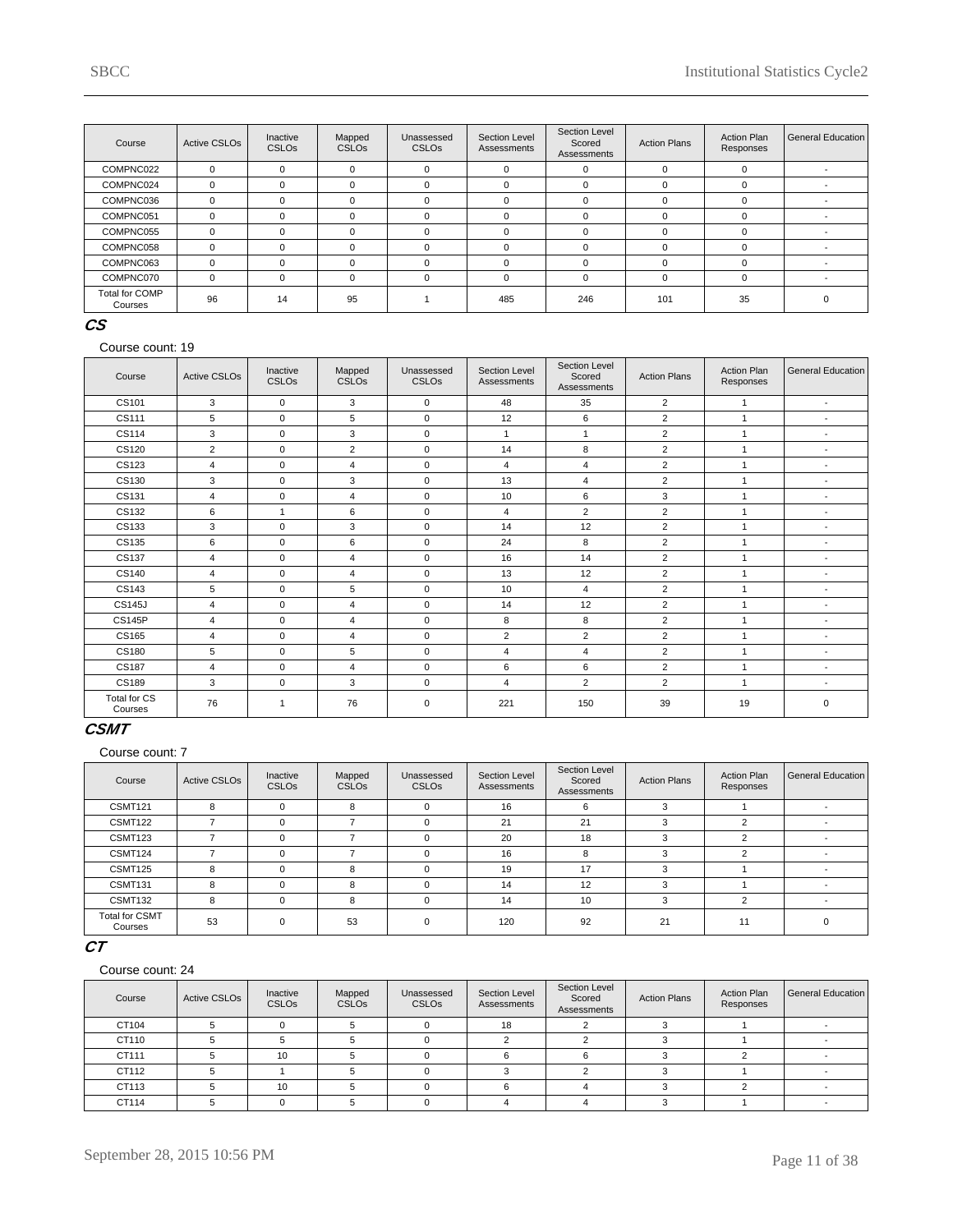| Course                           | <b>Active CSLOs</b> | Inactive<br><b>CSLOs</b> | Mapped<br><b>CSLOs</b> | Unassessed<br><b>CSLOs</b> | Section Level<br>Assessments | Section Level<br>Scored<br>Assessments | <b>Action Plans</b> | <b>Action Plan</b><br>Responses | <b>General Education</b> |
|----------------------------------|---------------------|--------------------------|------------------------|----------------------------|------------------------------|----------------------------------------|---------------------|---------------------------------|--------------------------|
| COMPNC022                        | $\Omega$            | $\Omega$                 | 0                      | $\Omega$                   | $\mathbf 0$                  |                                        | $\Omega$            | $\Omega$                        |                          |
| COMPNC024                        | 0                   |                          | 0                      | $\Omega$                   | $\mathbf 0$                  | $\Omega$                               | $\Omega$            | O                               |                          |
| COMPNC036                        | $\Omega$            |                          | $\Omega$               | $\Omega$                   | $\Omega$                     | $\Omega$                               | 0                   |                                 |                          |
| COMPNC051                        | $\Omega$            |                          | $\Omega$               | $\Omega$                   | $\Omega$                     | $\Omega$                               | $\Omega$            | O                               |                          |
| COMPNC055                        | $\Omega$            |                          | $\Omega$               | $\Omega$                   | $\Omega$                     | $\Omega$                               | $\Omega$            |                                 |                          |
| COMPNC058                        | $\Omega$            |                          | $\Omega$               | $\Omega$                   | $\Omega$                     | $\Omega$                               | $\Omega$            | n                               |                          |
| COMPNC063                        | $\Omega$            |                          | $\Omega$               | $\Omega$                   | $\Omega$                     | $\Omega$                               | $\Omega$            | ŋ                               |                          |
| COMPNC070                        | $\Omega$            | $\Omega$                 | $\Omega$               | $\Omega$                   | $\Omega$                     | $\Omega$                               | $\Omega$            | U                               |                          |
| <b>Total for COMP</b><br>Courses | 96                  | 14                       | 95                     |                            | 485                          | 246                                    | 101                 | 35                              |                          |

### **CS**

Course count: 19

| Course                         | <b>Active CSLOs</b> | Inactive<br>CSLOs | Mapped<br>CSLO <sub>s</sub> | Unassessed<br><b>CSLOs</b> | Section Level<br>Assessments | Section Level<br>Scored<br>Assessments | <b>Action Plans</b> | <b>Action Plan</b><br>Responses | <b>General Education</b> |
|--------------------------------|---------------------|-------------------|-----------------------------|----------------------------|------------------------------|----------------------------------------|---------------------|---------------------------------|--------------------------|
| CS101                          | 3                   | $\mathbf 0$       | 3                           | $\mathbf 0$                | 48                           | 35                                     | $\overline{2}$      | $\mathbf{1}$                    | $\overline{\phantom{a}}$ |
| CS111                          | 5                   | $\mathbf 0$       | 5                           | $\mathbf 0$                | 12                           | 6                                      | $\overline{2}$      |                                 | $\overline{\phantom{a}}$ |
| CS114                          | 3                   | $\mathbf 0$       | 3                           | $\mathbf 0$                | $\overline{1}$               | $\overline{1}$                         | $\overline{2}$      | $\overline{1}$                  | $\overline{\phantom{a}}$ |
| CS120                          | $\overline{2}$      | $\Omega$          | $\overline{2}$              | $\mathbf 0$                | 14                           | 8                                      | $\overline{2}$      |                                 | $\overline{\phantom{a}}$ |
| CS123                          | 4                   | $\mathbf 0$       | 4                           | $\mathbf 0$                | 4                            | $\overline{4}$                         | 2                   |                                 | $\blacksquare$           |
| CS130                          | 3                   | $\mathbf 0$       | 3                           | $\mathbf 0$                | 13                           | $\overline{4}$                         | $\overline{2}$      | $\overline{1}$                  | $\blacksquare$           |
| CS131                          | 4                   | $\mathbf 0$       | 4                           | $\mathbf 0$                | 10                           | 6                                      | 3                   | 1                               | $\blacksquare$           |
| CS132                          | 6                   | $\mathbf{1}$      | 6                           | $\mathbf 0$                | 4                            | $\overline{2}$                         | 2                   | $\overline{1}$                  | ٠                        |
| CS133                          | 3                   | $\Omega$          | 3                           | $\mathbf 0$                | 14                           | 12                                     | 2                   | 1                               | $\overline{\phantom{a}}$ |
| CS135                          | 6                   | $\mathbf 0$       | 6                           | $\mathbf 0$                | 24                           | 8                                      | 2                   |                                 | $\blacksquare$           |
| CS137                          | $\overline{4}$      | $\Omega$          | $\overline{\mathbf{4}}$     | $\mathbf 0$                | 16                           | 14                                     | 2                   | $\overline{1}$                  | $\blacksquare$           |
| CS140                          | $\overline{4}$      | $\mathbf 0$       | $\overline{\mathbf{4}}$     | $\mathbf 0$                | 13                           | 12                                     | 2                   | $\overline{1}$                  | $\blacksquare$           |
| CS143                          | 5                   | $\mathbf 0$       | 5                           | $\mathbf 0$                | 10                           | $\overline{4}$                         | $\overline{2}$      | $\overline{1}$                  | $\blacksquare$           |
| <b>CS145J</b>                  | $\overline{4}$      | $\Omega$          | $\overline{\mathbf{4}}$     | $\mathbf 0$                | 14                           | 12                                     | 2                   | 1                               | $\overline{\phantom{a}}$ |
| <b>CS145P</b>                  | $\overline{4}$      | $\mathbf 0$       | 4                           | $\mathbf 0$                | 8                            | 8                                      | 2                   |                                 | $\blacksquare$           |
| CS165                          | $\overline{4}$      | $\mathbf 0$       | 4                           | $\mathbf 0$                | $\overline{2}$               | 2                                      | 2                   |                                 | $\blacksquare$           |
| CS180                          | 5                   | $\Omega$          | 5                           | $\mathbf 0$                | 4                            | $\overline{4}$                         | $\overline{2}$      | $\overline{ }$                  | $\blacksquare$           |
| CS187                          | $\overline{4}$      | $\mathbf 0$       | 4                           | $\mathbf 0$                | 6                            | 6                                      | $\overline{2}$      |                                 | $\overline{\phantom{a}}$ |
| CS189                          | 3                   | $\mathbf 0$       | 3                           | $\mathbf 0$                | 4                            | $\overline{2}$                         | 2                   | $\overline{1}$                  | ٠                        |
| <b>Total for CS</b><br>Courses | 76                  | -1                | 76                          | $\mathbf 0$                | 221                          | 150                                    | 39                  | 19                              | $\mathbf 0$              |

### **CSMT**

Course count: 7

| Course                           | <b>Active CSLOs</b> | Inactive<br><b>CSLOs</b> | Mapped<br><b>CSLOs</b> | Unassessed<br><b>CSLOs</b> | Section Level<br>Assessments | Section Level<br>Scored<br>Assessments | <b>Action Plans</b> | <b>Action Plan</b><br>Responses | General Education |
|----------------------------------|---------------------|--------------------------|------------------------|----------------------------|------------------------------|----------------------------------------|---------------------|---------------------------------|-------------------|
| <b>CSMT121</b>                   | 8                   | $\Omega$                 | 8                      |                            | 16                           | 6                                      | 3                   |                                 |                   |
| CSMT122                          |                     | 0                        |                        | C                          | 21                           | 21                                     | 3                   |                                 |                   |
| CSMT123                          |                     | $\Omega$                 |                        |                            | 20                           | 18                                     |                     | $\sim$                          |                   |
| CSMT124                          |                     | $\Omega$                 |                        |                            | 16                           | 8                                      | 3                   |                                 |                   |
| <b>CSMT125</b>                   | R                   | $\Omega$                 | 8                      | O                          | 19                           | 17                                     | 3                   |                                 |                   |
| CSMT131                          |                     | $\Omega$                 | 8                      |                            | 14                           | 12                                     |                     |                                 |                   |
| CSMT132                          | 8                   | $\Omega$                 | 8                      |                            | 14                           | 10                                     | 3                   |                                 |                   |
| <b>Total for CSMT</b><br>Courses | 53                  | $\Omega$                 | 53                     | $\Omega$                   | 120                          | 92                                     | 21                  | 11                              |                   |

# **CT**

| Course | <b>Active CSLOs</b> | Inactive<br><b>CSLOs</b> | Mapped<br><b>CSLOs</b> | Unassessed<br><b>CSLOs</b> | Section Level<br>Assessments | Section Level<br>Scored<br>Assessments | <b>Action Plans</b> | Action Plan<br>Responses | General Education |
|--------|---------------------|--------------------------|------------------------|----------------------------|------------------------------|----------------------------------------|---------------------|--------------------------|-------------------|
| CT104  |                     |                          |                        |                            | 18                           |                                        |                     |                          |                   |
| CT110  |                     |                          |                        |                            |                              |                                        |                     |                          |                   |
| CT111  |                     | 10                       |                        |                            |                              |                                        |                     |                          |                   |
| CT112  |                     |                          |                        |                            |                              |                                        |                     |                          |                   |
| CT113  |                     | 10                       |                        |                            |                              |                                        |                     |                          |                   |
| CT114  |                     |                          |                        |                            |                              |                                        |                     |                          |                   |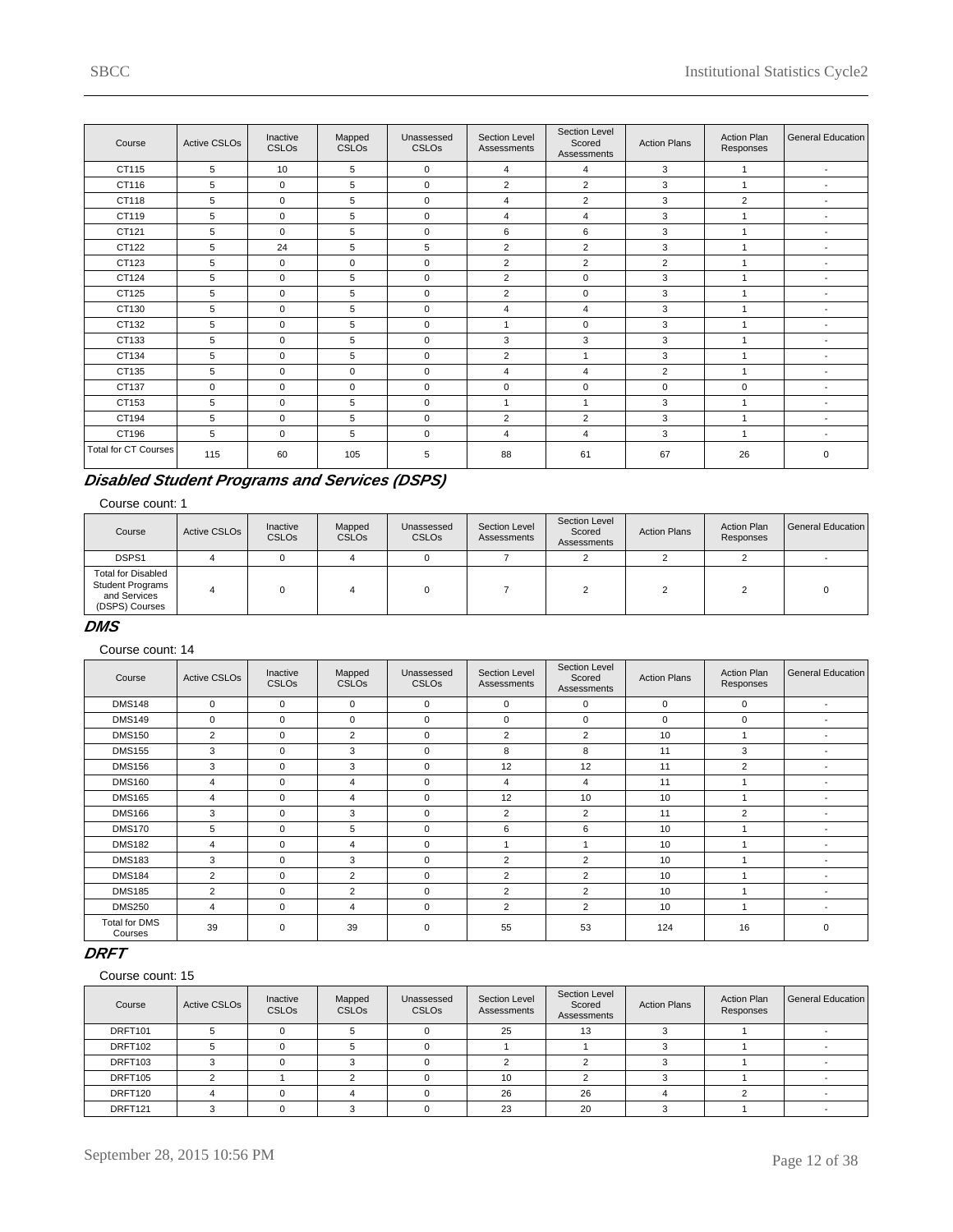| Course                      | <b>Active CSLOs</b> | Inactive<br><b>CSLOs</b> | Mapped<br>CSLO <sub>s</sub> | Unassessed<br>CSLO <sub>s</sub> | <b>Section Level</b><br>Assessments | Section Level<br>Scored<br>Assessments | <b>Action Plans</b> | <b>Action Plan</b><br>Responses | General Education        |
|-----------------------------|---------------------|--------------------------|-----------------------------|---------------------------------|-------------------------------------|----------------------------------------|---------------------|---------------------------------|--------------------------|
| CT115                       | 5                   | 10                       | 5                           | $\mathbf 0$                     | $\overline{4}$                      | $\overline{4}$                         | 3                   | $\mathbf{1}$                    | $\blacksquare$           |
| CT116                       | 5                   | $\mathbf 0$              | 5                           | $\mathbf 0$                     | 2                                   | 2                                      | 3                   | $\mathbf{1}$                    | $\blacksquare$           |
| CT118                       | 5                   | $\Omega$                 | 5                           | $\mathbf 0$                     | $\overline{4}$                      | $\overline{2}$                         | 3                   | 2                               | $\overline{\phantom{a}}$ |
| CT119                       | 5                   | $\mathbf 0$              | 5                           | $\mathbf 0$                     | 4                                   | 4                                      | 3                   | 1                               | $\blacksquare$           |
| CT121                       | 5                   | $\mathbf 0$              | 5                           | $\mathbf 0$                     | 6                                   | 6                                      | 3                   | $\mathbf{1}$                    | $\blacksquare$           |
| CT122                       | 5                   | 24                       | 5                           | 5                               | 2                                   | $\overline{2}$                         | 3                   | 1                               | $\blacksquare$           |
| CT123                       | 5                   | $\mathbf 0$              | 0                           | $\mathbf 0$                     | 2                                   | $\overline{2}$                         | $\overline{2}$      | $\overline{1}$                  | $\blacksquare$           |
| CT124                       | 5                   | $\mathbf 0$              | 5                           | $\mathbf 0$                     | $\overline{2}$                      | $\mathbf 0$                            | 3                   | $\overline{1}$                  | $\blacksquare$           |
| CT125                       | 5                   | $\mathbf 0$              | 5                           | $\mathbf 0$                     | $\overline{2}$                      | 0                                      | 3                   | 1                               | $\blacksquare$           |
| CT130                       | 5                   | $\mathbf 0$              | 5                           | $\mathbf 0$                     | 4                                   | 4                                      | 3                   | $\overline{ }$                  | $\blacksquare$           |
| CT132                       | 5                   | $\mathbf 0$              | 5                           | $\mathbf 0$                     | $\overline{1}$                      | $\mathbf 0$                            | 3                   | $\overline{ }$                  | $\blacksquare$           |
| CT133                       | 5                   | $\mathbf 0$              | 5                           | $\mathbf 0$                     | 3                                   | 3                                      | 3                   | 1                               | $\blacksquare$           |
| CT134                       | 5                   | $\mathbf 0$              | 5                           | $\mathbf 0$                     | $\overline{2}$                      | 1                                      | 3                   | $\overline{A}$                  | $\blacksquare$           |
| CT135                       | 5                   | $\mathbf 0$              | 0                           | $\mathbf 0$                     | $\overline{4}$                      | 4                                      | $\overline{2}$      | $\mathbf{1}$                    | $\overline{\phantom{a}}$ |
| CT137                       | $\mathbf 0$         | $\mathbf 0$              | 0                           | $\mathbf 0$                     | 0                                   | 0                                      | $\mathbf 0$         | $\mathbf 0$                     | $\overline{\phantom{a}}$ |
| CT153                       | 5                   | $\mathbf 0$              | 5                           | $\mathbf 0$                     | $\overline{1}$                      | 1                                      | 3                   | $\overline{1}$                  | $\overline{\phantom{a}}$ |
| CT194                       | 5                   | $\mathbf 0$              | 5                           | $\mathbf 0$                     | 2                                   | $\overline{2}$                         | 3                   | $\mathbf{1}$                    | $\overline{\phantom{a}}$ |
| CT196                       | 5                   | $\mathbf 0$              | 5                           | $\mathbf 0$                     | 4                                   | 4                                      | 3                   | $\mathbf{1}$                    | $\blacksquare$           |
| <b>Total for CT Courses</b> | 115                 | 60                       | 105                         | 5                               | 88                                  | 61                                     | 67                  | 26                              | $\mathbf 0$              |

# **Disabled Student Programs and Services (DSPS)**

#### Course count: 1

| Course                                                                                 | Active CSLO <sub>s</sub> | Inactive<br><b>CSLOs</b> | Mapped<br><b>CSLOs</b> | Unassessed<br><b>CSLOs</b> | Section Level<br>Assessments | Section Level<br>Scored<br>Assessments | <b>Action Plans</b> | <b>Action Plan</b><br>Responses | General Education |
|----------------------------------------------------------------------------------------|--------------------------|--------------------------|------------------------|----------------------------|------------------------------|----------------------------------------|---------------------|---------------------------------|-------------------|
| DSPS1                                                                                  |                          |                          |                        |                            |                              |                                        |                     |                                 |                   |
| <b>Total for Disabled</b><br><b>Student Programs</b><br>and Services<br>(DSPS) Courses |                          |                          |                        |                            |                              |                                        |                     |                                 |                   |

### **DMS**

### Course count: 14

| Course                          | <b>Active CSLOs</b> | Inactive<br><b>CSLOs</b> | Mapped<br><b>CSLOs</b> | Unassessed<br><b>CSLOs</b> | Section Level<br>Assessments | Section Level<br>Scored<br>Assessments | <b>Action Plans</b> | <b>Action Plan</b><br>Responses | <b>General Education</b> |
|---------------------------------|---------------------|--------------------------|------------------------|----------------------------|------------------------------|----------------------------------------|---------------------|---------------------------------|--------------------------|
| <b>DMS148</b>                   | $\mathbf 0$         | $\mathbf 0$              | 0                      | $\mathbf 0$                | $\mathbf 0$                  | $\Omega$                               | $\mathbf 0$         | 0                               | $\overline{\phantom{a}}$ |
| <b>DMS149</b>                   | $\mathbf 0$         | $\Omega$                 | $\Omega$               | $\Omega$                   | $\mathbf 0$                  | $\Omega$                               | $\Omega$            | $\Omega$                        | $\overline{\phantom{a}}$ |
| <b>DMS150</b>                   | $\overline{2}$      | $\Omega$                 | $\overline{2}$         | $\mathbf 0$                | $\overline{2}$               | $\overline{2}$                         | 10                  |                                 | $\overline{\phantom{a}}$ |
| <b>DMS155</b>                   | 3                   | $\Omega$                 | 3                      | $\mathbf 0$                | 8                            | 8                                      | 11                  | 3                               | $\overline{\phantom{a}}$ |
| <b>DMS156</b>                   | 3                   | $\Omega$                 | 3                      | $\Omega$                   | 12                           | 12                                     | 11                  | $\overline{2}$                  | $\overline{\phantom{a}}$ |
| <b>DMS160</b>                   | 4                   | $\Omega$                 | 4                      | $\mathbf 0$                | 4                            | 4                                      | 11                  |                                 | $\overline{\phantom{a}}$ |
| <b>DMS165</b>                   | 4                   | $\Omega$                 | 4                      | $\mathbf 0$                | 12                           | 10                                     | 10                  |                                 | $\overline{\phantom{a}}$ |
| <b>DMS166</b>                   | 3                   | $\Omega$                 | 3                      | $\mathbf 0$                | $\overline{2}$               | $\overline{2}$                         | 11                  | $\overline{2}$                  | $\overline{\phantom{a}}$ |
| <b>DMS170</b>                   | 5                   | $\Omega$                 | 5                      | $\mathbf 0$                | 6                            | 6                                      | 10                  |                                 | $\overline{\phantom{a}}$ |
| <b>DMS182</b>                   | $\overline{4}$      | 0                        | 4                      | $\mathbf 0$                |                              |                                        | 10                  |                                 | $\overline{\phantom{a}}$ |
| <b>DMS183</b>                   | 3                   | $\Omega$                 | 3                      | $\mathbf 0$                | $\overline{2}$               | $\overline{2}$                         | 10                  |                                 | $\overline{\phantom{a}}$ |
| <b>DMS184</b>                   | $\overline{2}$      | 0                        | $\overline{2}$         | $\mathbf 0$                | $\overline{2}$               | $\overline{2}$                         | 10                  |                                 | $\overline{\phantom{a}}$ |
| <b>DMS185</b>                   | 2                   | 0                        | 2                      | $\mathbf 0$                | $\overline{2}$               | 2                                      | 10                  |                                 | $\overline{\phantom{a}}$ |
| <b>DMS250</b>                   | 4                   | 0                        | 4                      | $\mathbf 0$                | 2                            | $\overline{2}$                         | 10                  |                                 | $\overline{\phantom{a}}$ |
| <b>Total for DMS</b><br>Courses | 39                  | $\Omega$                 | 39                     | $\mathbf 0$                | 55                           | 53                                     | 124                 | 16                              | $\mathbf 0$              |

# **DRFT**

| Course  | <b>Active CSLOs</b> | Inactive<br><b>CSLOs</b> | Mapped<br><b>CSLOs</b> | Unassessed<br><b>CSLOs</b> | Section Level<br>Assessments | Section Level<br>Scored<br>Assessments | <b>Action Plans</b> | <b>Action Plan</b><br>Responses | General Education |
|---------|---------------------|--------------------------|------------------------|----------------------------|------------------------------|----------------------------------------|---------------------|---------------------------------|-------------------|
| DRFT101 |                     |                          |                        |                            | 25                           | 13                                     |                     |                                 |                   |
| DRFT102 |                     |                          |                        |                            |                              |                                        |                     |                                 |                   |
| DRFT103 |                     |                          |                        |                            |                              |                                        |                     |                                 |                   |
| DRFT105 |                     |                          |                        |                            | 10                           |                                        |                     |                                 |                   |
| DRFT120 |                     |                          |                        |                            | 26                           | 26                                     |                     |                                 |                   |
| DRFT121 |                     |                          |                        |                            | 23                           | 20                                     |                     |                                 |                   |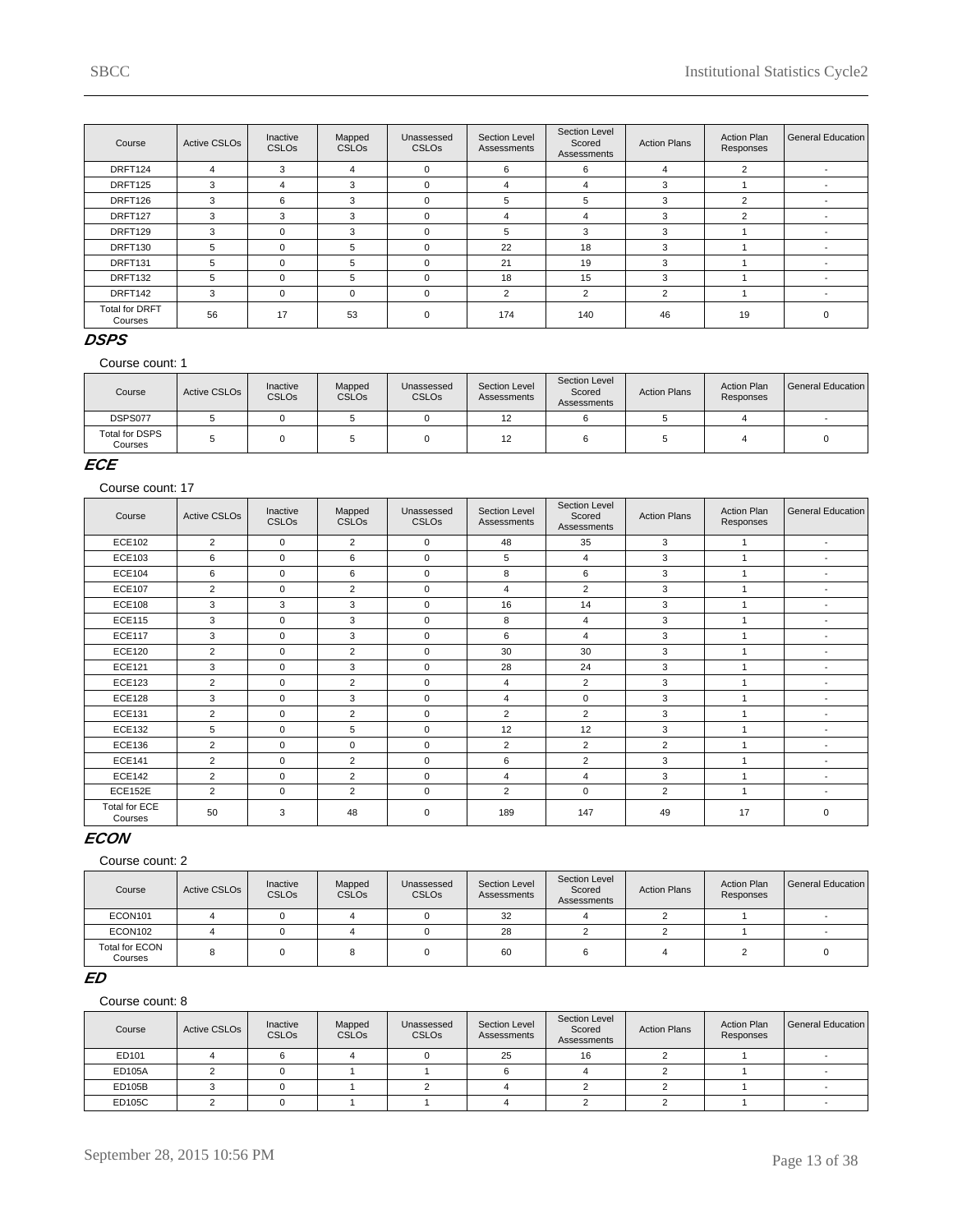| Course                           | <b>Active CSLOs</b> | Inactive<br><b>CSLOs</b> | Mapped<br><b>CSLOs</b> | Unassessed<br><b>CSLOs</b> | Section Level<br>Assessments | Section Level<br>Scored<br>Assessments | <b>Action Plans</b> | <b>Action Plan</b><br>Responses | General Education |
|----------------------------------|---------------------|--------------------------|------------------------|----------------------------|------------------------------|----------------------------------------|---------------------|---------------------------------|-------------------|
| DRFT124                          | 4                   | 3                        | 4                      | $\mathbf 0$                | 6                            | 6                                      | 4                   | $\overline{2}$                  |                   |
| DRFT125                          | 3                   | 4                        | 3                      | $\Omega$                   | 4                            | 4                                      | -5                  |                                 |                   |
| DRFT126                          | 3                   | 6                        | 3                      | $\Omega$                   | 5                            | 5                                      |                     | $\overline{2}$                  |                   |
| DRFT127                          | 3                   | 3                        | 3                      | $\mathbf 0$                | 4                            | 4                                      | 3                   | $\overline{2}$                  |                   |
| DRFT129                          | 3                   | $\Omega$                 | 3                      | $\Omega$                   | 5                            | 3                                      |                     |                                 |                   |
| DRFT130                          | 5                   | $\Omega$                 | 5                      | $\Omega$                   | 22                           | 18                                     | з                   |                                 |                   |
| DRFT131                          | 5                   | $\Omega$                 | 5                      | $\Omega$                   | 21                           | 19                                     | з                   |                                 |                   |
| DRFT132                          | 5                   | $\Omega$                 | 5                      | $\Omega$                   | 18                           | 15                                     | 3                   |                                 |                   |
| DRFT142                          | 3                   | $\Omega$                 | $\Omega$               | $\Omega$                   | 2                            | 2                                      | $\overline{2}$      |                                 |                   |
| <b>Total for DRFT</b><br>Courses | 56                  | 17                       | 53                     | $\mathbf 0$                | 174                          | 140                                    | 46                  | 19                              | $\Omega$          |

### **DSPS**

#### Course count: 1

| Course                    | Active CSLO <sub>s</sub> | Inactive<br><b>CSLOs</b> | Mapped<br><b>CSLOs</b> | Unassessed<br><b>CSLOs</b> | Section Level<br>Assessments | Section Level<br>Scored<br>Assessments | <b>Action Plans</b> | <b>Action Plan</b><br>Responses | l General Education I |
|---------------------------|--------------------------|--------------------------|------------------------|----------------------------|------------------------------|----------------------------------------|---------------------|---------------------------------|-----------------------|
| DSPS077                   |                          |                          |                        |                            | 12                           |                                        |                     |                                 |                       |
| Total for DSPS<br>Courses |                          |                          |                        |                            | 12                           |                                        |                     |                                 |                       |

### **ECE**

Course count: 17

| Course                          | <b>Active CSLOs</b> | Inactive<br><b>CSLOs</b> | Mapped<br>CSLO <sub>s</sub> | Unassessed<br><b>CSLOs</b> | Section Level<br>Assessments | Section Level<br>Scored<br>Assessments | <b>Action Plans</b> | <b>Action Plan</b><br>Responses | General Education        |
|---------------------------------|---------------------|--------------------------|-----------------------------|----------------------------|------------------------------|----------------------------------------|---------------------|---------------------------------|--------------------------|
| <b>ECE102</b>                   | 2                   | $\Omega$                 | $\overline{2}$              | $\Omega$                   | 48                           | 35                                     | 3                   |                                 | $\blacksquare$           |
| ECE103                          | 6                   | $\mathbf 0$              | 6                           | $\mathbf 0$                | 5                            | $\overline{4}$                         | 3                   |                                 | $\blacksquare$           |
| <b>ECE104</b>                   | 6                   | $\Omega$                 | 6                           | $\Omega$                   | 8                            | 6                                      | 3                   |                                 | $\blacksquare$           |
| <b>ECE107</b>                   | $\overline{2}$      | $\mathbf 0$              | $\overline{2}$              | $\mathbf 0$                | 4                            | $\overline{2}$                         | 3                   |                                 | $\blacksquare$           |
| <b>ECE108</b>                   | 3                   | 3                        | 3                           | $\mathbf 0$                | 16                           | 14                                     | 3                   |                                 | $\blacksquare$           |
| <b>ECE115</b>                   | 3                   | $\mathbf 0$              | 3                           | $\mathbf 0$                | 8                            | $\overline{4}$                         | 3                   |                                 | $\overline{\phantom{a}}$ |
| <b>ECE117</b>                   | 3                   | $\Omega$                 | 3                           | $\mathbf 0$                | 6                            | 4                                      | 3                   |                                 | $\overline{\phantom{a}}$ |
| <b>ECE120</b>                   | $\overline{2}$      | $\mathbf 0$              | $\overline{2}$              | $\mathbf 0$                | 30                           | 30                                     | 3                   |                                 | $\blacksquare$           |
| <b>ECE121</b>                   | 3                   | $\mathbf 0$              | 3                           | $\mathbf 0$                | 28                           | 24                                     | 3                   |                                 | $\blacksquare$           |
| <b>ECE123</b>                   | $\overline{2}$      | $\mathbf 0$              | $\overline{2}$              | $\mathbf 0$                | 4                            | $\overline{2}$                         | 3                   |                                 | $\blacksquare$           |
| <b>ECE128</b>                   | 3                   | $\Omega$                 | 3                           | $\Omega$                   | 4                            | $\Omega$                               | 3                   |                                 | $\blacksquare$           |
| <b>ECE131</b>                   | $\overline{2}$      | $\mathbf 0$              | $\overline{2}$              | $\Omega$                   | $\overline{2}$               | $\overline{2}$                         | 3                   |                                 | $\overline{\phantom{a}}$ |
| <b>ECE132</b>                   | 5                   | $\Omega$                 | 5                           | $\Omega$                   | 12                           | 12                                     | 3                   |                                 | $\blacksquare$           |
| <b>ECE136</b>                   | $\overline{2}$      | $\mathbf 0$              | $\mathbf 0$                 | $\mathbf 0$                | $\overline{2}$               | $\overline{2}$                         | $\overline{2}$      |                                 | $\blacksquare$           |
| <b>ECE141</b>                   | $\overline{2}$      | 0                        | $\overline{2}$              | $\mathbf 0$                | 6                            | $\overline{2}$                         | 3                   |                                 | $\overline{\phantom{a}}$ |
| <b>ECE142</b>                   | $\overline{2}$      | $\mathbf 0$              | $\overline{2}$              | $\mathbf 0$                | 4                            | $\overline{4}$                         | 3                   |                                 | $\overline{\phantom{a}}$ |
| ECE152E                         | $\overline{2}$      | $\Omega$                 | $\overline{2}$              | $\mathbf 0$                | $\overline{2}$               | $\Omega$                               | $\overline{2}$      |                                 | $\blacksquare$           |
| <b>Total for ECE</b><br>Courses | 50                  | 3                        | 48                          | $\mathbf 0$                | 189                          | 147                                    | 49                  | 17                              | $\mathbf 0$              |

### **ECON**

### Course count: 2

| Course                    | <b>Active CSLOs</b> | Inactive<br><b>CSLOs</b> | Mapped<br><b>CSLOs</b> | Unassessed<br><b>CSLO<sub>s</sub></b> | Section Level<br>Assessments | Section Level<br>Scored<br>Assessments | <b>Action Plans</b> | <b>Action Plan</b><br>Responses | General Education |
|---------------------------|---------------------|--------------------------|------------------------|---------------------------------------|------------------------------|----------------------------------------|---------------------|---------------------------------|-------------------|
| ECON101                   |                     |                          |                        |                                       | 32                           |                                        |                     |                                 |                   |
| ECON102                   |                     |                          |                        |                                       | 28                           |                                        |                     |                                 |                   |
| Total for ECON<br>Courses |                     |                          |                        |                                       | 60                           |                                        |                     |                                 |                   |

### **ED**

| Course | Active CSLO <sub>s</sub> | Inactive<br><b>CSLOs</b> | Mapped<br><b>CSLOs</b> | Unassessed<br><b>CSLOs</b> | Section Level<br>Assessments | Section Level<br>Scored<br>Assessments | <b>Action Plans</b> | <b>Action Plan</b><br>Responses | General Education |
|--------|--------------------------|--------------------------|------------------------|----------------------------|------------------------------|----------------------------------------|---------------------|---------------------------------|-------------------|
| ED101  |                          |                          |                        |                            | 25                           | 16                                     |                     |                                 |                   |
| ED105A |                          |                          |                        |                            |                              |                                        |                     |                                 |                   |
| ED105B |                          |                          |                        |                            |                              |                                        |                     |                                 |                   |
| ED105C |                          |                          |                        |                            |                              |                                        |                     |                                 |                   |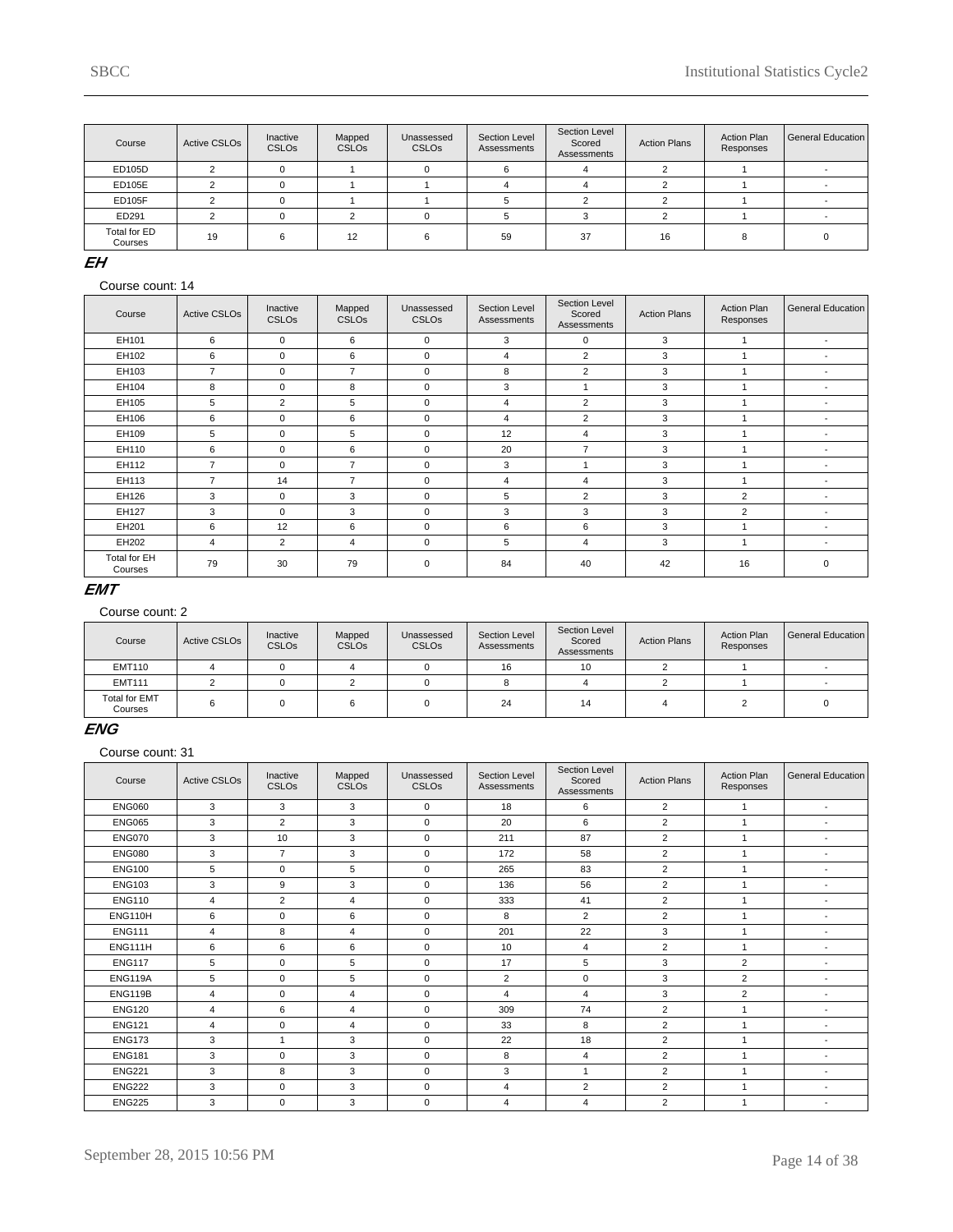| Course                  | Active CSLOs | Inactive<br><b>CSLOs</b> | Mapped<br><b>CSLOs</b> | Unassessed<br><b>CSLOs</b> | Section Level<br>Assessments | Section Level<br>Scored<br>Assessments | <b>Action Plans</b> | <b>Action Plan</b><br>Responses | General Education |
|-------------------------|--------------|--------------------------|------------------------|----------------------------|------------------------------|----------------------------------------|---------------------|---------------------------------|-------------------|
| ED105D                  |              |                          |                        |                            | 6                            |                                        |                     |                                 |                   |
| ED105E                  |              |                          |                        |                            |                              |                                        |                     |                                 |                   |
| ED105F                  |              |                          |                        |                            |                              |                                        |                     |                                 |                   |
| ED291                   |              |                          |                        |                            |                              |                                        |                     |                                 |                   |
| Total for ED<br>Courses | 19           | ค                        | 12                     | ี                          | 59                           | 37                                     | 16                  |                                 |                   |

### **EH**

#### Course count: 14

| Course                  | <b>Active CSLOs</b> | Inactive<br><b>CSLOs</b> | Mapped<br><b>CSLOs</b> | Unassessed<br><b>CSLOs</b> | Section Level<br>Assessments | Section Level<br>Scored<br>Assessments | <b>Action Plans</b> | <b>Action Plan</b><br>Responses | <b>General Education</b> |
|-------------------------|---------------------|--------------------------|------------------------|----------------------------|------------------------------|----------------------------------------|---------------------|---------------------------------|--------------------------|
| EH101                   | 6                   | $\Omega$                 | 6                      | $\mathbf 0$                | 3                            | $\Omega$                               | 3                   |                                 | $\overline{\phantom{a}}$ |
| EH102                   | 6                   | $\Omega$                 | 6                      | $\Omega$                   | $\overline{4}$               | $\overline{2}$                         | 3                   |                                 | $\overline{\phantom{a}}$ |
| EH103                   | $\overline{7}$      | $\Omega$                 | $\overline{7}$         | $\mathbf 0$                | 8                            | $\overline{2}$                         | 3                   |                                 | $\overline{\phantom{a}}$ |
| EH104                   | 8                   | $\Omega$                 | 8                      | $\mathbf 0$                | 3                            |                                        | 3                   |                                 | $\overline{\phantom{a}}$ |
| EH105                   | 5                   | $\overline{2}$           | 5                      | $\mathbf 0$                | 4                            | $\overline{2}$                         | 3                   |                                 | $\overline{\phantom{a}}$ |
| EH106                   | 6                   | $\Omega$                 | 6                      | $\mathbf 0$                | 4                            | $\overline{2}$                         | 3                   |                                 | $\overline{\phantom{a}}$ |
| EH109                   | 5                   | $\Omega$                 | 5                      | $\mathbf 0$                | 12                           | 4                                      | 3                   |                                 | $\overline{\phantom{a}}$ |
| EH110                   | 6                   | $\Omega$                 | 6                      | $\mathbf 0$                | 20                           | $\overline{7}$                         | 3                   |                                 | $\overline{\phantom{a}}$ |
| EH112                   | $\overline{7}$      | $\Omega$                 | $\overline{7}$         | $\mathbf 0$                | 3                            |                                        | 3                   |                                 | $\overline{\phantom{a}}$ |
| EH113                   | $\overline{7}$      | 14                       | $\overline{7}$         | $\mathbf 0$                | 4                            | 4                                      | 3                   |                                 | $\overline{\phantom{a}}$ |
| EH126                   | 3                   | $\Omega$                 | 3                      | $\Omega$                   | 5                            | $\overline{2}$                         | 3                   | $\overline{2}$                  | $\blacksquare$           |
| EH127                   | 3                   | $\Omega$                 | 3                      | $\Omega$                   | 3                            | 3                                      | 3                   | $\overline{2}$                  | $\overline{\phantom{a}}$ |
| EH201                   | 6                   | 12                       | 6                      | $\Omega$                   | 6                            | 6                                      | 3                   |                                 | $\overline{\phantom{a}}$ |
| EH202                   | 4                   | $\overline{2}$           | 4                      | $\mathbf 0$                | 5                            | 4                                      | 3                   |                                 | $\overline{\phantom{a}}$ |
| Total for EH<br>Courses | 79                  | 30                       | 79                     | $\mathbf 0$                | 84                           | 40                                     | 42                  | 16                              | $\mathbf 0$              |

### **EMT**

#### Course count: 2

| Course                          | Active CSLO <sub>s</sub> | Inactive<br><b>CSLOs</b> | Mapped<br><b>CSLOs</b> | Unassessed<br><b>CSLOs</b> | Section Level<br>Assessments | Section Level<br>Scored<br>Assessments | <b>Action Plans</b> | <b>Action Plan</b><br>Responses | General Education |
|---------------------------------|--------------------------|--------------------------|------------------------|----------------------------|------------------------------|----------------------------------------|---------------------|---------------------------------|-------------------|
| <b>EMT110</b>                   |                          |                          |                        |                            | 16                           | 10                                     |                     |                                 |                   |
| <b>EMT111</b>                   |                          |                          |                        |                            |                              |                                        |                     |                                 |                   |
| <b>Total for EMT</b><br>Courses |                          |                          |                        |                            | 24                           | 14                                     |                     |                                 |                   |

### **ENG**

| Course         | <b>Active CSLOs</b> | Inactive<br><b>CSLOs</b> | Mapped<br><b>CSLOs</b> | Unassessed<br><b>CSLOs</b> | <b>Section Level</b><br>Assessments | Section Level<br>Scored<br>Assessments | <b>Action Plans</b> | <b>Action Plan</b><br>Responses | <b>General Education</b> |
|----------------|---------------------|--------------------------|------------------------|----------------------------|-------------------------------------|----------------------------------------|---------------------|---------------------------------|--------------------------|
| <b>ENG060</b>  | 3                   | 3                        | 3                      | $\mathbf 0$                | 18                                  | 6                                      | $\overline{2}$      | 1                               | $\sim$                   |
| <b>ENG065</b>  | 3                   | $\overline{2}$           | 3                      | $\mathbf 0$                | 20                                  | 6                                      | $\overline{2}$      | 1                               | $\overline{\phantom{a}}$ |
| <b>ENG070</b>  | 3                   | 10                       | 3                      | $\mathbf 0$                | 211                                 | 87                                     | $\overline{2}$      | 1                               | $\overline{\phantom{a}}$ |
| <b>ENG080</b>  | 3                   | $\overline{7}$           | 3                      | $\mathbf 0$                | 172                                 | 58                                     | $\overline{2}$      | 1                               | $\overline{\phantom{0}}$ |
| <b>ENG100</b>  | 5                   | $\Omega$                 | 5                      | $\Omega$                   | 265                                 | 83                                     | $\overline{2}$      |                                 | $\overline{\phantom{a}}$ |
| <b>ENG103</b>  | 3                   | 9                        | 3                      | $\mathbf 0$                | 136                                 | 56                                     | $\overline{2}$      | ٠                               | $\overline{\phantom{a}}$ |
| <b>ENG110</b>  | $\overline{4}$      | $\overline{2}$           | 4                      | $\mathbf 0$                | 333                                 | 41                                     | $\overline{2}$      | 1                               | $\overline{\phantom{0}}$ |
| ENG110H        | 6                   | $\Omega$                 | 6                      | $\Omega$                   | 8                                   | $\overline{2}$                         | $\overline{2}$      |                                 | $\overline{\phantom{a}}$ |
| <b>ENG111</b>  | 4                   | 8                        | 4                      | $\mathbf 0$                | 201                                 | 22                                     | 3                   | ٠                               | $\overline{\phantom{a}}$ |
| <b>ENG111H</b> | 6                   | 6                        | 6                      | $\mathbf 0$                | 10                                  | $\overline{4}$                         | $\overline{2}$      | 1                               | $\overline{\phantom{a}}$ |
| <b>ENG117</b>  | 5                   | $\mathbf 0$              | 5                      | $\mathbf 0$                | 17                                  | 5                                      | 3                   | $\overline{2}$                  | $\overline{\phantom{a}}$ |
| <b>ENG119A</b> | 5                   | $\Omega$                 | 5                      | $\mathbf 0$                | 2                                   | $\mathbf 0$                            | 3                   | $\overline{2}$                  | $\overline{\phantom{a}}$ |
| <b>ENG119B</b> | $\overline{4}$      | $\mathbf 0$              | 4                      | $\mathbf 0$                | $\overline{4}$                      | $\overline{4}$                         | 3                   | $\overline{2}$                  |                          |
| <b>ENG120</b>  | $\overline{4}$      | 6                        | 4                      | $\mathbf 0$                | 309                                 | 74                                     | $\overline{2}$      |                                 | $\overline{\phantom{a}}$ |
| <b>ENG121</b>  | $\overline{4}$      | $\Omega$                 | 4                      | $\mathbf 0$                | 33                                  | 8                                      | $\overline{2}$      | ٠                               | $\overline{\phantom{a}}$ |
| <b>ENG173</b>  | 3                   | $\overline{1}$           | 3                      | $\mathbf 0$                | 22                                  | 18                                     | $\overline{2}$      | 1                               |                          |
| <b>ENG181</b>  | 3                   | $\mathbf 0$              | 3                      | $\mathbf 0$                | 8                                   | 4                                      | $\overline{2}$      | 1                               | $\overline{\phantom{a}}$ |
| <b>ENG221</b>  | 3                   | 8                        | 3                      | $\mathbf 0$                | 3                                   | $\overline{1}$                         | $\overline{2}$      | 1                               | $\overline{\phantom{a}}$ |
| <b>ENG222</b>  | 3                   | $\mathbf 0$              | 3                      | $\mathbf 0$                | $\overline{4}$                      | $\overline{2}$                         | $\overline{2}$      | 1                               |                          |
| <b>ENG225</b>  | 3                   | 0                        | 3                      | $\mathbf 0$                | $\overline{4}$                      | $\overline{4}$                         | $\overline{2}$      |                                 | $\overline{\phantom{0}}$ |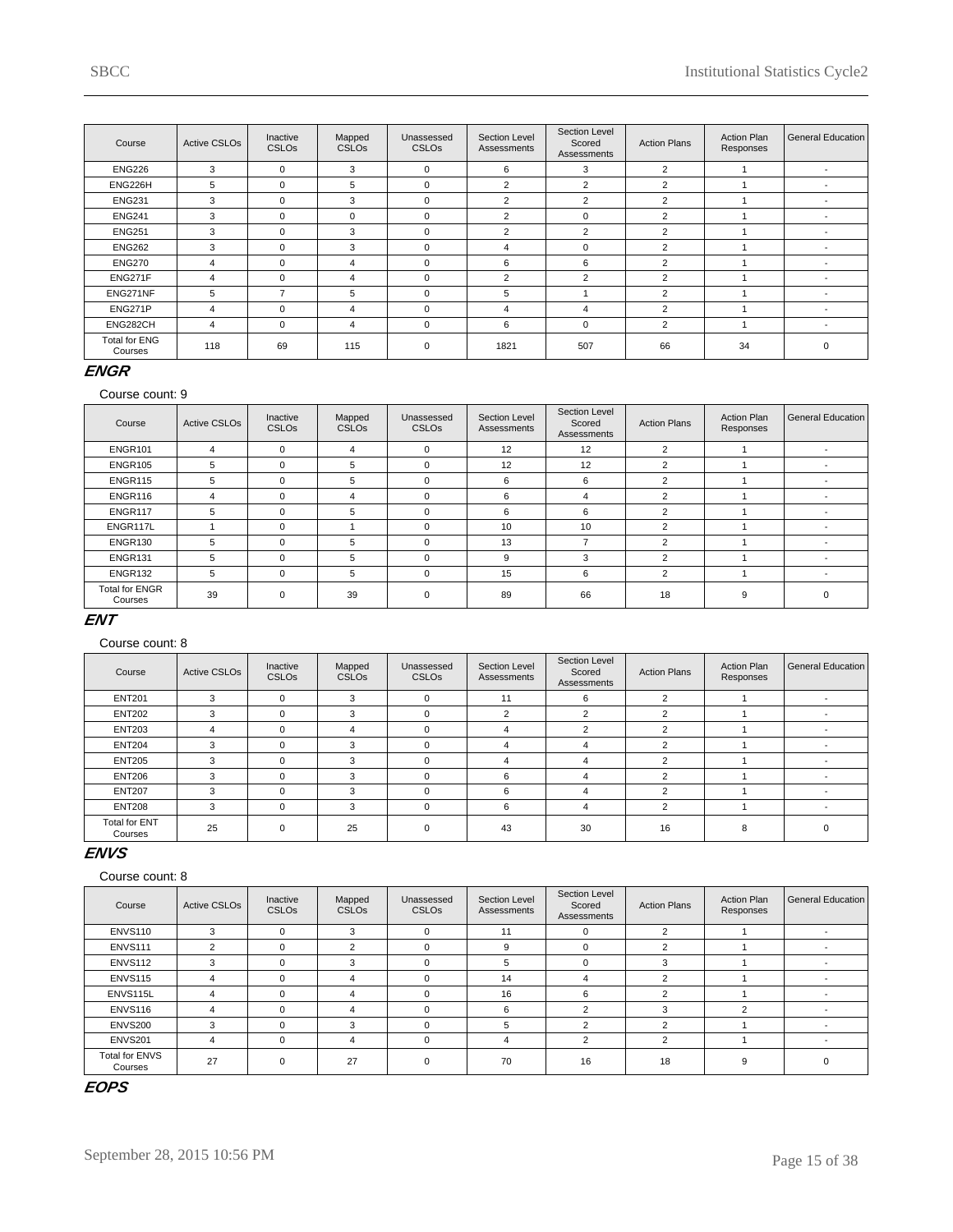| Course                          | <b>Active CSLOs</b> | Inactive<br><b>CSLOs</b> | Mapped<br><b>CSLOs</b> | Unassessed<br><b>CSLOs</b> | Section Level<br>Assessments | Section Level<br>Scored<br>Assessments | <b>Action Plans</b> | <b>Action Plan</b><br>Responses | General Education        |
|---------------------------------|---------------------|--------------------------|------------------------|----------------------------|------------------------------|----------------------------------------|---------------------|---------------------------------|--------------------------|
| <b>ENG226</b>                   | 3                   | $\mathbf 0$              | 3                      | $\Omega$                   | 6                            | 3                                      | $\overline{2}$      |                                 |                          |
| ENG226H                         | 5                   | 0                        | 5                      | $\mathbf 0$                | $\overline{2}$               | $\overline{2}$                         | 2                   |                                 |                          |
| <b>ENG231</b>                   | 3                   | $\mathbf 0$              | 3                      | $\mathbf 0$                | $\overline{2}$               | $\overline{2}$                         | $\overline{2}$      |                                 |                          |
| <b>ENG241</b>                   | 3                   | $\Omega$                 | $\Omega$               | $\mathbf 0$                | $\overline{2}$               | $\Omega$                               | $\overline{2}$      |                                 |                          |
| <b>ENG251</b>                   | 3                   | $\Omega$                 | 3                      | $\Omega$                   | $\overline{2}$               | $\overline{2}$                         | $\overline{2}$      |                                 |                          |
| <b>ENG262</b>                   | 3                   | $\Omega$                 | 3                      | $\Omega$                   | 4                            | $\Omega$                               | $\overline{2}$      |                                 |                          |
| <b>ENG270</b>                   | 4                   | $\Omega$                 | 4                      | $\Omega$                   | 6                            | 6                                      | $\overline{2}$      |                                 |                          |
| ENG271F                         | 4                   | $\Omega$                 | 4                      | $\Omega$                   | $\overline{2}$               | $\overline{2}$                         | $\overline{2}$      |                                 |                          |
| ENG271NF                        | 5                   |                          | 5                      | $\Omega$                   | 5                            |                                        | $\overline{2}$      |                                 | $\overline{\phantom{0}}$ |
| ENG271P                         | 4                   | $\Omega$                 | 4                      | $\Omega$                   | 4                            | 4                                      | $\overline{2}$      |                                 |                          |
| ENG282CH                        | 4                   | $\mathbf 0$              | 4                      | $\mathbf 0$                | 6                            | $\mathbf{0}$                           | $\overline{2}$      |                                 | $\overline{\phantom{a}}$ |
| <b>Total for ENG</b><br>Courses | 118                 | 69                       | 115                    | $\mathbf 0$                | 1821                         | 507                                    | 66                  | 34                              | $\Omega$                 |

# **ENGR**

#### Course count: 9

| Course                           | <b>Active CSLOs</b> | Inactive<br><b>CSLOs</b> | Mapped<br><b>CSLOs</b> | Unassessed<br><b>CSLOs</b> | Section Level<br>Assessments | Section Level<br>Scored<br>Assessments | <b>Action Plans</b> | <b>Action Plan</b><br>Responses | General Education        |
|----------------------------------|---------------------|--------------------------|------------------------|----------------------------|------------------------------|----------------------------------------|---------------------|---------------------------------|--------------------------|
| ENGR101                          | 4                   | $\Omega$                 | 4                      | $\Omega$                   | 12                           | 12                                     | $\overline{2}$      |                                 | $\overline{\phantom{a}}$ |
| ENGR105                          | 5                   | $\Omega$                 | 5                      | $\Omega$                   | 12                           | 12                                     | $\overline{2}$      |                                 |                          |
| ENGR115                          | 5                   | $\Omega$                 | 5                      | $\mathbf 0$                | 6                            | 6                                      | 2                   |                                 |                          |
| ENGR116                          | 4                   | O                        | 4                      | $\Omega$                   | 6                            | 4                                      | $\overline{2}$      |                                 |                          |
| ENGR117                          | 5                   | $\Omega$                 | 5                      | $\Omega$                   | 6                            | 6                                      | 2                   |                                 |                          |
| ENGR117L                         |                     | $\Omega$                 |                        | $\Omega$                   | 10                           | 10                                     | $\overline{2}$      |                                 | $\overline{\phantom{a}}$ |
| ENGR130                          | 5                   | $\Omega$                 | 5                      | $\Omega$                   | 13                           |                                        | $\overline{2}$      |                                 | $\overline{\phantom{0}}$ |
| ENGR131                          | 5                   | $\Omega$                 | 5                      | $\Omega$                   | 9                            | 3                                      | $\overline{2}$      |                                 | $\overline{\phantom{a}}$ |
| ENGR132                          | 5                   | $\Omega$                 | 5                      | $\mathbf 0$                | 15                           | 6                                      | 2                   |                                 | $\overline{\phantom{0}}$ |
| <b>Total for ENGR</b><br>Courses | 39                  | $\Omega$                 | 39                     | $\mathbf 0$                | 89                           | 66                                     | 18                  | 9                               | $\mathbf 0$              |

# **ENT**

### Course count: 8

| Course                          | <b>Active CSLOs</b> | Inactive<br><b>CSLOs</b> | Mapped<br><b>CSLOs</b> | Unassessed<br><b>CSLOs</b> | Section Level<br>Assessments | Section Level<br>Scored<br>Assessments | <b>Action Plans</b> | <b>Action Plan</b><br>Responses | General Education |
|---------------------------------|---------------------|--------------------------|------------------------|----------------------------|------------------------------|----------------------------------------|---------------------|---------------------------------|-------------------|
| <b>ENT201</b>                   | 3                   | $\Omega$                 | 3                      | 0                          | 11                           | 6                                      |                     |                                 |                   |
| <b>ENT202</b>                   | 3                   | $\Omega$                 | 3                      | 0                          | 2                            | $\overline{2}$                         |                     |                                 |                   |
| <b>ENT203</b>                   | 4                   | $\Omega$                 | 4                      | 0                          | 4                            | $\overline{2}$                         | $\overline{2}$      |                                 |                   |
| <b>ENT204</b>                   | 3                   |                          | 3                      | $\Omega$                   | 4                            | 4                                      |                     |                                 |                   |
| <b>ENT205</b>                   | 3                   |                          | 3                      | $\Omega$                   | 4                            | 4                                      | 2                   |                                 |                   |
| <b>ENT206</b>                   | 3                   |                          | 3                      | $\Omega$                   | 6                            | 4                                      |                     |                                 |                   |
| <b>ENT207</b>                   | 3                   |                          | 3                      | $\Omega$                   | 6                            | 4                                      |                     |                                 |                   |
| <b>ENT208</b>                   | 3                   | $\Omega$                 | 3                      | $\Omega$                   | 6                            | 4                                      |                     |                                 |                   |
| <b>Total for ENT</b><br>Courses | 25                  |                          | 25                     | $\Omega$                   | 43                           | 30                                     | 16                  | я                               |                   |

### **ENVS**

#### Course count: 8

| Course                           | <b>Active CSLOs</b> | Inactive<br><b>CSLOs</b> | Mapped<br><b>CSLOs</b> | Unassessed<br><b>CSLOs</b> | Section Level<br>Assessments | Section Level<br>Scored<br>Assessments | <b>Action Plans</b> | <b>Action Plan</b><br>Responses | General Education |
|----------------------------------|---------------------|--------------------------|------------------------|----------------------------|------------------------------|----------------------------------------|---------------------|---------------------------------|-------------------|
| <b>ENVS110</b>                   | 3                   | $\Omega$                 | 3                      | $\mathbf 0$                | 11                           | 0                                      | $\Omega$            |                                 |                   |
| <b>ENVS111</b>                   | 2                   |                          | $\Omega$               | $\Omega$                   | 9                            | 0                                      |                     |                                 |                   |
| ENVS112                          | 3                   | 0                        | 3                      | $\mathbf 0$                | 5                            | 0                                      |                     |                                 |                   |
| <b>ENVS115</b>                   | $\overline{4}$      |                          | 4                      | $\Omega$                   | 14                           | 4                                      |                     |                                 |                   |
| ENVS115L                         | 4                   |                          | 4                      | $\Omega$                   | 16                           | 6                                      | $\overline{2}$      |                                 |                   |
| <b>ENVS116</b>                   | 4                   |                          | 4                      | $\Omega$                   | 6                            | 2                                      |                     | $\overline{2}$                  |                   |
| ENVS200                          | 3                   | O                        | 3                      | $\Omega$                   | 5                            | $\mathcal{P}$                          | $\sim$              |                                 |                   |
| ENVS201                          | 4                   | $\Omega$                 | 4                      | $\mathbf 0$                | 4                            | $\overline{2}$                         | 2                   |                                 |                   |
| <b>Total for ENVS</b><br>Courses | 27                  | $\Omega$                 | 27                     | $\Omega$                   | 70                           | 16                                     | 18                  | 9                               |                   |

# **EOPS**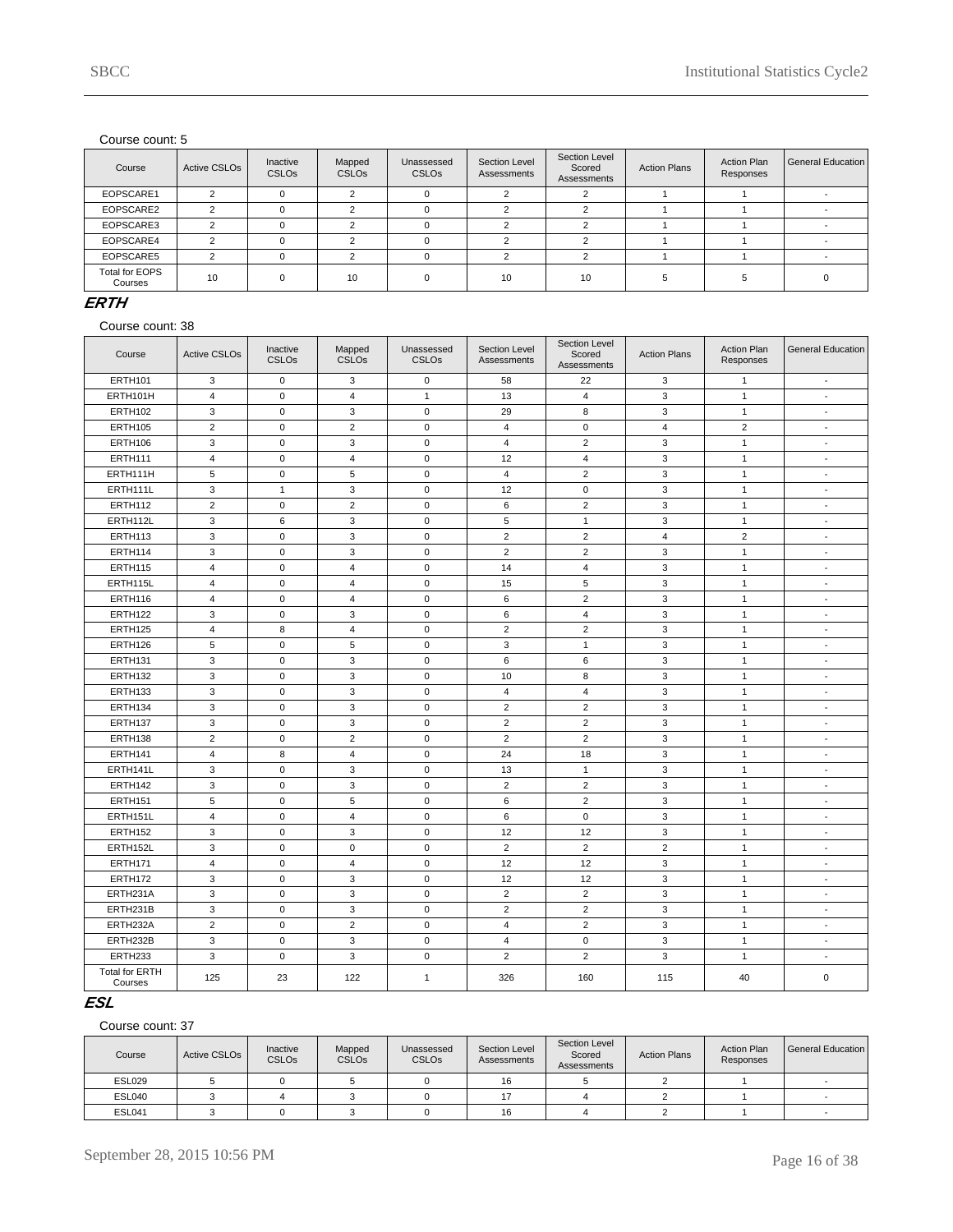| Course                    | <b>Active CSLOs</b> | Inactive<br>CSLO <sub>s</sub> | Mapped<br><b>CSLOs</b> | Unassessed<br><b>CSLOs</b> | Section Level<br>Assessments | Section Level<br>Scored<br>Assessments | <b>Action Plans</b> | <b>Action Plan</b><br>Responses | General Education |
|---------------------------|---------------------|-------------------------------|------------------------|----------------------------|------------------------------|----------------------------------------|---------------------|---------------------------------|-------------------|
| EOPSCARE1                 | $\sim$              |                               | $\sqrt{2}$             |                            |                              |                                        |                     |                                 |                   |
| EOPSCARE2                 | $\sim$              |                               |                        |                            |                              |                                        |                     |                                 |                   |
| EOPSCARE3                 | c                   |                               |                        |                            |                              |                                        |                     |                                 |                   |
| EOPSCARE4                 | $\sim$              |                               |                        |                            |                              |                                        |                     |                                 |                   |
| EOPSCARE5                 | $\sim$              |                               |                        |                            |                              |                                        |                     |                                 |                   |
| Total for EOPS<br>Courses | 10                  |                               | 10                     | $\Omega$                   | 10                           | 10                                     |                     |                                 |                   |

#### **ERTH**

Course count: 38

| Course                           | <b>Active CSLOs</b>       | Inactive<br><b>CSLOs</b> | Mapped<br><b>CSLOs</b>  | Unassessed<br><b>CSLOs</b> | Section Level<br>Assessments | Section Level<br>Scored<br>Assessments | <b>Action Plans</b> | <b>Action Plan</b><br>Responses | <b>General Education</b> |
|----------------------------------|---------------------------|--------------------------|-------------------------|----------------------------|------------------------------|----------------------------------------|---------------------|---------------------------------|--------------------------|
| <b>ERTH101</b>                   | 3                         | $\mathsf 0$              | 3                       | $\mathbf 0$                | 58                           | 22                                     | 3                   | $\mathbf{1}$                    | $\blacksquare$           |
| ERTH101H                         | $\overline{4}$            | $\mathbf 0$              | $\overline{\mathbf{4}}$ | $\overline{1}$             | 13                           | $\overline{4}$                         | 3                   | $\mathbf{1}$                    | $\blacksquare$           |
| <b>ERTH102</b>                   | 3                         | $\pmb{0}$                | 3                       | $\mathbf 0$                | 29                           | 8                                      | 3                   | $\mathbf{1}$                    | $\overline{a}$           |
| <b>ERTH105</b>                   | $\overline{2}$            | 0                        | $\overline{2}$          | $\mathbf 0$                | $\overline{4}$               | 0                                      | 4                   | $\overline{2}$                  | $\overline{\phantom{a}}$ |
| <b>ERTH106</b>                   | 3                         | $\mathsf 0$              | 3                       | $\mathbf 0$                | 4                            | $\overline{2}$                         | 3                   | $\mathbf{1}$                    | $\overline{\phantom{a}}$ |
| ERTH111                          | $\overline{4}$            | $\mathsf 0$              | $\overline{4}$          | $\mathbf 0$                | 12                           | $\overline{4}$                         | 3                   | $\mathbf{1}$                    | $\blacksquare$           |
| ERTH111H                         | 5                         | $\mathbf 0$              | 5                       | $\mathbf 0$                | $\overline{4}$               | $\overline{2}$                         | 3                   | $\mathbf{1}$                    | $\blacksquare$           |
| ERTH111L                         | $\ensuremath{\mathsf{3}}$ | $\mathbf{1}$             | 3                       | $\mathbf 0$                | 12                           | $\mathsf 0$                            | 3                   | $\mathbf{1}$                    | $\blacksquare$           |
| <b>ERTH112</b>                   | $\sqrt{2}$                | $\mathbf 0$              | $\overline{2}$          | $\mathbf 0$                | 6                            | $\overline{c}$                         | 3                   | $\mathbf{1}$                    | $\blacksquare$           |
| ERTH112L                         | 3                         | 6                        | 3                       | $\mathbf 0$                | 5                            | $\mathbf{1}$                           | 3                   | $\mathbf{1}$                    | $\overline{\phantom{a}}$ |
| ERTH113                          | 3                         | $\mathsf 0$              | 3                       | $\mathbf 0$                | $\overline{2}$               | $\overline{2}$                         | $\overline{4}$      | $\overline{2}$                  | $\sim$                   |
| <b>ERTH114</b>                   | 3                         | $\mathbf 0$              | 3                       | $\mathbf 0$                | $\overline{2}$               | $\overline{2}$                         | 3                   | $\mathbf{1}$                    | $\sim$                   |
| <b>ERTH115</b>                   | $\overline{4}$            | $\mathsf 0$              | $\overline{4}$          | $\mathbf 0$                | 14                           | $\overline{4}$                         | 3                   | $\mathbf{1}$                    | $\blacksquare$           |
| ERTH115L                         | $\overline{4}$            | $\mathbf 0$              | $\overline{4}$          | $\mathbf 0$                | 15                           | 5                                      | 3                   | $\mathbf{1}$                    | $\blacksquare$           |
| <b>ERTH116</b>                   | $\overline{4}$            | $\mathbf 0$              | $\overline{4}$          | $\mathbf 0$                | $\,6\,$                      | $\overline{2}$                         | 3                   | $\mathbf{1}$                    | $\blacksquare$           |
| <b>ERTH122</b>                   | 3                         | $\mathbf 0$              | 3                       | $\mathbf 0$                | $\,6\,$                      | $\overline{4}$                         | 3                   | $\mathbf{1}$                    | $\blacksquare$           |
| <b>ERTH125</b>                   | $\overline{4}$            | 8                        | $\overline{4}$          | $\mathbf 0$                | $\overline{2}$               | $\overline{2}$                         | 3                   | $\mathbf{1}$                    | $\blacksquare$           |
| ERTH126                          | 5                         | 0                        | 5                       | $\mathbf 0$                | 3                            | $\mathbf{1}$                           | 3                   | $\mathbf{1}$                    | $\overline{\phantom{a}}$ |
| ERTH131                          | 3                         | 0                        | 3                       | $\mathbf 0$                | 6                            | 6                                      | 3                   | $\mathbf{1}$                    | $\overline{\phantom{a}}$ |
| <b>ERTH132</b>                   | $\mathsf 3$               | $\mathsf 0$              | 3                       | $\mathbf 0$                | 10                           | 8                                      | 3                   | $\mathbf{1}$                    | $\overline{\phantom{a}}$ |
| <b>ERTH133</b>                   | 3                         | $\mathbf 0$              | 3                       | $\mathbf 0$                | $\overline{4}$               | $\overline{4}$                         | 3                   | $\mathbf{1}$                    | $\overline{\phantom{a}}$ |
| ERTH134                          | $\mathsf 3$               | $\mathsf 0$              | 3                       | $\mathbf 0$                | $\overline{c}$               | $\overline{2}$                         | 3                   | $\mathbf{1}$                    | $\blacksquare$           |
| ERTH137                          | 3                         | $\mathsf 0$              | 3                       | $\mathbf 0$                | $\overline{2}$               | $\overline{2}$                         | 3                   | $\mathbf{1}$                    | $\overline{\phantom{a}}$ |
| <b>ERTH138</b>                   | $\overline{2}$            | $\pmb{0}$                | $\overline{2}$          | $\mathbf 0$                | $\overline{2}$               | $\overline{2}$                         | 3                   | $\mathbf{1}$                    | $\blacksquare$           |
| ERTH141                          | $\overline{4}$            | 8                        | $\overline{4}$          | $\mathbf 0$                | 24                           | 18                                     | 3                   | $\mathbf{1}$                    | $\blacksquare$           |
| ERTH141L                         | 3                         | $\mathbf 0$              | 3                       | $\mathbf 0$                | 13                           | $\mathbf{1}$                           | 3                   | $\mathbf{1}$                    | $\blacksquare$           |
| ERTH142                          | 3                         | $\mathbf 0$              | 3                       | $\mathbf 0$                | $\overline{2}$               | $\overline{c}$                         | 3                   | $\mathbf{1}$                    | $\blacksquare$           |
| <b>ERTH151</b>                   | 5                         | $\mathbf 0$              | 5                       | $\mathbf 0$                | 6                            | $\overline{2}$                         | 3                   | $\mathbf{1}$                    | $\blacksquare$           |
| ERTH151L                         | $\overline{4}$            | $\pmb{0}$                | $\overline{\mathbf{4}}$ | $\mathbf 0$                | 6                            | $\mathsf 0$                            | 3                   | $\mathbf{1}$                    | $\mathbf{r}$             |
| <b>ERTH152</b>                   | 3                         | $\mathbf 0$              | 3                       | $\mathbf 0$                | 12                           | 12                                     | 3                   | $\mathbf{1}$                    | $\blacksquare$           |
| ERTH152L                         | 3                         | $\mathbf 0$              | $\mathbf 0$             | $\mathbf 0$                | $\overline{2}$               | 2                                      | 2                   | $\mathbf{1}$                    | $\blacksquare$           |
| ERTH171                          | $\overline{4}$            | $\mathbf 0$              | $\overline{4}$          | $\mathbf 0$                | 12                           | 12                                     | 3                   | $\mathbf{1}$                    | $\overline{\phantom{a}}$ |
| ERTH172                          | 3                         | $\pmb{0}$                | 3                       | $\mathbf 0$                | 12                           | 12                                     | 3                   | $\mathbf{1}$                    | $\overline{\phantom{a}}$ |
| ERTH231A                         | 3                         | $\mathsf 0$              | 3                       | $\mathbf 0$                | $\overline{2}$               | $\overline{2}$                         | 3                   | $\mathbf{1}$                    | $\overline{\phantom{a}}$ |
| ERTH231B                         | 3                         | $\pmb{0}$                | 3                       | $\mathbf 0$                | $\overline{2}$               | $\mathbf 2$                            | 3                   | $\mathbf{1}$                    | $\blacksquare$           |
| ERTH232A                         | $\overline{2}$            | $\mathsf 0$              | $\overline{2}$          | $\mathbf 0$                | $\overline{4}$               | $\overline{2}$                         | 3                   | $\mathbf{1}$                    | $\blacksquare$           |
| ERTH232B                         | 3                         | $\mathsf 0$              | 3                       | $\mathbf 0$                | $\overline{4}$               | $\mathbf 0$                            | 3                   | $\mathbf{1}$                    | $\blacksquare$           |
| ERTH233                          | 3                         | $\pmb{0}$                | 3                       | $\mathbf 0$                | $\overline{2}$               | $\overline{2}$                         | 3                   | $\mathbf{1}$                    | $\overline{\phantom{a}}$ |
| <b>Total for ERTH</b><br>Courses | 125                       | 23                       | 122                     | $\mathbf{1}$               | 326                          | 160                                    | 115                 | 40                              | $\pmb{0}$                |

# **ESL**

| Course        | Active CSLO <sub>s</sub> | Inactive<br><b>CSLOs</b> | Mapped<br><b>CSLOs</b> | Unassessed<br><b>CSLOs</b> | Section Level<br>Assessments | Section Level<br>Scored<br>Assessments | <b>Action Plans</b> | <b>Action Plan</b><br>Responses | General Education |
|---------------|--------------------------|--------------------------|------------------------|----------------------------|------------------------------|----------------------------------------|---------------------|---------------------------------|-------------------|
| <b>ESL029</b> |                          |                          |                        |                            | 16                           |                                        |                     |                                 |                   |
| ESL040        |                          |                          |                        |                            |                              |                                        |                     |                                 |                   |
| <b>ESL041</b> |                          |                          |                        |                            | 16                           |                                        |                     |                                 |                   |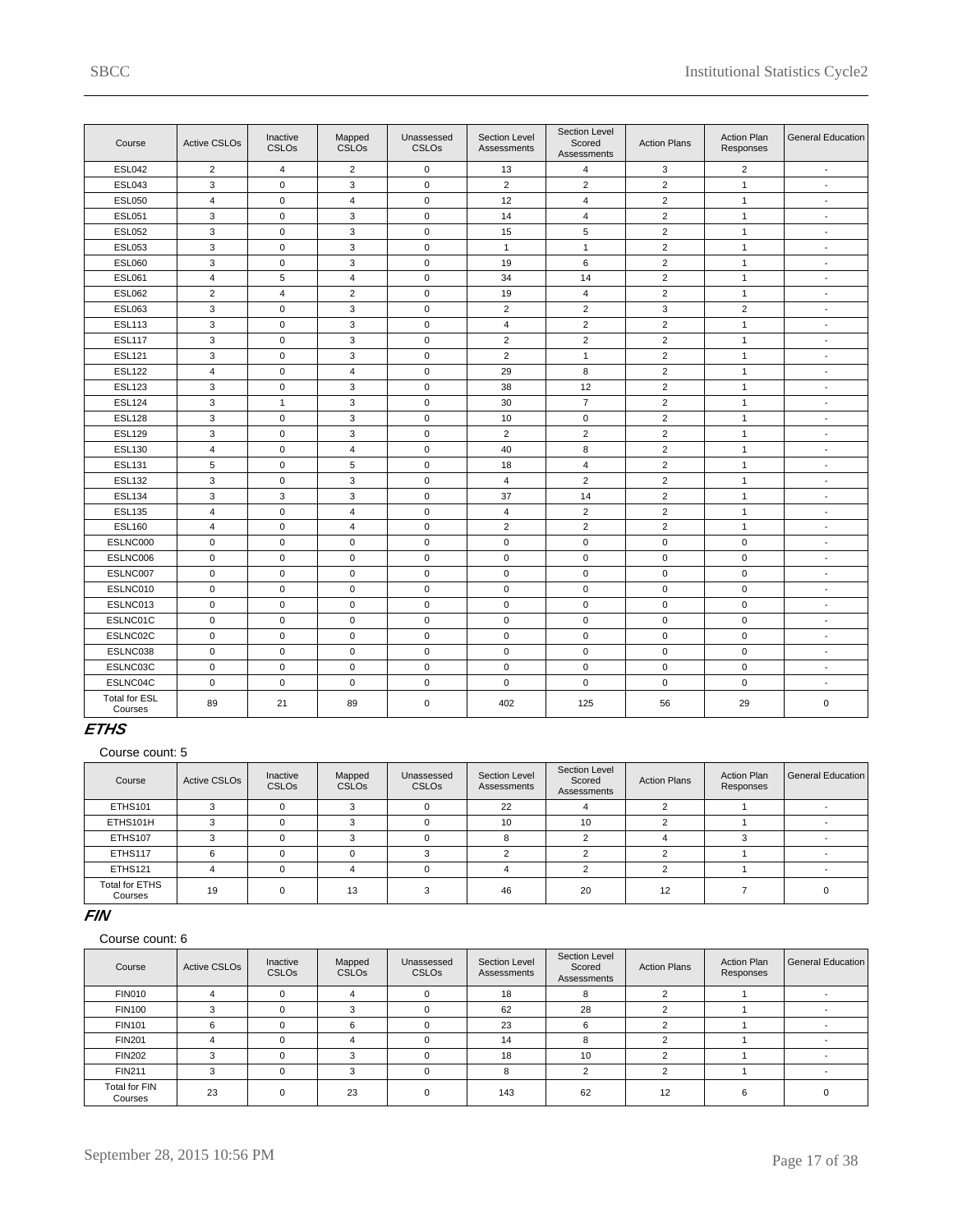| Course                          | <b>Active CSLOs</b> | Inactive<br>CSLOs | Mapped<br>CSLO <sub>s</sub> | Unassessed<br><b>CSLOs</b> | Section Level<br>Assessments | Section Level<br>Scored<br>Assessments | <b>Action Plans</b> | <b>Action Plan</b><br>Responses | <b>General Education</b> |
|---------------------------------|---------------------|-------------------|-----------------------------|----------------------------|------------------------------|----------------------------------------|---------------------|---------------------------------|--------------------------|
| <b>ESL042</b>                   | $\overline{2}$      | 4                 | $\overline{2}$              | $\mathbf 0$                | 13                           | 4                                      | 3                   | $\overline{2}$                  | $\mathbf{r}$             |
| <b>ESL043</b>                   | 3                   | $\mathbf 0$       | 3                           | $\mathbf 0$                | $\overline{2}$               | 2                                      | $\overline{2}$      | $\mathbf{1}$                    | $\sim$                   |
| <b>ESL050</b>                   | $\overline{4}$      | $\mathbf 0$       | $\overline{4}$              | $\mathbf 0$                | 12                           | $\overline{4}$                         | $\overline{2}$      | $\mathbf{1}$                    | $\sim$                   |
| <b>ESL051</b>                   | 3                   | 0                 | 3                           | $\mathbf 0$                | 14                           | $\overline{4}$                         | $\overline{2}$      | $\mathbf{1}$                    | $\overline{a}$           |
| <b>ESL052</b>                   | 3                   | $\mathbf 0$       | 3                           | $\mathbf 0$                | 15                           | 5                                      | $\overline{2}$      | $\mathbf{1}$                    | $\sim$                   |
| <b>ESL053</b>                   | 3                   | $\mathsf 0$       | 3                           | $\mathbf 0$                | $\mathbf{1}$                 | $\mathbf{1}$                           | $\overline{2}$      | $\mathbf{1}$                    | $\sim$                   |
| <b>ESL060</b>                   | 3                   | $\mathbf 0$       | 3                           | $\mathbf 0$                | 19                           | 6                                      | $\overline{c}$      | $\mathbf{1}$                    | $\blacksquare$           |
| <b>ESL061</b>                   | $\overline{4}$      | 5                 | $\overline{4}$              | $\mathbf 0$                | 34                           | 14                                     | $\overline{2}$      | $\mathbf{1}$                    | $\blacksquare$           |
| <b>ESL062</b>                   | 2                   | $\overline{4}$    | $\overline{2}$              | $\mathbf 0$                | 19                           | $\overline{4}$                         | $\overline{2}$      | $\mathbf{1}$                    | $\overline{\phantom{a}}$ |
| <b>ESL063</b>                   | 3                   | $\mathsf 0$       | 3                           | $\pmb{0}$                  | $\overline{2}$               | $\overline{2}$                         | 3                   | $\overline{2}$                  | $\sim$                   |
| <b>ESL113</b>                   | 3                   | $\mathbf 0$       | 3                           | $\mathbf 0$                | 4                            | $\overline{2}$                         | $\overline{2}$      | $\mathbf{1}$                    | $\mathbf{r}$             |
| <b>ESL117</b>                   | 3                   | 0                 | 3                           | $\mathbf 0$                | $\overline{2}$               | $\overline{2}$                         | $\overline{2}$      | $\mathbf{1}$                    | $\sim$                   |
| <b>ESL121</b>                   | 3                   | $\mathbf 0$       | 3                           | $\mathbf 0$                | $\overline{2}$               | $\mathbf{1}$                           | 2                   | $\mathbf{1}$                    | $\blacksquare$           |
| <b>ESL122</b>                   | 4                   | 0                 | 4                           | $\mathbf 0$                | 29                           | 8                                      | $\overline{2}$      | $\mathbf{1}$                    | $\sim$                   |
| <b>ESL123</b>                   | 3                   | $\mathbf 0$       | 3                           | $\mathbf 0$                | 38                           | 12                                     | $\overline{2}$      | $\mathbf{1}$                    | $\blacksquare$           |
| <b>ESL124</b>                   | 3                   | $\mathbf{1}$      | 3                           | $\mathbf 0$                | 30                           | $\overline{7}$                         | $\overline{2}$      | $\mathbf{1}$                    | $\blacksquare$           |
| <b>ESL128</b>                   | 3                   | $\mathbf 0$       | 3                           | $\mathbf 0$                | 10                           | $\mathbf 0$                            | 2                   | $\mathbf{1}$                    | $\blacksquare$           |
| <b>ESL129</b>                   | 3                   | $\mathsf 0$       | 3                           | $\mathbf 0$                | $\overline{2}$               | $\overline{2}$                         | $\overline{2}$      | $\mathbf{1}$                    | $\overline{\phantom{a}}$ |
| <b>ESL130</b>                   | $\sqrt{4}$          | 0                 | 4                           | $\mathbf 0$                | 40                           | 8                                      | $\overline{2}$      | $\mathbf{1}$                    | $\sim$                   |
| <b>ESL131</b>                   | 5                   | $\mathbf 0$       | 5                           | $\mathbf 0$                | 18                           | 4                                      | $\overline{2}$      | $\mathbf{1}$                    | $\sim$                   |
| <b>ESL132</b>                   | 3                   | 0                 | 3                           | $\mathbf 0$                | $\overline{4}$               | $\overline{2}$                         | $\overline{2}$      | $\mathbf{1}$                    | $\overline{a}$           |
| <b>ESL134</b>                   | 3                   | 3                 | 3                           | $\mathbf 0$                | 37                           | 14                                     | 2                   | $\mathbf{1}$                    | $\blacksquare$           |
| <b>ESL135</b>                   | $\overline{4}$      | 0                 | 4                           | $\mathbf 0$                | 4                            | $\overline{2}$                         | $\overline{2}$      | $\mathbf{1}$                    | $\overline{\phantom{a}}$ |
| <b>ESL160</b>                   | $\overline{4}$      | $\mathbf 0$       | $\overline{4}$              | $\mathbf 0$                | $\overline{2}$               | $\overline{2}$                         | $\overline{2}$      | $\mathbf{1}$                    | $\mathbf{r}$             |
| ESLNC000                        | $\mathbf 0$         | $\mathbf 0$       | $\mathbf 0$                 | $\mathbf 0$                | $\mathbf 0$                  | $\mathbf 0$                            | $\mathbf 0$         | $\mathbf 0$                     | $\blacksquare$           |
| ESLNC006                        | $\mathbf 0$         | $\mathbf 0$       | 0                           | $\mathbf 0$                | 0                            | $\mathbf 0$                            | $\mathbf 0$         | 0                               | $\overline{\phantom{a}}$ |
| ESLNC007                        | $\mathbf 0$         | $\mathbf 0$       | $\mathbf 0$                 | $\mathbf 0$                | $\mathbf 0$                  | $\mathsf 0$                            | $\mathbf 0$         | $\mathbf 0$                     | $\overline{\phantom{a}}$ |
| ESLNC010                        | $\mathbf 0$         | $\mathbf 0$       | $\mathbf 0$                 | $\mathbf 0$                | $\mathbf 0$                  | $\mathbf 0$                            | $\mathbf 0$         | $\mathbf 0$                     | $\sim$                   |
| ESLNC013                        | $\pmb{0}$           | $\mathsf 0$       | $\mathbf 0$                 | $\mathbf 0$                | 0                            | $\pmb{0}$                              | $\mathbf 0$         | $\mathbf 0$                     | $\mathbf{r}$             |
| ESLNC01C                        | $\mathsf 0$         | $\mathbf 0$       | $\mathbf 0$                 | $\mathbf 0$                | 0                            | $\mathbf 0$                            | $\mathbf 0$         | 0                               | $\mathbf{r}$             |
| ESLNC02C                        | $\mathsf 0$         | $\mathbf 0$       | $\mathbf 0$                 | $\mathbf 0$                | $\mathbf 0$                  | $\mathbf 0$                            | $\mathbf 0$         | $\mathbf{0}$                    | $\overline{\phantom{a}}$ |
| ESLNC038                        | 0                   | 0                 | 0                           | $\mathbf 0$                | 0                            | 0                                      | $\mathbf 0$         | 0                               | $\blacksquare$           |
| ESLNC03C                        | 0                   | $\mathbf 0$       | 0                           | $\mathbf 0$                | 0                            | $\mathbf 0$                            | $\mathbf 0$         | $\mathbf{0}$                    | $\sim$                   |
| ESLNC04C                        | $\mathsf 0$         | $\mathbf 0$       | $\mathbf 0$                 | $\mathbf 0$                | 0                            | $\mathbf 0$                            | $\mathbf 0$         | 0                               | $\blacksquare$           |
| <b>Total for ESL</b><br>Courses | 89                  | 21                | 89                          | $\mathbf 0$                | 402                          | 125                                    | 56                  | 29                              | 0                        |

### **ETHS**

Course count: 5

| Course                    | <b>Active CSLOs</b> | Inactive<br><b>CSLOs</b> | Mapped<br><b>CSLOs</b> | Unassessed<br><b>CSLOs</b> | Section Level<br>Assessments | Section Level<br>Scored<br>Assessments | <b>Action Plans</b> | <b>Action Plan</b><br>Responses | General Education |
|---------------------------|---------------------|--------------------------|------------------------|----------------------------|------------------------------|----------------------------------------|---------------------|---------------------------------|-------------------|
| <b>ETHS101</b>            |                     |                          |                        |                            | 22                           |                                        |                     |                                 |                   |
| ETHS101H                  |                     |                          |                        |                            | 10                           | 10                                     |                     |                                 |                   |
| <b>ETHS107</b>            |                     |                          |                        |                            |                              |                                        |                     |                                 |                   |
| ETHS117                   |                     |                          |                        |                            |                              |                                        |                     |                                 |                   |
| <b>ETHS121</b>            |                     |                          |                        |                            |                              |                                        |                     |                                 |                   |
| Total for ETHS<br>Courses | 19                  |                          | 13                     |                            | 46                           | 20                                     | 12                  |                                 |                   |

#### **FIN**

| Course                          | <b>Active CSLOs</b> | Inactive<br><b>CSLOs</b> | Mapped<br><b>CSLOs</b> | Unassessed<br><b>CSLOs</b> | Section Level<br>Assessments | Section Level<br>Scored<br>Assessments | <b>Action Plans</b> | <b>Action Plan</b><br>Responses | General Education |
|---------------------------------|---------------------|--------------------------|------------------------|----------------------------|------------------------------|----------------------------------------|---------------------|---------------------------------|-------------------|
| <b>FIN010</b>                   |                     |                          | 4                      | $\Omega$                   | 18                           | 8                                      |                     |                                 |                   |
| <b>FIN100</b>                   |                     |                          |                        | $\Omega$                   | 62                           | 28                                     |                     |                                 |                   |
| <b>FIN101</b>                   | 6                   |                          |                        | $\Omega$                   | 23                           | 6                                      |                     |                                 |                   |
| <b>FIN201</b>                   |                     |                          |                        | $\Omega$                   | 14                           | 8                                      |                     |                                 |                   |
| <b>FIN202</b>                   |                     |                          | $\sim$                 | $\Omega$                   | 18                           | 10                                     |                     |                                 |                   |
| <b>FIN211</b>                   | 3                   |                          | વ                      | $\Omega$                   | 8                            | $\sim$                                 |                     |                                 |                   |
| <b>Total for FIN</b><br>Courses | 23                  |                          | 23                     | $\Omega$                   | 143                          | 62                                     | 12                  |                                 |                   |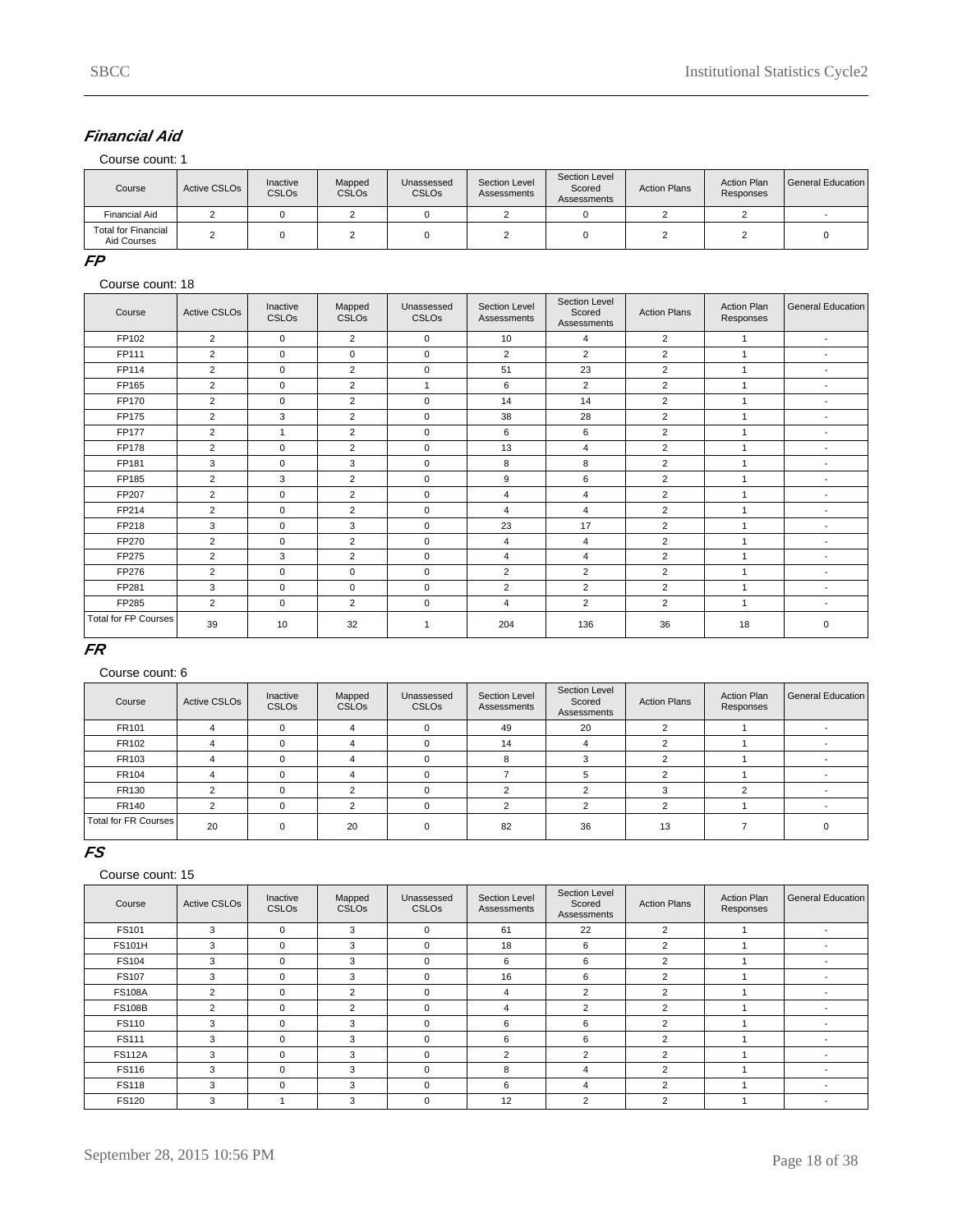# **Financial Aid**

Course count: 1

| Course                                    | Active CSLO <sub>s</sub> | Inactive<br><b>CSLOs</b> | Mapped<br><b>CSLOs</b> | Unassessed<br><b>CSLOs</b> | Section Level<br>Assessments | Section Level<br>Scored<br>Assessments | <b>Action Plans</b> | <b>Action Plan</b><br>Responses | General Education |
|-------------------------------------------|--------------------------|--------------------------|------------------------|----------------------------|------------------------------|----------------------------------------|---------------------|---------------------------------|-------------------|
| <b>Financial Aid</b>                      |                          |                          |                        |                            |                              |                                        |                     |                                 |                   |
| <b>Total for Financial</b><br>Aid Courses |                          |                          |                        |                            |                              |                                        |                     |                                 |                   |

#### **FP**

#### Course count: 18

| Course                      | <b>Active CSLOs</b> | Inactive<br><b>CSLOs</b> | Mapped<br><b>CSLOs</b> | Unassessed<br><b>CSLOs</b> | <b>Section Level</b><br>Assessments | Section Level<br>Scored<br>Assessments | <b>Action Plans</b> | <b>Action Plan</b><br>Responses | General Education        |
|-----------------------------|---------------------|--------------------------|------------------------|----------------------------|-------------------------------------|----------------------------------------|---------------------|---------------------------------|--------------------------|
| FP102                       | 2                   | $\mathbf 0$              | 2                      | $\mathbf 0$                | 10                                  | 4                                      | $\overline{2}$      | 1                               | $\blacksquare$           |
| FP111                       | 2                   | $\mathbf 0$              | 0                      | $\mathbf 0$                | $\overline{2}$                      | $\overline{2}$                         | $\overline{2}$      | $\mathbf{1}$                    | $\blacksquare$           |
| FP114                       | $\overline{2}$      | $\mathbf 0$              | $\overline{2}$         | $\mathbf 0$                | 51                                  | 23                                     | $\overline{2}$      |                                 | $\overline{\phantom{a}}$ |
| FP165                       | $\overline{2}$      | $\mathbf 0$              | $\overline{2}$         | $\mathbf{1}$               | 6                                   | $\overline{2}$                         | 2                   | $\overline{ }$                  | $\overline{\phantom{a}}$ |
| FP170                       | 2                   | $\mathbf 0$              | $\overline{2}$         | $\mathbf 0$                | 14                                  | 14                                     | $\overline{2}$      | 1                               | $\blacksquare$           |
| FP175                       | $\overline{2}$      | 3                        | $\overline{2}$         | $\mathbf 0$                | 38                                  | 28                                     | $\overline{2}$      |                                 | ٠                        |
| <b>FP177</b>                | $\overline{2}$      | 1                        | $\overline{2}$         | $\mathbf 0$                | 6                                   | 6                                      | $\overline{2}$      | 1                               | $\overline{\phantom{a}}$ |
| FP178                       | 2                   | $\mathbf 0$              | $\overline{2}$         | $\mathbf 0$                | 13                                  | $\overline{4}$                         | $\overline{2}$      | 1                               | $\overline{\phantom{a}}$ |
| FP181                       | 3                   | $\mathbf 0$              | 3                      | $\mathbf 0$                | 8                                   | 8                                      | 2                   |                                 | ٠                        |
| FP185                       | $\overline{2}$      | 3                        | $\overline{2}$         | $\mathbf 0$                | 9                                   | 6                                      | 2                   | $\overline{ }$                  | $\overline{\phantom{a}}$ |
| FP207                       | 2                   | $\mathbf 0$              | 2                      | $\mathbf 0$                | $\overline{4}$                      | $\overline{4}$                         | $\overline{2}$      | $\overline{1}$                  | $\overline{\phantom{a}}$ |
| FP214                       | 2                   | $\mathbf 0$              | $\overline{2}$         | $\mathbf 0$                | 4                                   | 4                                      | 2                   | 1                               | $\blacksquare$           |
| FP218                       | 3                   | $\mathbf 0$              | 3                      | $\mathbf 0$                | 23                                  | 17                                     | 2                   | $\overline{ }$                  | $\blacksquare$           |
| FP270                       | 2                   | $\mathbf 0$              | $\overline{2}$         | $\mathbf 0$                | $\overline{4}$                      | 4                                      | $\overline{2}$      | $\mathbf{1}$                    | $\blacksquare$           |
| FP275                       | 2                   | 3                        | $\overline{2}$         | $\mathbf 0$                | 4                                   | 4                                      | 2                   | $\overline{ }$                  | $\blacksquare$           |
| FP276                       | $\overline{2}$      | $\Omega$                 | 0                      | $\mathbf 0$                | 2                                   | $\overline{2}$                         | 2                   | $\overline{ }$                  | $\blacksquare$           |
| FP281                       | 3                   | $\mathbf 0$              | 0                      | $\mathbf 0$                | $\overline{2}$                      | $\overline{2}$                         | $\overline{2}$      | 1                               | $\blacksquare$           |
| FP285                       | $\overline{2}$      | $\mathbf 0$              | $\overline{2}$         | $\mathbf 0$                | 4                                   | $\overline{2}$                         | 2                   | $\overline{ }$                  | $\overline{\phantom{a}}$ |
| <b>Total for FP Courses</b> | 39                  | 10                       | 32                     | -1                         | 204                                 | 136                                    | 36                  | 18                              | 0                        |

#### **FR**

#### Course count: 6

| Course                 | <b>Active CSLOs</b> | Inactive<br><b>CSLOs</b> | Mapped<br><b>CSLOs</b> | Unassessed<br><b>CSLOs</b> | Section Level<br>Assessments | Section Level<br>Scored<br>Assessments | <b>Action Plans</b> | <b>Action Plan</b><br>Responses | General Education |
|------------------------|---------------------|--------------------------|------------------------|----------------------------|------------------------------|----------------------------------------|---------------------|---------------------------------|-------------------|
| FR101                  |                     |                          |                        | $\Omega$                   | 49                           | 20                                     |                     |                                 |                   |
| FR102                  |                     |                          |                        |                            | 14                           |                                        |                     |                                 |                   |
| FR103                  |                     |                          |                        |                            | o                            | 3                                      |                     |                                 |                   |
| FR104                  |                     |                          |                        | $\Omega$                   |                              | 5                                      |                     |                                 |                   |
| FR130                  |                     |                          | $\sqrt{2}$             | $\Omega$                   |                              |                                        |                     |                                 |                   |
| <b>FR140</b>           |                     |                          |                        | $\Omega$                   |                              | $\sim$                                 |                     |                                 |                   |
| Total for FR Courses I | 20                  |                          | 20                     | $\Omega$                   | 82                           | 36                                     | 13                  |                                 |                   |

### **FS**

| Course        | <b>Active CSLOs</b> | Inactive<br>CSLO <sub>s</sub> | Mapped<br>CSLO <sub>s</sub> | Unassessed<br><b>CSLOs</b> | Section Level<br>Assessments | Section Level<br>Scored<br>Assessments | <b>Action Plans</b> | <b>Action Plan</b><br>Responses | General Education |
|---------------|---------------------|-------------------------------|-----------------------------|----------------------------|------------------------------|----------------------------------------|---------------------|---------------------------------|-------------------|
| FS101         | 3                   | $\Omega$                      | 3                           | 0                          | 61                           | 22                                     | 2                   |                                 |                   |
| <b>FS101H</b> | 3                   | $\Omega$                      | 3                           | $\mathbf 0$                | 18                           | 6                                      | 2                   |                                 |                   |
| <b>FS104</b>  | 3                   | $\Omega$                      | 3                           | 0                          | 6                            | 6                                      | 2                   |                                 |                   |
| <b>FS107</b>  | 3                   | $\Omega$                      | 3                           | 0                          | 16                           | 6                                      | $\overline{2}$      |                                 |                   |
| <b>FS108A</b> | $\overline{2}$      | $\Omega$                      | $\overline{2}$              | 0                          | 4                            | $\overline{2}$                         | $\overline{2}$      |                                 |                   |
| <b>FS108B</b> | 2                   | $\Omega$                      | 2                           | $\mathbf 0$                | 4                            | $\overline{2}$                         | 2                   |                                 |                   |
| <b>FS110</b>  | 3                   | $\Omega$                      | 3                           | 0                          | 6                            | 6                                      | 2                   |                                 |                   |
| <b>FS111</b>  | 3                   | $\Omega$                      | 3                           | 0                          | 6                            | 6                                      | $\overline{2}$      |                                 |                   |
| <b>FS112A</b> | 3                   | $\Omega$                      | 3                           | 0                          | 2                            | $\overline{2}$                         | 2                   |                                 |                   |
| <b>FS116</b>  | 3                   | $\Omega$                      | 3                           | 0                          | 8                            | 4                                      | 2                   |                                 |                   |
| <b>FS118</b>  | 3                   | $\Omega$                      | 3                           | $\Omega$                   | 6                            | 4                                      | $\overline{2}$      |                                 |                   |
| <b>FS120</b>  | 3                   |                               | 3                           | $\mathbf 0$                | 12                           | 2                                      | $\sim$              |                                 |                   |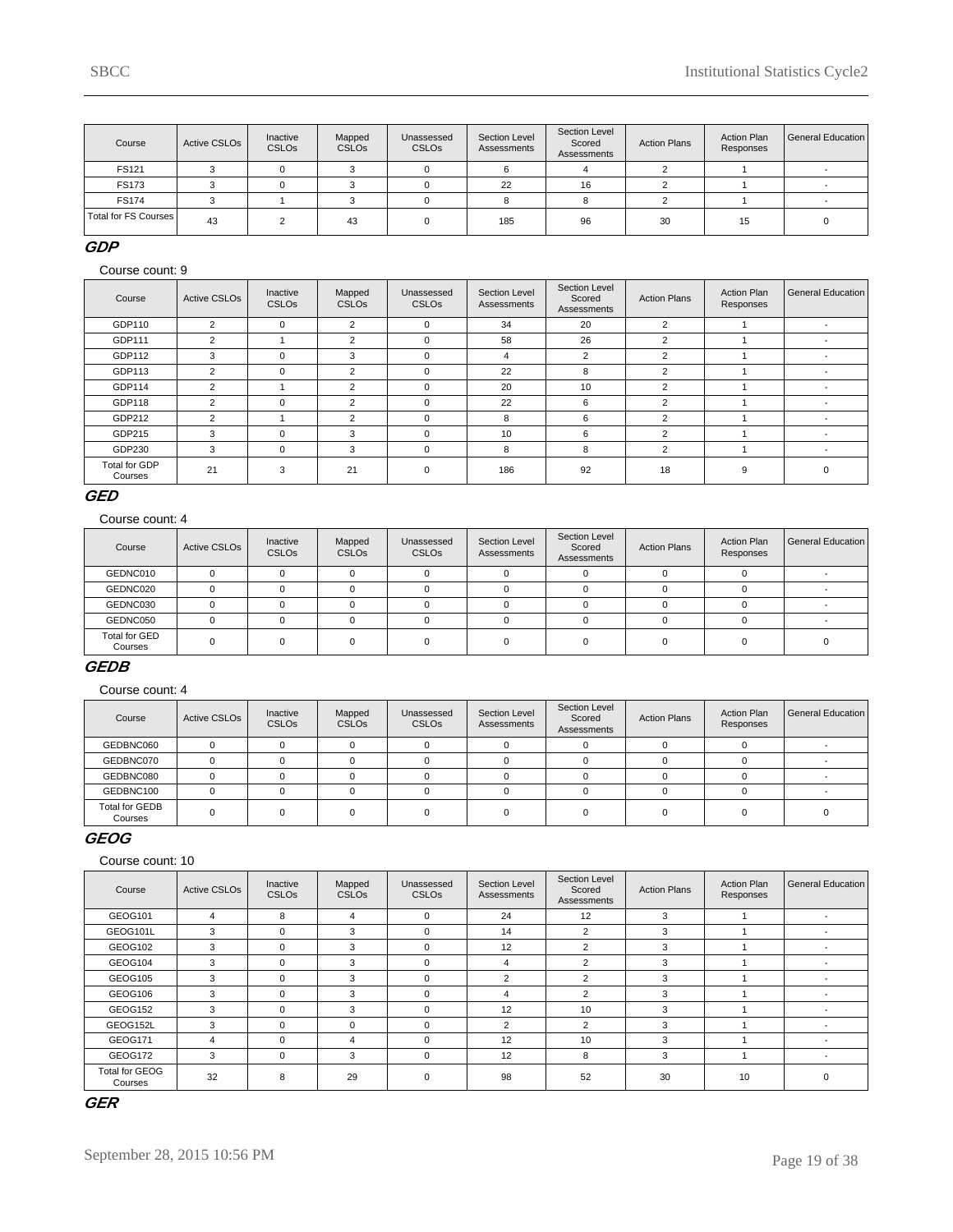| Course                 | <b>Active CSLOs</b> | Inactive<br><b>CSLOs</b> | Mapped<br><b>CSLOs</b> | Unassessed<br><b>CSLOs</b> | Section Level<br>Assessments | Section Level<br>Scored<br>Assessments | <b>Action Plans</b> | <b>Action Plan</b><br>Responses | General Education |
|------------------------|---------------------|--------------------------|------------------------|----------------------------|------------------------------|----------------------------------------|---------------------|---------------------------------|-------------------|
| FS121                  |                     |                          |                        |                            |                              |                                        |                     |                                 |                   |
| <b>FS173</b>           |                     |                          |                        |                            | 22                           | 16                                     |                     |                                 |                   |
| <b>FS174</b>           |                     |                          |                        |                            |                              |                                        |                     |                                 |                   |
| Total for FS Courses I | 43                  |                          | 43                     |                            | 185                          | 96                                     | 30                  | 15                              |                   |

### **GDP**

Course count: 9

| Course                   | <b>Active CSLOs</b> | Inactive<br><b>CSLOs</b> | Mapped<br><b>CSLOs</b> | Unassessed<br><b>CSLOs</b> | Section Level<br>Assessments | Section Level<br>Scored<br>Assessments | <b>Action Plans</b> | <b>Action Plan</b><br>Responses | General Education        |
|--------------------------|---------------------|--------------------------|------------------------|----------------------------|------------------------------|----------------------------------------|---------------------|---------------------------------|--------------------------|
| GDP110                   | 2                   | $\Omega$                 | $\overline{2}$         | $\Omega$                   | 34                           | 20                                     | 2                   |                                 |                          |
| GDP111                   | $\overline{2}$      |                          | $\overline{2}$         | $\Omega$                   | 58                           | 26                                     | 2                   |                                 |                          |
| GDP112                   | 3                   | $\Omega$                 | 3                      | $\Omega$                   | 4                            | 2                                      | 2                   |                                 | $\overline{\phantom{a}}$ |
| GDP113                   | $\overline{2}$      | $\Omega$                 | $\overline{2}$         | $\Omega$                   | 22                           | 8                                      | 2                   |                                 |                          |
| GDP114                   | 2                   |                          | 2                      | $\Omega$                   | 20                           | 10                                     | 2                   |                                 | $\overline{\phantom{a}}$ |
| GDP118                   | 2                   | $\Omega$                 | $\overline{2}$         | $\Omega$                   | 22                           | 6                                      | 2                   |                                 | $\overline{\phantom{0}}$ |
| GDP212                   | $\overline{2}$      |                          | $\overline{2}$         | $\Omega$                   | 8                            | 6                                      | 2                   |                                 | $\overline{\phantom{a}}$ |
| GDP215                   | 3                   | $\Omega$                 | 3                      | $\Omega$                   | 10                           | 6                                      | 2                   |                                 |                          |
| GDP230                   | 3                   | $\Omega$                 | 3                      | $\Omega$                   | 8                            | 8                                      | 2                   |                                 | $\overline{\phantom{a}}$ |
| Total for GDP<br>Courses | 21                  | 3                        | 21                     | $\Omega$                   | 186                          | 92                                     | 18                  | 9                               |                          |

### **GED**

Course count: 4

| Course                   | <b>Active CSLOs</b> | Inactive<br><b>CSLOs</b> | Mapped<br><b>CSLOs</b> | Unassessed<br><b>CSLOs</b> | Section Level<br>Assessments | Section Level<br>Scored<br>Assessments | <b>Action Plans</b> | <b>Action Plan</b><br>Responses | General Education |
|--------------------------|---------------------|--------------------------|------------------------|----------------------------|------------------------------|----------------------------------------|---------------------|---------------------------------|-------------------|
| GEDNC010                 | U                   |                          |                        |                            |                              |                                        |                     |                                 |                   |
| GEDNC020                 |                     |                          |                        |                            |                              |                                        |                     |                                 |                   |
| GEDNC030                 |                     |                          |                        |                            |                              |                                        |                     |                                 |                   |
| GEDNC050                 |                     |                          |                        |                            |                              |                                        |                     |                                 |                   |
| Total for GED<br>Courses |                     |                          |                        |                            |                              |                                        |                     |                                 |                   |

#### **GEDB**

Course count: 4

| Course                    | Active CSLO <sub>s</sub> | Inactive<br><b>CSLOs</b> | Mapped<br><b>CSLOs</b> | Unassessed<br><b>CSLO<sub>s</sub></b> | Section Level<br>Assessments | Section Level<br>Scored<br>Assessments | <b>Action Plans</b> | <b>Action Plan</b><br>Responses | General Education |
|---------------------------|--------------------------|--------------------------|------------------------|---------------------------------------|------------------------------|----------------------------------------|---------------------|---------------------------------|-------------------|
| GEDBNC060                 |                          |                          |                        |                                       |                              |                                        |                     |                                 |                   |
| GEDBNC070                 |                          |                          |                        |                                       |                              |                                        |                     |                                 |                   |
| GEDBNC080                 |                          |                          |                        |                                       |                              |                                        |                     |                                 |                   |
| GEDBNC100                 |                          |                          |                        |                                       |                              |                                        |                     |                                 |                   |
| Total for GEDB<br>Courses |                          |                          |                        |                                       |                              |                                        |                     |                                 |                   |

### **GEOG**

Course count: 10

| Course                           | <b>Active CSLOs</b> | Inactive<br>CSLO <sub>s</sub> | Mapped<br><b>CSLOs</b> | Unassessed<br><b>CSLOs</b> | Section Level<br>Assessments | Section Level<br>Scored<br>Assessments | <b>Action Plans</b> | Action Plan<br>Responses | <b>General Education</b> |
|----------------------------------|---------------------|-------------------------------|------------------------|----------------------------|------------------------------|----------------------------------------|---------------------|--------------------------|--------------------------|
| GEOG101                          | $\overline{4}$      | 8                             | 4                      | $\mathbf 0$                | 24                           | 12                                     | 3                   |                          |                          |
| GEOG101L                         | 3                   | $\Omega$                      | 3                      | $\Omega$                   | 14                           | $\overline{2}$                         | 3                   |                          |                          |
| GEOG102                          | 3                   | $\Omega$                      | 3                      | 0                          | 12                           | $\overline{2}$                         | 3                   |                          | $\overline{\phantom{a}}$ |
| GEOG104                          | 3                   | $\Omega$                      | 3                      | $\mathbf 0$                | 4                            | 2                                      | 3                   |                          |                          |
| GEOG105                          | 3                   | $\Omega$                      | 3                      | $\Omega$                   | $\overline{2}$               | $\overline{2}$                         | 3                   |                          |                          |
| GEOG106                          | 3                   | $\Omega$                      | 3                      | 0                          | 4                            | 2                                      | 3                   |                          | $\overline{\phantom{a}}$ |
| GEOG152                          | 3                   | $\Omega$                      | 3                      | $\mathbf 0$                | 12                           | 10                                     | 3                   |                          |                          |
| GEOG152L                         | 3                   | $\Omega$                      | $\Omega$               | $\Omega$                   | $\overline{2}$               | $\overline{2}$                         | 3                   |                          | $\overline{\phantom{0}}$ |
| GEOG171                          | 4                   | $\Omega$                      | 4                      | $\Omega$                   | 12                           | 10                                     | 3                   |                          | $\overline{\phantom{a}}$ |
| GEOG172                          | 3                   | $\Omega$                      | 3                      | $\mathbf 0$                | 12                           | 8                                      | 3                   |                          | $\overline{\phantom{a}}$ |
| <b>Total for GEOG</b><br>Courses | 32                  | 8                             | 29                     | 0                          | 98                           | 52                                     | 30                  | 10                       | $\Omega$                 |

**GER**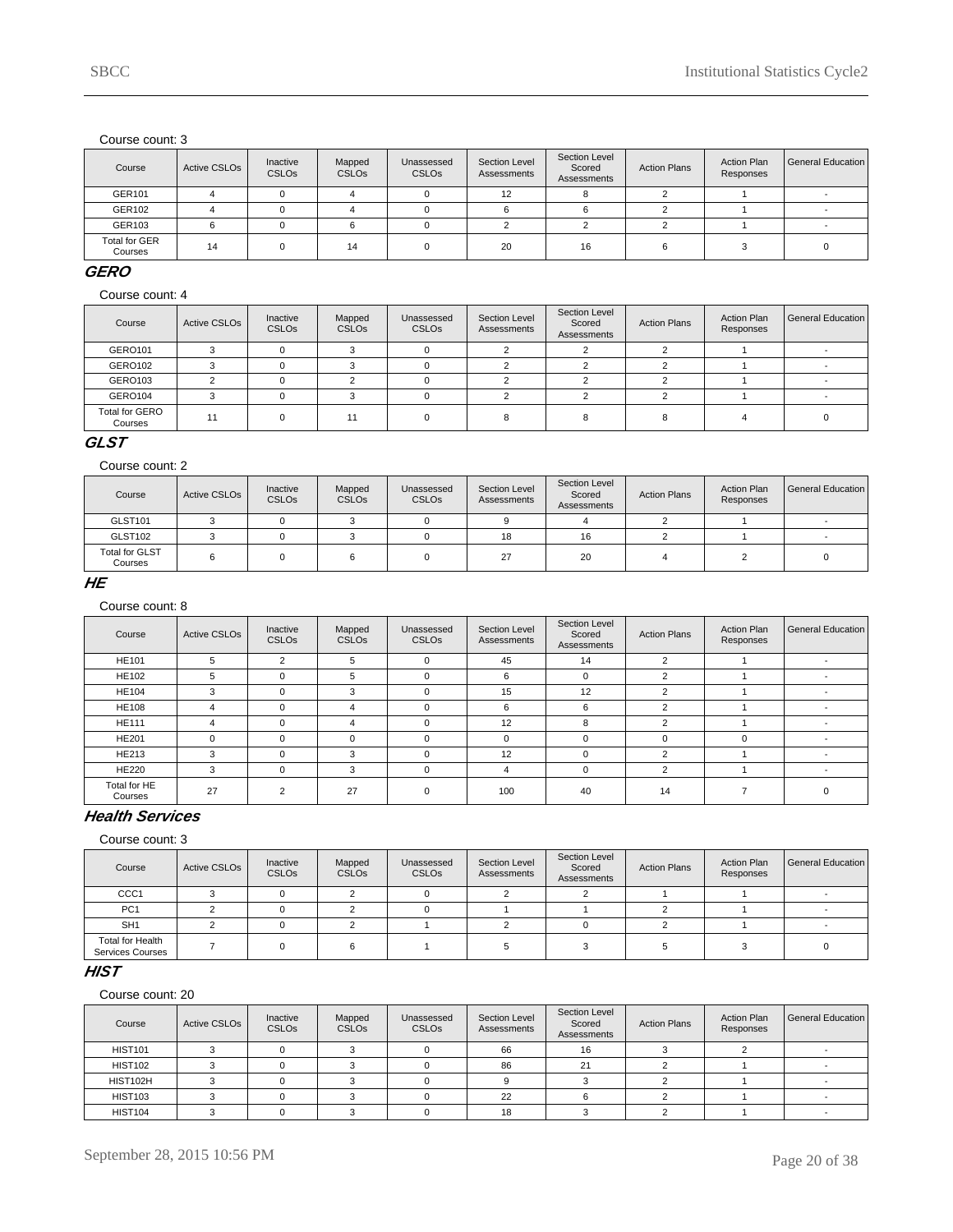| Course                          | Active CSLO <sub>s</sub> | Inactive<br><b>CSLOs</b> | Mapped<br><b>CSLOs</b> | Unassessed<br><b>CSLOs</b> | Section Level<br>Assessments | Section Level<br>Scored<br>Assessments | <b>Action Plans</b> | <b>Action Plan</b><br>Responses | General Education |
|---------------------------------|--------------------------|--------------------------|------------------------|----------------------------|------------------------------|----------------------------------------|---------------------|---------------------------------|-------------------|
| GER101                          |                          |                          |                        |                            | 12                           |                                        |                     |                                 |                   |
| GER102                          |                          |                          |                        |                            |                              |                                        |                     |                                 |                   |
| GER103                          |                          |                          |                        |                            |                              |                                        |                     |                                 |                   |
| <b>Total for GER</b><br>Courses | 14                       |                          | 14                     |                            | 20                           | 16                                     |                     |                                 |                   |

#### **GERO**

Course count: 4

| Course                           | <b>Active CSLOs</b> | Inactive<br>CSLO <sub>s</sub> | Mapped<br><b>CSLOs</b> | Unassessed<br><b>CSLOs</b> | Section Level<br>Assessments | Section Level<br>Scored<br>Assessments | <b>Action Plans</b> | <b>Action Plan</b><br>Responses | General Education |
|----------------------------------|---------------------|-------------------------------|------------------------|----------------------------|------------------------------|----------------------------------------|---------------------|---------------------------------|-------------------|
| <b>GERO101</b>                   |                     |                               |                        |                            |                              |                                        |                     |                                 |                   |
| GERO102                          |                     |                               |                        |                            |                              |                                        |                     |                                 |                   |
| GERO103                          |                     |                               |                        |                            |                              |                                        |                     |                                 |                   |
| GERO104                          |                     |                               |                        |                            |                              |                                        |                     |                                 |                   |
| <b>Total for GERO</b><br>Courses | 11                  |                               | 11                     |                            |                              |                                        |                     |                                 |                   |

### **GLST**

#### Course count: 2

| Course                           | Active CSLOs | Inactive<br><b>CSLOs</b> | Mapped<br><b>CSLOs</b> | Unassessed<br>CSLO <sub>s</sub> | Section Level<br>Assessments | Section Level<br>Scored<br>Assessments | <b>Action Plans</b> | <b>Action Plan</b><br>Responses | General Education |
|----------------------------------|--------------|--------------------------|------------------------|---------------------------------|------------------------------|----------------------------------------|---------------------|---------------------------------|-------------------|
| GLST101                          |              |                          |                        |                                 |                              |                                        |                     |                                 |                   |
| GLST102                          |              |                          |                        |                                 | 18                           | 16                                     |                     |                                 |                   |
| <b>Total for GLST</b><br>Courses |              |                          |                        |                                 | 27                           | 20                                     |                     |                                 |                   |

### **HE**

Course count: 8

| Course                  | <b>Active CSLOs</b> | Inactive<br><b>CSLOs</b> | Mapped<br><b>CSLOs</b> | Unassessed<br><b>CSLOs</b> | Section Level<br>Assessments | Section Level<br>Scored<br>Assessments | <b>Action Plans</b> | <b>Action Plan</b><br>Responses | General Education I      |
|-------------------------|---------------------|--------------------------|------------------------|----------------------------|------------------------------|----------------------------------------|---------------------|---------------------------------|--------------------------|
| <b>HE101</b>            | 5                   | $\overline{2}$           | 5                      | $\mathbf 0$                | 45                           | 14                                     | $\overline{2}$      |                                 | $\overline{\phantom{a}}$ |
| <b>HE102</b>            | 5                   |                          | 5                      | $\Omega$                   | 6                            | $\Omega$                               |                     |                                 | $\overline{\phantom{a}}$ |
| <b>HE104</b>            | 3                   |                          | 3                      | $\Omega$                   | 15                           | 12                                     |                     |                                 |                          |
| <b>HE108</b>            | 4                   |                          | 4                      | $\Omega$                   | 6                            | 6                                      | ◠                   |                                 |                          |
| <b>HE111</b>            | 4                   | $\Omega$                 | 4                      | $\mathbf 0$                | 12                           | 8                                      | ົ                   |                                 |                          |
| <b>HE201</b>            | $\Omega$            | $\Omega$                 | $\Omega$               | $\mathbf 0$                | $\mathbf 0$                  | $\Omega$                               | $\Omega$            |                                 | $\overline{\phantom{a}}$ |
| <b>HE213</b>            | 3                   | $\Omega$                 | 3                      | $\Omega$                   | 12                           | $\Omega$                               | າ                   |                                 | $\overline{\phantom{0}}$ |
| <b>HE220</b>            | 3                   | $\Omega$                 | 3                      | $\Omega$                   | 4                            | $\Omega$                               | 2                   |                                 | $\overline{\phantom{a}}$ |
| Total for HE<br>Courses | 27                  | $\Omega$                 | 27                     | $\Omega$                   | 100                          | 40                                     | 14                  |                                 |                          |

# **Health Services**

Course count: 3

| Course                                             | Active CSLOs | Inactive<br><b>CSLOs</b> | Mapped<br><b>CSLOs</b> | Unassessed<br><b>CSLOs</b> | Section Level<br>Assessments | Section Level<br>Scored<br>Assessments | <b>Action Plans</b> | <b>Action Plan</b><br>Responses | General Education |
|----------------------------------------------------|--------------|--------------------------|------------------------|----------------------------|------------------------------|----------------------------------------|---------------------|---------------------------------|-------------------|
| CCC <sub>1</sub>                                   |              |                          |                        |                            |                              |                                        |                     |                                 |                   |
| PC <sub>1</sub>                                    |              |                          |                        |                            |                              |                                        |                     |                                 |                   |
| SH <sub>1</sub>                                    |              |                          |                        |                            |                              |                                        |                     |                                 |                   |
| <b>Total for Health</b><br><b>Services Courses</b> |              |                          |                        |                            |                              |                                        |                     |                                 |                   |

### **HIST**

| Course         | Active CSLO <sub>s</sub> | Inactive<br><b>CSLOs</b> | Mapped<br><b>CSLOs</b> | Unassessed<br><b>CSLOs</b> | Section Level<br>Assessments | Section Level<br>Scored<br>Assessments | <b>Action Plans</b> | <b>Action Plan</b><br>Responses | <b>General Education</b> |
|----------------|--------------------------|--------------------------|------------------------|----------------------------|------------------------------|----------------------------------------|---------------------|---------------------------------|--------------------------|
| <b>HIST101</b> |                          |                          |                        |                            | 66                           | 16                                     |                     |                                 |                          |
| <b>HIST102</b> |                          |                          |                        |                            | 86                           | 21                                     |                     |                                 |                          |
| HIST102H       |                          |                          |                        |                            |                              |                                        |                     |                                 |                          |
| <b>HIST103</b> |                          |                          |                        |                            | 22                           |                                        |                     |                                 |                          |
| <b>HIST104</b> |                          |                          |                        |                            | 18                           |                                        |                     |                                 |                          |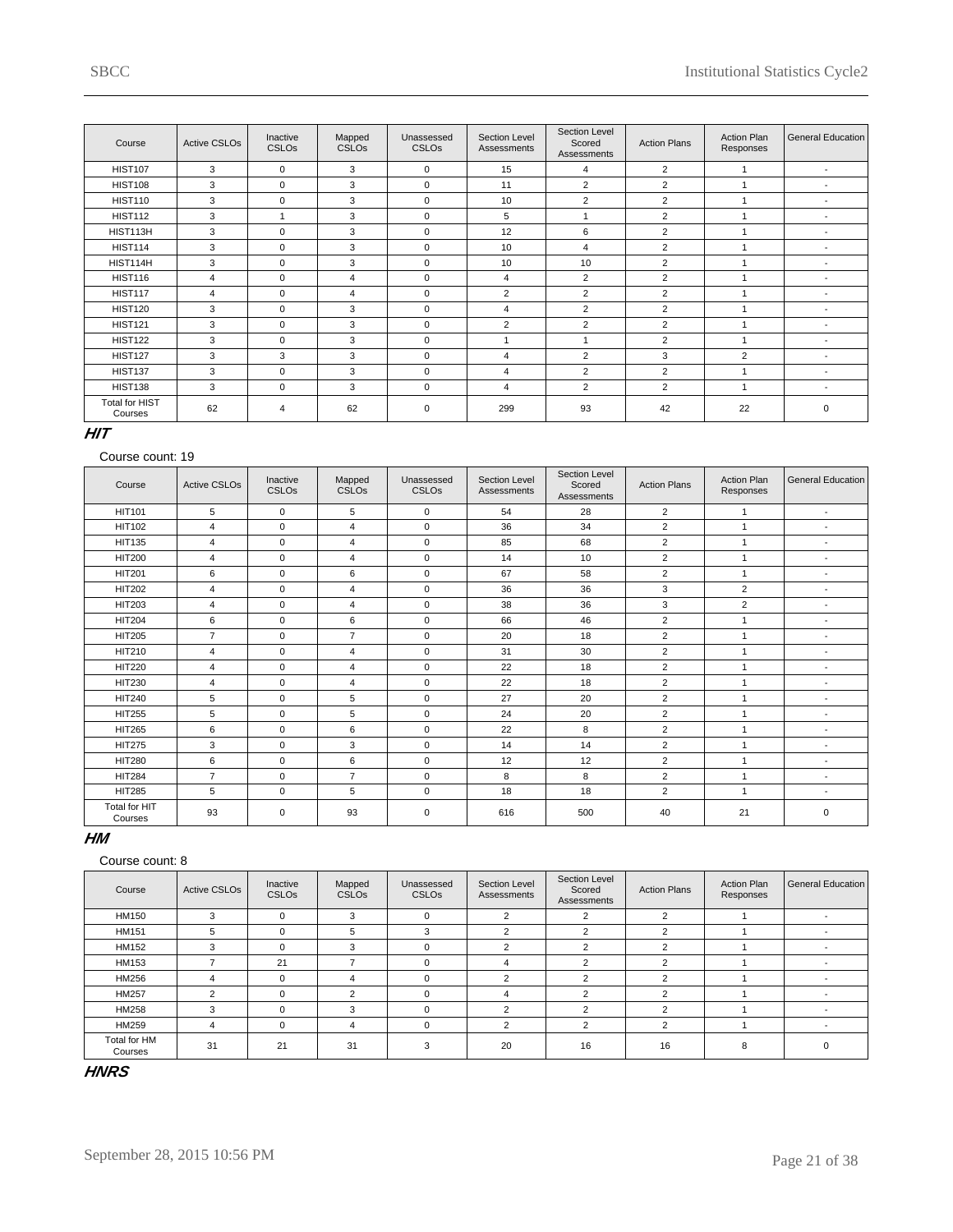| Course                    | <b>Active CSLOs</b> | Inactive<br><b>CSLOs</b> | Mapped<br>CSLO <sub>s</sub> | Unassessed<br>CSLO <sub>s</sub> | Section Level<br>Assessments | Section Level<br>Scored<br>Assessments | <b>Action Plans</b> | <b>Action Plan</b><br>Responses | General Education        |
|---------------------------|---------------------|--------------------------|-----------------------------|---------------------------------|------------------------------|----------------------------------------|---------------------|---------------------------------|--------------------------|
| <b>HIST107</b>            | 3                   | $\Omega$                 | 3                           | $\mathbf 0$                     | 15                           | 4                                      | $\overline{2}$      |                                 | $\overline{\phantom{a}}$ |
| <b>HIST108</b>            | 3                   | $\Omega$                 | 3                           | $\Omega$                        | 11                           | $\overline{2}$                         | $\overline{2}$      |                                 | $\overline{\phantom{a}}$ |
| <b>HIST110</b>            | 3                   | $\mathbf 0$              | 3                           | $\mathbf 0$                     | 10                           | 2                                      | $\overline{2}$      |                                 | $\overline{\phantom{a}}$ |
| <b>HIST112</b>            | 3                   |                          | 3                           | $\mathbf 0$                     | 5                            |                                        | $\overline{2}$      |                                 | $\overline{\phantom{a}}$ |
| HIST113H                  | 3                   | $\mathbf 0$              | 3                           | $\mathbf 0$                     | 12                           | 6                                      | $\overline{2}$      |                                 | $\overline{\phantom{a}}$ |
| <b>HIST114</b>            | 3                   | $\Omega$                 | 3                           | $\mathbf 0$                     | 10                           | 4                                      | $\overline{2}$      |                                 | $\overline{\phantom{a}}$ |
| HIST114H                  | 3                   | $\Omega$                 | 3                           | $\Omega$                        | 10                           | 10                                     | $\overline{2}$      |                                 |                          |
| <b>HIST116</b>            | 4                   | $\Omega$                 | 4                           | $\mathbf 0$                     | 4                            | $\overline{2}$                         | $\overline{2}$      |                                 |                          |
| <b>HIST117</b>            | 4                   | $\Omega$                 | 4                           | $\Omega$                        | $\overline{2}$               | $\overline{2}$                         | $\overline{2}$      |                                 |                          |
| <b>HIST120</b>            | 3                   | $\mathbf 0$              | 3                           | $\mathbf 0$                     | $\overline{4}$               | 2                                      | $\overline{2}$      |                                 | <b>.</b>                 |
| <b>HIST121</b>            | 3                   | $\Omega$                 | 3                           | $\Omega$                        | $\overline{2}$               | $\overline{2}$                         | $\overline{2}$      |                                 | $\overline{\phantom{a}}$ |
| <b>HIST122</b>            | 3                   | $\Omega$                 | 3                           | $\mathbf 0$                     |                              | 1                                      | $\overline{2}$      |                                 | $\sim$                   |
| <b>HIST127</b>            | 3                   | 3                        | 3                           | $\mathbf 0$                     | 4                            | $\overline{2}$                         | 3                   | 2                               | $\overline{\phantom{a}}$ |
| <b>HIST137</b>            | 3                   | $\Omega$                 | 3                           | $\mathbf 0$                     | $\overline{4}$               | $\overline{2}$                         | $\overline{2}$      |                                 | $\overline{\phantom{a}}$ |
| <b>HIST138</b>            | 3                   | $\Omega$                 | 3                           | $\mathbf 0$                     | $\overline{4}$               | $\overline{2}$                         | $\overline{2}$      | ٠                               | $\overline{\phantom{a}}$ |
| Total for HIST<br>Courses | 62                  | 4                        | 62                          | $\mathbf 0$                     | 299                          | 93                                     | 42                  | 22                              | $\mathbf 0$              |

### **HIT**

#### Course count: 19

| Course                   | <b>Active CSLOs</b> | Inactive<br><b>CSLOs</b> | Mapped<br><b>CSLOs</b> | Unassessed<br><b>CSLOs</b> | <b>Section Level</b><br>Assessments | Section Level<br>Scored<br>Assessments | <b>Action Plans</b> | <b>Action Plan</b><br>Responses | <b>General Education</b> |
|--------------------------|---------------------|--------------------------|------------------------|----------------------------|-------------------------------------|----------------------------------------|---------------------|---------------------------------|--------------------------|
| <b>HIT101</b>            | 5                   | $\mathbf 0$              | 5                      | $\mathbf 0$                | 54                                  | 28                                     | $\overline{2}$      |                                 | $\overline{\phantom{a}}$ |
| <b>HIT102</b>            | 4                   | $\mathbf 0$              | 4                      | $\mathbf 0$                | 36                                  | 34                                     | $\overline{2}$      | 1                               | $\overline{\phantom{a}}$ |
| <b>HIT135</b>            | 4                   | $\mathbf 0$              | 4                      | $\mathbf 0$                | 85                                  | 68                                     | $\overline{2}$      | 1                               | $\blacksquare$           |
| <b>HIT200</b>            | 4                   | $\mathbf 0$              | 4                      | $\mathbf 0$                | 14                                  | 10                                     | $\overline{2}$      | 1                               |                          |
| <b>HIT201</b>            | 6                   | $\mathbf 0$              | 6                      | $\mathbf 0$                | 67                                  | 58                                     | $\overline{2}$      | 1                               | $\overline{\phantom{a}}$ |
| <b>HIT202</b>            | 4                   | $\mathbf 0$              | $\overline{4}$         | $\mathbf 0$                | 36                                  | 36                                     | 3                   | $\overline{2}$                  | $\blacksquare$           |
| <b>HIT203</b>            | 4                   | $\mathbf 0$              | 4                      | $\mathbf 0$                | 38                                  | 36                                     | 3                   | $\overline{2}$                  | $\overline{\phantom{a}}$ |
| <b>HIT204</b>            | 6                   | $\mathbf 0$              | 6                      | $\mathbf 0$                | 66                                  | 46                                     | $\overline{2}$      | 1                               |                          |
| <b>HIT205</b>            | $\overline{7}$      | $\mathbf 0$              | $\overline{7}$         | $\mathbf 0$                | 20                                  | 18                                     | $\overline{2}$      | 1                               | $\overline{\phantom{0}}$ |
| HIT210                   | 4                   | $\mathbf 0$              | $\overline{4}$         | $\mathbf 0$                | 31                                  | 30                                     | $\overline{2}$      | 1                               | $\overline{\phantom{a}}$ |
| <b>HIT220</b>            | 4                   | $\mathbf 0$              | 4                      | $\mathbf 0$                | 22                                  | 18                                     | $\overline{2}$      | 1                               | $\overline{\phantom{a}}$ |
| <b>HIT230</b>            | 4                   | $\mathbf 0$              | 4                      | $\mathbf 0$                | 22                                  | 18                                     | $\overline{2}$      | 4                               | $\blacksquare$           |
| <b>HIT240</b>            | 5                   | $\mathbf 0$              | 5                      | $\mathbf 0$                | 27                                  | 20                                     | $\overline{2}$      | 1                               | $\blacksquare$           |
| <b>HIT255</b>            | 5                   | $\mathbf 0$              | 5                      | $\mathbf 0$                | 24                                  | 20                                     | $\overline{2}$      |                                 | $\overline{\phantom{a}}$ |
| <b>HIT265</b>            | 6                   | $\mathbf 0$              | 6                      | $\mathbf 0$                | 22                                  | 8                                      | $\overline{2}$      | 1                               | $\overline{\phantom{a}}$ |
| <b>HIT275</b>            | 3                   | $\mathbf 0$              | 3                      | $\mathbf 0$                | 14                                  | 14                                     | $\overline{2}$      | 4                               | $\blacksquare$           |
| <b>HIT280</b>            | 6                   | $\mathbf 0$              | 6                      | $\mathbf 0$                | 12                                  | 12                                     | $\overline{2}$      | 1                               |                          |
| <b>HIT284</b>            | $\overline{7}$      | $\mathbf 0$              | $\overline{7}$         | $\mathbf 0$                | 8                                   | 8                                      | $\overline{2}$      | 1                               | $\overline{\phantom{a}}$ |
| <b>HIT285</b>            | 5                   | $\mathbf 0$              | 5                      | $\mathbf 0$                | 18                                  | 18                                     | $\overline{2}$      | 1                               | $\overline{\phantom{a}}$ |
| Total for HIT<br>Courses | 93                  | $\mathbf 0$              | 93                     | $\mathbf 0$                | 616                                 | 500                                    | 40                  | 21                              | $\pmb{0}$                |

### **HM**

### Course count: 8

| Course                  | <b>Active CSLOs</b> | Inactive<br><b>CSLOs</b> | Mapped<br><b>CSLOs</b> | Unassessed<br><b>CSLOs</b> | Section Level<br>Assessments | Section Level<br>Scored<br>Assessments | <b>Action Plans</b> | <b>Action Plan</b><br>Responses | General Education        |
|-------------------------|---------------------|--------------------------|------------------------|----------------------------|------------------------------|----------------------------------------|---------------------|---------------------------------|--------------------------|
| <b>HM150</b>            | 3                   | $\Omega$                 | 3                      | $\mathbf 0$                | $\overline{2}$               | $\overline{2}$                         | $\overline{2}$      |                                 |                          |
| <b>HM151</b>            | 5                   | $\Omega$                 | 5                      | 3                          | $\overline{2}$               | 2                                      | 2                   |                                 |                          |
| <b>HM152</b>            | 3                   | $\Omega$                 | 3                      | $\Omega$                   | $\overline{2}$               | 2                                      | 2                   |                                 | $\overline{\phantom{a}}$ |
| <b>HM153</b>            |                     | 21                       | -                      | $\Omega$                   | 4                            | $\overline{2}$                         | 2                   |                                 | $\overline{\phantom{a}}$ |
| HM256                   | 4                   | O                        | 4                      | $\Omega$                   | $\overline{2}$               | 2                                      | 2                   |                                 |                          |
| <b>HM257</b>            | $\overline{2}$      |                          | $\mathcal{P}$          | $\Omega$                   | 4                            | $\overline{2}$                         | $\overline{2}$      |                                 |                          |
| <b>HM258</b>            | 3                   |                          | 3                      | $\Omega$                   | $\mathfrak{p}$               | 2                                      | $\mathfrak{p}$      |                                 |                          |
| HM259                   | 4                   |                          | 4                      | $\Omega$                   | $\overline{2}$               | 2                                      | $\overline{2}$      |                                 |                          |
| Total for HM<br>Courses | 31                  | 21                       | 31                     | 3                          | 20                           | 16                                     | 16                  | 8                               |                          |

# **HNRS**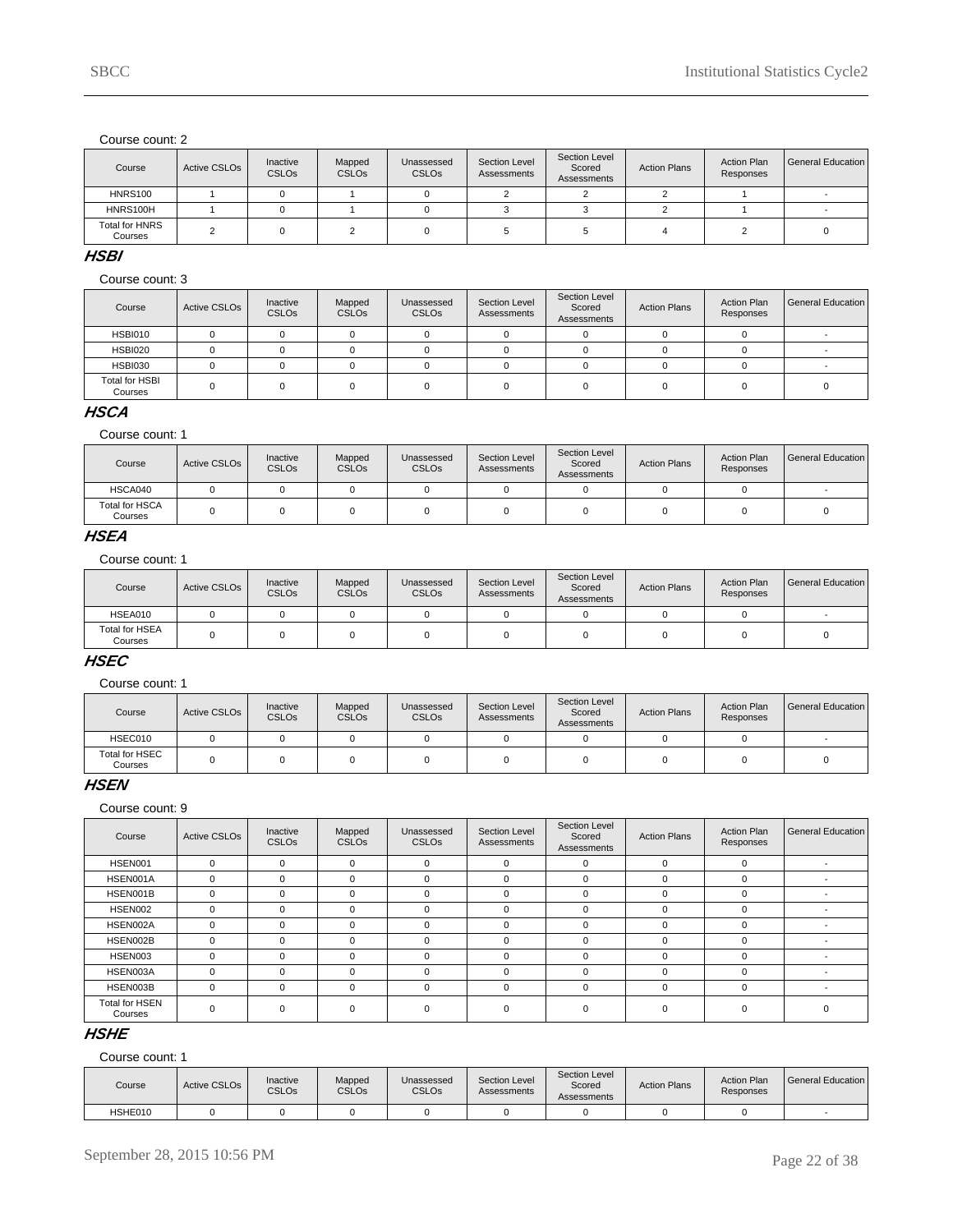| Course                           | Active CSLO <sub>s</sub> | Inactive<br><b>CSLOs</b> | Mapped<br><b>CSLOs</b> | Unassessed<br><b>CSLOs</b> | Section Level<br>Assessments | Section Level<br>Scored<br>Assessments | <b>Action Plans</b> | <b>Action Plan</b><br>Responses | General Education |
|----------------------------------|--------------------------|--------------------------|------------------------|----------------------------|------------------------------|----------------------------------------|---------------------|---------------------------------|-------------------|
| <b>HNRS100</b>                   |                          |                          |                        |                            |                              |                                        |                     |                                 |                   |
| HNRS100H                         |                          |                          |                        |                            |                              |                                        |                     |                                 |                   |
| <b>Total for HNRS</b><br>Courses |                          |                          |                        |                            |                              |                                        |                     |                                 |                   |

#### **HSBI**

#### Course count: 3

| Course                           | Active CSLO <sub>s</sub> | Inactive<br><b>CSLOs</b> | Mapped<br><b>CSLOs</b> | Unassessed<br><b>CSLOs</b> | Section Level<br>Assessments | Section Level<br>Scored<br>Assessments | <b>Action Plans</b> | <b>Action Plan</b><br>Responses | General Education |
|----------------------------------|--------------------------|--------------------------|------------------------|----------------------------|------------------------------|----------------------------------------|---------------------|---------------------------------|-------------------|
| <b>HSBI010</b>                   |                          |                          |                        |                            |                              |                                        |                     |                                 |                   |
| <b>HSBI020</b>                   |                          |                          |                        |                            |                              |                                        |                     |                                 |                   |
| <b>HSBI030</b>                   |                          |                          |                        |                            |                              |                                        |                     |                                 |                   |
| <b>Total for HSBI</b><br>Courses |                          |                          |                        |                            |                              |                                        |                     |                                 |                   |

### **HSCA**

Course count: 1

| Course                           | <b>Active CSLOs</b> | Inactive<br><b>CSLOs</b> | Mapped<br><b>CSLOs</b> | Unassessed<br><b>CSLOs</b> | Section Level<br>Assessments | Section Level<br>Scored<br>Assessments | <b>Action Plans</b> | <b>Action Plan</b><br>Responses | <b>General Education</b> |
|----------------------------------|---------------------|--------------------------|------------------------|----------------------------|------------------------------|----------------------------------------|---------------------|---------------------------------|--------------------------|
| HSCA040                          |                     |                          |                        |                            |                              |                                        |                     |                                 |                          |
| <b>Total for HSCA</b><br>Courses |                     |                          |                        |                            |                              |                                        |                     |                                 |                          |

# **HSEA**

Course count: 1

| Course                           | Active CSLO <sub>s</sub> | Inactive<br><b>CSLOs</b> | Mapped<br><b>CSLOs</b> | Unassessed<br><b>CSLOs</b> | Section Level<br>Assessments | Section Level<br>Scored<br>Assessments | <b>Action Plans</b> | <b>Action Plan</b><br>Responses | l General Education |
|----------------------------------|--------------------------|--------------------------|------------------------|----------------------------|------------------------------|----------------------------------------|---------------------|---------------------------------|---------------------|
| HSEA010                          |                          |                          |                        |                            |                              |                                        |                     |                                 |                     |
| <b>Total for HSEA</b><br>Courses |                          |                          |                        |                            |                              |                                        |                     |                                 |                     |

# **HSEC**

Course count: 1

| Course                    | Active CSLO <sub>s</sub> | Inactive<br><b>CSLOs</b> | Mapped<br><b>CSLOs</b> | Unassessed<br><b>CSLOs</b> | Section Level<br>Assessments | Section Level<br>Scored<br>Assessments | <b>Action Plans</b> | <b>Action Plan</b><br>Responses | General Education |
|---------------------------|--------------------------|--------------------------|------------------------|----------------------------|------------------------------|----------------------------------------|---------------------|---------------------------------|-------------------|
| HSEC010                   |                          |                          |                        |                            |                              |                                        |                     |                                 |                   |
| Total for HSEC<br>Courses |                          |                          |                        |                            |                              |                                        |                     |                                 |                   |

#### **HSEN**

Course count: 9

| Course                           | <b>Active CSLOs</b> | Inactive<br><b>CSLOs</b> | Mapped<br><b>CSLOs</b> | Unassessed<br><b>CSLOs</b> | Section Level<br>Assessments | Section Level<br>Scored<br>Assessments | <b>Action Plans</b> | <b>Action Plan</b><br>Responses | General Education |
|----------------------------------|---------------------|--------------------------|------------------------|----------------------------|------------------------------|----------------------------------------|---------------------|---------------------------------|-------------------|
| HSEN001                          | 0                   | $\Omega$                 | $\Omega$               | $\mathbf 0$                | 0                            | $\Omega$                               | $\Omega$            |                                 |                   |
| HSEN001A                         | 0                   | $\Omega$                 | $\Omega$               | $\Omega$                   | $\mathbf 0$                  | $\Omega$                               | $\Omega$            |                                 |                   |
| HSEN001B                         | $\mathbf 0$         | $\Omega$                 | $\Omega$               | $\Omega$                   | 0                            | $\Omega$                               | $\Omega$            |                                 |                   |
| HSEN002                          | 0                   | $\Omega$                 | $\Omega$               | $\Omega$                   | 0                            | $\Omega$                               | $\Omega$            |                                 |                   |
| HSEN002A                         | 0                   | $\Omega$                 | $\Omega$               | $\Omega$                   | 0                            | $\Omega$                               |                     |                                 |                   |
| HSEN002B                         | 0                   | $\Omega$                 | $\Omega$               | $\Omega$                   | 0                            | $\Omega$                               | $\Omega$            |                                 |                   |
| HSEN003                          | 0                   | $\Omega$                 | $\Omega$               | $\Omega$                   | 0                            | $\Omega$                               |                     |                                 |                   |
| HSEN003A                         | 0                   | $\Omega$                 | $\Omega$               | $\Omega$                   | $\Omega$                     | $\Omega$                               | $\Omega$            |                                 |                   |
| HSEN003B                         | 0                   | $\mathbf 0$              | $\Omega$               | $\mathbf 0$                | $\mathbf 0$                  | $\mathbf 0$                            |                     |                                 |                   |
| <b>Total for HSEN</b><br>Courses | 0                   | $\Omega$                 | $\Omega$               | $\mathbf 0$                | 0                            |                                        |                     |                                 |                   |

# **HSHE**

| Course  | Active CSLO <sub>s</sub> | Inactive<br><b>CSLOs</b> | Mapped<br>CSLOs | Unassessed<br><b>CSLOs</b> | Section Level<br>Assessments | Section Level<br>Scored<br>Assessments | <b>Action Plans</b> | <b>Action Plan</b><br>Responses | General Education I |
|---------|--------------------------|--------------------------|-----------------|----------------------------|------------------------------|----------------------------------------|---------------------|---------------------------------|---------------------|
| HSHE010 |                          |                          |                 |                            |                              |                                        |                     |                                 |                     |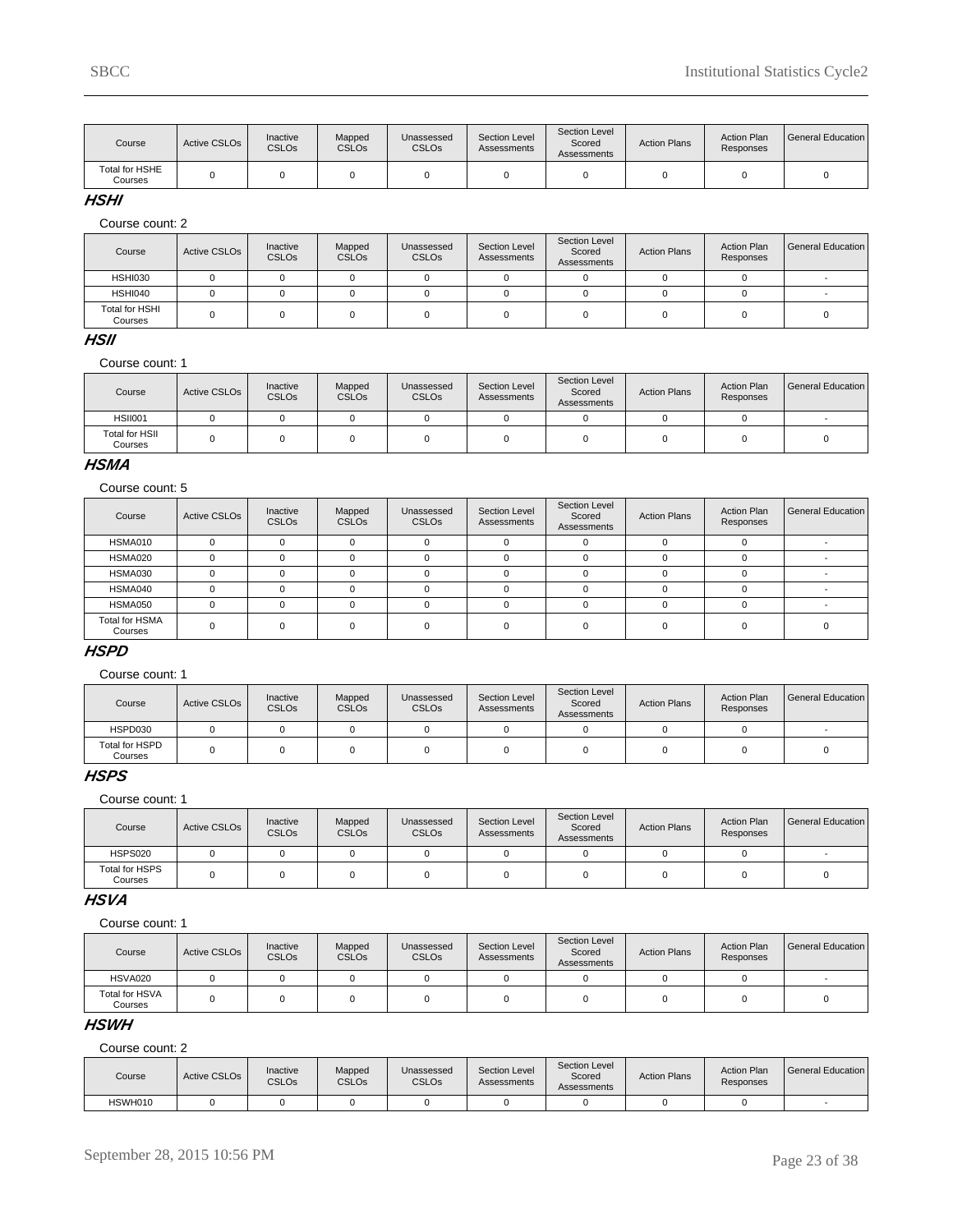| Course                    | Active CSLO <sub>s</sub> | Inactive<br><b>CSLOs</b> | Mapped<br><b>CSLOs</b> | Unassessed<br><b>CSLO<sub>s</sub></b> | Section Level<br>Assessments | Section Level<br>Scored<br>Assessments | <b>Action Plans</b> | <b>Action Plan</b><br>Responses | General Education |
|---------------------------|--------------------------|--------------------------|------------------------|---------------------------------------|------------------------------|----------------------------------------|---------------------|---------------------------------|-------------------|
| Total for HSHE<br>Courses |                          |                          |                        |                                       |                              |                                        |                     |                                 |                   |

#### **HSHI**

Course count: 2

| Course                           | <b>Active CSLOs</b> | Inactive<br><b>CSLOs</b> | Mapped<br><b>CSLOs</b> | Unassessed<br>CSLO <sub>s</sub> | Section Level<br>Assessments | Section Level<br>Scored<br>Assessments | <b>Action Plans</b> | <b>Action Plan</b><br>Responses | General Education |
|----------------------------------|---------------------|--------------------------|------------------------|---------------------------------|------------------------------|----------------------------------------|---------------------|---------------------------------|-------------------|
| HSHI030                          |                     |                          |                        |                                 |                              |                                        |                     |                                 |                   |
| HSHI040                          |                     |                          |                        |                                 |                              |                                        |                     |                                 |                   |
| <b>Total for HSHI</b><br>Courses |                     |                          |                        |                                 |                              |                                        |                     |                                 |                   |

### **HSII**

#### Course count: 1

| Course                           | Active CSLO <sub>s</sub> | Inactive<br><b>CSLOs</b> | Mapped<br><b>CSLOs</b> | Unassessed<br><b>CSLOs</b> | Section Level<br>Assessments | Section Level<br>Scored<br>Assessments | <b>Action Plans</b> | <b>Action Plan</b><br>Responses | l General Education |
|----------------------------------|--------------------------|--------------------------|------------------------|----------------------------|------------------------------|----------------------------------------|---------------------|---------------------------------|---------------------|
| <b>HSII001</b>                   |                          |                          |                        |                            |                              |                                        |                     |                                 |                     |
| <b>Total for HSII</b><br>Courses |                          |                          |                        |                            |                              |                                        |                     |                                 |                     |

#### **HSMA**

#### Course count: 5

| Course                           | <b>Active CSLOs</b> | Inactive<br><b>CSLOs</b> | Mapped<br><b>CSLOs</b> | Unassessed<br><b>CSLOs</b> | Section Level<br>Assessments | Section Level<br>Scored<br>Assessments | <b>Action Plans</b> | <b>Action Plan</b><br>Responses | General Education |
|----------------------------------|---------------------|--------------------------|------------------------|----------------------------|------------------------------|----------------------------------------|---------------------|---------------------------------|-------------------|
| HSMA010                          |                     |                          |                        |                            |                              |                                        |                     |                                 |                   |
| HSMA020                          |                     |                          |                        |                            |                              | 0                                      |                     |                                 |                   |
| HSMA030                          |                     |                          |                        |                            |                              | <sup>n</sup>                           |                     |                                 |                   |
| HSMA040                          |                     |                          |                        |                            |                              | <sup>n</sup>                           |                     |                                 |                   |
| HSMA050                          |                     |                          |                        |                            |                              | <sup>n</sup>                           |                     |                                 |                   |
| <b>Total for HSMA</b><br>Courses |                     |                          |                        |                            |                              |                                        |                     |                                 |                   |

### **HSPD**

#### Course count: 1

| Course                    | <b>Active CSLOs</b> | Inactive<br><b>CSLOs</b> | Mapped<br><b>CSLOs</b> | Unassessed<br><b>CSLO<sub>s</sub></b> | Section Level<br>Assessments | Section Level<br>Scored<br>Assessments | <b>Action Plans</b> | <b>Action Plan</b><br>Responses | General Education |
|---------------------------|---------------------|--------------------------|------------------------|---------------------------------------|------------------------------|----------------------------------------|---------------------|---------------------------------|-------------------|
| HSPD030                   |                     |                          |                        |                                       |                              |                                        |                     |                                 |                   |
| Total for HSPD<br>Courses |                     |                          |                        |                                       |                              |                                        |                     |                                 |                   |

# **HSPS**

Course count: 1

| Course                    | Active CSLO <sub>s</sub> | Inactive<br><b>CSLOs</b> | Mapped<br><b>CSLOs</b> | Unassessed<br><b>CSLOs</b> | Section Level<br>Assessments | Section Level<br>Scored<br>Assessments | <b>Action Plans</b> | <b>Action Plan</b><br>Responses | General Education |
|---------------------------|--------------------------|--------------------------|------------------------|----------------------------|------------------------------|----------------------------------------|---------------------|---------------------------------|-------------------|
| <b>HSPS020</b>            |                          |                          |                        |                            |                              |                                        |                     |                                 |                   |
| Total for HSPS<br>Courses |                          |                          |                        |                            |                              |                                        |                     |                                 |                   |

### **HSVA**

Course count: 1

| Course                    | Active CSLO <sub>s</sub> | Inactive<br><b>CSLOs</b> | Mapped<br><b>CSLOs</b> | Unassessed<br><b>CSLOs</b> | Section Level<br>Assessments | Section Level<br>Scored<br>Assessments | <b>Action Plans</b> | <b>Action Plan</b><br>Responses | l General Education |
|---------------------------|--------------------------|--------------------------|------------------------|----------------------------|------------------------------|----------------------------------------|---------------------|---------------------------------|---------------------|
| HSVA020                   |                          |                          |                        |                            |                              |                                        |                     |                                 |                     |
| Total for HSVA<br>Courses |                          |                          |                        |                            |                              |                                        |                     |                                 |                     |

#### **HSWH**

| Course  | <b>Active CSLOs</b> | Inactive<br><b>CSLOs</b> | Mapped<br><b>CSLOs</b> | Unassessed<br><b>CSLOs</b> | Section Level<br>Assessments | <b>Section Level</b><br>Scored<br>Assessments | <b>Action Plans</b> | <b>Action Plan</b><br>Responses | General Education |
|---------|---------------------|--------------------------|------------------------|----------------------------|------------------------------|-----------------------------------------------|---------------------|---------------------------------|-------------------|
| HSWH010 |                     |                          |                        |                            |                              |                                               |                     |                                 |                   |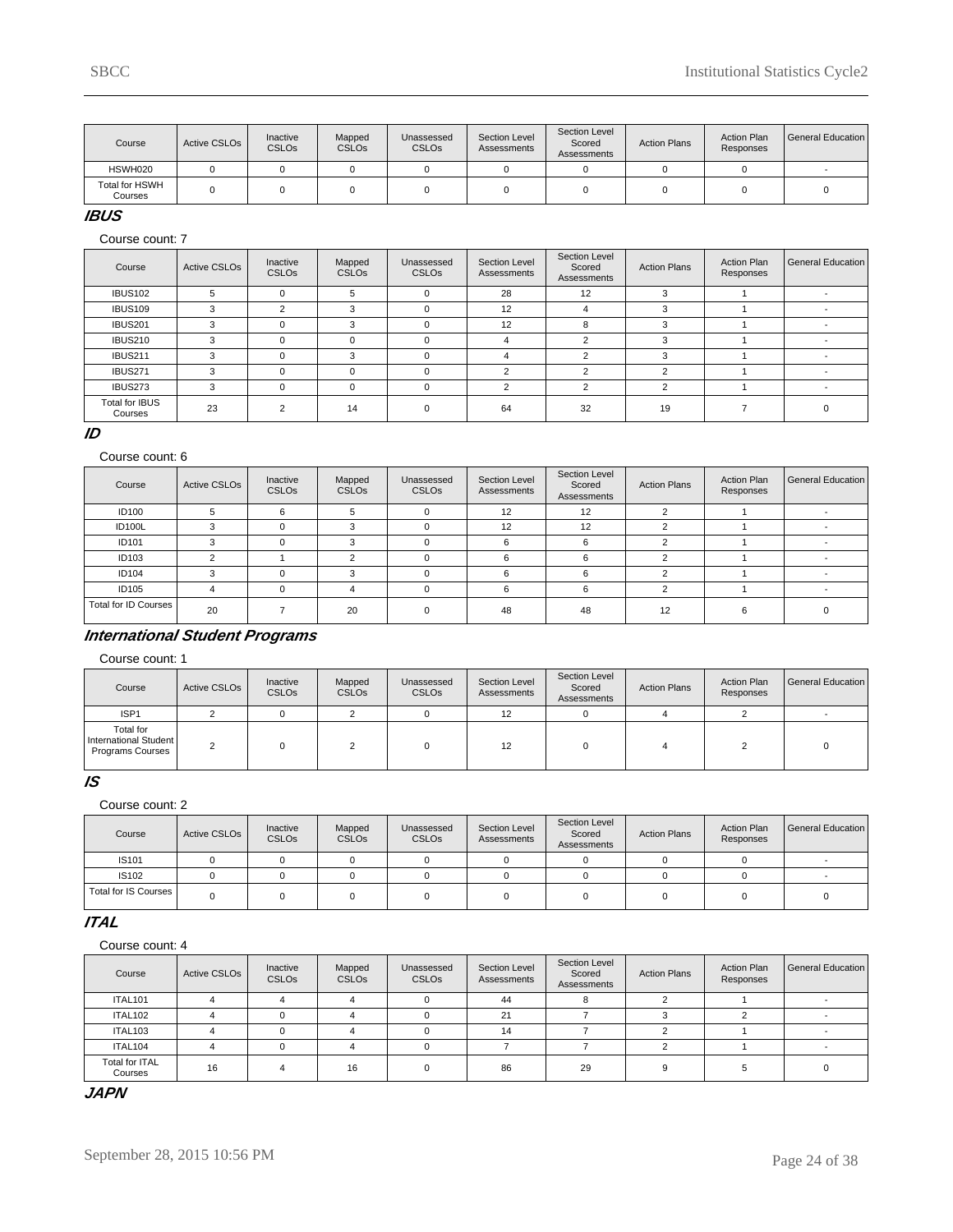| Course                    | Active CSLO <sub>s</sub> | Inactive<br><b>CSLOs</b> | Mapped<br><b>CSLOs</b> | Unassessed<br><b>CSLO<sub>s</sub></b> | Section Level<br>Assessments | Section Level<br>Scored<br>Assessments | <b>Action Plans</b> | <b>Action Plan</b><br>Responses | l General Education |
|---------------------------|--------------------------|--------------------------|------------------------|---------------------------------------|------------------------------|----------------------------------------|---------------------|---------------------------------|---------------------|
| HSWH020                   |                          |                          |                        |                                       |                              |                                        |                     |                                 |                     |
| Total for HSWH<br>Courses |                          |                          |                        |                                       |                              |                                        |                     |                                 |                     |

### **IBUS**

Course count: 7

| Course                           | <b>Active CSLOs</b> | Inactive<br><b>CSLOs</b> | Mapped<br><b>CSLOs</b> | Unassessed<br><b>CSLOs</b> | Section Level<br>Assessments | Section Level<br>Scored<br>Assessments | <b>Action Plans</b> | <b>Action Plan</b><br>Responses | <b>General Education</b> |
|----------------------------------|---------------------|--------------------------|------------------------|----------------------------|------------------------------|----------------------------------------|---------------------|---------------------------------|--------------------------|
| <b>IBUS102</b>                   | 5                   |                          | 5                      | $\Omega$                   | 28                           | 12                                     | 3                   |                                 |                          |
| <b>IBUS109</b>                   | 3                   | $\sim$                   | 3                      | $\Omega$                   | 12                           |                                        | 3                   |                                 |                          |
| <b>IBUS201</b>                   | 3                   |                          | 3                      | $\Omega$                   | 12                           | 8                                      | 3                   |                                 |                          |
| <b>IBUS210</b>                   | 3                   |                          |                        | $\Omega$                   | 4                            | n                                      |                     |                                 |                          |
| <b>IBUS211</b>                   | 3                   |                          | વ                      | $\Omega$                   | 4                            | $\sim$                                 |                     |                                 |                          |
| <b>IBUS271</b>                   | 3                   |                          |                        | $\Omega$                   |                              | $\sim$                                 |                     |                                 |                          |
| IBUS273                          | 3                   |                          | $\Omega$               | $\Omega$                   | 2                            | 2                                      | 2                   |                                 |                          |
| <b>Total for IBUS</b><br>Courses | 23                  | C                        | 14                     | $\Omega$                   | 64                           | 32                                     | 19                  |                                 |                          |

#### **ID**

#### Course count: 6

| Course               | <b>Active CSLOs</b> | Inactive<br><b>CSLOs</b> | Mapped<br><b>CSLOs</b> | Unassessed<br><b>CSLOs</b> | Section Level<br>Assessments | Section Level<br>Scored<br>Assessments | <b>Action Plans</b> | <b>Action Plan</b><br>Responses | General Education |
|----------------------|---------------------|--------------------------|------------------------|----------------------------|------------------------------|----------------------------------------|---------------------|---------------------------------|-------------------|
| <b>ID100</b>         |                     | n                        | 5                      | $\Omega$                   | 12                           | 12                                     |                     |                                 |                   |
| ID100L               |                     |                          |                        |                            | 12                           | 12                                     |                     |                                 |                   |
| ID101                |                     |                          |                        |                            |                              |                                        |                     |                                 |                   |
| ID103                |                     |                          |                        | O                          | 6                            | ĥ                                      |                     |                                 |                   |
| <b>ID104</b>         |                     |                          |                        |                            | 6                            | 6                                      |                     |                                 |                   |
| ID105                |                     |                          |                        | $\Omega$                   | 6                            | 6                                      |                     |                                 |                   |
| Total for ID Courses | 20                  |                          | 20                     |                            | 48                           | 48                                     | 12                  |                                 |                   |

# **International Student Programs**

#### Course count: 1

| Course                                                        | Active CSLO <sub>s</sub> | Inactive<br><b>CSLOs</b> | Mapped<br><b>CSLOs</b> | Unassessed<br><b>CSLO<sub>s</sub></b> | Section Level<br>Assessments | Section Level<br>Scored<br>Assessments | <b>Action Plans</b> | <b>Action Plan</b><br>Responses | General Education |
|---------------------------------------------------------------|--------------------------|--------------------------|------------------------|---------------------------------------|------------------------------|----------------------------------------|---------------------|---------------------------------|-------------------|
| ISP <sub>1</sub>                                              |                          |                          |                        |                                       | 12                           |                                        |                     |                                 |                   |
| Total for<br>International Student<br><b>Programs Courses</b> | $\sim$                   |                          |                        |                                       | 12                           |                                        |                     |                                 |                   |

### **IS**

#### Course count: 2

| Course               | Active CSLO <sub>s</sub> | Inactive<br><b>CSLOs</b> | Mapped<br><b>CSLOs</b> | Unassessed<br><b>CSLOs</b> | Section Level<br>Assessments | Section Level<br>Scored<br>Assessments | <b>Action Plans</b> | <b>Action Plan</b><br>Responses | General Education |
|----------------------|--------------------------|--------------------------|------------------------|----------------------------|------------------------------|----------------------------------------|---------------------|---------------------------------|-------------------|
| IS101                |                          |                          |                        |                            |                              |                                        |                     |                                 |                   |
| <b>IS102</b>         |                          |                          |                        |                            |                              |                                        |                     |                                 |                   |
| Total for IS Courses |                          |                          |                        |                            |                              |                                        |                     |                                 |                   |

### **ITAL**

Course count: 4

| Course                    | <b>Active CSLOs</b> | Inactive<br><b>CSLOs</b> | Mapped<br><b>CSLOs</b> | Unassessed<br><b>CSLOs</b> | Section Level<br>Assessments | Section Level<br>Scored<br>Assessments | <b>Action Plans</b> | <b>Action Plan</b><br>Responses | General Education |
|---------------------------|---------------------|--------------------------|------------------------|----------------------------|------------------------------|----------------------------------------|---------------------|---------------------------------|-------------------|
| <b>ITAL101</b>            |                     |                          |                        |                            | 44                           |                                        |                     |                                 |                   |
| ITAL102                   |                     |                          |                        |                            | 21                           |                                        |                     |                                 |                   |
| ITAL103                   |                     |                          |                        |                            | 14                           |                                        |                     |                                 |                   |
| ITAL104                   |                     |                          |                        |                            |                              |                                        |                     |                                 |                   |
| Total for ITAL<br>Courses | 16                  |                          | 16                     | $\Omega$                   | 86                           | 29                                     |                     |                                 |                   |

#### **JAPN**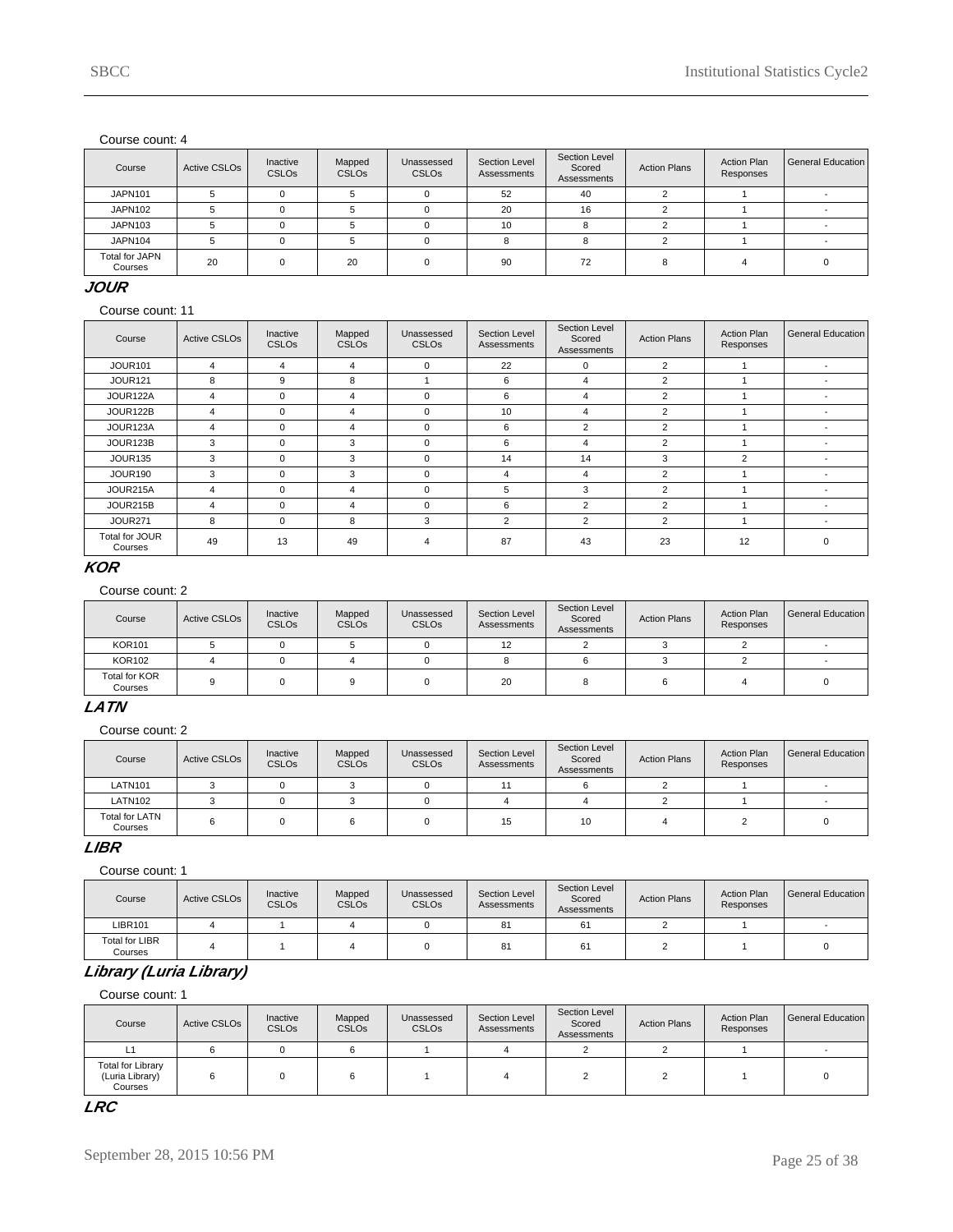| Course                           | Active CSLO <sub>s</sub> | Inactive<br><b>CSLOs</b> | Mapped<br><b>CSLOs</b> | Unassessed<br><b>CSLOs</b> | Section Level<br>Assessments | Section Level<br>Scored<br>Assessments | <b>Action Plans</b> | <b>Action Plan</b><br>Responses | General Education |
|----------------------------------|--------------------------|--------------------------|------------------------|----------------------------|------------------------------|----------------------------------------|---------------------|---------------------------------|-------------------|
| <b>JAPN101</b>                   |                          |                          |                        |                            | 52                           | 40                                     |                     |                                 |                   |
| JAPN102                          |                          |                          |                        |                            | 20                           | 16                                     |                     |                                 |                   |
| JAPN103                          |                          |                          |                        |                            | 10                           |                                        |                     |                                 |                   |
| JAPN104                          |                          |                          |                        |                            |                              |                                        |                     |                                 |                   |
| <b>Total for JAPN</b><br>Courses | 20                       |                          | 20                     | $\Omega$                   | 90                           | 72                                     |                     |                                 |                   |

### **JOUR**

Course count: 11

| Course                    | <b>Active CSLOs</b> | Inactive<br><b>CSLOs</b> | Mapped<br><b>CSLOs</b> | Unassessed<br><b>CSLOs</b> | Section Level<br>Assessments | Section Level<br>Scored<br>Assessments | <b>Action Plans</b> | <b>Action Plan</b><br>Responses | <b>General Education</b> |
|---------------------------|---------------------|--------------------------|------------------------|----------------------------|------------------------------|----------------------------------------|---------------------|---------------------------------|--------------------------|
| <b>JOUR101</b>            | 4                   | 4                        | 4                      | $\Omega$                   | 22                           | $\Omega$                               | $\overline{2}$      |                                 | $\overline{\phantom{a}}$ |
| <b>JOUR121</b>            | 8                   | 9                        | 8                      |                            | 6                            | 4                                      | $\overline{2}$      |                                 |                          |
| JOUR122A                  | 4                   | 0                        | 4                      | $\Omega$                   | 6                            | 4                                      | $\overline{2}$      |                                 |                          |
| JOUR122B                  | 4                   | $\Omega$                 | 4                      | $\mathbf 0$                | 10                           | 4                                      | $\overline{2}$      |                                 |                          |
| JOUR123A                  | 4                   | $\mathbf 0$              | 4                      | $\Omega$                   | 6                            | $\overline{2}$                         | $\overline{2}$      |                                 |                          |
| JOUR123B                  | 3                   | 0                        | 3                      | $\mathbf 0$                | 6                            | 4                                      | 2                   |                                 |                          |
| <b>JOUR135</b>            | 3                   | $\Omega$                 | 3                      | $\Omega$                   | 14                           | 14                                     | 3                   | $\overline{2}$                  | $\overline{\phantom{a}}$ |
| JOUR190                   | 3                   | $\Omega$                 | 3                      | $\mathbf 0$                | 4                            | 4                                      | 2                   |                                 |                          |
| JOUR215A                  | 4                   | $\Omega$                 | 4                      | $\Omega$                   | 5                            | 3                                      | 2                   |                                 | $\overline{\phantom{a}}$ |
| JOUR215B                  | 4                   | $\Omega$                 | 4                      | $\mathbf 0$                | 6                            | $\overline{2}$                         | $\overline{2}$      |                                 |                          |
| <b>JOUR271</b>            | 8                   | $\Omega$                 | 8                      | 3                          | 2                            | $\overline{2}$                         | 2                   |                                 | $\overline{\phantom{a}}$ |
| Total for JOUR<br>Courses | 49                  | 13                       | 49                     | 4                          | 87                           | 43                                     | 23                  | 12                              | $\Omega$                 |

### **KOR**

### Course count: 2

| Course                   | Active CSLO <sub>s</sub> | Inactive<br><b>CSLOs</b> | Mapped<br><b>CSLOs</b> | Unassessed<br><b>CSLO<sub>s</sub></b> | Section Level<br>Assessments | Section Level<br>Scored<br>Assessments | <b>Action Plans</b> | <b>Action Plan</b><br>Responses | General Education |
|--------------------------|--------------------------|--------------------------|------------------------|---------------------------------------|------------------------------|----------------------------------------|---------------------|---------------------------------|-------------------|
| <b>KOR101</b>            |                          |                          |                        |                                       | 12                           |                                        |                     |                                 |                   |
| <b>KOR102</b>            |                          |                          |                        |                                       |                              |                                        |                     |                                 |                   |
| Total for KOR<br>Courses |                          |                          |                        |                                       | 20                           | 8                                      |                     |                                 |                   |

### **LATN**

Course count: 2

| Course                           | Active CSLO <sub>s</sub> | Inactive<br><b>CSLOs</b> | Mapped<br><b>CSLOs</b> | Unassessed<br><b>CSLOs</b> | Section Level<br>Assessments | Section Level<br>Scored<br>Assessments | <b>Action Plans</b> | <b>Action Plan</b><br>Responses | General Education I |
|----------------------------------|--------------------------|--------------------------|------------------------|----------------------------|------------------------------|----------------------------------------|---------------------|---------------------------------|---------------------|
| <b>LATN101</b>                   |                          |                          |                        |                            |                              |                                        |                     |                                 |                     |
| <b>LATN102</b>                   |                          |                          |                        |                            |                              |                                        |                     |                                 |                     |
| <b>Total for LATN</b><br>Courses |                          |                          |                        |                            | 15                           | 10                                     |                     |                                 |                     |

### **LIBR**

Course count: 1

| Course                           | Active CSLO <sub>s</sub> | Inactive<br><b>CSLOs</b> | Mapped<br><b>CSLOs</b> | Unassessed<br><b>CSLO<sub>s</sub></b> | Section Level<br>Assessments | Section Level<br>Scored<br>Assessments | <b>Action Plans</b> | <b>Action Plan</b><br>Responses | General Education |
|----------------------------------|--------------------------|--------------------------|------------------------|---------------------------------------|------------------------------|----------------------------------------|---------------------|---------------------------------|-------------------|
| LIBR101                          |                          |                          |                        |                                       | 81                           | 61                                     |                     |                                 |                   |
| <b>Total for LIBR</b><br>Courses |                          |                          |                        |                                       | 81                           | 61                                     |                     |                                 |                   |

# **Library (Luria Library)**

Course count: 1

| Course                                                 | Active CSLO <sub>s</sub> | Inactive<br><b>CSLOs</b> | Mapped<br><b>CSLOs</b> | Unassessed<br><b>CSLOs</b> | Section Level<br>Assessments | Section Level<br>Scored<br>Assessments | <b>Action Plans</b> | <b>Action Plan</b><br>Responses | General Education |
|--------------------------------------------------------|--------------------------|--------------------------|------------------------|----------------------------|------------------------------|----------------------------------------|---------------------|---------------------------------|-------------------|
| L1                                                     |                          |                          |                        |                            |                              |                                        |                     |                                 |                   |
| <b>Total for Library</b><br>(Luria Library)<br>Courses |                          |                          |                        |                            |                              |                                        |                     |                                 |                   |

# **LRC**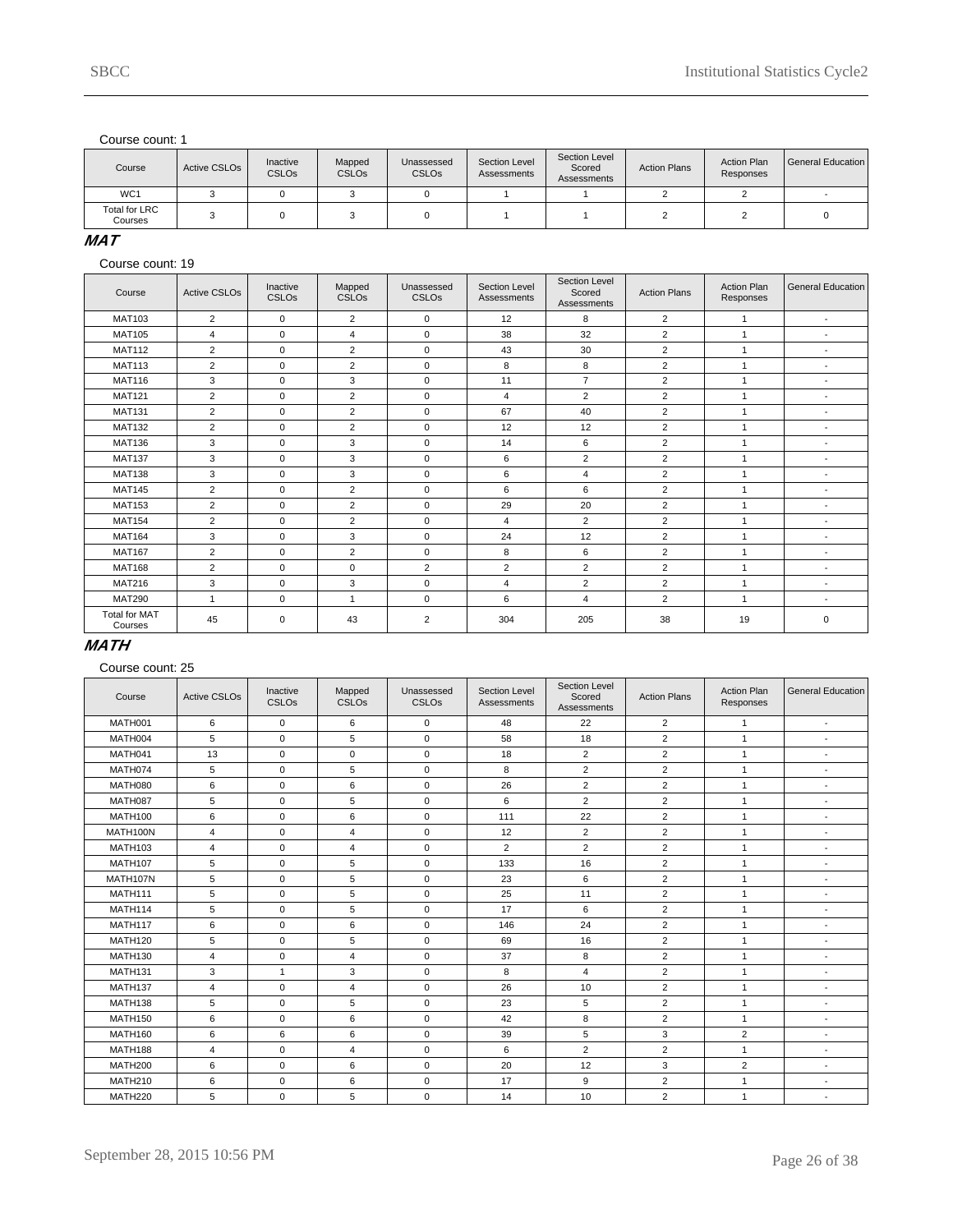| Course                          | Active CSLO <sub>s</sub> | Inactive<br><b>CSLOs</b> | Mapped<br><b>CSLOs</b> | Unassessed<br><b>CSLOs</b> | Section Level<br>Assessments | Section Level<br>Scored<br>Assessments | <b>Action Plans</b> | <b>Action Plan</b><br>Responses | General Education |
|---------------------------------|--------------------------|--------------------------|------------------------|----------------------------|------------------------------|----------------------------------------|---------------------|---------------------------------|-------------------|
| WC <sub>1</sub>                 |                          |                          |                        |                            |                              |                                        |                     |                                 |                   |
| <b>Total for LRC</b><br>Courses |                          |                          |                        |                            |                              |                                        |                     |                                 |                   |

### **MAT**

Course count: 19

| Course                          | <b>Active CSLOs</b> | Inactive<br><b>CSLOs</b> | Mapped<br>CSLO <sub>s</sub> | Unassessed<br>CSLO <sub>s</sub> | Section Level<br>Assessments | Section Level<br>Scored<br><b>Assessments</b> | <b>Action Plans</b> | <b>Action Plan</b><br>Responses | <b>General Education</b> |
|---------------------------------|---------------------|--------------------------|-----------------------------|---------------------------------|------------------------------|-----------------------------------------------|---------------------|---------------------------------|--------------------------|
| <b>MAT103</b>                   | $\overline{2}$      | $\mathbf 0$              | $\overline{2}$              | $\mathbf 0$                     | 12                           | 8                                             | 2                   |                                 | $\overline{\phantom{a}}$ |
| <b>MAT105</b>                   | 4                   | $\mathbf 0$              | $\overline{4}$              | $\mathbf 0$                     | 38                           | 32                                            | 2                   | $\mathbf{1}$                    | $\blacksquare$           |
| <b>MAT112</b>                   | $\overline{2}$      | $\mathbf 0$              | $\overline{2}$              | $\mathbf 0$                     | 43                           | 30                                            | $\overline{2}$      |                                 | $\overline{\phantom{a}}$ |
| <b>MAT113</b>                   | 2                   | $\mathbf 0$              | $\overline{2}$              | $\mathbf 0$                     | 8                            | 8                                             | 2                   | $\mathbf{1}$                    | ٠                        |
| <b>MAT116</b>                   | 3                   | $\Omega$                 | 3                           | $\mathbf 0$                     | 11                           | $\overline{7}$                                | 2                   | $\overline{1}$                  | $\blacksquare$           |
| <b>MAT121</b>                   | $\overline{2}$      | $\Omega$                 | $\overline{2}$              | $\mathbf 0$                     | 4                            | $\overline{2}$                                | $\overline{2}$      | 1                               | $\blacksquare$           |
| <b>MAT131</b>                   | $\overline{2}$      | $\mathbf 0$              | $\overline{2}$              | $\mathbf 0$                     | 67                           | 40                                            | 2                   | 1                               | $\blacksquare$           |
| <b>MAT132</b>                   | 2                   | $\mathbf 0$              | $\overline{2}$              | $\mathbf 0$                     | 12                           | 12                                            | 2                   | $\mathbf{1}$                    | ٠                        |
| <b>MAT136</b>                   | 3                   | $\mathbf 0$              | 3                           | $\mathbf 0$                     | 14                           | 6                                             | $\overline{2}$      |                                 | $\blacksquare$           |
| <b>MAT137</b>                   | 3                   | $\mathbf 0$              | 3                           | $\mathbf 0$                     | 6                            | 2                                             | 2                   |                                 | $\blacksquare$           |
| <b>MAT138</b>                   | 3                   | $\mathbf 0$              | 3                           | $\mathbf 0$                     | 6                            | $\overline{4}$                                | $\overline{2}$      |                                 | $\overline{\phantom{a}}$ |
| <b>MAT145</b>                   | $\overline{2}$      | $\mathbf 0$              | $\overline{2}$              | $\mathbf 0$                     | 6                            | 6                                             | $\overline{2}$      |                                 |                          |
| <b>MAT153</b>                   | $\overline{2}$      | $\mathbf 0$              | $\overline{2}$              | $\mathbf 0$                     | 29                           | 20                                            | $\overline{2}$      | $\overline{1}$                  | $\overline{\phantom{a}}$ |
| <b>MAT154</b>                   | $\overline{2}$      | $\mathbf 0$              | $\overline{2}$              | $\mathbf 0$                     | 4                            | 2                                             | 2                   |                                 | $\blacksquare$           |
| <b>MAT164</b>                   | 3                   | $\mathbf 0$              | 3                           | $\mathbf 0$                     | 24                           | 12                                            | 2                   | $\overline{1}$                  | $\blacksquare$           |
| <b>MAT167</b>                   | 2                   | $\mathbf 0$              | $\overline{2}$              | $\mathbf 0$                     | 8                            | 6                                             | 2                   | $\overline{1}$                  | ٠                        |
| <b>MAT168</b>                   | $\overline{2}$      | $\mathbf 0$              | 0                           | 2                               | $\overline{2}$               | $\overline{2}$                                | 2                   | 1                               | $\overline{\phantom{a}}$ |
| <b>MAT216</b>                   | 3                   | $\mathbf 0$              | 3                           | $\mathbf 0$                     | 4                            | $\overline{2}$                                | 2                   |                                 | $\blacksquare$           |
| <b>MAT290</b>                   | $\overline{1}$      | $\mathbf 0$              | 1                           | $\mathbf 0$                     | 6                            | $\overline{4}$                                | 2                   | $\mathbf 1$                     | $\overline{\phantom{a}}$ |
| <b>Total for MAT</b><br>Courses | 45                  | $\mathbf 0$              | 43                          | $\overline{2}$                  | 304                          | 205                                           | 38                  | 19                              | 0                        |

#### **MATH**

| Course         | <b>Active CSLOs</b> | Inactive<br><b>CSLOs</b> | Mapped<br>CSLO <sub>s</sub> | Unassessed<br><b>CSLOs</b> | <b>Section Level</b><br>Assessments | Section Level<br>Scored<br><b>Assessments</b> | <b>Action Plans</b> | <b>Action Plan</b><br>Responses | <b>General Education</b> |
|----------------|---------------------|--------------------------|-----------------------------|----------------------------|-------------------------------------|-----------------------------------------------|---------------------|---------------------------------|--------------------------|
| MATH001        | 6                   | $\mathbf 0$              | 6                           | $\mathbf 0$                | 48                                  | 22                                            | $\overline{2}$      | $\mathbf{1}$                    | $\overline{\phantom{a}}$ |
| MATH004        | 5                   | $\mathbf 0$              | 5                           | $\mathbf 0$                | 58                                  | 18                                            | 2                   | $\mathbf{1}$                    | $\sim$                   |
| MATH041        | 13                  | $\mathbf 0$              | $\mathbf 0$                 | $\mathbf 0$                | 18                                  | $\overline{2}$                                | $\overline{2}$      | 1                               | $\blacksquare$           |
| MATH074        | 5                   | $\mathbf 0$              | 5                           | $\mathbf 0$                | 8                                   | $\overline{2}$                                | $\overline{2}$      | $\mathbf{1}$                    | $\overline{\phantom{a}}$ |
| MATH080        | 6                   | $\mathbf 0$              | 6                           | $\pmb{0}$                  | 26                                  | $\overline{2}$                                | $\overline{2}$      | $\mathbf{1}$                    | $\sim$                   |
| MATH087        | 5                   | $\mathbf 0$              | 5                           | $\mathbf 0$                | 6                                   | $\overline{2}$                                | 2                   | $\mathbf{1}$                    | $\sim$                   |
| <b>MATH100</b> | 6                   | $\mathbf 0$              | 6                           | $\mathbf 0$                | 111                                 | 22                                            | 2                   | $\mathbf{1}$                    | $\blacksquare$           |
| MATH100N       | $\overline{4}$      | $\mathbf 0$              | $\overline{4}$              | $\mathbf 0$                | 12                                  | $\overline{2}$                                | $\overline{2}$      | $\mathbf{1}$                    | $\overline{\phantom{a}}$ |
| <b>MATH103</b> | $\overline{4}$      | $\mathbf 0$              | 4                           | $\mathbf 0$                | $\overline{2}$                      | $\overline{2}$                                | $\overline{2}$      | $\mathbf{1}$                    | $\overline{\phantom{a}}$ |
| <b>MATH107</b> | 5                   | 0                        | 5                           | 0                          | 133                                 | 16                                            | $\overline{2}$      | $\mathbf{1}$                    | $\sim$                   |
| MATH107N       | 5                   | $\mathbf 0$              | 5                           | $\mathbf 0$                | 23                                  | 6                                             | 2                   | $\mathbf{1}$                    | $\overline{\phantom{a}}$ |
| <b>MATH111</b> | 5                   | $\mathbf 0$              | 5                           | $\mathsf 0$                | 25                                  | 11                                            | $\overline{2}$      | $\mathbf{1}$                    | $\sim$                   |
| <b>MATH114</b> | 5                   | $\mathbf 0$              | 5                           | $\mathbf 0$                | 17                                  | 6                                             | $\overline{2}$      | $\mathbf{1}$                    | $\sim$                   |
| MATH117        | 6                   | $\mathbf 0$              | 6                           | $\mathbf 0$                | 146                                 | 24                                            | $\overline{2}$      | $\mathbf{1}$                    | $\blacksquare$           |
| <b>MATH120</b> | 5                   | $\mathbf 0$              | 5                           | $\mathbf 0$                | 69                                  | 16                                            | 2                   | $\mathbf{1}$                    | $\overline{\phantom{a}}$ |
| <b>MATH130</b> | $\overline{4}$      | $\mathbf 0$              | 4                           | $\mathbf 0$                | 37                                  | 8                                             | $\overline{2}$      | $\mathbf{1}$                    | $\sim$                   |
| MATH131        | 3                   | $\mathbf{1}$             | 3                           | $\mathbf 0$                | 8                                   | $\overline{4}$                                | 2                   | $\mathbf{1}$                    | $\blacksquare$           |
| MATH137        | $\overline{4}$      | $\mathbf 0$              | $\overline{4}$              | $\mathbf 0$                | 26                                  | 10                                            | $\overline{2}$      | $\mathbf{1}$                    | $\blacksquare$           |
| MATH138        | 5                   | $\mathbf 0$              | 5                           | $\mathbf 0$                | 23                                  | 5                                             | 2                   | $\mathbf{1}$                    | $\overline{\phantom{a}}$ |
| <b>MATH150</b> | 6                   | $\mathbf 0$              | 6                           | $\mathbf 0$                | 42                                  | 8                                             | 2                   | $\mathbf{1}$                    | $\overline{\phantom{a}}$ |
| <b>MATH160</b> | 6                   | 6                        | 6                           | $\mathbf 0$                | 39                                  | 5                                             | 3                   | $\overline{2}$                  | $\sim$                   |
| <b>MATH188</b> | 4                   | $\mathbf 0$              | $\overline{4}$              | $\mathbf 0$                | 6                                   | $\overline{2}$                                | 2                   | $\mathbf{1}$                    | $\overline{\phantom{a}}$ |
| <b>MATH200</b> | 6                   | $\mathbf 0$              | 6                           | $\mathsf 0$                | 20                                  | 12                                            | 3                   | $\overline{2}$                  | $\overline{\phantom{a}}$ |
| <b>MATH210</b> | 6                   | $\mathbf 0$              | 6                           | $\mathbf 0$                | 17                                  | 9                                             | 2                   | $\mathbf{1}$                    | $\overline{\phantom{a}}$ |
| <b>MATH220</b> | 5                   | $\mathbf 0$              | 5                           | $\mathsf 0$                | 14                                  | 10                                            | $\overline{2}$      | $\mathbf{1}$                    | $\overline{\phantom{a}}$ |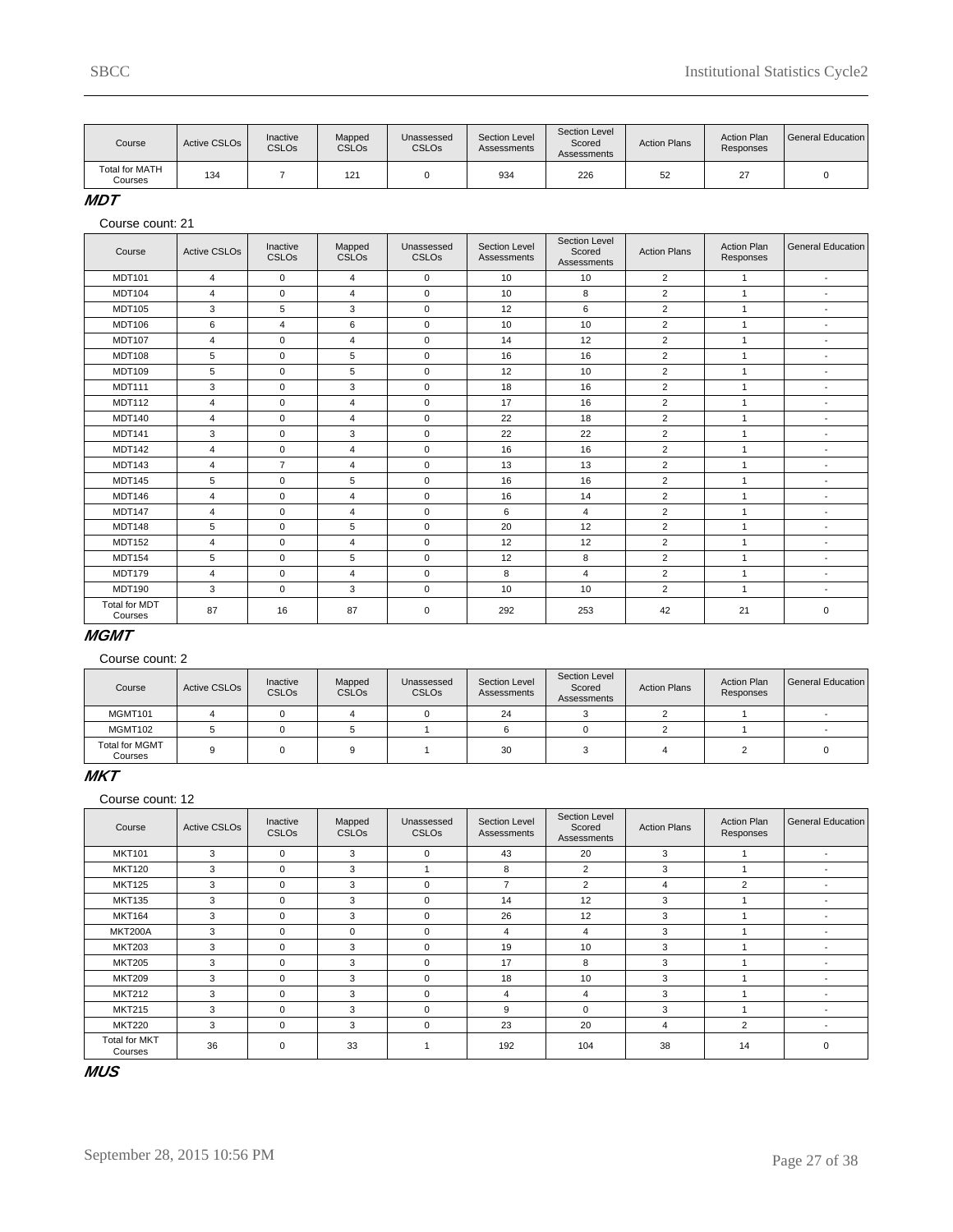| Course                           | Active CSLO <sub>s</sub> | Inactive<br><b>CSLOs</b> | Mapped<br><b>CSLOs</b> | Unassessed<br><b>CSLO<sub>s</sub></b> | Section Level<br>Assessments | Section Level<br>Scored<br>Assessments | <b>Action Plans</b> | <b>Action Plan</b><br>Responses | General Education |
|----------------------------------|--------------------------|--------------------------|------------------------|---------------------------------------|------------------------------|----------------------------------------|---------------------|---------------------------------|-------------------|
| <b>Total for MATH</b><br>Courses | 134                      |                          | 12 <sup>1</sup>        |                                       | 934                          | 226                                    | 52                  | $\sim$<br>∼                     |                   |

**MDT**

Course count: 21

| Course                          | <b>Active CSLOs</b> | Inactive<br><b>CSLOs</b> | Mapped<br>CSLOs | Unassessed<br><b>CSLOs</b> | Section Level<br>Assessments | Section Level<br>Scored<br>Assessments | <b>Action Plans</b> | <b>Action Plan</b><br>Responses | <b>General Education</b> |
|---------------------------------|---------------------|--------------------------|-----------------|----------------------------|------------------------------|----------------------------------------|---------------------|---------------------------------|--------------------------|
| <b>MDT101</b>                   | 4                   | $\mathbf 0$              | $\overline{4}$  | $\mathbf 0$                | 10                           | 10                                     | $\overline{2}$      | $\mathbf{1}$                    | $\overline{\phantom{a}}$ |
| <b>MDT104</b>                   | $\overline{4}$      | $\mathbf 0$              | $\overline{4}$  | $\mathbf 0$                | 10                           | 8                                      | $\overline{2}$      | $\mathbf{1}$                    | $\blacksquare$           |
| <b>MDT105</b>                   | 3                   | 5                        | 3               | $\mathbf 0$                | 12                           | 6                                      | $\overline{2}$      | $\mathbf{1}$                    | $\blacksquare$           |
| MDT106                          | 6                   | $\overline{4}$           | 6               | $\mathbf 0$                | 10                           | 10                                     | $\overline{2}$      | $\mathbf{1}$                    | $\blacksquare$           |
| <b>MDT107</b>                   | $\overline{4}$      | $\mathbf 0$              | $\overline{4}$  | $\mathbf 0$                | 14                           | 12                                     | $\overline{2}$      | $\mathbf{1}$                    | $\overline{\phantom{a}}$ |
| <b>MDT108</b>                   | 5                   | $\mathbf 0$              | 5               | $\mathbf 0$                | 16                           | 16                                     | $\overline{2}$      | $\mathbf{1}$                    | $\overline{\phantom{a}}$ |
| <b>MDT109</b>                   | 5                   | 0                        | 5               | $\mathbf 0$                | 12                           | 10                                     | $\overline{2}$      | $\mathbf{1}$                    | ٠                        |
| <b>MDT111</b>                   | 3                   | 0                        | 3               | $\mathbf 0$                | 18                           | 16                                     | $\overline{2}$      | 1                               | $\overline{\phantom{a}}$ |
| <b>MDT112</b>                   | 4                   | $\mathbf 0$              | $\overline{4}$  | $\mathbf 0$                | 17                           | 16                                     | $\overline{2}$      | $\mathbf{1}$                    | $\overline{\phantom{a}}$ |
| <b>MDT140</b>                   | 4                   | $\mathbf 0$              | $\overline{4}$  | $\mathbf 0$                | 22                           | 18                                     | $\overline{2}$      | $\mathbf{1}$                    | $\blacksquare$           |
| <b>MDT141</b>                   | 3                   | $\mathbf 0$              | 3               | $\mathbf 0$                | 22                           | 22                                     | $\overline{2}$      | $\mathbf{1}$                    | $\overline{\phantom{a}}$ |
| <b>MDT142</b>                   | $\overline{4}$      | $\mathbf 0$              | $\overline{4}$  | $\mathbf 0$                | 16                           | 16                                     | $\overline{2}$      | $\mathbf{1}$                    | $\overline{\phantom{a}}$ |
| <b>MDT143</b>                   | $\overline{4}$      | $\overline{7}$           | $\overline{4}$  | $\mathbf 0$                | 13                           | 13                                     | $\overline{2}$      | $\mathbf{1}$                    | $\overline{\phantom{a}}$ |
| <b>MDT145</b>                   | 5                   | $\mathbf 0$              | 5               | $\mathbf 0$                | 16                           | 16                                     | $\overline{2}$      | $\mathbf{1}$                    | $\overline{\phantom{a}}$ |
| <b>MDT146</b>                   | $\overline{4}$      | $\mathbf 0$              | $\overline{4}$  | $\mathbf 0$                | 16                           | 14                                     | $\overline{2}$      | $\mathbf{1}$                    | $\overline{\phantom{a}}$ |
| <b>MDT147</b>                   | $\overline{4}$      | $\mathbf 0$              | $\overline{4}$  | $\mathbf 0$                | 6                            | $\overline{4}$                         | $\overline{2}$      | $\mathbf{1}$                    | $\blacksquare$           |
| <b>MDT148</b>                   | 5                   | $\mathbf 0$              | 5               | $\mathbf 0$                | 20                           | 12                                     | $\overline{c}$      | $\mathbf{1}$                    | $\overline{a}$           |
| <b>MDT152</b>                   | 4                   | $\mathbf 0$              | $\overline{4}$  | $\mathbf 0$                | 12                           | 12                                     | 2                   | $\mathbf{1}$                    | $\overline{\phantom{a}}$ |
| <b>MDT154</b>                   | 5                   | $\mathbf 0$              | 5               | $\mathbf 0$                | 12                           | 8                                      | $\overline{2}$      | $\mathbf{1}$                    | $\overline{\phantom{a}}$ |
| <b>MDT179</b>                   | 4                   | $\mathbf 0$              | $\overline{4}$  | $\mathbf 0$                | 8                            | $\overline{4}$                         | 2                   | $\mathbf{1}$                    | $\overline{\phantom{a}}$ |
| <b>MDT190</b>                   | 3                   | $\mathbf 0$              | 3               | $\mathbf 0$                | 10                           | 10                                     | $\overline{2}$      | $\mathbf{1}$                    | $\blacksquare$           |
| <b>Total for MDT</b><br>Courses | 87                  | 16                       | 87              | 0                          | 292                          | 253                                    | 42                  | 21                              | $\mathbf 0$              |

# **MGMT**

Course count: 2

| Course                           | Active CSLO <sub>s</sub> | Inactive<br><b>CSLOs</b> | Mapped<br><b>CSLO<sub>s</sub></b> | Unassessed<br>CSLO <sub>s</sub> | Section Level<br>Assessments | Section Level<br>Scored<br>Assessments | <b>Action Plans</b> | <b>Action Plan</b><br>Responses | General Education I |
|----------------------------------|--------------------------|--------------------------|-----------------------------------|---------------------------------|------------------------------|----------------------------------------|---------------------|---------------------------------|---------------------|
| MGMT101                          |                          |                          |                                   |                                 | 24                           |                                        |                     |                                 |                     |
| MGMT102                          |                          |                          |                                   |                                 |                              |                                        |                     |                                 |                     |
| <b>Total for MGMT</b><br>Courses |                          |                          |                                   |                                 | 30                           |                                        |                     |                                 |                     |

### **MKT**

Course count: 12

| Course                          | <b>Active CSLOs</b> | Inactive<br><b>CSLOs</b> | Mapped<br><b>CSLOs</b> | Unassessed<br><b>CSLOs</b> | Section Level<br>Assessments | Section Level<br>Scored<br>Assessments | <b>Action Plans</b> | <b>Action Plan</b><br>Responses | General Education        |
|---------------------------------|---------------------|--------------------------|------------------------|----------------------------|------------------------------|----------------------------------------|---------------------|---------------------------------|--------------------------|
| <b>MKT101</b>                   | 3                   | $\Omega$                 | 3                      | $\Omega$                   | 43                           | 20                                     | 3                   |                                 | $\overline{\phantom{a}}$ |
| <b>MKT120</b>                   | 3                   | $\Omega$                 | 3                      |                            | 8                            | $\overline{2}$                         | 3                   |                                 | $\overline{\phantom{a}}$ |
| <b>MKT125</b>                   | 3                   | $\Omega$                 | 3                      | $\Omega$                   | $\overline{7}$               | $\overline{2}$                         | 4                   | $\overline{2}$                  |                          |
| <b>MKT135</b>                   | 3                   | $\Omega$                 | 3                      | $\Omega$                   | 14                           | 12                                     | 3                   |                                 |                          |
| <b>MKT164</b>                   | 3                   | $\Omega$                 | 3                      | $\Omega$                   | 26                           | 12                                     | 3                   |                                 |                          |
| <b>MKT200A</b>                  | 3                   | $\Omega$                 | $\Omega$               | $\Omega$                   | 4                            | 4                                      | 3                   |                                 | $\overline{\phantom{a}}$ |
| <b>MKT203</b>                   | 3                   | $\Omega$                 | 3                      | $\Omega$                   | 19                           | 10                                     | 3                   |                                 |                          |
| <b>MKT205</b>                   | 3                   | $\Omega$                 | 3                      | $\Omega$                   | 17                           | 8                                      | 3                   |                                 | $\overline{\phantom{a}}$ |
| <b>MKT209</b>                   | 3                   | 0                        | 3                      | $\Omega$                   | 18                           | 10                                     | 3                   |                                 | $\overline{\phantom{a}}$ |
| <b>MKT212</b>                   | 3                   | $\Omega$                 | 3                      | $\Omega$                   | 4                            | 4                                      | 3                   |                                 |                          |
| <b>MKT215</b>                   | 3                   | $\Omega$                 | 3                      | $\Omega$                   | 9                            | $\Omega$                               | 3                   |                                 |                          |
| <b>MKT220</b>                   | 3                   | $\Omega$                 | 3                      | $\Omega$                   | 23                           | 20                                     | 4                   | $\overline{2}$                  | $\overline{\phantom{a}}$ |
| <b>Total for MKT</b><br>Courses | 36                  | 0                        | 33                     |                            | 192                          | 104                                    | 38                  | 14                              | $\Omega$                 |

**MUS**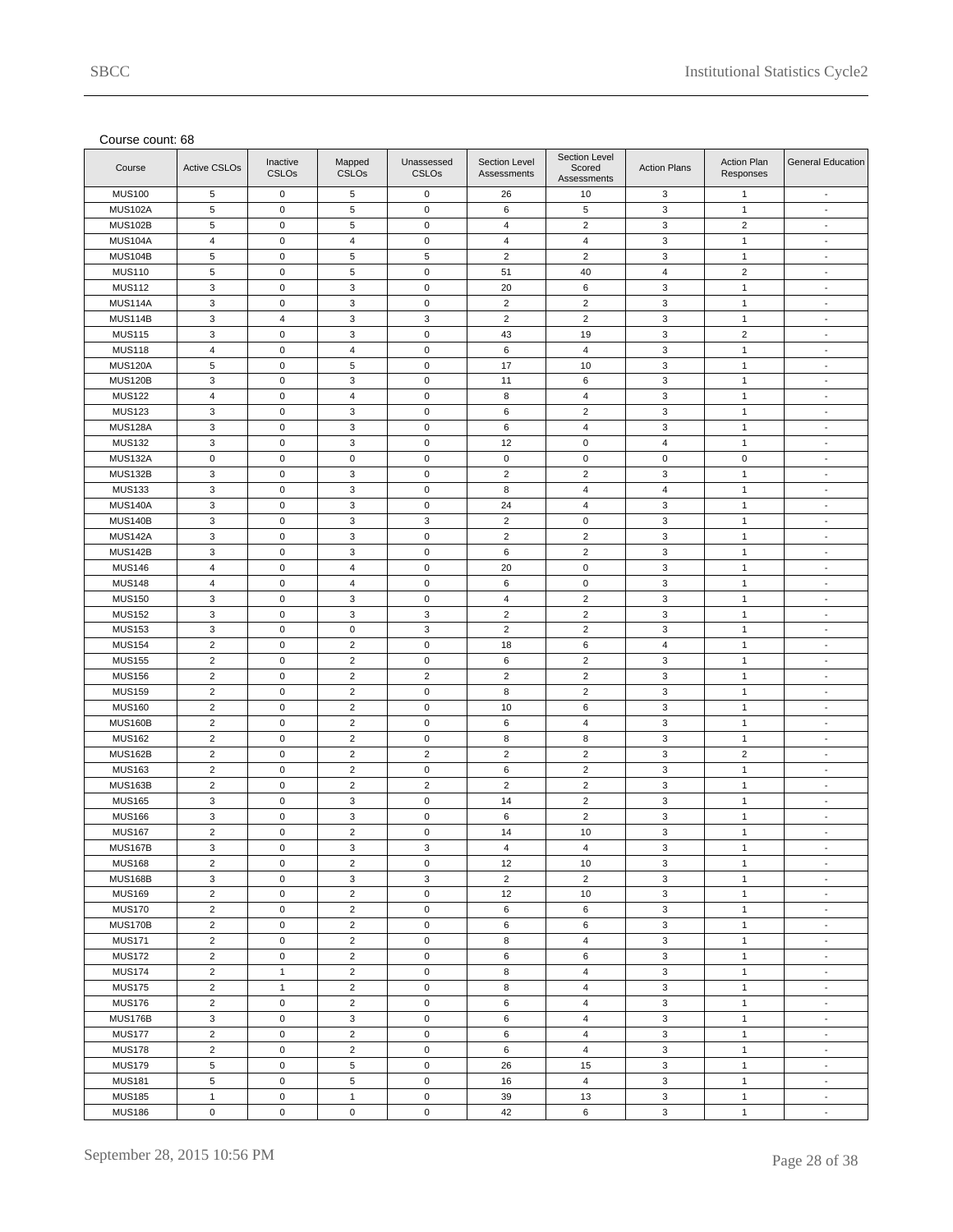| Course         | <b>Active CSLOs</b>       | Inactive<br><b>CSLOs</b> | Mapped<br><b>CSLOs</b>  | Unassessed<br><b>CSLOs</b> | Section Level<br>Assessments | Section Level<br>Scored<br>Assessments | <b>Action Plans</b> | Action Plan<br>Responses | <b>General Education</b> |
|----------------|---------------------------|--------------------------|-------------------------|----------------------------|------------------------------|----------------------------------------|---------------------|--------------------------|--------------------------|
| <b>MUS100</b>  | 5                         | $\mathsf 0$              | 5                       | $\mathbf 0$                | 26                           | 10                                     | 3                   | $\mathbf{1}$             | $\blacksquare$           |
| <b>MUS102A</b> | $\sqrt{5}$                | $\mathbf 0$              | 5                       | $\pmb{0}$                  | 6                            | 5                                      | 3                   | $\mathbf{1}$             | $\blacksquare$           |
| <b>MUS102B</b> | $\,$ 5 $\,$               | $\pmb{0}$                | 5                       | $\mathbf 0$                | $\overline{4}$               | $\overline{c}$                         | 3                   | $\sqrt{2}$               | $\overline{\phantom{a}}$ |
| MUS104A        | $\overline{4}$            | $\mathsf 0$              | $\overline{4}$          | $\mathbf 0$                | $\overline{4}$               | $\overline{4}$                         | $\mathbf 3$         | $\mathbf{1}$             | $\blacksquare$           |
| <b>MUS104B</b> | $\sqrt{5}$                | $\pmb{0}$                | 5                       | $\,$ 5 $\,$                | $\overline{c}$               | $\overline{c}$                         | 3                   | $\mathbf{1}$             | $\blacksquare$           |
| <b>MUS110</b>  | $\sqrt{5}$                | $\pmb{0}$                | 5                       | $\mathsf 0$                | 51                           | 40                                     | $\overline{4}$      | $\sqrt{2}$               | $\overline{\phantom{a}}$ |
| <b>MUS112</b>  | $\mathbf{3}$              | $\mathsf 0$              | 3                       | $\mathsf 0$                | 20                           | 6                                      | $\mathbf 3$         | $\mathbf{1}$             | $\blacksquare$           |
| MUS114A        | $\mathsf 3$               | $\pmb{0}$                | 3                       | $\pmb{0}$                  | $\overline{2}$               | $\overline{c}$                         | 3                   | $\mathbf{1}$             | $\blacksquare$           |
| <b>MUS114B</b> | $\mathbf 3$               | $\sqrt{4}$               | 3                       | $\mathbf 3$                | $\overline{c}$               | $\overline{c}$                         | 3                   | $\mathbf{1}$             | $\overline{\phantom{a}}$ |
| <b>MUS115</b>  | 3                         | $\mathsf 0$              | 3                       | $\mathsf 0$                | 43                           | 19                                     | $\mathbf 3$         | $\overline{2}$           | $\blacksquare$           |
| <b>MUS118</b>  | $\overline{4}$            | $\pmb{0}$                | $\pmb{4}$               | $\mathbf 0$                | 6                            | 4                                      | 3                   | $\mathbf{1}$             | $\blacksquare$           |
| <b>MUS120A</b> | $\sqrt{5}$                | $\pmb{0}$                | 5                       | $\mathsf 0$                | 17                           | 10                                     | 3                   | $\mathbf{1}$             | $\overline{\phantom{a}}$ |
| <b>MUS120B</b> | 3                         | $\mathsf 0$              | 3                       | $\mathsf 0$                | 11                           | 6                                      | $\mathbf 3$         | $\mathbf{1}$             | $\overline{\phantom{a}}$ |
| <b>MUS122</b>  | 4                         | $\pmb{0}$                | $\pmb{4}$               | $\mathbf 0$                | 8                            | $\overline{4}$                         | 3                   | $\mathbf{1}$             | $\blacksquare$           |
| <b>MUS123</b>  | 3                         | $\pmb{0}$                | 3                       | $\mathbf 0$                | 6                            | $\overline{2}$                         | 3                   | $\mathbf{1}$             | $\overline{\phantom{a}}$ |
| <b>MUS128A</b> | 3                         | $\mathsf 0$              | 3                       | $\mathbf 0$                | 6                            | $\overline{4}$                         | 3                   | $\mathbf{1}$             | $\sim$                   |
|                |                           |                          |                         |                            |                              |                                        |                     |                          |                          |
| <b>MUS132</b>  | 3                         | $\pmb{0}$                | 3                       | $\mathbf 0$                | 12                           | 0                                      | $\overline{4}$      | $\mathbf{1}$             | $\blacksquare$           |
| <b>MUS132A</b> | $\mathbf 0$               | $\pmb{0}$                | $\pmb{0}$               | $\mathbf 0$                | $\mathbf 0$                  | $\mathsf 0$                            | $\mathbf 0$         | $\mathbf 0$              | $\overline{\phantom{a}}$ |
| <b>MUS132B</b> | 3                         | $\mathsf 0$              | 3                       | $\mathbf 0$                | $\overline{2}$               | $\overline{c}$                         | 3                   | $\mathbf{1}$             | $\blacksquare$           |
| <b>MUS133</b>  | $\mathbf{3}$              | $\pmb{0}$                | 3                       | $\mathsf 0$                | 8                            | $\overline{4}$                         | $\overline{4}$      | $\mathbf{1}$             | $\blacksquare$           |
| <b>MUS140A</b> | $\mathsf 3$               | $\pmb{0}$                | 3                       | $\mathbf 0$                | 24                           | $\overline{4}$                         | 3                   | $\mathbf{1}$             | $\overline{\phantom{a}}$ |
| <b>MUS140B</b> | 3                         | $\mathsf 0$              | 3                       | $\mathsf 3$                | $\overline{2}$               | $\mathbf 0$                            | 3                   | $\mathbf{1}$             | $\blacksquare$           |
| MUS142A        | $\mathsf 3$               | $\pmb{0}$                | 3                       | $\mathsf 0$                | $\overline{c}$               | $\overline{c}$                         | 3                   | $\mathbf{1}$             | $\blacksquare$           |
| <b>MUS142B</b> | 3                         | $\pmb{0}$                | 3                       | $\mathbf 0$                | 6                            | $\overline{c}$                         | 3                   | $\mathbf{1}$             | $\overline{\phantom{a}}$ |
| <b>MUS146</b>  | $\overline{4}$            | $\mathsf 0$              | $\overline{\mathbf{4}}$ | $\mathbf 0$                | 20                           | $\mathbf 0$                            | $\mathsf 3$         | $\mathbf{1}$             | $\blacksquare$           |
| <b>MUS148</b>  | $\overline{4}$            | $\pmb{0}$                | $\sqrt{4}$              | $\pmb{0}$                  | 6                            | $\pmb{0}$                              | 3                   | $\mathbf{1}$             | $\blacksquare$           |
| <b>MUS150</b>  | 3                         | $\pmb{0}$                | 3                       | $\mathbf 0$                | 4                            | $\overline{c}$                         | 3                   | $\mathbf{1}$             | $\overline{\phantom{a}}$ |
| <b>MUS152</b>  | 3                         | $\mathsf 0$              | 3                       | $\mathsf 3$                | $\overline{2}$               | $\overline{c}$                         | $\mathbf 3$         | $\mathbf{1}$             | $\blacksquare$           |
| <b>MUS153</b>  | $\mathsf 3$               | $\pmb{0}$                | $\pmb{0}$               | $\mathbf 3$                | $\overline{c}$               | $\overline{c}$                         | 3                   | $\mathbf{1}$             | $\blacksquare$           |
| <b>MUS154</b>  | $\sqrt{2}$                | $\pmb{0}$                | $\overline{c}$          | $\mathbf 0$                | 18                           | 6                                      | $\overline{4}$      | $\mathbf{1}$             | $\overline{\phantom{a}}$ |
| <b>MUS155</b>  | $\overline{2}$            | $\mathsf 0$              | $\overline{2}$          | $\mathbf 0$                | 6                            | $\overline{c}$                         | $\mathbf 3$         | $\mathbf{1}$             | $\blacksquare$           |
| <b>MUS156</b>  | $\overline{2}$            | $\pmb{0}$                | $\overline{c}$          | $\overline{c}$             | $\overline{2}$               | $\overline{c}$                         | 3                   | $\mathbf{1}$             | $\blacksquare$           |
| <b>MUS159</b>  | $\overline{c}$            | $\pmb{0}$                | $\overline{c}$          | $\mathbf 0$                | 8                            | $\overline{c}$                         | 3                   | $\mathbf{1}$             | $\overline{\phantom{a}}$ |
| <b>MUS160</b>  | $\overline{2}$            | $\mathsf 0$              | $\overline{2}$          | $\mathbf 0$                | 10                           | 6                                      | $\mathbf 3$         | $\mathbf{1}$             | $\overline{\phantom{a}}$ |
| <b>MUS160B</b> | $\overline{2}$            | $\pmb{0}$                | $\overline{2}$          | $\mathbf 0$                | 6                            | 4                                      | 3                   | $\mathbf{1}$             | $\blacksquare$           |
| <b>MUS162</b>  | $\sqrt{2}$                | $\pmb{0}$                | $\overline{c}$          | $\mathbf 0$                | 8                            | 8                                      | 3                   | $\mathbf{1}$             | $\overline{\phantom{a}}$ |
| <b>MUS162B</b> | $\overline{2}$            | $\mathsf 0$              | $\overline{2}$          | $\overline{2}$             | $\overline{2}$               | $\overline{2}$                         | 3                   | $\overline{2}$           | $\blacksquare$           |
| <b>MUS163</b>  | $\overline{2}$            | $\pmb{0}$                | $\overline{c}$          | $\mathbf 0$                | 6                            | $\overline{c}$                         | 3                   | $\mathbf{1}$             | $\blacksquare$           |
| <b>MUS163B</b> | $\overline{2}$            | $\pmb{0}$                | $\overline{2}$          | $\overline{2}$             | $\overline{2}$               | $\overline{2}$                         | 3                   | $\mathbf{1}$             | $\overline{\phantom{a}}$ |
| <b>MUS165</b>  | 3                         | $\mathsf 0$              | 3                       | $\mathbf 0$                | 14                           | $\overline{c}$                         | $\mathbf 3$         | $\mathbf{1}$             | $\blacksquare$           |
| <b>MUS166</b>  | 3                         | $\pmb{0}$                | 3                       | $\mathbf 0$                | 6                            | $\overline{2}$                         | 3                   | $\mathbf{1}$             | $\blacksquare$           |
| <b>MUS167</b>  | $\overline{2}$            | $\pmb{0}$                | $\overline{2}$          | $\mathbf 0$                | 14                           | 10                                     | 3                   | $\mathbf{1}$             | $\overline{\phantom{a}}$ |
| <b>MUS167B</b> | 3                         | 0                        | 3                       | 3                          | 4                            | 4                                      | 3                   | 1                        | $\overline{\phantom{a}}$ |
| <b>MUS168</b>  | $\overline{2}$            | 0                        | $\overline{2}$          | $\mathbf 0$                | 12                           | 10                                     | 3                   | $\mathbf{1}$             | $\overline{\phantom{a}}$ |
| <b>MUS168B</b> | $\ensuremath{\mathsf{3}}$ | 0                        | 3                       | 3                          | $\overline{2}$               | $\overline{2}$                         | 3                   | $\mathbf{1}$             | $\overline{\phantom{a}}$ |
| <b>MUS169</b>  | $\overline{2}$            | $\mathsf 0$              | $\overline{2}$          | $\mathsf 0$                | 12                           | 10                                     | $\mathsf 3$         | $\mathbf{1}$             | $\overline{\phantom{a}}$ |
| <b>MUS170</b>  | $\overline{2}$            | $\pmb{0}$                | $\overline{c}$          | $\mathsf 0$                | 6                            | 6                                      | 3                   | $\mathbf{1}$             | $\overline{\phantom{a}}$ |
| <b>MUS170B</b> | $\sqrt{2}$                | $\pmb{0}$                | $\overline{2}$          | $\mathsf 0$                | 6                            | 6                                      | 3                   | $\mathbf{1}$             | $\overline{\phantom{a}}$ |
| <b>MUS171</b>  | $\overline{2}$            | $\pmb{0}$                | $\overline{2}$          | $\mathsf 0$                | 8                            | $\overline{4}$                         | $\mathsf 3$         | $\mathbf{1}$             | $\blacksquare$           |
| <b>MUS172</b>  | $\overline{2}$            | $\pmb{0}$                | $\overline{c}$          | $\mathsf 0$                | 6                            | 6                                      | 3                   | $\mathbf{1}$             | $\overline{\phantom{a}}$ |
| <b>MUS174</b>  | $\sqrt{2}$                | $\mathbf{1}$             | $\overline{c}$          | $\mathsf 0$                | 8                            | $\overline{4}$                         | 3                   | $\mathbf{1}$             | $\overline{\phantom{a}}$ |
| <b>MUS175</b>  | $\overline{2}$            | $\mathbf{1}$             | $\overline{2}$          | $\mathsf 0$                | 8                            | $\overline{4}$                         | 3                   | $\mathbf{1}$             | $\overline{\phantom{a}}$ |
| <b>MUS176</b>  | $\overline{2}$            | $\pmb{0}$                | $\overline{c}$          | $\mathsf 0$                | 6                            | $\overline{4}$                         | 3                   | $\mathbf{1}$             | $\overline{\phantom{a}}$ |
| <b>MUS176B</b> | $\ensuremath{\mathsf{3}}$ | $\pmb{0}$                | 3                       | $\mathsf 0$                | 6                            | $\overline{4}$                         | 3                   | $\mathbf{1}$             | $\overline{\phantom{a}}$ |
| <b>MUS177</b>  | $\overline{2}$            | $\mathsf 0$              | $\overline{2}$          | $\mathsf 0$                | 6                            | $\overline{4}$                         | 3                   | $\mathbf{1}$             | $\blacksquare$           |
| <b>MUS178</b>  | $\overline{2}$            | 0                        | $\overline{2}$          | $\mathbf 0$                | 6                            | 4                                      | 3                   | $\mathbf{1}$             | $\overline{\phantom{a}}$ |
| <b>MUS179</b>  | $\overline{5}$            | 0                        | 5                       | $\mathsf 0$                | 26                           | 15                                     | 3                   | $\mathbf{1}$             | $\overline{\phantom{a}}$ |
| <b>MUS181</b>  | 5                         | $\mathsf 0$              | 5                       | $\mathsf 0$                | 16                           | $\overline{4}$                         | 3                   | $\mathbf{1}$             | $\overline{\phantom{a}}$ |
| <b>MUS185</b>  | $\mathbf{1}$              | 0                        | $\mathbf{1}$            | $\mathbf 0$                | 39                           | 13                                     | 3                   | $\mathbf{1}$             | $\overline{\phantom{a}}$ |
| <b>MUS186</b>  | $\mathsf 0$               | $\pmb{0}$                | $\pmb{0}$               | $\mathsf 0$                | 42                           | 6                                      | 3                   | $\mathbf{1}$             | $\sim$                   |
|                |                           |                          |                         |                            |                              |                                        |                     |                          |                          |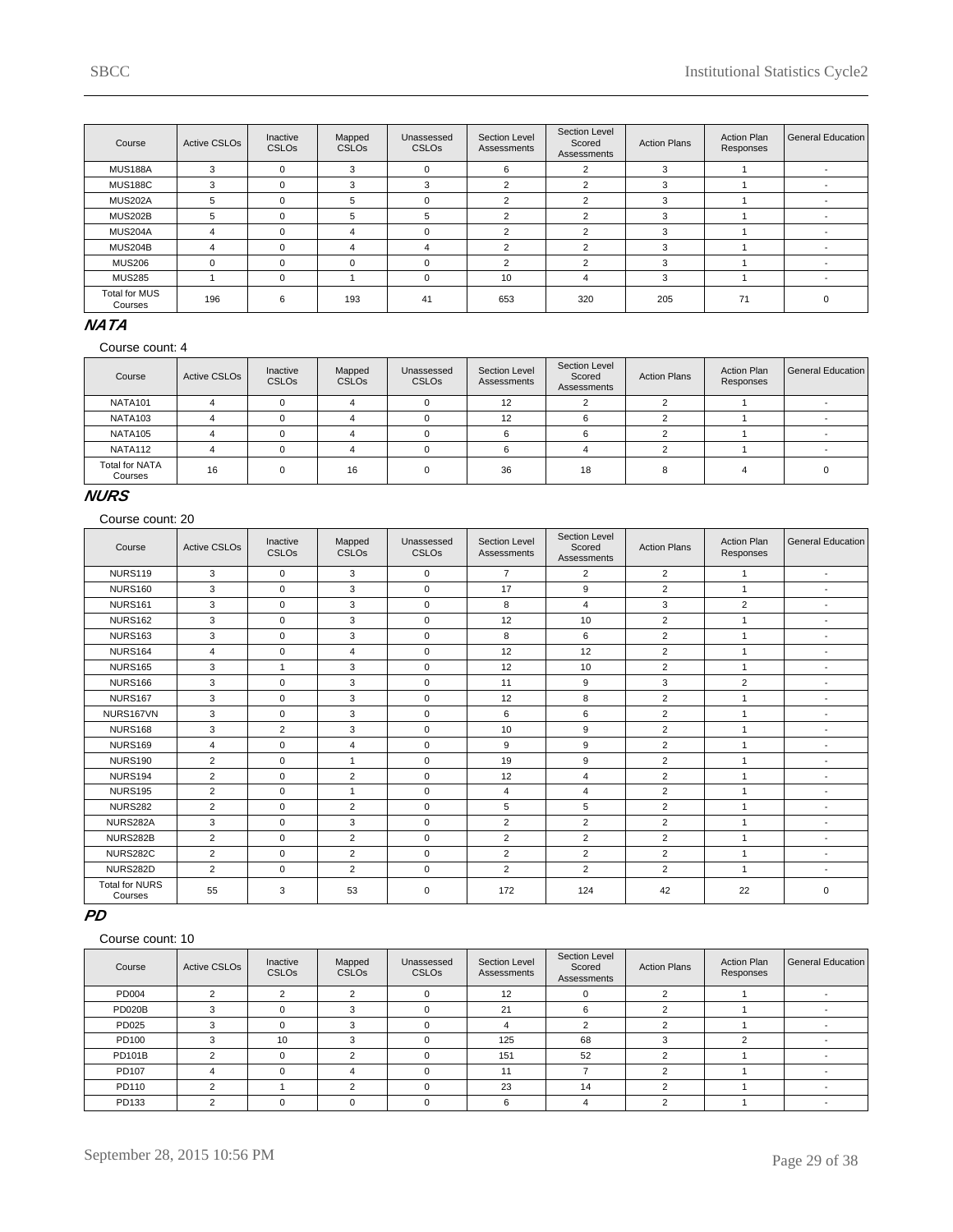| Course                          | <b>Active CSLOs</b> | Inactive<br><b>CSLOs</b> | Mapped<br><b>CSLOs</b> | Unassessed<br><b>CSLOs</b> | Section Level<br>Assessments | Section Level<br>Scored<br>Assessments | <b>Action Plans</b> | <b>Action Plan</b><br>Responses | General Education        |
|---------------------------------|---------------------|--------------------------|------------------------|----------------------------|------------------------------|----------------------------------------|---------------------|---------------------------------|--------------------------|
| <b>MUS188A</b>                  | 3                   | $\Omega$                 | 3                      | $\Omega$                   | 6                            | $\sim$                                 | 3                   |                                 |                          |
| <b>MUS188C</b>                  | 3                   |                          | 3                      | 3                          | 2                            | $\overline{2}$                         | 3                   |                                 |                          |
| MUS202A                         | 5                   | 0                        | 5                      | $\Omega$                   | $\overline{2}$               | 2                                      | 3                   |                                 |                          |
| <b>MUS202B</b>                  | 5                   |                          | 5                      | 5                          | $\overline{2}$               | 2                                      | 3                   |                                 |                          |
| MUS204A                         | 4                   |                          | 4                      | $\Omega$                   | $\overline{2}$               | 2                                      | 3                   |                                 | $\overline{\phantom{a}}$ |
| MUS204B                         | 4                   |                          | 4                      | 4                          | $\overline{2}$               | 2                                      | 3                   |                                 | $\overline{\phantom{a}}$ |
| <b>MUS206</b>                   | $\Omega$            |                          |                        | $\Omega$                   | $\overline{2}$               | 2                                      | 3                   |                                 |                          |
| <b>MUS285</b>                   |                     |                          |                        | $\Omega$                   | 10                           | 4                                      | 3                   |                                 |                          |
| <b>Total for MUS</b><br>Courses | 196                 | 6                        | 193                    | 41                         | 653                          | 320                                    | 205                 | 71                              |                          |

### **NATA**

Course count: 4

| Course                           | <b>Active CSLOs</b> | Inactive<br><b>CSLOs</b> | Mapped<br><b>CSLOs</b> | Unassessed<br><b>CSLOs</b> | Section Level<br>Assessments | Section Level<br>Scored<br>Assessments | <b>Action Plans</b> | <b>Action Plan</b><br>Responses | General Education |
|----------------------------------|---------------------|--------------------------|------------------------|----------------------------|------------------------------|----------------------------------------|---------------------|---------------------------------|-------------------|
| NATA101                          |                     |                          |                        |                            | 12                           |                                        |                     |                                 |                   |
| NATA103                          |                     |                          |                        |                            | 12                           | 6.                                     |                     |                                 |                   |
| NATA105                          |                     |                          |                        |                            |                              |                                        |                     |                                 |                   |
| NATA112                          |                     |                          |                        |                            |                              |                                        |                     |                                 |                   |
| <b>Total for NATA</b><br>Courses | 16                  |                          | 16                     |                            | 36                           | 18                                     |                     |                                 |                   |

### **NURS**

Course count: 20

| Course                           | <b>Active CSLOs</b> | Inactive<br>CSLOs | Mapped<br><b>CSLOs</b> | Unassessed<br><b>CSLOs</b> | Section Level<br>Assessments | Section Level<br>Scored<br>Assessments | <b>Action Plans</b> | <b>Action Plan</b><br>Responses | <b>General Education</b> |
|----------------------------------|---------------------|-------------------|------------------------|----------------------------|------------------------------|----------------------------------------|---------------------|---------------------------------|--------------------------|
| <b>NURS119</b>                   | 3                   | $\Omega$          | 3                      | $\mathbf 0$                | $\overline{7}$               | $\overline{2}$                         | $\overline{2}$      | 1                               | $\sim$                   |
| <b>NURS160</b>                   | 3                   | $\mathbf 0$       | 3                      | $\mathbf 0$                | 17                           | 9                                      | $\overline{2}$      | 1                               | $\blacksquare$           |
| <b>NURS161</b>                   | 3                   | $\mathbf 0$       | 3                      | $\mathbf 0$                | 8                            | 4                                      | 3                   | $\overline{2}$                  | $\sim$                   |
| <b>NURS162</b>                   | 3                   | $\Omega$          | 3                      | $\Omega$                   | 12                           | 10                                     | $\overline{2}$      | 1                               | $\sim$                   |
| <b>NURS163</b>                   | 3                   | $\mathbf 0$       | 3                      | $\mathbf 0$                | 8                            | 6                                      | $\overline{2}$      | $\overline{1}$                  | $\overline{\phantom{a}}$ |
| <b>NURS164</b>                   | $\overline{4}$      | $\mathbf 0$       | 4                      | $\mathbf 0$                | 12                           | 12                                     | $\overline{2}$      | $\overline{ }$                  | $\blacksquare$           |
| <b>NURS165</b>                   | 3                   | 1                 | 3                      | $\mathbf 0$                | 12                           | 10                                     | $\overline{2}$      | $\overline{1}$                  | ٠                        |
| <b>NURS166</b>                   | 3                   | $\mathbf 0$       | 3                      | $\mathbf 0$                | 11                           | 9                                      | 3                   | $\overline{2}$                  | $\overline{\phantom{a}}$ |
| <b>NURS167</b>                   | 3                   | $\Omega$          | 3                      | $\mathbf 0$                | 12                           | 8                                      | $\overline{2}$      | 1                               | $\blacksquare$           |
| NURS167VN                        | 3                   | $\mathbf 0$       | 3                      | $\mathbf 0$                | 6                            | 6                                      | $\overline{2}$      |                                 | $\blacksquare$           |
| <b>NURS168</b>                   | 3                   | $\overline{2}$    | 3                      | $\mathbf 0$                | 10                           | 9                                      | $\overline{2}$      | -1                              | $\blacksquare$           |
| <b>NURS169</b>                   | $\overline{4}$      | $\Omega$          | 4                      | $\mathbf 0$                | 9                            | 9                                      | $\overline{2}$      |                                 | $\blacksquare$           |
| <b>NURS190</b>                   | 2                   | $\Omega$          | $\mathbf{1}$           | $\Omega$                   | 19                           | 9                                      | $\overline{2}$      | -1                              | $\blacksquare$           |
| <b>NURS194</b>                   | $\overline{2}$      | $\mathbf 0$       | $\overline{2}$         | $\mathbf 0$                | 12                           | $\overline{4}$                         | $\overline{2}$      | 1                               | $\overline{\phantom{a}}$ |
| <b>NURS195</b>                   | 2                   | $\Omega$          | 1                      | $\mathbf 0$                | $\overline{4}$               | 4                                      | $\overline{2}$      | $\overline{ }$                  | $\blacksquare$           |
| <b>NURS282</b>                   | $\overline{2}$      | $\mathbf 0$       | $\overline{2}$         | $\mathbf 0$                | 5                            | 5                                      | $\overline{2}$      | 1                               | $\overline{\phantom{a}}$ |
| NURS282A                         | 3                   | $\mathbf 0$       | 3                      | $\mathbf 0$                | $\overline{2}$               | $\overline{2}$                         | $\overline{2}$      | $\overline{1}$                  | $\overline{\phantom{a}}$ |
| NURS282B                         | $\overline{2}$      | $\mathbf 0$       | $\overline{2}$         | $\mathbf 0$                | $\overline{2}$               | 2                                      | $\overline{2}$      | 1                               | $\blacksquare$           |
| <b>NURS282C</b>                  | 2                   | $\mathbf 0$       | $\overline{2}$         | $\mathbf 0$                | 2                            | $\overline{2}$                         | $\overline{2}$      | $\overline{ }$                  | $\overline{\phantom{a}}$ |
| NURS282D                         | 2                   | $\mathbf 0$       | $\overline{2}$         | $\mathbf 0$                | 2                            | $\overline{2}$                         | $\overline{2}$      | $\overline{1}$                  | $\blacksquare$           |
| <b>Total for NURS</b><br>Courses | 55                  | 3                 | 53                     | $\mathbf 0$                | 172                          | 124                                    | 42                  | 22                              | $\Omega$                 |

#### **PD**

| Course        | <b>Active CSLOs</b> | Inactive<br><b>CSLOs</b> | Mapped<br><b>CSLOs</b> | Unassessed<br><b>CSLOs</b> | Section Level<br>Assessments | Section Level<br>Scored<br>Assessments | <b>Action Plans</b> | <b>Action Plan</b><br>Responses | General Education |
|---------------|---------------------|--------------------------|------------------------|----------------------------|------------------------------|----------------------------------------|---------------------|---------------------------------|-------------------|
| PD004         | $\overline{2}$      | $\sim$                   | $\sim$                 | $\Omega$                   | 12                           | $\Omega$                               |                     |                                 |                   |
| <b>PD020B</b> |                     |                          |                        | $\Omega$                   | 21                           | 6                                      |                     |                                 |                   |
| PD025         | 3                   |                          |                        | $\Omega$                   | 4                            | 2                                      |                     |                                 |                   |
| PD100         | 3                   | 10                       |                        | $\Omega$                   | 125                          | 68                                     |                     | $\sim$                          |                   |
| <b>PD101B</b> | $\mathfrak{p}$      |                          | $\sim$                 | $\Omega$                   | 151                          | 52                                     |                     |                                 |                   |
| PD107         | Δ                   |                          |                        | $\Omega$                   | 11                           |                                        |                     |                                 |                   |
| PD110         | $\overline{2}$      |                          |                        | $\Omega$                   | 23                           | 14                                     |                     |                                 |                   |
| PD133         | $\sim$              |                          |                        |                            | 6                            |                                        |                     |                                 |                   |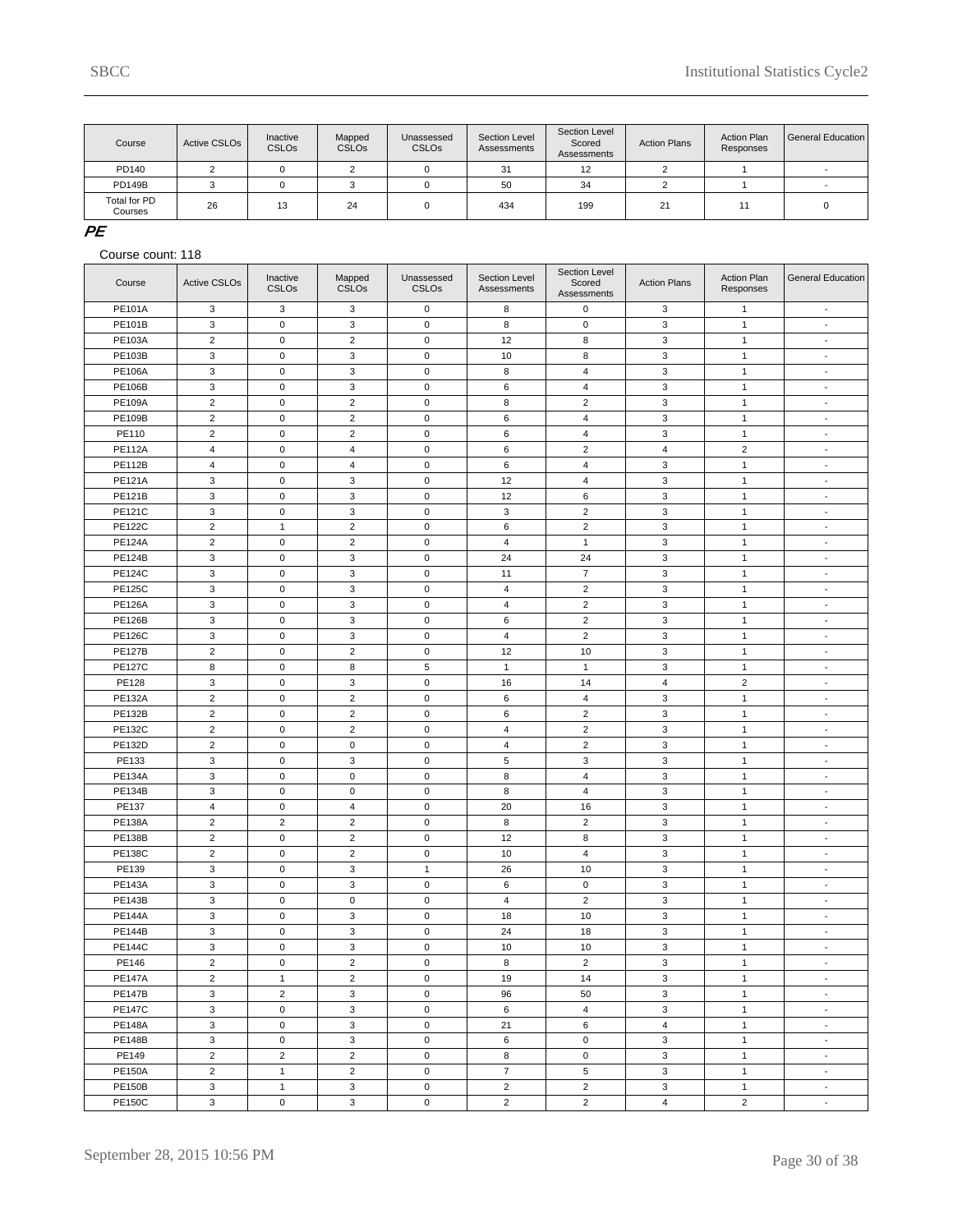| Course                  | Active CSLO <sub>s</sub> | Inactive<br><b>CSLOs</b> | Mapped<br><b>CSLOs</b> | Unassessed<br><b>CSLO<sub>s</sub></b> | Section Level<br>Assessments | Section Level<br>Scored<br>Assessments | <b>Action Plans</b> | <b>Action Plan</b><br>Responses | General Education |
|-------------------------|--------------------------|--------------------------|------------------------|---------------------------------------|------------------------------|----------------------------------------|---------------------|---------------------------------|-------------------|
| PD140                   |                          |                          |                        |                                       | 31                           | 12                                     |                     |                                 |                   |
| <b>PD149B</b>           |                          |                          |                        |                                       | 50                           | 34                                     |                     |                                 |                   |
| Total for PD<br>Courses | 26                       | 13                       | 24                     |                                       | 434                          | 199                                    | 21                  |                                 |                   |

### **PE**

| Course                         | <b>Active CSLOs</b> | Inactive<br><b>CSLOs</b>       | Mapped<br><b>CSLOs</b>        | Unassessed<br><b>CSLOs</b> | Section Level<br>Assessments | Section Level<br>Scored<br>Assessments | <b>Action Plans</b> | <b>Action Plan</b><br>Responses | General Education        |
|--------------------------------|---------------------|--------------------------------|-------------------------------|----------------------------|------------------------------|----------------------------------------|---------------------|---------------------------------|--------------------------|
| <b>PE101A</b>                  | 3                   | 3                              | $\mathbf 3$                   | $\pmb{0}$                  | 8                            | $\mathsf 0$                            | 3                   | $\mathbf{1}$                    | $\sim$                   |
| PE101B                         | 3                   | 0                              | 3                             | $\mathbf 0$                | 8                            | 0                                      | 3                   | $\mathbf{1}$                    | $\sim$                   |
| PE103A                         | $\overline{2}$      | $\pmb{0}$                      | $\overline{2}$                | $\mathbf 0$                | 12                           | 8                                      | 3                   | $\mathbf{1}$                    | $\overline{\phantom{a}}$ |
| PE103B                         | 3                   | $\pmb{0}$                      | 3                             | $\mathbf 0$                | 10                           | 8                                      | $\mathbf 3$         | $\mathbf{1}$                    | $\blacksquare$           |
| <b>PE106A</b>                  | 3                   | $\mathsf 0$                    | 3                             | $\mathbf 0$                | 8                            | 4                                      | 3                   | $\mathbf{1}$                    | $\sim$                   |
| <b>PE106B</b>                  | 3                   | $\pmb{0}$                      | 3                             | $\mathbf 0$                | 6                            | $\overline{4}$                         | 3                   | $\mathbf{1}$                    | $\overline{\phantom{a}}$ |
| <b>PE109A</b>                  | $\overline{c}$      | $\pmb{0}$                      | $\sqrt{2}$                    | $\mathbf 0$                | 8                            | $\overline{c}$                         | $\mathbf 3$         | $\mathbf{1}$                    | $\blacksquare$           |
| <b>PE109B</b>                  | $\overline{2}$      | $\pmb{0}$                      | $\overline{2}$                | $\mathbf 0$                | 6                            | 4                                      | 3                   | $\mathbf{1}$                    | $\sim$                   |
| PE110                          | $\overline{c}$      | $\pmb{0}$                      | $\overline{2}$                | $\mathbf 0$                | 6                            | $\overline{4}$                         | 3                   | $\mathbf{1}$                    | $\overline{\phantom{a}}$ |
| <b>PE112A</b>                  | $\overline{4}$      | $\pmb{0}$                      | $\overline{4}$                | $\mathbf 0$                | 6                            | $\overline{c}$                         | $\overline{4}$      | $\mathbf 2$                     | $\blacksquare$           |
| <b>PE112B</b>                  | 4                   | $\mathsf 0$                    | 4                             | $\mathbf 0$                | 6                            | 4                                      | 3                   | $\mathbf{1}$                    | $\sim$                   |
| <b>PE121A</b>                  | 3                   | $\pmb{0}$                      | 3                             | $\mathbf 0$                | 12                           | $\overline{4}$                         | 3                   | $\mathbf{1}$                    | $\overline{\phantom{a}}$ |
| PE121B                         | 3                   | $\pmb{0}$                      | 3                             | $\mathbf 0$                | 12                           | 6                                      | $\mathbf 3$         | $\mathbf{1}$                    | $\blacksquare$           |
| <b>PE121C</b>                  | 3                   | $\pmb{0}$                      | 3                             | $\mathbf 0$                | 3                            | $\overline{2}$                         | 3                   | $\mathbf{1}$                    | $\sim$                   |
| <b>PE122C</b>                  | $\overline{c}$      | $\mathbf{1}$                   | $\overline{2}$                | $\mathbf 0$                | 6                            | $\overline{c}$                         | 3                   | $\mathbf{1}$                    | $\overline{\phantom{a}}$ |
| <b>PE124A</b>                  | $\overline{c}$      | $\pmb{0}$                      | $\overline{c}$                | $\mathbf 0$                | $\overline{\mathbf{4}}$      | $\mathbf{1}$                           | $\mathbf 3$         | $\mathbf{1}$                    | $\blacksquare$           |
| <b>PE124B</b>                  | 3                   | $\pmb{0}$                      | 3                             | $\mathbf 0$                | 24                           | 24                                     | 3                   | $\mathbf{1}$                    | $\sim$                   |
| <b>PE124C</b>                  | 3                   | $\pmb{0}$                      | 3                             | $\mathbf 0$                | 11                           | $\overline{7}$                         | 3                   | $\mathbf{1}$                    | $\overline{\phantom{a}}$ |
| <b>PE125C</b>                  | 3                   | $\pmb{0}$                      | $\mathsf 3$                   | $\mathbf 0$                | $\overline{4}$               | $\overline{c}$                         | $\mathbf 3$         | $\mathbf{1}$                    | $\blacksquare$           |
| <b>PE126A</b>                  | 3                   | $\pmb{0}$                      | 3                             | $\mathbf 0$                | 4                            | $\overline{2}$                         | 3                   | $\mathbf{1}$                    | $\sim$                   |
| <b>PE126B</b>                  | 3                   | $\pmb{0}$                      | 3                             | $\mathbf 0$                | 6                            | $\overline{c}$                         | 3                   | $\mathbf{1}$                    | $\overline{\phantom{a}}$ |
| <b>PE126C</b>                  | 3                   | $\pmb{0}$                      | $\mathbf 3$                   | $\mathbf 0$                | $\overline{4}$               | $\overline{2}$                         | $\mathbf 3$         | $\mathbf{1}$                    | $\blacksquare$           |
| <b>PE127B</b>                  | $\overline{2}$      | $\pmb{0}$                      | $\overline{2}$                | $\mathbf 0$                | 12                           | 10                                     | 3                   | $\mathbf{1}$                    | $\sim$                   |
| <b>PE127C</b>                  | 8                   | $\pmb{0}$                      | 8                             | 5                          | $\mathbf{1}$                 | $\mathbf{1}$                           | 3                   | $\mathbf{1}$                    | $\overline{\phantom{a}}$ |
| PE128                          | 3                   | $\pmb{0}$                      | $\mathsf 3$                   | $\mathbf 0$                | 16                           | 14                                     | $\overline{4}$      | $\mathbf 2$                     | $\blacksquare$           |
| <b>PE132A</b>                  | $\overline{2}$      | $\pmb{0}$                      | $\overline{2}$                | $\mathbf 0$                | 6                            | 4                                      | 3                   | $\mathbf{1}$                    | $\sim$                   |
| PE132B                         | $\overline{c}$      | $\pmb{0}$                      | $\overline{2}$                | $\mathbf 0$                | 6                            | $\overline{c}$                         | 3                   | $\mathbf{1}$                    | $\overline{\phantom{a}}$ |
| PE132C                         | $\overline{c}$      | $\pmb{0}$                      | $\overline{c}$                | $\mathbf 0$                | 4                            | $\overline{c}$                         | $\mathbf 3$         | $\mathbf{1}$                    | $\blacksquare$           |
| <b>PE132D</b>                  | $\overline{2}$      | $\mathsf 0$                    | $\mathbf 0$                   | $\mathbf 0$                | $\overline{4}$               | $\overline{2}$                         | 3                   | $\mathbf{1}$                    | $\sim$                   |
| PE133                          | 3                   | $\pmb{0}$                      | 3                             | $\mathbf 0$                | 5                            | 3                                      | 3                   | $\mathbf{1}$                    | $\overline{\phantom{a}}$ |
| <b>PE134A</b>                  | 3                   | $\pmb{0}$                      | $\mathbf 0$                   | $\mathbf 0$                | 8                            | $\overline{4}$                         | $\mathbf 3$         | $\mathbf{1}$                    | $\blacksquare$           |
| <b>PE134B</b>                  | 3                   | $\mathsf 0$                    | $\mathbf 0$                   | $\mathbf 0$                | 8                            | 4                                      | 3                   | $\mathbf{1}$                    | $\sim$                   |
| PE137                          | $\overline{4}$      | $\pmb{0}$                      | $\overline{4}$                | $\mathbf 0$                | 20                           | 16                                     | 3                   | $\mathbf{1}$                    | $\overline{\phantom{a}}$ |
| <b>PE138A</b>                  | $\overline{c}$      | $\overline{2}$                 | $\overline{c}$                | $\mathbf 0$                | 8                            | $\overline{2}$                         | $\mathbf 3$         | $\mathbf{1}$                    | $\blacksquare$           |
| <b>PE138B</b>                  | $\overline{2}$      | $\mathsf 0$                    | $\overline{2}$                | $\mathbf 0$                | 12                           | 8                                      | 3                   | $\mathbf{1}$                    | $\sim$                   |
| <b>PE138C</b>                  | $\overline{c}$      | $\pmb{0}$                      | $\overline{2}$                | $\mathbf 0$                | 10                           | $\overline{4}$                         | 3                   | $\mathbf{1}$                    | $\overline{\phantom{a}}$ |
| PE139                          | 3                   | $\pmb{0}$                      | $\mathsf 3$                   | $\mathbf{1}$               | 26                           | 10                                     | $\mathbf 3$         | $\mathbf{1}$                    | $\blacksquare$           |
| <b>PE143A</b>                  | 3                   | $\pmb{0}$                      | 3                             | $\mathbf 0$                | 6                            | 0                                      | 3                   | $\mathbf{1}$                    | $\sim$                   |
| <b>PE143B</b>                  | 3                   | $\pmb{0}$                      | $\mathsf 0$                   | $\mathbf 0$                | $\overline{4}$               | $\overline{c}$                         | 3                   | $\mathbf{1}$                    | $\overline{\phantom{a}}$ |
| <b>PE144A</b>                  | 3                   | $\pmb{0}$                      | $\mathbf 3$                   | $\mathbf 0$                | 18                           | 10                                     | $\mathbf 3$         | $\mathbf{1}$                    | $\blacksquare$           |
| <b>PE144B</b>                  | 3                   | 0                              | 3                             | $\mathbf 0$                | 24                           | 18                                     | 3                   | $\mathbf{1}$                    | $\sim$                   |
| <b>PE144C</b>                  | 3                   | 0                              | $\mathsf 3$                   | $\pmb{0}$                  | 10                           | 10                                     | $\mathsf 3$         | $\mathbf{1}$                    | $\blacksquare$           |
| PE146                          | $\overline{c}$      | 0                              | $\sqrt{2}$                    | $\mathsf 0$                | 8                            | $\overline{2}$                         | 3                   | $\mathbf{1}$                    |                          |
|                                |                     |                                |                               | $\mathbf 0$                |                              |                                        |                     |                                 |                          |
| <b>PE147A</b><br><b>PE147B</b> | $\overline{2}$<br>3 | $\mathbf{1}$<br>$\overline{2}$ | $\overline{2}$<br>3           | $\mathbf 0$                | 19                           | 14                                     | 3<br>3              | $\mathbf{1}$                    | $\sim$<br>$\sim$         |
|                                | 3                   | $\mathsf 0$                    | 3                             | $\mathbf 0$                | 96<br>6                      | 50<br>$\overline{4}$                   | 3                   | $\mathbf{1}$<br>$\mathbf{1}$    | $\sim$                   |
| <b>PE147C</b>                  |                     |                                |                               |                            |                              |                                        |                     |                                 |                          |
| <b>PE148A</b>                  | 3                   | 0                              | 3                             | $\mathbf 0$                | 21                           | 6<br>$\mathsf{O}$                      | $\overline{4}$      | $\mathbf{1}$                    | $\sim$                   |
| <b>PE148B</b>                  | 3                   | $\mathsf 0$<br>$\overline{2}$  | $\mathbf 3$<br>$\overline{2}$ | $\mathsf 0$<br>$\mathbf 0$ | 6                            | 0                                      | $\mathbf 3$         | $\mathbf{1}$                    | $\sim$<br>$\sim$         |
| PE149                          | $\overline{2}$      |                                |                               |                            | 8                            |                                        | 3                   | $\mathbf{1}$                    |                          |
| <b>PE150A</b>                  | $\overline{2}$      | $\mathbf{1}$                   | $\overline{2}$                | $\mathbf 0$                | $\overline{7}$               | 5                                      | 3                   | $\mathbf{1}$                    | $\sim$                   |
| <b>PE150B</b>                  | $\mathsf 3$         | $\mathbf{1}$                   | $\mathbf{3}$                  | $\mathbf 0$                | $\overline{2}$               | $\overline{2}$                         | 3                   | $\mathbf{1}$                    | $\sim$                   |
| <b>PE150C</b>                  | 3                   | $\mathsf 0$                    | 3                             | $\mathsf{O}\xspace$        | $\overline{2}$               | $\overline{2}$                         | $\overline{4}$      | $\overline{2}$                  | $\sim$                   |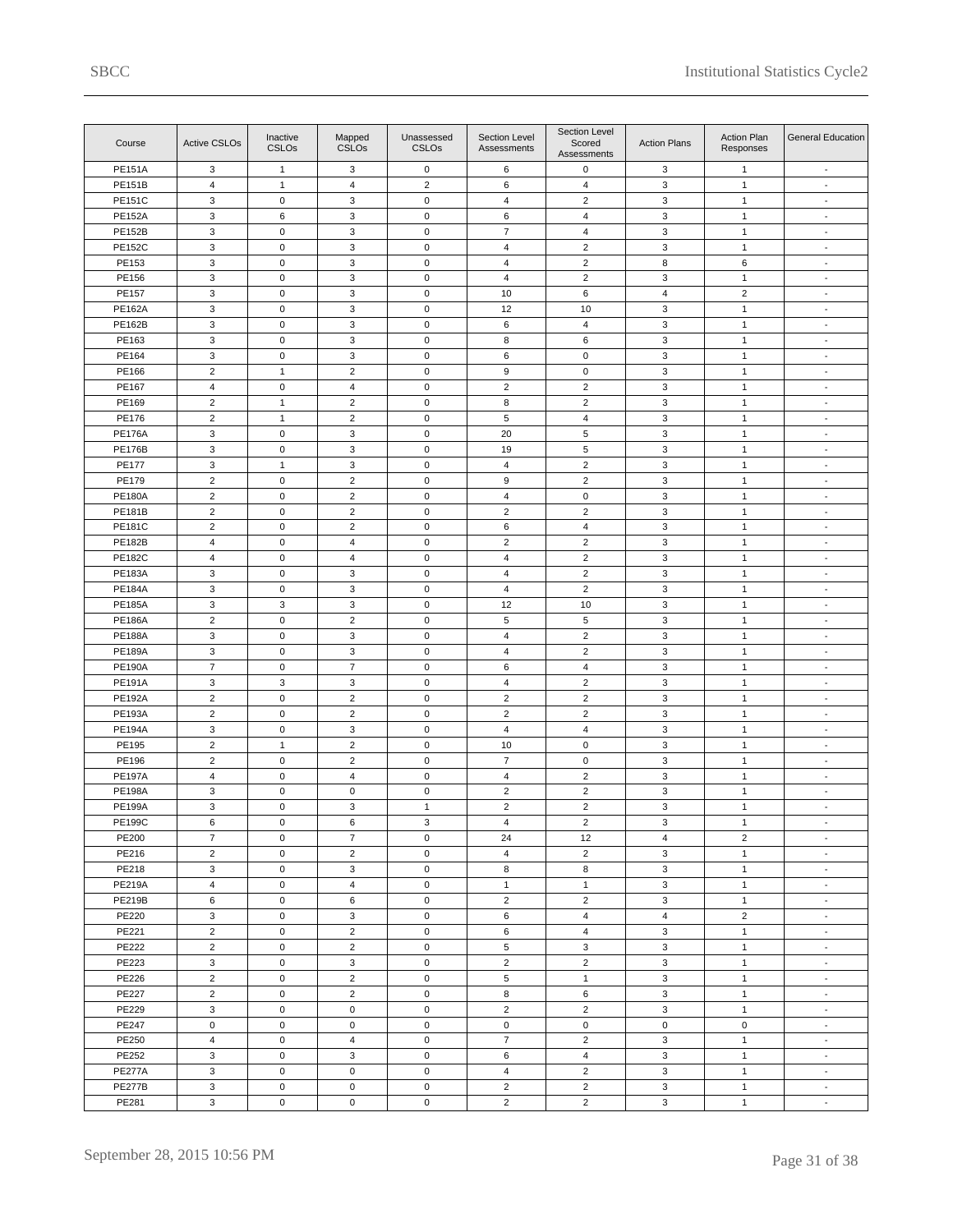| Course        | <b>Active CSLOs</b>       | Inactive<br>CSLO <sub>s</sub> | Mapped<br><b>CSLOs</b>  | Unassessed<br><b>CSLOs</b> | Section Level<br>Assessments | Section Level<br>Scored<br>Assessments | <b>Action Plans</b> | Action Plan<br>Responses     | General Education           |
|---------------|---------------------------|-------------------------------|-------------------------|----------------------------|------------------------------|----------------------------------------|---------------------|------------------------------|-----------------------------|
| <b>PE151A</b> | 3                         | $\mathbf{1}$                  | 3                       | $\mathsf 0$                | 6                            | 0                                      | 3                   | $\mathbf{1}$                 | $\overline{\phantom{a}}$    |
| <b>PE151B</b> | $\overline{4}$            | $\mathbf{1}$                  | 4                       | $\overline{2}$             | 6                            | $\overline{4}$                         | 3                   | $\mathbf{1}$                 | $\overline{\phantom{a}}$    |
| <b>PE151C</b> | 3                         | $\mathsf 0$                   | 3                       | $\mathbf 0$                | 4                            | $\overline{c}$                         | $\mathbf 3$         | $\mathbf{1}$                 | $\blacksquare$              |
| <b>PE152A</b> | $\mathbf 3$               | 6                             | 3                       | $\mathbf 0$                | 6                            | 4                                      | 3                   | $\mathbf{1}$                 | $\overline{\phantom{a}}$    |
| <b>PE152B</b> | 3                         | $\mathbf 0$                   | 3                       | $\mathsf 0$                | $\overline{7}$               | $\overline{4}$                         | 3                   | $\mathbf{1}$                 | $\blacksquare$              |
| <b>PE152C</b> | $\mathbf 3$               | $\mathsf 0$                   | 3                       | $\pmb{0}$                  | 4                            | $\overline{c}$                         | $\mathbf 3$         | $\mathbf{1}$                 | $\blacksquare$              |
| PE153         | $\mathbf 3$               | $\mathbf 0$                   | 3                       | $\mathbf 0$                | $\overline{4}$               | $\overline{2}$                         | 8                   | 6                            | $\overline{\phantom{a}}$    |
| PE156         | 3                         | $\mathbf 0$                   | 3                       | $\mathsf 0$                | $\overline{4}$               | $\overline{2}$                         | 3                   | $\mathbf{1}$                 | $\blacksquare$              |
| PE157         | $\mathbf 3$               | $\mathbf 0$                   | 3                       | $\pmb{0}$                  | 10                           | 6                                      | $\overline{4}$      | $\overline{2}$               | $\blacksquare$              |
| <b>PE162A</b> | $\mathsf 3$               | $\mathbf 0$                   | 3                       | $\mathbf 0$                | 12                           | 10                                     | 3                   | $\mathbf{1}$                 | $\overline{\phantom{a}}$    |
| <b>PE162B</b> | 3                         | $\mathsf 0$                   | 3                       | $\mathsf 0$                | 6                            | $\overline{4}$                         | 3                   | $\mathbf{1}$                 | $\blacksquare$              |
| PE163         | $\mathsf 3$               | $\mathbf 0$                   | 3                       | $\pmb{0}$                  | 8                            | 6                                      | $\mathbf 3$         | $\mathbf{1}$                 | $\blacksquare$              |
| PE164         | $\mathbf 3$               | $\mathbf 0$                   | 3                       | $\mathbf 0$                | 6                            | $\mathsf 0$                            | $\mathbf 3$         | $\mathbf{1}$                 | $\overline{\phantom{a}}$    |
| PE166         | $\overline{2}$            | $\mathbf{1}$                  | $\overline{2}$          | $\mathsf 0$                | 9                            | $\pmb{0}$                              | 3                   | $\mathbf{1}$                 | $\overline{\phantom{a}}$    |
| PE167         | $\overline{4}$            | $\mathsf 0$                   | 4                       | $\pmb{0}$                  | $\sqrt{2}$                   | $\sqrt{2}$                             | $\mathsf 3$         | $\mathbf{1}$                 | $\blacksquare$              |
| PE169         | $\overline{c}$            | $\mathbf{1}$                  | $\overline{\mathbf{c}}$ | $\mathbf 0$                | 8                            | $\overline{c}$                         | $\mathbf 3$         | $\mathbf{1}$                 | $\overline{\phantom{a}}$    |
| PE176         | $\overline{2}$            | $\mathbf{1}$                  | $\overline{2}$          | $\mathsf 0$                | 5                            | $\overline{4}$                         | 3                   | $\mathbf{1}$                 | $\overline{\phantom{a}}$    |
|               |                           |                               |                         |                            |                              |                                        |                     |                              |                             |
| <b>PE176A</b> | $\mathbf 3$               | $\mathsf 0$<br>$\mathbf 0$    | 3<br>3                  | $\pmb{0}$                  | 20                           | 5                                      | $\mathbf 3$         | $\mathbf{1}$<br>$\mathbf{1}$ | $\blacksquare$              |
| <b>PE176B</b> | $\mathbf 3$               |                               |                         | $\mathbf 0$                | 19                           | 5                                      | $\mathbf 3$         |                              | $\overline{\phantom{a}}$    |
| <b>PE177</b>  | 3                         | $\mathbf{1}$                  | 3                       | $\mathsf 0$                | $\overline{4}$               | $\overline{2}$                         | 3                   | $\mathbf{1}$                 | $\overline{\phantom{a}}$    |
| PE179         | $\overline{c}$            | $\mathsf 0$                   | $\overline{\mathbf{c}}$ | $\pmb{0}$                  | $\boldsymbol{9}$             | $\sqrt{2}$                             | $\mathbf 3$         | $\mathbf{1}$                 | $\blacksquare$              |
| <b>PE180A</b> | $\overline{2}$            | $\mathbf 0$                   | $\overline{\mathbf{c}}$ | $\mathbf 0$                | $\overline{4}$               | $\pmb{0}$                              | 3                   | $\mathbf{1}$                 | $\overline{\phantom{a}}$    |
| <b>PE181B</b> | $\overline{2}$            | $\mathsf 0$                   | $\overline{c}$          | $\mathsf 0$                | $\overline{2}$               | $\overline{2}$                         | 3                   | $\mathbf{1}$                 | $\blacksquare$              |
| <b>PE181C</b> | $\overline{c}$            | $\mathbf 0$                   | $\overline{\mathbf{c}}$ | $\pmb{0}$                  | $\,6\,$                      | $\overline{4}$                         | $\mathbf 3$         | $\mathbf{1}$                 | $\blacksquare$              |
| <b>PE182B</b> | 4                         | $\mathbf 0$                   | 4                       | $\mathbf 0$                | $\overline{\mathbf{c}}$      | $\mathbf 2$                            | $\mathbf 3$         | $\mathbf{1}$                 | $\overline{\phantom{a}}$    |
| <b>PE182C</b> | $\overline{4}$            | $\mathsf 0$                   | 4                       | $\mathsf 0$                | $\overline{4}$               | $\overline{2}$                         | 3                   | $\mathbf{1}$                 | $\blacksquare$              |
| PE183A        | $\mathbf 3$               | $\mathbf 0$                   | 3                       | $\pmb{0}$                  | $\overline{4}$               | $\sqrt{2}$                             | $\mathsf 3$         | $\mathbf{1}$                 | $\blacksquare$              |
| <b>PE184A</b> | $\mathbf 3$               | $\mathbf 0$                   | 3                       | $\mathbf 0$                | $\overline{4}$               | $\mathbf 2$                            | $\mathbf 3$         | $\mathbf{1}$                 | $\overline{\phantom{a}}$    |
| <b>PE185A</b> | 3                         | 3                             | 3                       | $\mathsf 0$                | 12                           | 10                                     | 3                   | $\mathbf{1}$                 | $\overline{\phantom{a}}$    |
| <b>PE186A</b> | $\sqrt{2}$                | $\mathbf 0$                   | $\overline{c}$          | $\pmb{0}$                  | $\sqrt{5}$                   | 5                                      | $\mathbf 3$         | $\mathbf{1}$                 | $\blacksquare$              |
| <b>PE188A</b> | $\mathbf 3$               | $\mathbf 0$                   | 3                       | $\mathbf 0$                | 4                            | $\overline{c}$                         | $\mathbf 3$         | $\mathbf{1}$                 | $\overline{\phantom{a}}$    |
| <b>PE189A</b> | 3                         | $\mathbf 0$                   | 3                       | $\mathsf 0$                | $\overline{4}$               | $\overline{2}$                         | 3                   | $\mathbf{1}$                 | $\overline{\phantom{a}}$    |
| <b>PE190A</b> | $\overline{7}$            | $\mathsf 0$                   | $\overline{7}$          | $\pmb{0}$                  | 6                            | $\overline{\mathbf{4}}$                | $\mathbf 3$         | $\mathbf{1}$                 | $\blacksquare$              |
| <b>PE191A</b> | $\mathbf 3$               | $\mathbf 3$                   | 3                       | $\mathbf 0$                | 4                            | $\overline{c}$                         | 3                   | $\mathbf{1}$                 | $\overline{\phantom{a}}$    |
| <b>PE192A</b> | $\overline{2}$            | $\mathbf 0$                   | $\overline{2}$          | $\mathsf 0$                | $\overline{2}$               | $\overline{2}$                         | 3                   | $\mathbf{1}$                 | $\blacksquare$              |
| <b>PE193A</b> | $\overline{c}$            | $\mathsf 0$                   | $\overline{\mathbf{c}}$ | $\pmb{0}$                  | $\overline{2}$               | $\overline{c}$                         | $\mathbf 3$         | $\mathbf{1}$                 | $\blacksquare$              |
| <b>PE194A</b> | $\mathbf 3$               | $\mathbf 0$                   | 3                       | $\mathsf 0$                | $\overline{4}$               | 4                                      | 3                   | $\mathbf{1}$                 | $\overline{\phantom{a}}$    |
| PE195         | $\overline{2}$            | $\mathbf{1}$                  | $\overline{c}$          | $\mathsf 0$                | 10                           | $\pmb{0}$                              | 3                   | $\mathbf{1}$                 | $\blacksquare$              |
| PE196         | $\sqrt{2}$                | $\mathsf{O}\xspace$           | $\overline{c}$          | $\pmb{0}$                  | $\overline{7}$               | $\pmb{0}$                              | $\mathbf 3$         | $\mathbf{1}$                 | $\blacksquare$              |
| <b>PE197A</b> | $\overline{4}$            | $\mathbf 0$                   | 4                       | $\mathbf 0$                | $\overline{4}$               | $\overline{2}$                         | $\mathsf 3$         | $\mathbf{1}$                 | $\overline{\phantom{a}}$    |
| <b>PE198A</b> | 3                         | $\mathsf 0$                   | $\pmb{0}$               | $\mathbf 0$                | $\overline{2}$               | $\overline{2}$                         | 3                   | $\mathbf{1}$                 | $\blacksquare$              |
| <b>PE199A</b> | 3                         | $\mathsf 0$                   | 3                       | $\mathbf{1}$               | $\overline{2}$               | $\overline{2}$                         | 3                   | $\mathbf{1}$                 | $\blacksquare$              |
| <b>PE199C</b> | 6                         | 0                             | 6                       | 3                          | 4                            | $\overline{c}$                         | 3                   | $\mathbf{1}$                 | $\sim$                      |
| PE200         | $\overline{7}$            | $\mathbf 0$                   | $\overline{7}$          | $\mathsf 0$                | 24                           | 12                                     | $\overline{4}$      | $\overline{2}$               | $\overline{\phantom{a}}$    |
| PE216         | $\sqrt{2}$                | $\mathsf{O}\xspace$           | $\overline{\mathbf{c}}$ | $\mathbf 0$                | $\overline{4}$               | $\overline{2}$                         | 3                   | $\mathbf{1}$                 | $\blacksquare$              |
| PE218         | $\ensuremath{\mathsf{3}}$ | $\mathbf 0$                   | 3                       | $\mathbf 0$                | 8                            | 8                                      | 3                   | $\mathbf{1}$                 | $\sim$                      |
| <b>PE219A</b> | $\overline{4}$            | $\mathbf 0$                   | 4                       | $\mathsf 0$                | $\mathbf{1}$                 | $\mathbf{1}$                           | 3                   | $\mathbf{1}$                 | $\overline{\phantom{a}}$    |
| <b>PE219B</b> | 6                         | $\mathsf{O}\xspace$           | 6                       | $\mathbf 0$                | $\overline{2}$               | $\overline{2}$                         | 3                   | $\mathbf{1}$                 | $\overline{\phantom{a}}$    |
| PE220         | 3                         | $\mathsf 0$                   | 3                       | $\mathbf 0$                | 6                            | $\overline{4}$                         | $\overline{4}$      | $\overline{2}$               | $\mathcal{L}_{\mathcal{A}}$ |
| PE221         | $\overline{2}$            | $\mathbf 0$                   | $\overline{2}$          | $\mathsf 0$                | 6                            | $\overline{4}$                         | 3                   | $\mathbf{1}$                 | $\overline{\phantom{a}}$    |
| PE222         | $\overline{2}$            | $\mathsf{O}\xspace$           | $\overline{c}$          | $\mathbf 0$                | 5                            | 3                                      | 3                   | $\mathbf{1}$                 | $\overline{\phantom{a}}$    |
| PE223         | $\mathsf 3$               | $\mathsf 0$                   | 3                       | $\mathsf 0$                | $\overline{2}$               | $\overline{2}$                         | 3                   | $\mathbf{1}$                 | $\mathcal{L}_{\mathcal{A}}$ |
| PE226         | $\overline{2}$            | $\mathbf 0$                   | $\overline{2}$          | $\mathsf 0$                | 5                            | $\mathbf{1}$                           | 3                   | $\mathbf{1}$                 | $\overline{\phantom{a}}$    |
| PE227         | $\sqrt{2}$                | $\mathsf 0$                   | $\overline{\mathbf{c}}$ | $\mathbf 0$                | 8                            | 6                                      | $\mathbf 3$         | $\mathbf{1}$                 | $\overline{\phantom{a}}$    |
| PE229         | $\mathsf 3$               | $\mathsf 0$                   | 0                       | $\mathsf 0$                | $\overline{2}$               | $\overline{2}$                         | $\mathbf 3$         | $\mathbf{1}$                 | $\mathcal{L}_{\mathcal{A}}$ |
| PE247         | $\mathsf 0$               | $\mathbf 0$                   | $\mathbf 0$             | $\mathsf 0$                | $\mathsf 0$                  | $\mathsf 0$                            | $\mathsf 0$         | $\mathsf 0$                  | $\overline{\phantom{a}}$    |
| PE250         | $\overline{4}$            | $\mathsf{O}\xspace$           | 4                       | $\mathbf 0$                | $\overline{7}$               | $\overline{2}$                         | $\mathbf 3$         | $\mathbf{1}$                 | $\blacksquare$              |
| PE252         | 3                         | $\mathsf 0$                   | 3                       | $\mathbf 0$                | 6                            | $\overline{4}$                         | 3                   | $\mathbf{1}$                 | $\sim$                      |
| <b>PE277A</b> | 3                         | $\mathbf 0$                   | $\mathsf 0$             | $\mathsf 0$                | $\overline{4}$               | $\overline{2}$                         | 3                   | $\mathbf{1}$                 | $\overline{\phantom{a}}$    |
| <b>PE277B</b> | $\mathsf 3$               | $\mathsf{O}\xspace$           | 0                       | $\mathbf 0$                | $\overline{2}$               | $\overline{2}$                         | 3                   | $\mathbf{1}$                 | $\blacksquare$              |
| PE281         | $\mathbf 3$               | $\mathsf{O}\xspace$           | $\mathbf 0$             | $\mathsf 0$                | $\overline{2}$               | $\overline{2}$                         | 3                   | $\mathbf{1}$                 | $\sim$                      |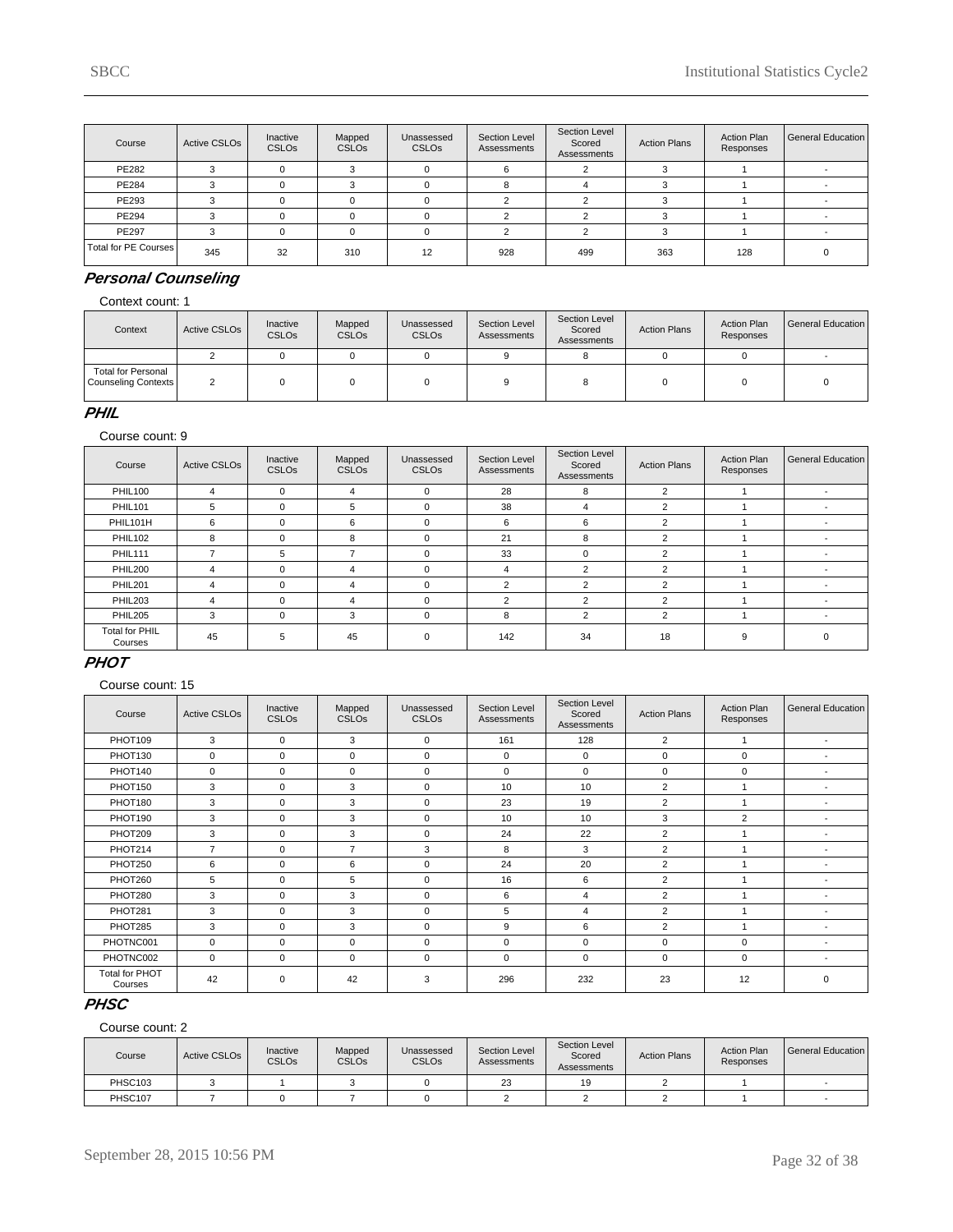| Course               | Active CSLOs | Inactive<br><b>CSLOs</b> | Mapped<br><b>CSLOs</b> | Unassessed<br><b>CSLOs</b> | Section Level<br>Assessments | Section Level<br>Scored<br>Assessments | <b>Action Plans</b> | <b>Action Plan</b><br>Responses | General Education |
|----------------------|--------------|--------------------------|------------------------|----------------------------|------------------------------|----------------------------------------|---------------------|---------------------------------|-------------------|
| PE282                |              |                          |                        |                            | ĸ                            |                                        |                     |                                 |                   |
| PE284                |              |                          |                        |                            |                              |                                        |                     |                                 |                   |
| PE293                |              |                          |                        |                            |                              |                                        |                     |                                 |                   |
| PE294                |              |                          |                        |                            |                              |                                        |                     |                                 |                   |
| PE297                |              |                          |                        |                            |                              |                                        |                     |                                 |                   |
| Total for PE Courses | 345          | 32                       | 310                    | 12                         | 928                          | 499                                    | 363                 | 128                             |                   |

# **Personal Counseling**

Context count: 1

| Context                                          | Active CSLO <sub>s</sub> | Inactive<br><b>CSLOs</b> | Mapped<br><b>CSLOs</b> | Unassessed<br><b>CSLO<sub>s</sub></b> | Section Level<br>Assessments | Section Level<br>Scored<br>Assessments | <b>Action Plans</b> | <b>Action Plan</b><br>Responses | General Education |
|--------------------------------------------------|--------------------------|--------------------------|------------------------|---------------------------------------|------------------------------|----------------------------------------|---------------------|---------------------------------|-------------------|
|                                                  |                          |                          |                        |                                       |                              |                                        |                     |                                 |                   |
| <b>Total for Personal</b><br>Counseling Contexts |                          |                          |                        |                                       |                              |                                        |                     |                                 |                   |

### **PHIL**

Course count: 9

| Course                           | <b>Active CSLOs</b> | Inactive<br>CSLO <sub>s</sub> | Mapped<br><b>CSLOs</b> | Unassessed<br><b>CSLOs</b> | Section Level<br><b>Assessments</b> | Section Level<br>Scored<br>Assessments | <b>Action Plans</b> | <b>Action Plan</b><br>Responses | <b>General Education</b> |
|----------------------------------|---------------------|-------------------------------|------------------------|----------------------------|-------------------------------------|----------------------------------------|---------------------|---------------------------------|--------------------------|
| <b>PHIL100</b>                   | 4                   | $\Omega$                      | 4                      | 0                          | 28                                  | 8                                      | 2                   |                                 | $\overline{\phantom{a}}$ |
| <b>PHIL101</b>                   | 5                   | $\Omega$                      | 5                      | 0                          | 38                                  | 4                                      | $\overline{2}$      |                                 | $\overline{\phantom{0}}$ |
| PHIL101H                         | 6                   | $\Omega$                      | 6                      | $\mathbf 0$                | 6                                   | 6                                      | 2                   |                                 | $\overline{\phantom{a}}$ |
| <b>PHIL102</b>                   | 8                   | $\Omega$                      | 8                      | 0                          | 21                                  | 8                                      | $\overline{2}$      |                                 |                          |
| <b>PHIL111</b>                   |                     | 5                             | ⇁                      | $\Omega$                   | 33                                  | $\Omega$                               | 2                   |                                 |                          |
| <b>PHIL200</b>                   | 4                   | $\Omega$                      | 4                      | $\Omega$                   | 4                                   | $\overline{2}$                         | $\mathcal{P}$       |                                 |                          |
| <b>PHIL201</b>                   | 4                   | $\Omega$                      | 4                      | $\Omega$                   | $\overline{2}$                      | $\overline{2}$                         | $\overline{2}$      |                                 | $\overline{\phantom{a}}$ |
| <b>PHIL203</b>                   | 4                   | $\Omega$                      | 4                      | $\mathbf 0$                | $\overline{2}$                      | $\overline{2}$                         | ◠                   |                                 |                          |
| PHIL205                          | 3                   | $\Omega$                      | 3                      | 0                          | 8                                   | $\overline{2}$                         | 2                   |                                 |                          |
| <b>Total for PHIL</b><br>Courses | 45                  | 5                             | 45                     | $\mathbf 0$                | 142                                 | 34                                     | 18                  | 9                               | $\Omega$                 |

### **PHOT**

Course count: 15

| Course                           | <b>Active CSLOs</b> | Inactive<br><b>CSLOs</b> | Mapped<br><b>CSLOs</b> | Unassessed<br><b>CSLOs</b> | Section Level<br>Assessments | Section Level<br>Scored<br>Assessments | <b>Action Plans</b> | <b>Action Plan</b><br>Responses | <b>General Education</b> |
|----------------------------------|---------------------|--------------------------|------------------------|----------------------------|------------------------------|----------------------------------------|---------------------|---------------------------------|--------------------------|
| PHOT109                          | 3                   | $\Omega$                 | 3                      | $\Omega$                   | 161                          | 128                                    | $\overline{2}$      |                                 |                          |
| PHOT130                          | $\mathbf 0$         | $\Omega$                 | $\Omega$               | 0                          | $\mathbf 0$                  | $\Omega$                               | $\Omega$            | $\Omega$                        |                          |
| PHOT140                          | $\mathbf 0$         | $\Omega$                 | $\Omega$               | $\Omega$                   | $\mathbf 0$                  | $\Omega$                               | $\Omega$            | $\Omega$                        |                          |
| PHOT150                          | 3                   | $\Omega$                 | 3                      | $\Omega$                   | 10 <sup>1</sup>              | 10                                     | $\overline{2}$      |                                 | $\overline{\phantom{a}}$ |
| PHOT180                          | 3                   | $\Omega$                 | 3                      | $\mathbf 0$                | 23                           | 19                                     | $\overline{2}$      | 1                               | $\overline{\phantom{a}}$ |
| PHOT190                          | 3                   | $\Omega$                 | 3                      | 0                          | 10 <sup>1</sup>              | 10                                     | 3                   | $\overline{2}$                  | $\overline{\phantom{a}}$ |
| PHOT209                          | 3                   | $\Omega$                 | 3                      | $\Omega$                   | 24                           | 22                                     | $\overline{2}$      |                                 | $\overline{\phantom{a}}$ |
| PHOT214                          | $\overline{7}$      | $\Omega$                 | $\overline{7}$         | 3                          | 8                            | 3                                      | $\overline{2}$      |                                 | $\overline{\phantom{a}}$ |
| PHOT250                          | 6                   | $\Omega$                 | 6                      | $\Omega$                   | 24                           | 20                                     | $\overline{2}$      |                                 | $\overline{\phantom{a}}$ |
| PHOT260                          | 5                   | $\Omega$                 | 5                      | $\Omega$                   | 16                           | 6                                      | $\overline{2}$      |                                 | $\overline{\phantom{a}}$ |
| PHOT280                          | 3                   | $\Omega$                 | 3                      | $\Omega$                   | 6                            | 4                                      | $\overline{2}$      |                                 | $\overline{\phantom{a}}$ |
| PHOT281                          | 3                   | $\Omega$                 | 3                      | $\Omega$                   | 5                            | $\overline{4}$                         | $\overline{2}$      | 1                               | $\overline{\phantom{a}}$ |
| PHOT285                          | 3                   | $\Omega$                 | 3                      | $\Omega$                   | 9                            | 6                                      | $\overline{2}$      |                                 | $\overline{\phantom{a}}$ |
| PHOTNC001                        | $\mathbf 0$         | $\Omega$                 | $\mathbf 0$            | $\Omega$                   | $\mathbf 0$                  | $\Omega$                               | $\Omega$            | $\Omega$                        | $\overline{\phantom{a}}$ |
| PHOTNC002                        | $\mathbf 0$         | $\mathbf 0$              | $\mathbf 0$            | $\mathbf 0$                | $\mathbf 0$                  | $\mathbf 0$                            | 0                   | $\mathbf 0$                     | $\overline{\phantom{a}}$ |
| <b>Total for PHOT</b><br>Courses | 42                  | 0                        | 42                     | 3                          | 296                          | 232                                    | 23                  | 12                              | $\Omega$                 |

# **PHSC**

| Course  | Active CSLO <sub>s</sub> | Inactive<br><b>CSLOs</b> | Mapped<br><b>CSLOs</b> | Unassessed<br>CSLO <sub>s</sub> | Section Level<br>Assessments | Section Level<br>Scored<br>Assessments | <b>Action Plans</b> | <b>Action Plan</b><br>Responses | l General Education |
|---------|--------------------------|--------------------------|------------------------|---------------------------------|------------------------------|----------------------------------------|---------------------|---------------------------------|---------------------|
| PHSC103 |                          |                          |                        |                                 | 23                           | 19                                     |                     |                                 |                     |
| PHSC107 |                          |                          |                        |                                 |                              |                                        |                     |                                 |                     |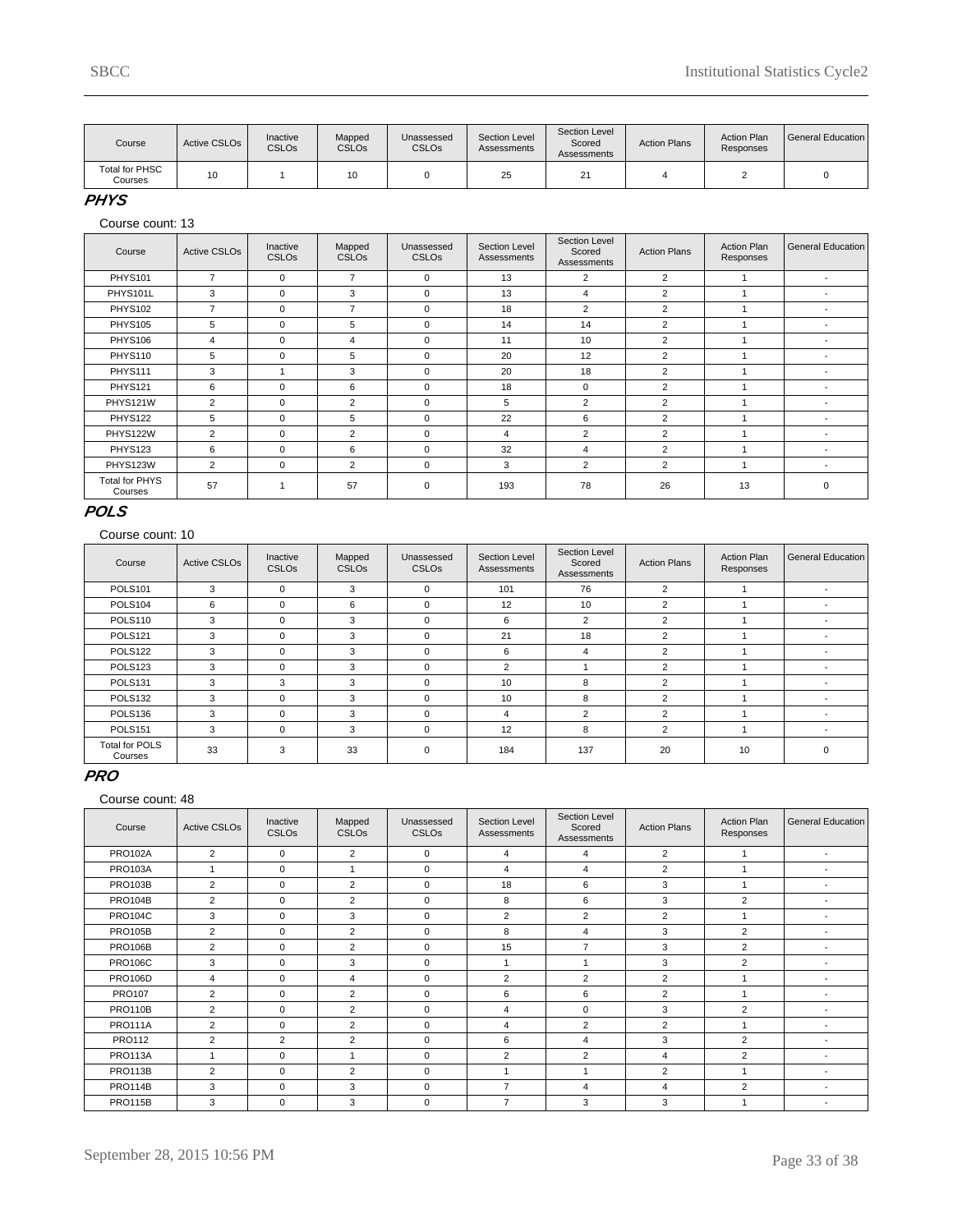| Course                           | Active CSLO <sub>s</sub> | Inactive<br><b>CSLOs</b> | Mapped<br><b>CSLO<sub>s</sub></b> | Jnassessed<br><b>CSLO<sub>s</sub></b> | Section Level<br>Assessments | Section Level<br>Scored<br>Assessments | <b>Action Plans</b> | <b>Action Plan</b><br>Responses | General Education |
|----------------------------------|--------------------------|--------------------------|-----------------------------------|---------------------------------------|------------------------------|----------------------------------------|---------------------|---------------------------------|-------------------|
| <b>Total for PHSC</b><br>Courses | 10                       |                          | 10                                |                                       | 25                           | $\sim$<br>∼                            |                     |                                 |                   |

### **PHYS**

Course count: 13

| Course                           | <b>Active CSLOs</b> | Inactive<br><b>CSLOs</b> | Mapped<br><b>CSLOs</b> | Unassessed<br><b>CSLOs</b> | Section Level<br>Assessments | Section Level<br>Scored<br>Assessments | <b>Action Plans</b> | <b>Action Plan</b><br>Responses | <b>General Education</b> |
|----------------------------------|---------------------|--------------------------|------------------------|----------------------------|------------------------------|----------------------------------------|---------------------|---------------------------------|--------------------------|
| <b>PHYS101</b>                   | $\overline{7}$      | $\mathbf 0$              | $\overline{7}$         | $\mathbf 0$                | 13                           | $\overline{2}$                         | 2                   |                                 | $\overline{\phantom{a}}$ |
| PHYS101L                         | 3                   | 0                        | 3                      | $\Omega$                   | 13                           | $\overline{4}$                         | 2                   |                                 |                          |
| <b>PHYS102</b>                   | 7                   | 0                        | $\overline{7}$         | $\mathbf 0$                | 18                           | $\overline{2}$                         | 2                   |                                 |                          |
| <b>PHYS105</b>                   | 5                   | $\Omega$                 | 5                      | $\mathbf 0$                | 14                           | 14                                     | $\overline{2}$      |                                 |                          |
| <b>PHYS106</b>                   | 4                   | 0                        | 4                      | $\mathbf 0$                | 11                           | 10                                     | $\overline{2}$      |                                 |                          |
| <b>PHYS110</b>                   | 5                   | $\Omega$                 | 5                      | $\mathbf 0$                | 20                           | 12                                     | 2                   |                                 |                          |
| <b>PHYS111</b>                   | 3                   |                          | 3                      | $\Omega$                   | 20                           | 18                                     | 2                   |                                 | $\overline{\phantom{a}}$ |
| <b>PHYS121</b>                   | 6                   | $\Omega$                 | 6                      | $\Omega$                   | 18                           | $\Omega$                               | 2                   |                                 | $\overline{\phantom{a}}$ |
| PHYS121W                         | $\overline{2}$      | $\Omega$                 | $\overline{2}$         | $\Omega$                   | 5                            | $\overline{2}$                         | $\overline{2}$      |                                 |                          |
| <b>PHYS122</b>                   | 5                   | 0                        | 5                      | $\mathbf 0$                | 22                           | 6                                      | 2                   |                                 |                          |
| PHYS122W                         | $\overline{2}$      | $\Omega$                 | 2                      | $\Omega$                   | 4                            | $\overline{2}$                         | $\overline{2}$      |                                 | $\overline{\phantom{a}}$ |
| PHYS123                          | 6                   | $\Omega$                 | 6                      | $\Omega$                   | 32                           | $\overline{4}$                         | $\overline{2}$      |                                 | $\overline{\phantom{a}}$ |
| PHYS123W                         | 2                   | 0                        | $\overline{2}$         | $\mathbf 0$                | 3                            | $\overline{2}$                         | 2                   |                                 |                          |
| <b>Total for PHYS</b><br>Courses | 57                  |                          | 57                     | $\mathbf 0$                | 193                          | 78                                     | 26                  | 13                              | $\Omega$                 |

### **POLS**

#### Course count: 10

| Course                           | <b>Active CSLOs</b> | Inactive<br><b>CSLOs</b> | Mapped<br><b>CSLOs</b> | Unassessed<br><b>CSLOs</b> | Section Level<br>Assessments | Section Level<br>Scored<br>Assessments | <b>Action Plans</b> | <b>Action Plan</b><br>Responses | General Education        |
|----------------------------------|---------------------|--------------------------|------------------------|----------------------------|------------------------------|----------------------------------------|---------------------|---------------------------------|--------------------------|
| <b>POLS101</b>                   | 3                   | $\Omega$                 | 3                      | $\mathbf 0$                | 101                          | 76                                     | $\overline{2}$      |                                 | $\overline{\phantom{a}}$ |
| POLS104                          | 6                   | $\Omega$                 | 6                      | $\mathbf 0$                | 12                           | 10                                     | $\overline{2}$      |                                 | $\overline{\phantom{a}}$ |
| POLS110                          | 3                   | $\Omega$                 | 3                      | $\mathbf 0$                | 6                            | $\overline{2}$                         | $\overline{2}$      |                                 | $\overline{\phantom{a}}$ |
| <b>POLS121</b>                   | 3                   | $\Omega$                 | 3                      | $\Omega$                   | 21                           | 18                                     | $\overline{2}$      |                                 |                          |
| POLS <sub>122</sub>              | 3                   | $\Omega$                 | 3                      | $\mathbf 0$                | 6                            | 4                                      | 2                   |                                 | $\overline{\phantom{a}}$ |
| POLS <sub>123</sub>              | 3                   | $\Omega$                 | 3                      | $\mathbf 0$                | $\overline{2}$               |                                        | $\overline{2}$      |                                 | $\overline{\phantom{a}}$ |
| <b>POLS131</b>                   | 3                   | 3                        | 3                      | $\Omega$                   | 10                           | 8                                      | 2                   |                                 |                          |
| POLS <sub>132</sub>              | 3                   | $\Omega$                 | 3                      | $\mathbf 0$                | 10                           | 8                                      | 2                   |                                 | $\overline{\phantom{a}}$ |
| POLS <sub>136</sub>              | 3                   | $\Omega$                 | 3                      | $\Omega$                   | 4                            | 2                                      | $\mathfrak{p}$      |                                 | $\overline{\phantom{a}}$ |
| <b>POLS151</b>                   | 3                   | $\Omega$                 | 3                      | $\Omega$                   | 12                           | 8                                      | 2                   |                                 |                          |
| <b>Total for POLS</b><br>Courses | 33                  | 3                        | 33                     | $\Omega$                   | 184                          | 137                                    | 20                  | 10                              | 0                        |

#### **PRO**

| Course         | <b>Active CSLOs</b> | Inactive<br><b>CSLOs</b> | Mapped<br><b>CSLOs</b> | Unassessed<br><b>CSLOs</b> | Section Level<br>Assessments | Section Level<br>Scored<br>Assessments | <b>Action Plans</b> | <b>Action Plan</b><br>Responses | General Education        |
|----------------|---------------------|--------------------------|------------------------|----------------------------|------------------------------|----------------------------------------|---------------------|---------------------------------|--------------------------|
| <b>PRO102A</b> | 2                   | $\mathbf 0$              | $\overline{2}$         | $\mathbf 0$                | 4                            | 4                                      | $\overline{2}$      |                                 | $\blacksquare$           |
| <b>PRO103A</b> |                     | $\mathbf 0$              |                        | $\mathbf 0$                | 4                            | 4                                      | $\overline{2}$      |                                 | $\overline{\phantom{a}}$ |
| <b>PRO103B</b> | $\overline{2}$      | $\mathbf 0$              | $\overline{2}$         | $\mathbf 0$                | 18                           | 6                                      | 3                   |                                 |                          |
| <b>PRO104B</b> | $\overline{2}$      | $\Omega$                 | $\overline{2}$         | $\Omega$                   | 8                            | 6                                      | 3                   | 2                               | $\overline{\phantom{a}}$ |
| <b>PRO104C</b> | 3                   | $\Omega$                 | 3                      | $\mathbf 0$                | $\overline{2}$               | $\overline{2}$                         | $\overline{2}$      |                                 | $\overline{\phantom{a}}$ |
| <b>PRO105B</b> | $\overline{2}$      | $\mathbf 0$              | $\overline{2}$         | $\mathbf 0$                | 8                            | 4                                      | 3                   | 2                               | $\overline{\phantom{a}}$ |
| <b>PRO106B</b> | $\overline{2}$      | $\mathbf 0$              | $\overline{2}$         | $\mathbf 0$                | 15                           | $\overline{7}$                         | 3                   | 2                               | $\overline{\phantom{a}}$ |
| <b>PRO106C</b> | 3                   | $\mathbf 0$              | 3                      | $\mathbf 0$                |                              |                                        | 3                   | 2                               | ٠                        |
| <b>PRO106D</b> | 4                   | $\Omega$                 | $\overline{4}$         | $\mathbf 0$                | $\overline{2}$               | $\overline{2}$                         | 2                   |                                 | ٠                        |
| <b>PRO107</b>  | $\overline{2}$      | $\Omega$                 | $\overline{2}$         | $\mathbf 0$                | 6                            | 6                                      | $\overline{2}$      |                                 | ٠                        |
| <b>PRO110B</b> | $\overline{2}$      | $\mathbf 0$              | $\overline{2}$         | $\mathbf 0$                | 4                            | 0                                      | 3                   | 2                               | ٠                        |
| <b>PRO111A</b> | $\overline{2}$      | $\mathbf 0$              | $\overline{2}$         | $\mathbf 0$                | 4                            | $\overline{2}$                         | $\overline{2}$      |                                 | ٠                        |
| <b>PRO112</b>  | $\overline{2}$      | 2                        | $\overline{2}$         | $\mathbf 0$                | 6                            | 4                                      | 3                   | 2                               | $\overline{\phantom{a}}$ |
| <b>PRO113A</b> | $\overline{A}$      | $\mathbf 0$              | ٠                      | $\mathbf 0$                | $\overline{2}$               | $\overline{2}$                         | $\overline{4}$      | 2                               | ٠                        |
| <b>PRO113B</b> | $\overline{2}$      | $\Omega$                 | $\overline{2}$         | $\Omega$                   | 1                            | 1                                      | 2                   |                                 |                          |
| <b>PRO114B</b> | 3                   | $\mathbf 0$              | 3                      | $\mathbf 0$                | 7                            | 4                                      | 4                   | 2                               |                          |
| <b>PRO115B</b> | 3                   | $\mathbf 0$              | 3                      | $\mathbf 0$                | 7                            | 3                                      | 3                   |                                 | ٠                        |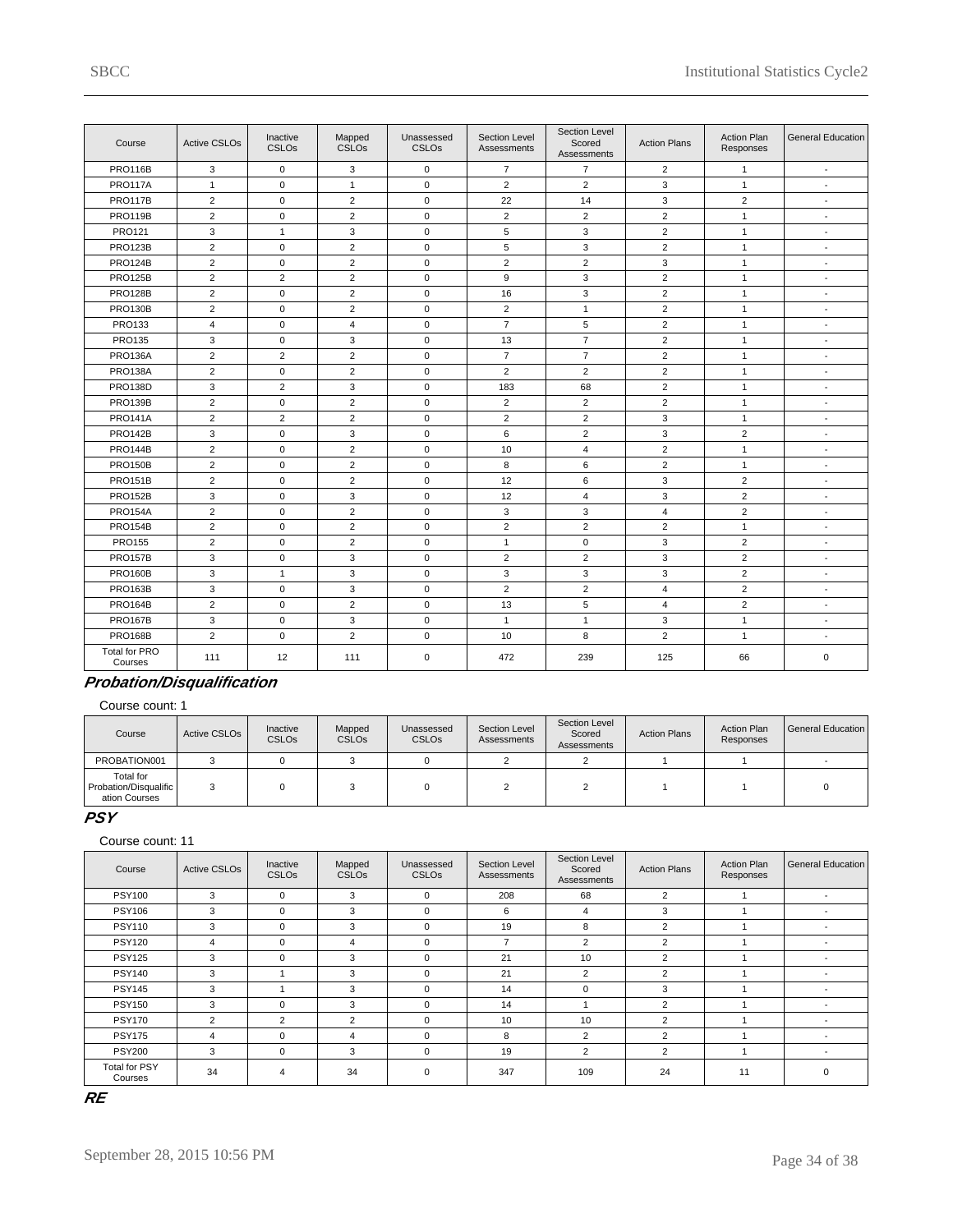| Course                          | <b>Active CSLOs</b> | Inactive<br><b>CSLOs</b> | Mapped<br>CSLO <sub>s</sub> | Unassessed<br><b>CSLOs</b> | Section Level<br>Assessments | Section Level<br>Scored<br>Assessments | <b>Action Plans</b> | <b>Action Plan</b><br>Responses | <b>General Education</b> |
|---------------------------------|---------------------|--------------------------|-----------------------------|----------------------------|------------------------------|----------------------------------------|---------------------|---------------------------------|--------------------------|
| <b>PRO116B</b>                  | 3                   | $\mathbf 0$              | 3                           | $\mathbf 0$                | $\overline{7}$               | $\overline{7}$                         | $\overline{2}$      | $\mathbf{1}$                    | $\blacksquare$           |
| <b>PRO117A</b>                  | $\mathbf{1}$        | $\Omega$                 | $\mathbf{1}$                | $\Omega$                   | $\overline{2}$               | $\overline{2}$                         | 3                   | $\mathbf{1}$                    | $\overline{\phantom{a}}$ |
| <b>PRO117B</b>                  | 2                   | $\mathbf 0$              | $\overline{2}$              | $\mathbf 0$                | 22                           | 14                                     | 3                   | 2                               | $\overline{\phantom{a}}$ |
| <b>PRO119B</b>                  | $\overline{2}$      | $\mathbf 0$              | $\overline{2}$              | $\mathbf 0$                | 2                            | $\overline{2}$                         | 2                   | $\mathbf{1}$                    | $\overline{a}$           |
| PRO121                          | 3                   | $\mathbf{1}$             | 3                           | $\mathbf 0$                | 5                            | 3                                      | 2                   | $\mathbf{1}$                    | ÷,                       |
| <b>PRO123B</b>                  | $\overline{2}$      | $\mathbf 0$              | 2                           | $\mathbf 0$                | 5                            | 3                                      | 2                   | $\mathbf{1}$                    | $\overline{\phantom{a}}$ |
| <b>PRO124B</b>                  | $\overline{2}$      | $\mathbf 0$              | $\overline{2}$              | $\mathbf 0$                | $\overline{2}$               | $\overline{2}$                         | 3                   | $\mathbf{1}$                    | $\overline{\phantom{a}}$ |
| <b>PRO125B</b>                  | $\overline{2}$      | $\overline{2}$           | $\overline{2}$              | $\mathbf 0$                | 9                            | 3                                      | $\overline{2}$      | $\mathbf{1}$                    | $\blacksquare$           |
| <b>PRO128B</b>                  | $\overline{2}$      | $\mathsf 0$              | $\overline{2}$              | $\mathbf 0$                | 16                           | 3                                      | $\overline{2}$      | $\mathbf{1}$                    | $\overline{\phantom{a}}$ |
| <b>PRO130B</b>                  | $\overline{2}$      | $\mathbf 0$              | $\overline{2}$              | $\mathbf 0$                | $\overline{2}$               | $\mathbf{1}$                           | $\overline{2}$      | $\mathbf{1}$                    | $\overline{\phantom{a}}$ |
| <b>PRO133</b>                   | $\overline{4}$      | $\mathbf 0$              | $\overline{4}$              | $\mathbf 0$                | $\overline{7}$               | 5                                      | $\overline{2}$      | $\mathbf{1}$                    | $\blacksquare$           |
| PRO135                          | 3                   | $\mathbf 0$              | 3                           | $\mathbf 0$                | 13                           | $\overline{7}$                         | $\overline{2}$      | $\mathbf{1}$                    | $\overline{\phantom{a}}$ |
| <b>PRO136A</b>                  | 2                   | 2                        | $\overline{2}$              | $\mathbf 0$                | $\overline{7}$               | $\overline{7}$                         | $\overline{2}$      | $\mathbf{1}$                    | $\overline{a}$           |
| <b>PRO138A</b>                  | $\overline{2}$      | $\mathbf 0$              | 2                           | $\mathbf 0$                | $\overline{c}$               | $\overline{2}$                         | 2                   | $\mathbf{1}$                    | $\overline{\phantom{a}}$ |
| <b>PRO138D</b>                  | 3                   | $\overline{2}$           | 3                           | $\mathbf 0$                | 183                          | 68                                     | $\overline{2}$      | $\mathbf{1}$                    | $\overline{\phantom{a}}$ |
| <b>PRO139B</b>                  | 2                   | $\mathbf 0$              | 2                           | $\mathbf 0$                | $\overline{2}$               | $\overline{2}$                         | $\overline{2}$      | $\mathbf{1}$                    | $\overline{\phantom{a}}$ |
| <b>PRO141A</b>                  | $\overline{2}$      | $\overline{2}$           | 2                           | $\mathbf 0$                | $\overline{2}$               | $\overline{2}$                         | 3                   | $\mathbf{1}$                    | $\overline{\phantom{a}}$ |
| <b>PRO142B</b>                  | 3                   | $\mathbf 0$              | 3                           | $\mathbf 0$                | 6                            | $\overline{2}$                         | 3                   | $\overline{2}$                  | $\blacksquare$           |
| <b>PRO144B</b>                  | $\overline{2}$      | $\mathbf 0$              | $\overline{2}$              | $\mathbf 0$                | 10                           | $\overline{4}$                         | 2                   | $\mathbf{1}$                    | $\blacksquare$           |
| <b>PRO150B</b>                  | $\overline{2}$      | $\mathsf 0$              | $\overline{2}$              | $\mathsf 0$                | 8                            | 6                                      | $\overline{2}$      | $\mathbf{1}$                    | $\overline{\phantom{a}}$ |
| <b>PRO151B</b>                  | $\overline{2}$      | $\mathbf 0$              | 2                           | $\mathbf 0$                | 12                           | 6                                      | 3                   | 2                               | $\overline{\phantom{a}}$ |
| <b>PRO152B</b>                  | 3                   | $\mathbf 0$              | 3                           | $\mathbf 0$                | 12                           | $\overline{4}$                         | 3                   | 2                               | $\overline{\phantom{a}}$ |
| <b>PRO154A</b>                  | $\overline{2}$      | $\mathbf 0$              | 2                           | $\mathbf 0$                | 3                            | 3                                      | $\overline{4}$      | 2                               | $\overline{a}$           |
| <b>PRO154B</b>                  | $\overline{2}$      | $\mathbf 0$              | 2                           | $\mathbf 0$                | $\overline{2}$               | $\overline{2}$                         | 2                   | $\mathbf{1}$                    | $\overline{\phantom{a}}$ |
| <b>PRO155</b>                   | $\overline{2}$      | $\mathbf 0$              | $\overline{2}$              | $\mathbf 0$                | $\mathbf{1}$                 | $\mathbf 0$                            | 3                   | $\overline{2}$                  | ÷                        |
| <b>PRO157B</b>                  | 3                   | $\mathbf 0$              | 3                           | $\mathbf 0$                | $\overline{2}$               | $\overline{2}$                         | 3                   | $\overline{2}$                  | $\overline{\phantom{a}}$ |
| <b>PRO160B</b>                  | 3                   | $\mathbf{1}$             | 3                           | $\mathbf 0$                | 3                            | 3                                      | 3                   | $\overline{2}$                  | $\overline{\phantom{a}}$ |
| <b>PRO163B</b>                  | 3                   | 0                        | 3                           | $\mathbf 0$                | $\overline{2}$               | $\overline{2}$                         | $\overline{4}$      | $\overline{2}$                  | $\blacksquare$           |
| <b>PRO164B</b>                  | $\overline{2}$      | $\mathbf 0$              | $\overline{c}$              | $\mathbf 0$                | 13                           | 5                                      | $\overline{4}$      | $\overline{c}$                  | $\blacksquare$           |
| <b>PRO167B</b>                  | 3                   | $\mathsf 0$              | 3                           | $\mathbf 0$                | $\mathbf{1}$                 | $\mathbf{1}$                           | 3                   | $\mathbf{1}$                    | $\overline{\phantom{a}}$ |
| <b>PRO168B</b>                  | $\overline{2}$      | $\mathbf 0$              | $\overline{2}$              | $\mathbf 0$                | 10                           | 8                                      | $\overline{2}$      | $\mathbf{1}$                    | $\overline{\phantom{a}}$ |
| <b>Total for PRO</b><br>Courses | 111                 | 12                       | 111                         | $\mathbf 0$                | 472                          | 239                                    | 125                 | 66                              | $\mathbf 0$              |

# **Probation/Disqualification**

| Course count: 1 |  |
|-----------------|--|
|-----------------|--|

| Course                                              | Active CSLO <sub>s</sub> | Inactive<br><b>CSLOs</b> | Mapped<br><b>CSLOs</b> | Unassessed<br><b>CSLOs</b> | Section Level<br>Assessments | Section Level<br>Scored<br>Assessments | <b>Action Plans</b> | <b>Action Plan</b><br>Responses | General Education I |
|-----------------------------------------------------|--------------------------|--------------------------|------------------------|----------------------------|------------------------------|----------------------------------------|---------------------|---------------------------------|---------------------|
| PROBATION001                                        |                          |                          |                        |                            |                              |                                        |                     |                                 |                     |
| Total for<br>Probation/Disqualific<br>ation Courses | . .                      |                          |                        |                            |                              |                                        |                     |                                 |                     |

#### **PSY**

Course count: 11

| Course                          | <b>Active CSLOs</b> | Inactive<br><b>CSLOs</b> | Mapped<br><b>CSLOs</b> | Unassessed<br><b>CSLOs</b> | Section Level<br>Assessments | Section Level<br>Scored<br>Assessments | <b>Action Plans</b> | <b>Action Plan</b><br>Responses | General Education        |
|---------------------------------|---------------------|--------------------------|------------------------|----------------------------|------------------------------|----------------------------------------|---------------------|---------------------------------|--------------------------|
| <b>PSY100</b>                   | 3                   | $\mathbf 0$              | 3                      | $\Omega$                   | 208                          | 68                                     | 2                   |                                 | $\overline{\phantom{a}}$ |
| <b>PSY106</b>                   | 3                   | 0                        | 3                      | $\Omega$                   | 6                            | 4                                      | 3                   |                                 | $\overline{\phantom{a}}$ |
| <b>PSY110</b>                   | 3                   | $\mathbf 0$              | 3                      | $\mathbf 0$                | 19                           | 8                                      | 2                   |                                 |                          |
| <b>PSY120</b>                   | 4                   | $\Omega$                 | 4                      | $\Omega$                   | $\overline{7}$               | $\overline{2}$                         | $\overline{2}$      |                                 |                          |
| <b>PSY125</b>                   | 3                   | $\Omega$                 | 3                      | $\Omega$                   | 21                           | 10                                     | 2                   |                                 |                          |
| <b>PSY140</b>                   | 3                   |                          | 3                      | $\Omega$                   | 21                           | 2                                      | $\overline{2}$      |                                 |                          |
| <b>PSY145</b>                   | 3                   |                          | 3                      | $\Omega$                   | 14                           | $\Omega$                               | 3                   |                                 |                          |
| <b>PSY150</b>                   | 3                   | $\Omega$                 | 3                      | $\Omega$                   | 14                           |                                        | 2                   |                                 | $\overline{\phantom{a}}$ |
| <b>PSY170</b>                   | $\overline{2}$      | 2                        | $\overline{2}$         | $\mathbf 0$                | 10                           | 10                                     | $\overline{2}$      |                                 |                          |
| <b>PSY175</b>                   | 4                   | $\Omega$                 | 4                      | $\Omega$                   | 8                            | 2                                      | $\overline{2}$      |                                 |                          |
| <b>PSY200</b>                   | 3                   | $\mathbf 0$              | 3                      | $\mathbf 0$                | 19                           | $\overline{2}$                         | $\overline{2}$      |                                 |                          |
| <b>Total for PSY</b><br>Courses | 34                  | 4                        | 34                     | $\mathbf 0$                | 347                          | 109                                    | 24                  | 11                              | $\Omega$                 |

**RE**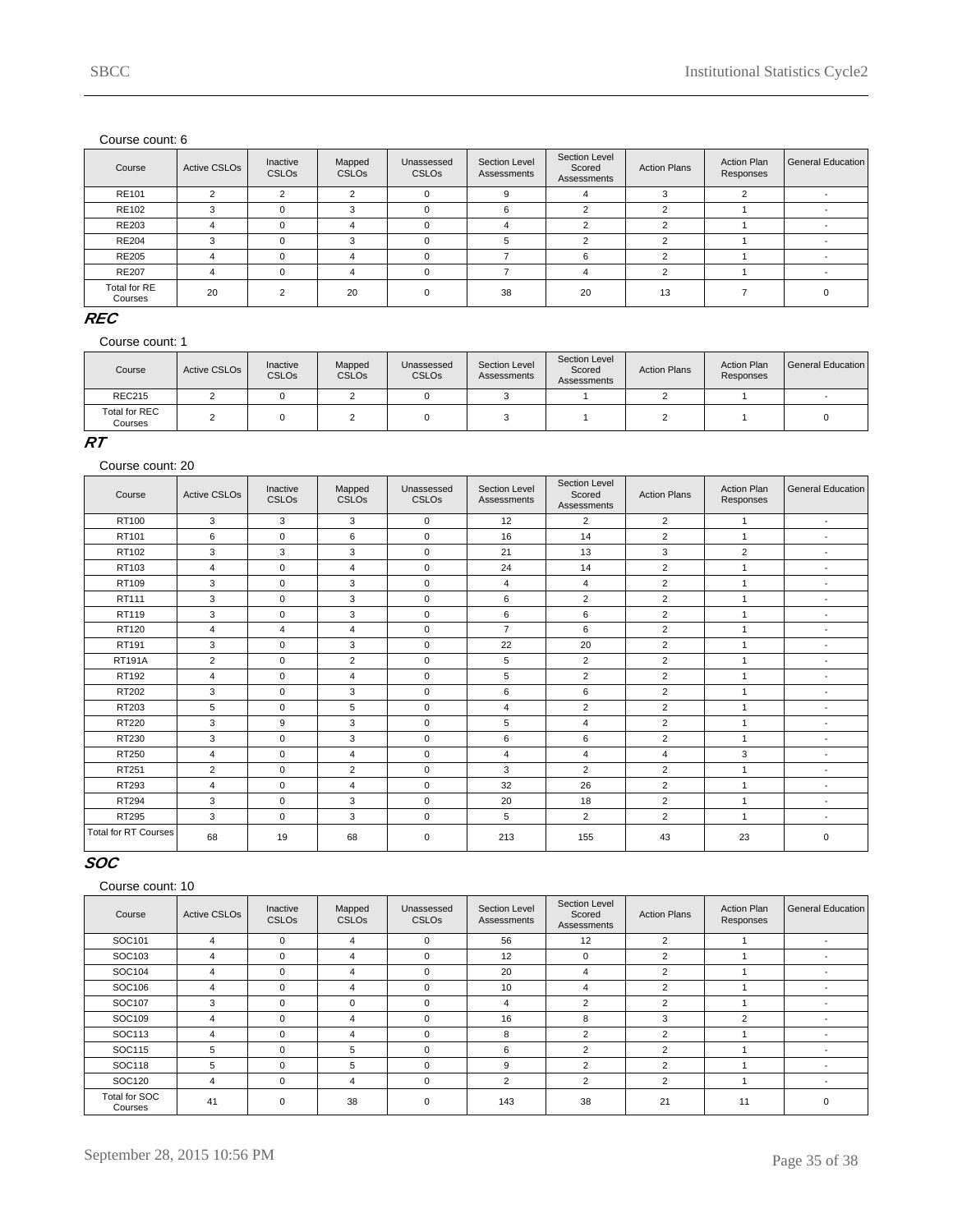| Course                  | <b>Active CSLOs</b> | Inactive<br><b>CSLOs</b> | Mapped<br><b>CSLOs</b> | Unassessed<br><b>CSLOs</b> | Section Level<br>Assessments | Section Level<br>Scored<br>Assessments | <b>Action Plans</b> | <b>Action Plan</b><br>Responses | <b>General Education</b> |
|-------------------------|---------------------|--------------------------|------------------------|----------------------------|------------------------------|----------------------------------------|---------------------|---------------------------------|--------------------------|
| RE101                   | c                   | $\sim$                   | C                      | $\Omega$                   | g                            |                                        |                     |                                 |                          |
| <b>RE102</b>            |                     | $\Omega$                 | $\mathbf{r}$           | $\Omega$                   | 6                            | $\sim$                                 |                     |                                 |                          |
| <b>RE203</b>            | 4                   |                          | Δ                      | $\Omega$                   |                              |                                        |                     |                                 |                          |
| <b>RE204</b>            |                     |                          | 3                      | $\Omega$                   |                              | $\sim$                                 |                     |                                 |                          |
| <b>RE205</b>            |                     |                          |                        |                            |                              | 6                                      |                     |                                 |                          |
| <b>RE207</b>            | 4                   |                          | 4                      | $\Omega$                   |                              | Δ                                      |                     |                                 |                          |
| Total for RE<br>Courses | 20                  |                          | 20                     | $\Omega$                   | 38                           | 20                                     | 13                  |                                 |                          |

### **REC**

Course count: 1

| Course                   | Active CSLO <sub>s</sub> | Inactive<br><b>CSLOs</b> | Mapped<br><b>CSLOs</b> | Unassessed<br><b>CSLOs</b> | Section Level<br>Assessments | Section Level<br>Scored<br>Assessments | <b>Action Plans</b> | <b>Action Plan</b><br>Responses | General Education |
|--------------------------|--------------------------|--------------------------|------------------------|----------------------------|------------------------------|----------------------------------------|---------------------|---------------------------------|-------------------|
| <b>REC215</b>            |                          |                          |                        |                            |                              |                                        |                     |                                 |                   |
| Total for REC<br>Courses |                          |                          |                        |                            |                              |                                        |                     |                                 |                   |

#### **RT**

#### Course count: 20

| Course                      | <b>Active CSLOs</b> | Inactive<br><b>CSLOs</b> | Mapped<br><b>CSLOs</b> | Unassessed<br>CSLOs | Section Level<br>Assessments | Section Level<br>Scored<br>Assessments | <b>Action Plans</b> | <b>Action Plan</b><br>Responses | <b>General Education</b> |
|-----------------------------|---------------------|--------------------------|------------------------|---------------------|------------------------------|----------------------------------------|---------------------|---------------------------------|--------------------------|
| RT100                       | 3                   | 3                        | 3                      | $\mathbf 0$         | 12                           | $\overline{2}$                         | $\overline{2}$      | $\mathbf{1}$                    | $\blacksquare$           |
| RT101                       | 6                   | 0                        | 6                      | $\mathbf 0$         | 16                           | 14                                     | $\overline{2}$      | $\mathbf{1}$                    |                          |
| RT102                       | 3                   | 3                        | 3                      | $\mathbf 0$         | 21                           | 13                                     | 3                   | $\overline{2}$                  | $\overline{\phantom{a}}$ |
| RT103                       | 4                   | $\mathbf 0$              | $\overline{4}$         | $\mathbf 0$         | 24                           | 14                                     | $\overline{2}$      | 1                               | $\overline{\phantom{a}}$ |
| RT109                       | 3                   | 0                        | 3                      | $\mathbf 0$         | $\overline{4}$               | $\overline{4}$                         | $\overline{2}$      | 1                               | $\overline{\phantom{a}}$ |
| RT111                       | 3                   | 0                        | 3                      | $\mathbf 0$         | 6                            | 2                                      | $\overline{2}$      | 1                               | $\overline{\phantom{a}}$ |
| RT119                       | 3                   | 0                        | 3                      | $\mathbf 0$         | 6                            | 6                                      | $\overline{2}$      | 1                               | $\overline{\phantom{a}}$ |
| RT120                       | $\overline{4}$      | $\overline{4}$           | $\overline{4}$         | $\mathbf 0$         | $\overline{7}$               | 6                                      | $\overline{2}$      | $\mathbf{1}$                    | $\overline{\phantom{a}}$ |
| RT191                       | 3                   | $\mathbf 0$              | 3                      | $\pmb{0}$           | 22                           | 20                                     | $\overline{2}$      | $\overline{1}$                  | $\overline{\phantom{a}}$ |
| <b>RT191A</b>               | $\overline{2}$      | $\mathbf 0$              | $\overline{2}$         | $\mathbf 0$         | 5                            | $\overline{2}$                         | $\overline{2}$      | $\mathbf{1}$                    | $\overline{\phantom{a}}$ |
| RT192                       | 4                   | 0                        | 4                      | $\mathbf 0$         | 5                            | $\overline{2}$                         | $\overline{2}$      | 1                               |                          |
| RT202                       | 3                   | $\mathbf 0$              | 3                      | $\mathbf 0$         | 6                            | 6                                      | $\overline{2}$      | 1                               |                          |
| RT203                       | 5                   | $\mathbf 0$              | 5                      | $\mathbf 0$         | 4                            | $\overline{2}$                         | $\overline{2}$      | 1                               | $\overline{\phantom{a}}$ |
| RT220                       | 3                   | 9                        | 3                      | $\mathbf 0$         | 5                            | $\overline{4}$                         | $\overline{2}$      | 1                               | $\overline{\phantom{a}}$ |
| RT230                       | 3                   | 0                        | 3                      | $\mathbf 0$         | 6                            | 6                                      | $\overline{2}$      | $\mathbf{1}$                    | $\overline{\phantom{a}}$ |
| RT250                       | $\overline{4}$      | 0                        | 4                      | $\mathsf 0$         | $\overline{4}$               | $\overline{4}$                         | 4                   | 3                               | $\overline{\phantom{a}}$ |
| RT251                       | $\overline{2}$      | 0                        | $\overline{2}$         | $\mathbf 0$         | 3                            | $\overline{2}$                         | $\overline{2}$      | $\mathbf{1}$                    | $\overline{\phantom{a}}$ |
| RT293                       | $\overline{4}$      | 0                        | $\overline{4}$         | $\mathbf 0$         | 32                           | 26                                     | $\overline{2}$      | 1                               | $\overline{\phantom{a}}$ |
| RT294                       | 3                   | $\mathbf 0$              | 3                      | $\mathbf 0$         | 20                           | 18                                     | 2                   | $\mathbf{1}$                    | $\sim$                   |
| <b>RT295</b>                | 3                   | 0                        | 3                      | $\mathbf 0$         | 5                            | 2                                      | $\overline{2}$      | $\mathbf{1}$                    | $\overline{\phantom{a}}$ |
| <b>Total for RT Courses</b> | 68                  | 19                       | 68                     | $\mathbf 0$         | 213                          | 155                                    | 43                  | 23                              | $\mathbf 0$              |

# **SOC**

| Course                   | <b>Active CSLOs</b> | Inactive<br><b>CSLOs</b> | Mapped<br><b>CSLOs</b> | Unassessed<br><b>CSLOs</b> | Section Level<br>Assessments | Section Level<br>Scored<br>Assessments | <b>Action Plans</b> | <b>Action Plan</b><br>Responses | General Education        |
|--------------------------|---------------------|--------------------------|------------------------|----------------------------|------------------------------|----------------------------------------|---------------------|---------------------------------|--------------------------|
| SOC101                   | 4                   | $\Omega$                 | $\overline{4}$         | $\mathbf 0$                | 56                           | 12                                     | 2                   |                                 | $\overline{\phantom{a}}$ |
| SOC103                   | 4                   | $\Omega$                 | 4                      | $\mathbf 0$                | 12                           | 0                                      | $\overline{2}$      |                                 |                          |
| SOC104                   | 4                   | $\Omega$                 | 4                      | 0                          | 20                           | 4                                      | $\overline{2}$      |                                 |                          |
| SOC106                   | 4                   | $\Omega$                 | 4                      | 0                          | 10                           | 4                                      | 2                   |                                 |                          |
| SOC107                   | 3                   | $\Omega$                 | $\Omega$               | $\mathbf 0$                | 4                            | $\overline{2}$                         | $\mathcal{P}$       |                                 |                          |
| SOC109                   | 4                   | $\Omega$                 | 4                      | $\Omega$                   | 16                           | 8                                      | 3                   | $\overline{2}$                  |                          |
| SOC113                   | 4                   | $\Omega$                 | 4                      | $\mathbf 0$                | 8                            | $\overline{2}$                         | 2                   |                                 | $\overline{\phantom{a}}$ |
| SOC115                   | 5                   | $\Omega$                 | 5                      | $\Omega$                   | 6                            | $\overline{2}$                         | 2                   |                                 |                          |
| SOC118                   | 5                   | $\Omega$                 | 5                      | $\Omega$                   | 9                            | $\overline{2}$                         | $\overline{2}$      |                                 |                          |
| SOC120                   | 4                   | $\Omega$                 | 4                      | $\mathbf 0$                | 2                            | $\overline{2}$                         | 2                   |                                 |                          |
| Total for SOC<br>Courses | 41                  | $\Omega$                 | 38                     | 0                          | 143                          | 38                                     | 21                  | 11                              | $\Omega$                 |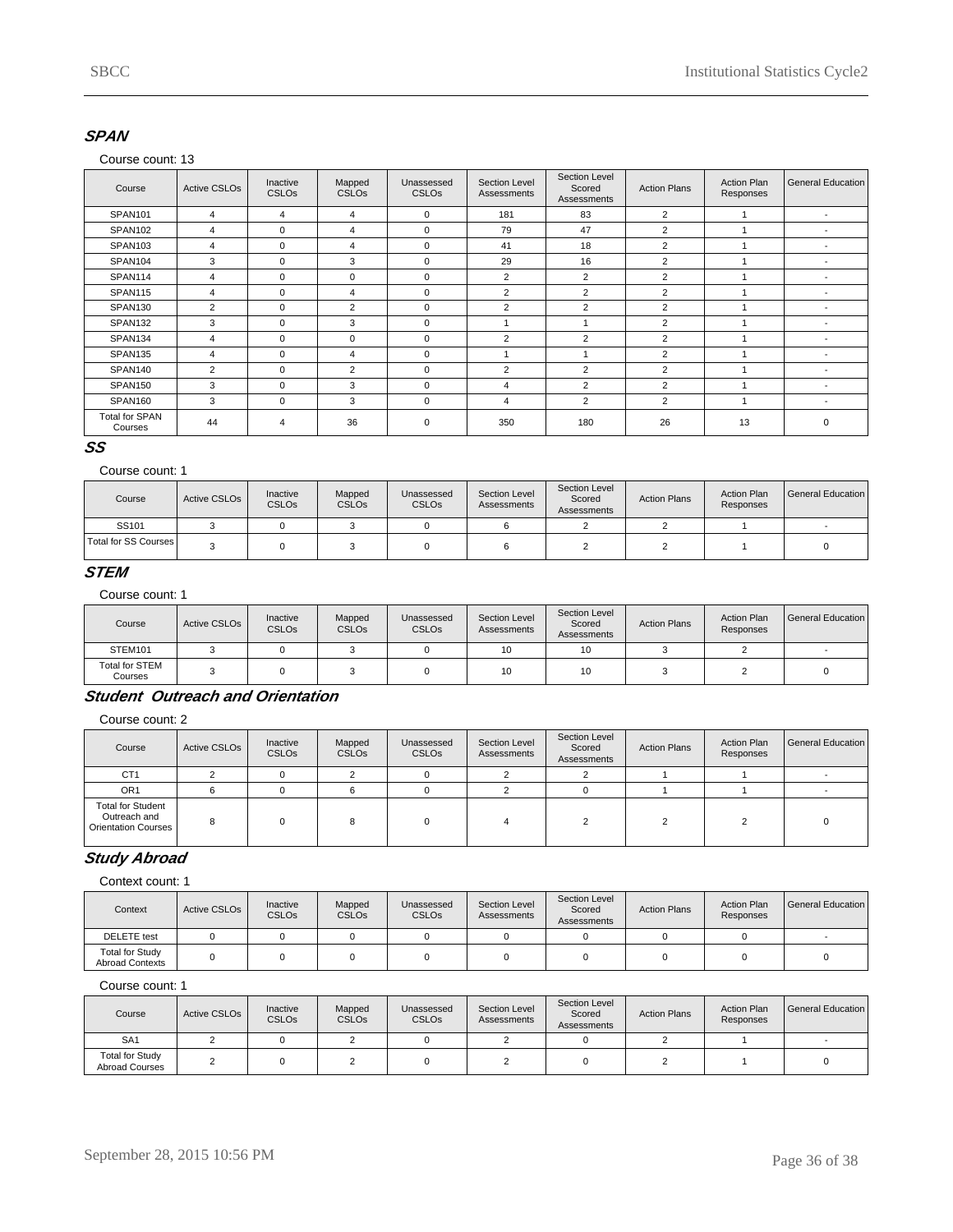### **SPAN**

#### Course count: 13

| Course                           | <b>Active CSLOs</b> | Inactive<br><b>CSLOs</b> | Mapped<br><b>CSLOs</b> | Unassessed<br>CSLO <sub>s</sub> | Section Level<br>Assessments | Section Level<br>Scored<br>Assessments | <b>Action Plans</b> | <b>Action Plan</b><br>Responses | General Education        |
|----------------------------------|---------------------|--------------------------|------------------------|---------------------------------|------------------------------|----------------------------------------|---------------------|---------------------------------|--------------------------|
| <b>SPAN101</b>                   | 4                   | 4                        | $\overline{4}$         | $\mathbf 0$                     | 181                          | 83                                     | $\overline{2}$      |                                 | $\overline{\phantom{a}}$ |
| SPAN102                          | 4                   | $\mathbf 0$              | $\overline{4}$         | $\mathbf 0$                     | 79                           | 47                                     | $\overline{2}$      |                                 | $\overline{\phantom{0}}$ |
| SPAN103                          | 4                   | $\Omega$                 | $\overline{4}$         | $\Omega$                        | 41                           | 18                                     | $\overline{2}$      |                                 | $\overline{\phantom{a}}$ |
| SPAN104                          | 3                   | $\Omega$                 | 3                      | $\mathbf 0$                     | 29                           | 16                                     | $\overline{2}$      |                                 | <b>.</b>                 |
| SPAN114                          | 4                   | $\mathbf 0$              | 0                      | $\mathbf 0$                     | $\overline{2}$               | $\overline{2}$                         | $\overline{2}$      |                                 | $\overline{\phantom{a}}$ |
| <b>SPAN115</b>                   | 4                   | $\Omega$                 | 4                      | $\Omega$                        | $\overline{2}$               | $\overline{2}$                         | $\overline{2}$      |                                 | $\overline{\phantom{a}}$ |
| SPAN130                          | $\overline{2}$      | $\Omega$                 | $\overline{2}$         | $\mathbf 0$                     | $\overline{2}$               | 2                                      | $\overline{2}$      |                                 |                          |
| SPAN132                          | 3                   | $\Omega$                 | 3                      | $\mathbf 0$                     |                              |                                        | $\overline{2}$      |                                 |                          |
| SPAN134                          | 4                   | $\mathbf 0$              | 0                      | $\mathbf 0$                     | $\overline{2}$               | 2                                      | $\overline{2}$      |                                 |                          |
| SPAN135                          | $\overline{4}$      | $\Omega$                 | 4                      | $\mathbf 0$                     |                              |                                        | $\overline{2}$      |                                 | <b>.</b>                 |
| SPAN140                          | $\overline{2}$      | $\Omega$                 | $\overline{2}$         | $\mathbf 0$                     | $\overline{2}$               | $\overline{2}$                         | $\overline{2}$      |                                 | <b>.</b>                 |
| SPAN150                          | 3                   | $\Omega$                 | 3                      | $\mathbf 0$                     | $\overline{4}$               | $\overline{2}$                         | $\overline{2}$      |                                 | $\overline{\phantom{a}}$ |
| SPAN160                          | 3                   | $\Omega$                 | 3                      | $\mathbf 0$                     | $\overline{4}$               | $\overline{2}$                         | $\overline{2}$      |                                 | $\overline{\phantom{0}}$ |
| <b>Total for SPAN</b><br>Courses | 44                  | $\overline{4}$           | 36                     | $\mathbf 0$                     | 350                          | 180                                    | 26                  | 13                              | 0                        |

# **SS**

#### Course count: 1

| Course               | <b>Active CSLOs</b> | Inactive<br><b>CSLOs</b> | Mapped<br><b>CSLOs</b> | Unassessed<br><b>CSLOs</b> | Section Level<br>Assessments | Section Level<br>Scored<br>Assessments | <b>Action Plans</b> | <b>Action Plan</b><br>Responses | General Education |
|----------------------|---------------------|--------------------------|------------------------|----------------------------|------------------------------|----------------------------------------|---------------------|---------------------------------|-------------------|
| SS101                |                     |                          |                        |                            |                              |                                        |                     |                                 |                   |
| Total for SS Courses |                     |                          |                        |                            |                              |                                        |                     |                                 |                   |

### **STEM**

#### Course count: 1

| Course                           | <b>Active CSLOs</b> | Inactive<br><b>CSLOs</b> | Mapped<br><b>CSLOs</b> | Unassessed<br><b>CSLO<sub>s</sub></b> | Section Level<br>Assessments | Section Level<br>Scored<br>Assessments | <b>Action Plans</b> | <b>Action Plan</b><br>Responses | General Education |
|----------------------------------|---------------------|--------------------------|------------------------|---------------------------------------|------------------------------|----------------------------------------|---------------------|---------------------------------|-------------------|
| STEM101                          |                     |                          |                        |                                       | 10                           | 10                                     |                     |                                 |                   |
| <b>Total for STEM</b><br>Courses |                     |                          |                        |                                       | 10                           | 10                                     |                     |                                 |                   |

# **Student Outreach and Orientation**

Course count: 2

| Course                                                          | Active CSLO <sub>s</sub> | Inactive<br><b>CSLOs</b> | Mapped<br><b>CSLOs</b> | Unassessed<br><b>CSLO<sub>s</sub></b> | Section Level<br>Assessments | Section Level<br>Scored<br>Assessments | <b>Action Plans</b> | <b>Action Plan</b><br>Responses | General Education I |
|-----------------------------------------------------------------|--------------------------|--------------------------|------------------------|---------------------------------------|------------------------------|----------------------------------------|---------------------|---------------------------------|---------------------|
| CT <sub>1</sub>                                                 |                          |                          |                        |                                       |                              |                                        |                     |                                 |                     |
| OR <sub>1</sub>                                                 | 6                        |                          |                        |                                       |                              |                                        |                     |                                 |                     |
| <b>Total for Student</b><br>Outreach and<br>Orientation Courses | 8                        |                          |                        |                                       |                              |                                        |                     |                                 |                     |

# **Study Abroad**

#### Context count: 1

| Context                                          | Active CSLO <sub>s</sub> | Inactive<br><b>CSLOs</b> | Mapped<br><b>CSLOs</b> | Unassessed<br><b>CSLOs</b> | Section Level<br>Assessments | Section Level<br>Scored<br>Assessments | <b>Action Plans</b> | <b>Action Plan</b><br>Responses | General Education I |
|--------------------------------------------------|--------------------------|--------------------------|------------------------|----------------------------|------------------------------|----------------------------------------|---------------------|---------------------------------|---------------------|
| <b>DELETE</b> test                               |                          |                          |                        |                            |                              |                                        |                     |                                 |                     |
| <b>Total for Study</b><br><b>Abroad Contexts</b> |                          |                          |                        |                            |                              |                                        |                     |                                 |                     |

| Course                                   | Active CSLO <sub>s</sub> | Inactive<br><b>CSLOs</b> | Mapped<br><b>CSLOs</b> | Unassessed<br><b>CSLOs</b> | Section Level<br>Assessments | Section Level<br>Scored<br>Assessments | <b>Action Plans</b> | <b>Action Plan</b><br>Responses | General Education I |
|------------------------------------------|--------------------------|--------------------------|------------------------|----------------------------|------------------------------|----------------------------------------|---------------------|---------------------------------|---------------------|
| SA <sub>1</sub>                          |                          |                          |                        |                            |                              |                                        |                     |                                 |                     |
| <b>Total for Study</b><br>Abroad Courses |                          |                          |                        |                            |                              |                                        |                     |                                 |                     |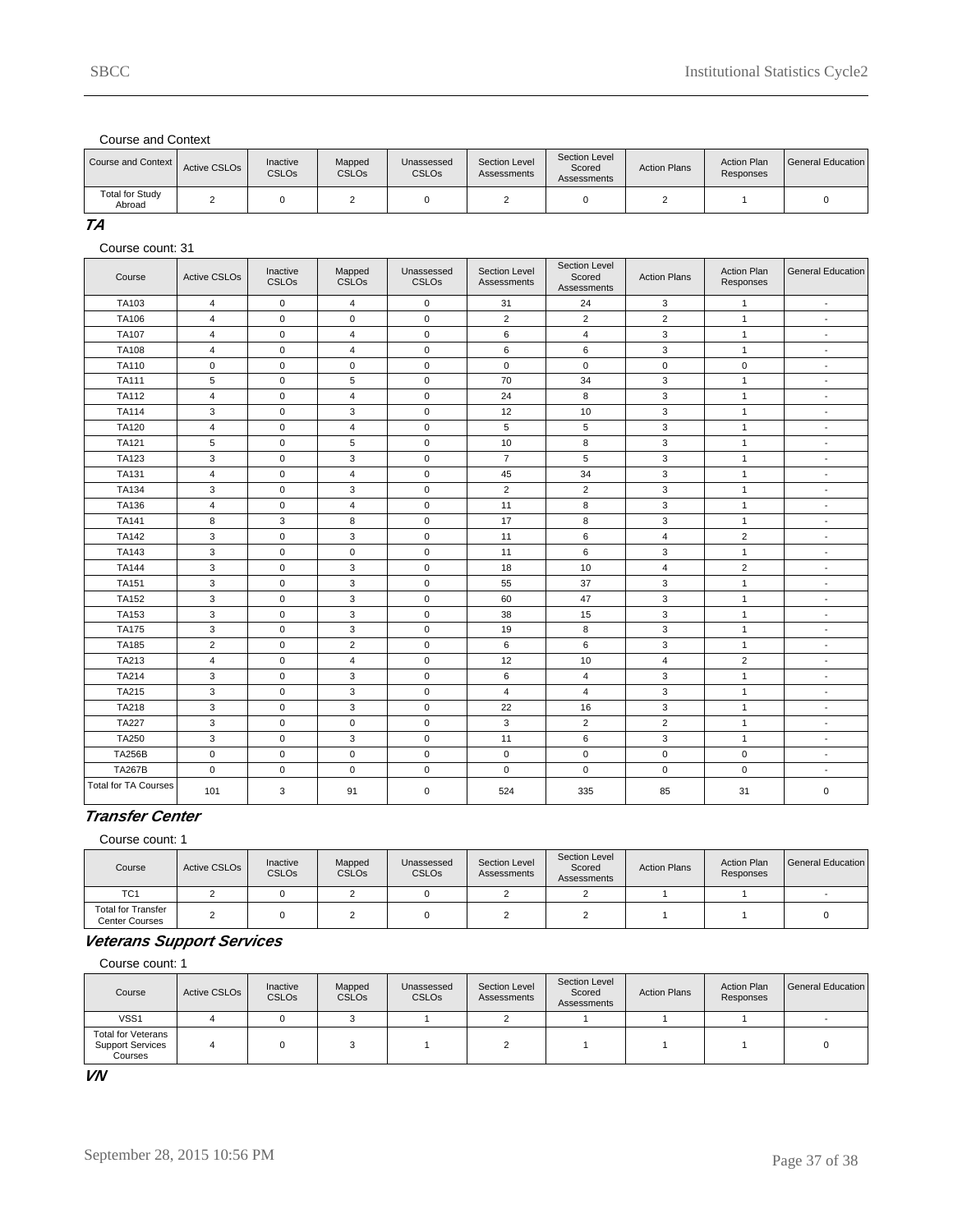Course and Context

| Course and Context               | Active CSLO <sub>s</sub> | Inactive<br><b>CSLOs</b> | Mapped<br><b>CSLO<sub>s</sub></b> | Unassessed<br><b>CSLO<sub>s</sub></b> | Section Level<br>Assessments | Section Level<br>Scored<br>Assessments | <b>Action Plans</b> | <b>Action Plan</b><br>Responses | l General Education |
|----------------------------------|--------------------------|--------------------------|-----------------------------------|---------------------------------------|------------------------------|----------------------------------------|---------------------|---------------------------------|---------------------|
| <b>Total for Study</b><br>Abroad |                          |                          |                                   |                                       |                              |                                        |                     |                                 |                     |

**TA**

Course count: 31

| Course                      | <b>Active CSLOs</b>     | Inactive<br>CSLOs | Mapped<br><b>CSLOs</b> | Unassessed<br><b>CSLOs</b> | Section Level<br>Assessments | Section Level<br>Scored<br>Assessments | <b>Action Plans</b> | <b>Action Plan</b><br>Responses | <b>General Education</b> |
|-----------------------------|-------------------------|-------------------|------------------------|----------------------------|------------------------------|----------------------------------------|---------------------|---------------------------------|--------------------------|
| TA103                       | $\overline{4}$          | $\mathbf 0$       | 4                      | $\mathbf 0$                | 31                           | 24                                     | 3                   | $\mathbf{1}$                    | $\blacksquare$           |
| TA106                       | $\overline{4}$          | $\mathbf 0$       | $\mathbf 0$            | $\mathbf 0$                | $\overline{2}$               | $\overline{2}$                         | $\overline{2}$      | $\mathbf{1}$                    | $\blacksquare$           |
| <b>TA107</b>                | 4                       | $\mathsf 0$       | 4                      | $\mathsf 0$                | 6                            | 4                                      | 3                   | $\mathbf{1}$                    | $\overline{a}$           |
| TA108                       | $\overline{4}$          | $\mathbf 0$       | 4                      | $\mathbf 0$                | 6                            | 6                                      | 3                   | $\mathbf{1}$                    | $\blacksquare$           |
| TA110                       | $\pmb{0}$               | $\mathbf 0$       | 0                      | $\mathbf 0$                | $\mathbf 0$                  | $\pmb{0}$                              | $\pmb{0}$           | $\mathsf 0$                     | $\overline{a}$           |
| <b>TA111</b>                | 5                       | $\mathsf 0$       | 5                      | $\mathsf 0$                | 70                           | 34                                     | 3                   | $\mathbf{1}$                    | ÷,                       |
| <b>TA112</b>                | $\overline{4}$          | $\mathbf 0$       | $\overline{4}$         | $\mathsf 0$                | 24                           | 8                                      | 3                   | $\mathbf{1}$                    | $\blacksquare$           |
| <b>TA114</b>                | 3                       | $\mathbf 0$       | 3                      | $\mathbf 0$                | 12                           | 10                                     | 3                   | $\mathbf{1}$                    | $\sim$                   |
| <b>TA120</b>                | $\overline{4}$          | $\mathbf{0}$      | $\overline{4}$         | $\mathsf 0$                | 5                            | 5                                      | 3                   | $\mathbf{1}$                    | $\blacksquare$           |
| TA121                       | 5                       | $\mathbf 0$       | 5                      | $\mathbf 0$                | 10                           | 8                                      | 3                   | $\mathbf{1}$                    | $\overline{a}$           |
| <b>TA123</b>                | 3                       | $\mathbf 0$       | 3                      | $\mathbf 0$                | $\overline{7}$               | 5                                      | 3                   | $\mathbf{1}$                    | $\blacksquare$           |
| TA131                       | $\overline{\mathbf{4}}$ | $\mathbf 0$       | 4                      | $\mathbf 0$                | 45                           | 34                                     | 3                   | $\mathbf{1}$                    | $\blacksquare$           |
| <b>TA134</b>                | 3                       | $\mathsf 0$       | 3                      | $\mathbf 0$                | $\overline{2}$               | $\overline{2}$                         | 3                   | $\mathbf{1}$                    | $\sim$                   |
| TA136                       | $\overline{4}$          | $\mathbf{0}$      | $\overline{4}$         | $\mathbf 0$                | 11                           | 8                                      | 3                   | $\mathbf{1}$                    | $\blacksquare$           |
| TA141                       | 8                       | 3                 | 8                      | $\mathbf 0$                | 17                           | 8                                      | 3                   | $\mathbf{1}$                    | $\blacksquare$           |
| <b>TA142</b>                | 3                       | $\mathbf{0}$      | 3                      | $\mathbf 0$                | 11                           | 6                                      | 4                   | $\overline{2}$                  | $\blacksquare$           |
| TA143                       | 3                       | $\mathsf 0$       | 0                      | $\mathsf 0$                | 11                           | 6                                      | 3                   | $\mathbf{1}$                    | $\blacksquare$           |
| <b>TA144</b>                | 3                       | $\mathbf 0$       | 3                      | $\mathbf 0$                | 18                           | 10                                     | $\overline{4}$      | $\overline{2}$                  | $\blacksquare$           |
| TA151                       | 3                       | $\mathbf 0$       | 3                      | $\mathbf 0$                | 55                           | 37                                     | 3                   | $\mathbf{1}$                    | $\overline{\phantom{a}}$ |
| <b>TA152</b>                | 3                       | $\mathbf{0}$      | 3                      | $\mathsf 0$                | 60                           | 47                                     | 3                   | $\mathbf{1}$                    | $\blacksquare$           |
| TA153                       | 3                       | $\mathsf 0$       | 3                      | $\mathbf 0$                | 38                           | 15                                     | 3                   | $\mathbf{1}$                    | $\overline{\phantom{a}}$ |
| <b>TA175</b>                | 3                       | $\mathbf 0$       | 3                      | $\mathbf 0$                | 19                           | 8                                      | 3                   | $\mathbf{1}$                    | $\overline{\phantom{a}}$ |
| TA185                       | $\overline{2}$          | $\mathbf{0}$      | $\overline{2}$         | $\mathbf 0$                | 6                            | 6                                      | 3                   | $\mathbf{1}$                    | $\blacksquare$           |
| TA213                       | 4                       | $\mathbf 0$       | 4                      | $\mathbf 0$                | 12                           | 10                                     | 4                   | $\overline{2}$                  | $\sim$                   |
| TA214                       | 3                       | $\mathbf 0$       | 3                      | $\mathbf 0$                | 6                            | $\overline{4}$                         | 3                   | $\mathbf{1}$                    | $\blacksquare$           |
| TA215                       | 3                       | $\mathbf 0$       | 3                      | $\mathbf 0$                | $\overline{4}$               | $\overline{4}$                         | 3                   | $\mathbf{1}$                    | $\overline{\phantom{a}}$ |
| TA218                       | 3                       | $\mathbf{0}$      | 3                      | $\mathbf 0$                | 22                           | 16                                     | 3                   | $\mathbf{1}$                    | $\blacksquare$           |
| <b>TA227</b>                | 3                       | $\mathbf{0}$      | $\mathbf 0$            | $\mathbf 0$                | 3                            | $\overline{2}$                         | $\overline{2}$      | $\mathbf{1}$                    | $\overline{a}$           |
| TA250                       | 3                       | $\mathsf 0$       | 3                      | $\mathsf 0$                | 11                           | 6                                      | 3                   | $\mathbf{1}$                    | $\overline{\phantom{a}}$ |
| <b>TA256B</b>               | $\pmb{0}$               | $\mathbf{0}$      | $\mathbf 0$            | $\mathsf 0$                | $\mathbf 0$                  | $\mathbf 0$                            | $\mathbf 0$         | $\mathbf 0$                     | $\blacksquare$           |
| <b>TA267B</b>               | $\mathbf 0$             | $\mathsf 0$       | 0                      | $\mathbf 0$                | $\mathbf 0$                  | $\mathbf 0$                            | $\mathsf 0$         | $\mathbf 0$                     | $\sim$                   |
| <b>Total for TA Courses</b> | 101                     | 3                 | 91                     | 0                          | 524                          | 335                                    | 85                  | 31                              | $\mathbf 0$              |

### **Transfer Center**

Course count: 1

| Course                               | Active CSLO <sub>s</sub> | Inactive<br><b>CSLOs</b> | Mapped<br><b>CSLOs</b> | Unassessed<br><b>CSLOs</b> | Section Level<br>Assessments | Section Level<br>Scored<br>Assessments | <b>Action Plans</b> | <b>Action Plan</b><br>Responses | General Education |
|--------------------------------------|--------------------------|--------------------------|------------------------|----------------------------|------------------------------|----------------------------------------|---------------------|---------------------------------|-------------------|
| TC <sub>1</sub>                      |                          |                          |                        |                            |                              |                                        |                     |                                 |                   |
| Total for Transfer<br>Center Courses |                          |                          |                        |                            |                              |                                        |                     |                                 |                   |

### **Veterans Support Services**

Course count: 1

| Course                                                          | Active CSLO <sub>s</sub> | Inactive<br><b>CSLOs</b> | Mapped<br><b>CSLOs</b> | Unassessed<br><b>CSLO<sub>s</sub></b> | Section Level<br>Assessments | Section Level<br>Scored<br>Assessments | <b>Action Plans</b> | <b>Action Plan</b><br>Responses | General Education |
|-----------------------------------------------------------------|--------------------------|--------------------------|------------------------|---------------------------------------|------------------------------|----------------------------------------|---------------------|---------------------------------|-------------------|
| VSS <sub>1</sub>                                                |                          |                          |                        |                                       |                              |                                        |                     |                                 |                   |
| <b>Total for Veterans</b><br><b>Support Services</b><br>Courses |                          |                          |                        |                                       | ∼                            |                                        |                     |                                 |                   |

**VN**